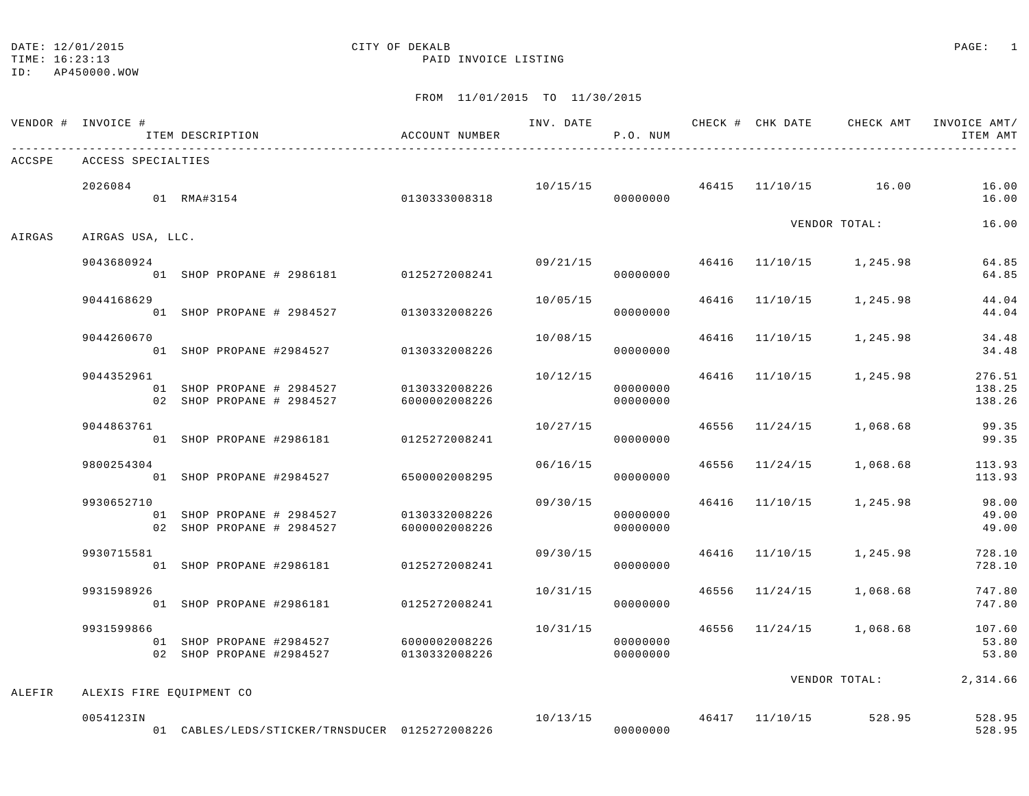#### DATE: 12/01/2015 CITY OF DEKALB COMPANY CONTROLLER PAGE: 1

TIME: 16:23:13 PAID INVOICE LISTING

ID: AP450000.WOW

|        | VENDOR # INVOICE #<br>ITEM DESCRIPTION                                                           | ACCOUNT NUMBER                 |          | P.O. NUM             |  |                                       | ITEM AMT                                           |
|--------|--------------------------------------------------------------------------------------------------|--------------------------------|----------|----------------------|--|---------------------------------------|----------------------------------------------------|
| ACCSPE | ACCESS SPECIALTIES                                                                               |                                |          |                      |  |                                       |                                                    |
|        | 2026084<br>01 RMA#3154                                                                           | 0130333008318                  |          | 00000000             |  | $10/15/15$ $46415$ $11/10/15$ $16.00$ | 16.00<br>16.00                                     |
| AIRGAS | AIRGAS USA, LLC.                                                                                 |                                |          |                      |  | VENDOR TOTAL:                         | 16.00                                              |
|        | 9043680924<br>01 SHOP PROPANE # 2986181 0125272008241                                            |                                |          | 00000000             |  | $09/21/15$ 46416 11/10/15 1,245.98    | 64.85<br>64.85                                     |
|        | 9044168629<br>01 SHOP PROPANE # 2984527 0130332008226                                            |                                | 10/05/15 | 00000000             |  | 46416 11/10/15 1,245.98               | 44.04<br>44.04                                     |
|        | 9044260670<br>01 SHOP PROPANE #2984527 0130332008226                                             |                                |          | 00000000             |  | 10/08/15 46416 11/10/15 1,245.98      | 34.48<br>34.48                                     |
|        | 9044352961<br>01 SHOP PROPANE # 2984527 0130332008226<br>02 SHOP PROPANE # 2984527 6000002008226 |                                | 10/12/15 | 00000000<br>00000000 |  |                                       | 46416 11/10/15 1,245.98 276.51<br>138.25<br>138.26 |
|        | 9044863761<br>01 SHOP PROPANE #2986181 0125272008241                                             |                                | 10/27/15 | 00000000             |  | 46556 11/24/15 1,068.68               | 99.35<br>99.35                                     |
|        | 9800254304<br>01 SHOP PROPANE #2984527 6500002008295                                             |                                |          | 06/16/15<br>00000000 |  |                                       | 46556 11/24/15 1,068.68 113.93<br>113.93           |
|        | 9930652710<br>01 SHOP PROPANE # 2984527<br>02 SHOP PROPANE # 2984527 6000002008226               | 0130332008226                  |          | 00000000<br>00000000 |  | $09/30/15$ 46416 $11/10/15$ 1,245.98  | 98.00<br>49.00<br>49.00                            |
|        | 9930715581<br>01 SHOP PROPANE #2986181 0125272008241                                             |                                |          | 00000000             |  | 09/30/15 46416 11/10/15 1,245.98      | 728.10<br>728.10                                   |
|        | 9931598926<br>01 SHOP PROPANE #2986181 0125272008241                                             |                                | 10/31/15 | 00000000             |  | 46556 11/24/15 1,068.68               | 747.80<br>747.80                                   |
|        | 9931599866<br>01 SHOP PROPANE #2984527<br>02 SHOP PROPANE #2984527                               | 6000002008226<br>0130332008226 | 10/31/15 | 00000000<br>00000000 |  |                                       | 46556 11/24/15 1,068.68 107.60<br>53.80<br>53.80   |
| ALEFIR | ALEXIS FIRE EQUIPMENT CO                                                                         |                                |          |                      |  |                                       | VENDOR TOTAL: 2,314.66                             |
|        | 0054123IN                                                                                        |                                | 00000000 |                      |  | $10/13/15$ $46417$ $11/10/15$ 528.95  | 528.95<br>528.95                                   |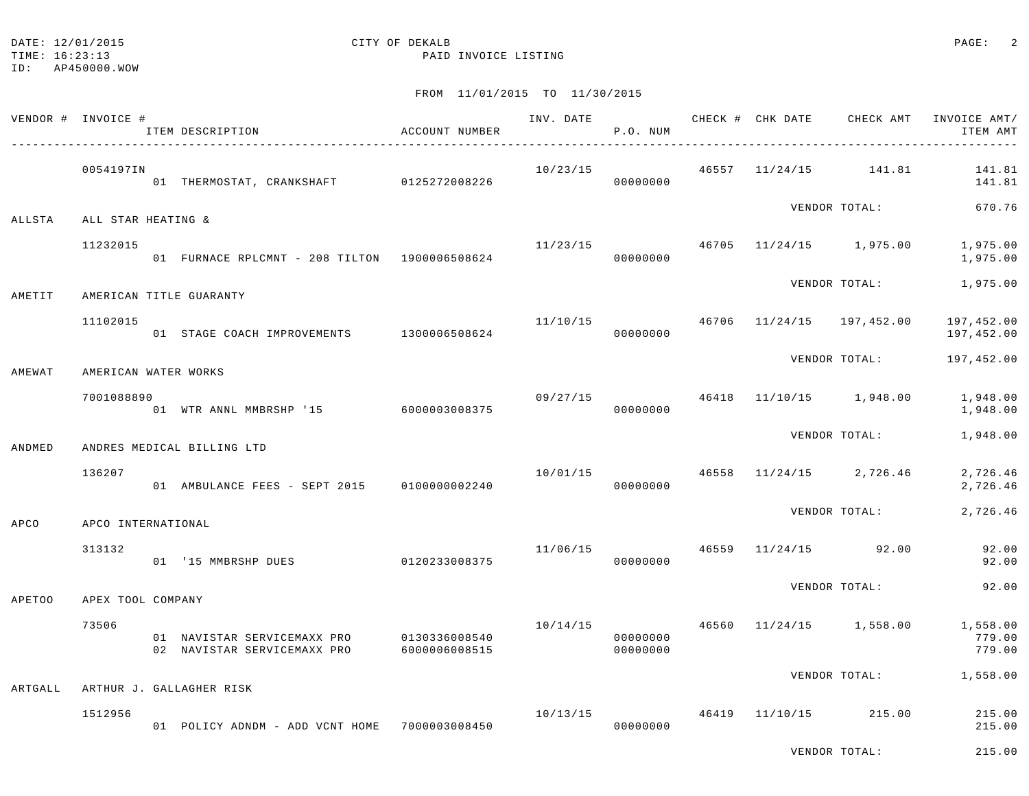TIME: 16:23:13 PAID INVOICE LISTING

|               | VENDOR # INVOICE #   | ITEM DESCRIPTION                                           | ACCOUNT NUMBER                 | INV. DATE | P.O. NUM                   |       | CHECK # CHK DATE | CHECK AMT               | INVOICE AMT/<br>ITEM AMT     |
|---------------|----------------------|------------------------------------------------------------|--------------------------------|-----------|----------------------------|-------|------------------|-------------------------|------------------------------|
|               | 0054197IN            | 01 THERMOSTAT, CRANKSHAFT 0125272008226                    |                                | 10/23/15  | 00000000                   |       |                  | 46557 11/24/15 141.81   | 141.81<br>141.81             |
| ALLSTA        | ALL STAR HEATING &   |                                                            |                                |           |                            |       |                  | VENDOR TOTAL:           | 670.76                       |
|               | 11232015             | 01 FURNACE RPLCMNT - 208 TILTON 1900006508624              |                                | 11/23/15  | 00000000                   |       |                  | 46705 11/24/15 1,975.00 | 1,975.00<br>1,975.00         |
| AMETIT        |                      | AMERICAN TITLE GUARANTY                                    |                                |           |                            |       |                  | VENDOR TOTAL:           | 1,975.00                     |
|               | 11102015             | 01 STAGE COACH IMPROVEMENTS 1300006508624                  |                                |           | 11/10/15<br>00000000       | 46706 |                  | 11/24/15 197,452.00     | 197,452.00<br>197,452.00     |
| AMEWAT        | AMERICAN WATER WORKS |                                                            |                                |           |                            |       |                  | VENDOR TOTAL:           | 197,452.00                   |
|               | 7001088890           | 01 WTR ANNL MMBRSHP '15                                    | 6000003008375                  | 09/27/15  | 00000000                   | 46418 |                  | 11/10/15 1,948.00       | 1,948.00<br>1,948.00         |
| ANDMED        |                      | ANDRES MEDICAL BILLING LTD                                 |                                |           |                            |       |                  | VENDOR TOTAL:           | 1,948.00                     |
|               | 136207               | 01 AMBULANCE FEES - SEPT 2015 0100000002240                |                                | 10/01/15  | 00000000                   |       |                  | 46558 11/24/15 2,726.46 | 2,726.46<br>2,726.46         |
| APCO          | APCO INTERNATIONAL   |                                                            |                                |           |                            |       |                  | VENDOR TOTAL:           | 2,726.46                     |
|               | 313132               | 01 '15 MMBRSHP DUES                                        | 0120233008375                  | 11/06/15  | 00000000                   | 46559 |                  | $11/24/15$ 92.00        | 92.00<br>92.00               |
| <b>APETOO</b> | APEX TOOL COMPANY    |                                                            |                                |           |                            |       |                  | VENDOR TOTAL:           | 92.00                        |
|               | 73506                | 01 NAVISTAR SERVICEMAXX PRO<br>02 NAVISTAR SERVICEMAXX PRO | 0130336008540<br>6000006008515 | 10/14/15  | 00000000<br>00000000       | 46560 |                  | 11/24/15 1,558.00       | 1,558.00<br>779.00<br>779.00 |
| ARTGALL       |                      | ARTHUR J. GALLAGHER RISK                                   |                                |           |                            |       |                  | VENDOR TOTAL:           | 1,558.00                     |
|               | 1512956              | 01 POLICY ADNDM - ADD VCNT HOME 7000003008450              |                                |           | 10/13/15 46419<br>00000000 |       |                  | 11/10/15 215.00         | 215.00<br>215.00             |
|               |                      |                                                            |                                |           |                            |       |                  | VENDOR TOTAL:           | 215.00                       |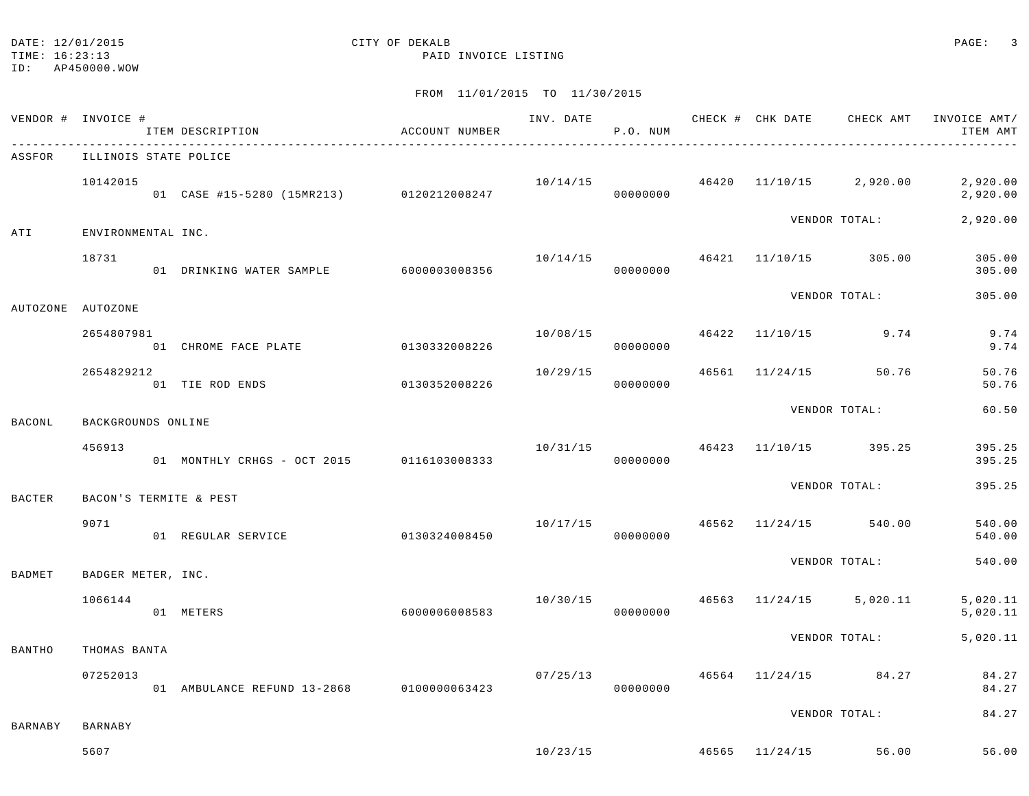#### DATE: 12/01/2015 CITY OF DEKALB CALL CONSTRUCT OF LATERALLY CONSTRUCT OF DEXALLE

TIME: 16:23:13 PAID INVOICE LISTING

ID: AP450000.WOW

|          | VENDOR # INVOICE #    | ITEM DESCRIPTION                          | ACCOUNT NUMBER |          | P.O. NUM |  | INV. DATE 6 CHECK # CHK DATE CHECK AMT   | INVOICE AMT/<br>ITEM AMT |
|----------|-----------------------|-------------------------------------------|----------------|----------|----------|--|------------------------------------------|--------------------------|
| ASSFOR   | ILLINOIS STATE POLICE |                                           |                |          |          |  |                                          |                          |
|          | 10142015              | 01 CASE #15-5280 (15MR213) 0120212008247  |                |          | 00000000 |  | $10/14/15$ $46420$ $11/10/15$ $2,920.00$ | 2,920.00<br>2,920.00     |
| ATI      | ENVIRONMENTAL INC.    |                                           |                |          |          |  | VENDOR TOTAL:                            | 2,920.00                 |
|          | 18731                 | 01 DRINKING WATER SAMPLE 6000003008356    |                |          | 00000000 |  | $10/14/15$ $46421$ $11/10/15$ $305.00$   | 305.00<br>305.00         |
| AUTOZONE | AUTOZONE              |                                           |                |          |          |  | VENDOR TOTAL:                            | 305.00                   |
|          | 2654807981            |                                           |                | 10/08/15 |          |  | 46422 11/10/15 9.74                      | 9.74                     |
|          |                       | 01 CHROME FACE PLATE 60130332008226       |                |          | 00000000 |  |                                          | 9.74                     |
|          | 2654829212            | 01 TIE ROD ENDS                           | 0130352008226  | 10/29/15 | 00000000 |  | 46561 11/24/15 50.76                     | 50.76<br>50.76           |
| BACONL   | BACKGROUNDS ONLINE    |                                           |                |          |          |  | VENDOR TOTAL:                            | 60.50                    |
|          | 456913                | 01 MONTHLY CRHGS - OCT 2015 0116103008333 |                |          | 00000000 |  | $10/31/15$ $46423$ $11/10/15$ $395.25$   | 395.25<br>395.25         |
|          |                       |                                           |                |          |          |  | VENDOR TOTAL:                            | 395.25                   |
| BACTER   |                       | BACON'S TERMITE & PEST                    |                |          |          |  |                                          |                          |
|          | 9071                  | 01 REGULAR SERVICE                        | 0130324008450  | 10/17/15 | 00000000 |  | 46562 11/24/15 540.00                    | 540.00<br>540.00         |
| BADMET   | BADGER METER, INC.    |                                           |                |          |          |  | VENDOR TOTAL:                            | 540.00                   |
|          | 1066144               | 01 METERS                                 | 6000006008583  |          | 00000000 |  | $10/30/15$ $46563$ $11/24/15$ $5,020.11$ | 5,020.11<br>5,020.11     |
| BANTHO   | THOMAS BANTA          |                                           |                |          |          |  | VENDOR TOTAL:                            | 5,020.11                 |
|          | 07252013              | 01 AMBULANCE REFUND 13-2868 0100000063423 |                | 07/25/13 | 00000000 |  | 46564 11/24/15 84.27                     | 84.27<br>84.27           |
|          |                       |                                           |                |          |          |  | VENDOR TOTAL:                            | 84.27                    |
| BARNABY  | BARNABY               |                                           |                |          |          |  |                                          |                          |
|          | 5607                  |                                           |                |          |          |  | $10/23/15$ $46565$ $11/24/15$ 56.00      | 56.00                    |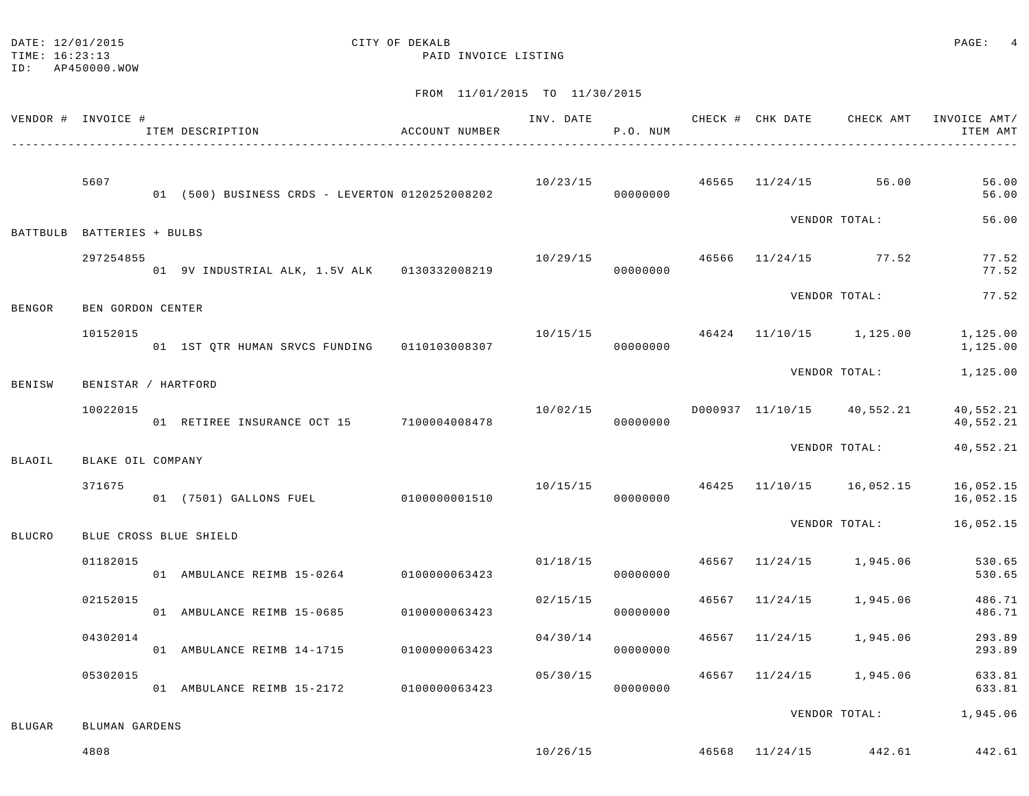| DATE: | 12/01/2015 |  |
|-------|------------|--|
|       |            |  |

## CITY OF DEKALB **PAGE:** 4

TIME: 16:23:13 PAID INVOICE LISTING

ID: AP450000.WOW

|               | VENDOR # INVOICE #         | ITEM DESCRIPTION<br>______________________________________ | ACCOUNT NUMBER |                                       | P.O. NUM |  | INV. DATE 6 CHECK # CHK DATE CHECK AMT      | INVOICE AMT/<br>ITEM AMT                        |
|---------------|----------------------------|------------------------------------------------------------|----------------|---------------------------------------|----------|--|---------------------------------------------|-------------------------------------------------|
|               | 5607                       | 01 (500) BUSINESS CRDS - LEVERTON 0120252008202            |                | $10/23/15$ $46565$ $11/24/15$ $56.00$ | 00000000 |  |                                             | 56.00<br>56.00                                  |
|               | BATTBULB BATTERIES + BULBS |                                                            |                |                                       |          |  | VENDOR TOTAL:                               | 56.00                                           |
|               | 297254855                  | 01 9V INDUSTRIAL ALK, 1.5V ALK 0130332008219               |                | $10/29/15$ $46566$ $11/24/15$ 77.52   | 00000000 |  |                                             | 77.52<br>77.52                                  |
| <b>BENGOR</b> | BEN GORDON CENTER          |                                                            |                |                                       |          |  | VENDOR TOTAL:                               | 77.52                                           |
|               | 10152015                   | 01 1ST QTR HUMAN SRVCS FUNDING   0110103008307             |                | 10/15/15                              | 00000000 |  | 46424 11/10/15 1,125.00                     | 1,125.00<br>1,125.00                            |
| BENISW        | BENISTAR / HARTFORD        |                                                            |                |                                       |          |  | VENDOR TOTAL:                               | 1,125.00                                        |
|               | 10022015                   | 01 RETIREE INSURANCE OCT 15 7100004008478                  |                |                                       | 00000000 |  | $10/02/15$ $D000937$ $11/10/15$ $40,552.21$ | 40,552.21<br>40,552.21                          |
| <b>BLAOIL</b> | BLAKE OIL COMPANY          |                                                            |                |                                       |          |  | VENDOR TOTAL:                               | 40,552.21                                       |
|               | 371675                     | 01 (7501) GALLONS FUEL 0100000001510                       |                | 10/15/15                              | 00000000 |  | 46425 11/10/15 16,052.15                    | 16,052.15<br>16,052.15                          |
| <b>BLUCRO</b> | BLUE CROSS BLUE SHIELD     |                                                            |                |                                       |          |  | VENDOR TOTAL:                               | 16,052.15                                       |
|               | 01182015                   | 01 AMBULANCE REIMB 15-0264 0100000063423                   |                | 01/18/15                              | 00000000 |  | 46567 11/24/15 1,945.06                     | 530.65<br>530.65                                |
|               | 02152015                   | 01 AMBULANCE REIMB 15-0685                                 | 0100000063423  | 02/15/15                              | 00000000 |  | 46567 11/24/15 1,945.06                     | 486.71<br>486.71                                |
|               | 04302014                   | 01 AMBULANCE REIMB 14-1715                                 | 0100000063423  | 04/30/14                              | 00000000 |  | 46567 11/24/15 1,945.06                     | 293.89<br>293.89                                |
|               | 05302015                   | 01 AMBULANCE REIMB 15-2172 0100000063423                   |                | 05/30/15                              | 00000000 |  | 46567 11/24/15 1,945.06                     | 633.81<br>633.81                                |
| BLUGAR        | BLUMAN GARDENS             |                                                            |                |                                       |          |  |                                             | VENDOR TOTAL: 1,945.06                          |
|               | 4808                       |                                                            |                |                                       |          |  |                                             | $10/26/15$ $46568$ $11/24/15$ $442.61$ $442.61$ |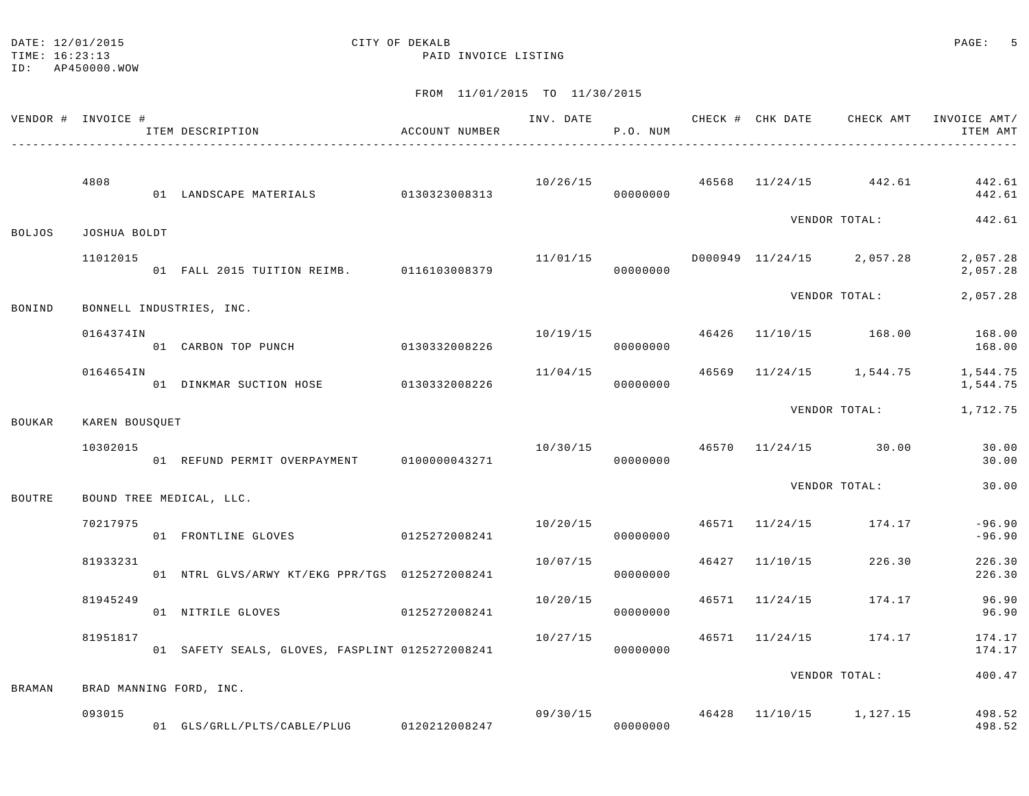### DATE: 12/01/2015 CITY OF DEKALB COMPUTER CONSTRUCTION CONTRACT CONTRACT CONTRACT CONTRACT CONTRACT CONTRACT CONTR

TIME: 16:23:13 PAID INVOICE LISTING

ID: AP450000.WOW

| VENDOR # INVOICE # |                | ITEM DESCRIPTION<br>________________________________ | ACCOUNT NUMBER |          | P.O. NUM |  |                                            | INV. DATE 6 1990 CHECK # CHK DATE 6 CHECK AMT INVOICE AMT<br>ITEM AMT |
|--------------------|----------------|------------------------------------------------------|----------------|----------|----------|--|--------------------------------------------|-----------------------------------------------------------------------|
|                    | 4808           | 01 LANDSCAPE MATERIALS 0130323008313                 |                |          | 00000000 |  | $10/26/15$ $46568$ $11/24/15$ $442.61$     | 442.61<br>442.61                                                      |
| <b>BOLJOS</b>      | JOSHUA BOLDT   |                                                      |                |          |          |  | VENDOR TOTAL:                              | 442.61                                                                |
|                    | 11012015       | 01 FALL 2015 TUITION REIMB. 0116103008379            |                |          | 00000000 |  | $11/01/15$ $D000949$ $11/24/15$ $2,057.28$ | 2,057.28<br>2,057.28                                                  |
| BONIND             |                | BONNELL INDUSTRIES, INC.                             |                |          |          |  | VENDOR TOTAL:                              | 2,057.28                                                              |
|                    | 0164374IN      | 01 CARBON TOP PUNCH 0130332008226                    |                |          | 00000000 |  |                                            | 10/19/15 46426 11/10/15 168.00 168.00<br>168.00                       |
|                    | 0164654IN      | 01 DINKMAR SUCTION HOSE 0130332008226                |                | 11/04/15 | 00000000 |  |                                            | 46569 11/24/15 1,544.75 1,544.75<br>1,544.75                          |
| <b>BOUKAR</b>      | KAREN BOUSQUET |                                                      |                |          |          |  | VENDOR TOTAL:                              | 1,712.75                                                              |
|                    | 10302015       | 01 REFUND PERMIT OVERPAYMENT 0100000043271           |                |          | 00000000 |  | $10/30/15$ $46570$ $11/24/15$ 30.00        | 30.00<br>30.00                                                        |
| BOUTRE             |                | BOUND TREE MEDICAL, LLC.                             |                |          |          |  | VENDOR TOTAL:                              | 30.00                                                                 |
|                    | 70217975       | 01 FRONTLINE GLOVES 0125272008241                    |                | 10/20/15 | 00000000 |  | 46571 11/24/15 174.17                      | $-96.90$<br>$-96.90$                                                  |
|                    | 81933231       | 01 NTRL GLVS/ARWY KT/EKG PPR/TGS 0125272008241       |                | 10/07/15 | 00000000 |  | 46427 11/10/15 226.30                      | 226.30<br>226.30                                                      |
|                    | 81945249       | 01 NITRILE GLOVES 60125272008241                     |                | 10/20/15 | 00000000 |  | 46571 11/24/15 174.17                      | 96.90<br>96.90                                                        |
|                    | 81951817       | 01 SAFETY SEALS, GLOVES, FASPLINT 0125272008241      |                | 10/27/15 | 00000000 |  | 46571 11/24/15 174.17                      | 174.17<br>174.17                                                      |
| <b>BRAMAN</b>      |                | BRAD MANNING FORD, INC.                              |                |          |          |  | VENDOR TOTAL:                              | 400.47                                                                |
|                    | 093015         | 01 GLS/GRLL/PLTS/CABLE/PLUG 0120212008247            |                |          | 00000000 |  | 09/30/15 46428 11/10/15 1,127.15           | 498.52<br>498.52                                                      |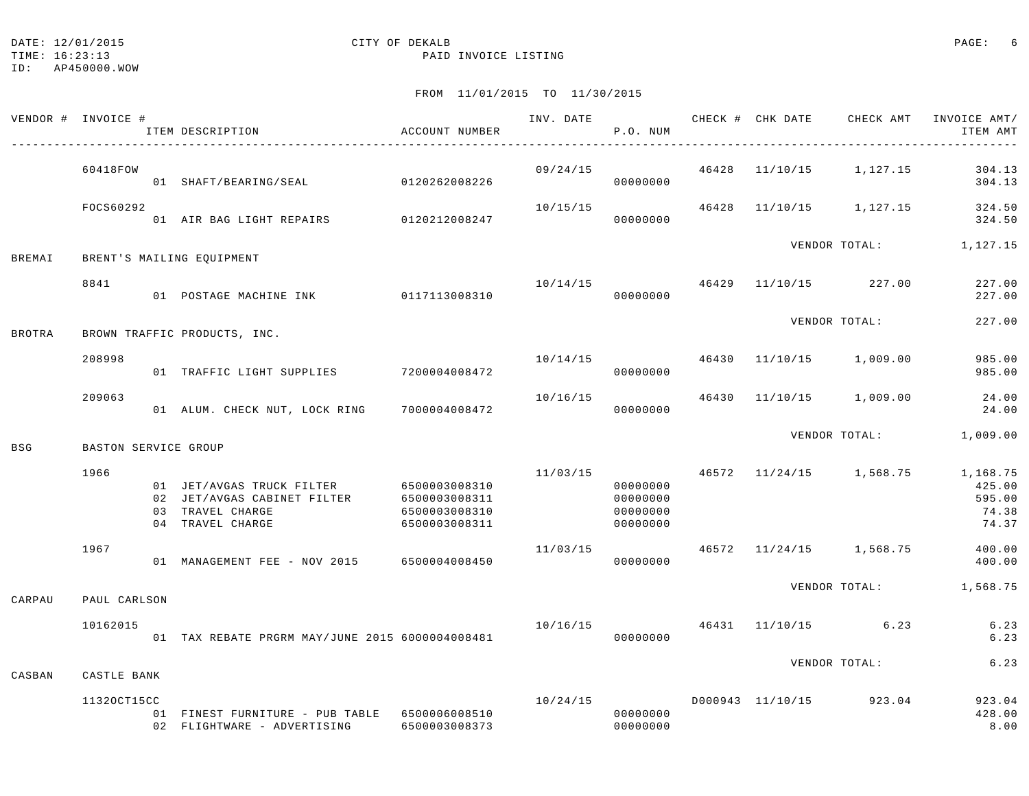#### DATE:  $12/01/2015$  PAGE: 6

TIME: 16:23:13 PAID INVOICE LISTING

| VENDOR # INVOICE # |                      | ITEM DESCRIPTION                                                                                               | ACCOUNT NUMBER                                  | INV. DATE      | P.O. NUM                                     |       | CHECK # CHK DATE CHECK AMT | INVOICE AMT/<br>ITEM AMT                       |
|--------------------|----------------------|----------------------------------------------------------------------------------------------------------------|-------------------------------------------------|----------------|----------------------------------------------|-------|----------------------------|------------------------------------------------|
|                    | 60418FOW             | 01 SHAFT/BEARING/SEAL 0120262008226                                                                            |                                                 | 09/24/15       | 00000000                                     | 46428 | 11/10/15 1,127.15          | 304.13<br>304.13                               |
|                    | FOCS60292            | 01 AIR BAG LIGHT REPAIRS 0120212008247                                                                         |                                                 | 10/15/15       | 00000000                                     |       | 46428 11/10/15 1,127.15    | 324.50<br>324.50                               |
| <b>BREMAI</b>      |                      | BRENT'S MAILING EQUIPMENT                                                                                      |                                                 |                |                                              |       |                            | VENDOR TOTAL: 1,127.15                         |
|                    | 8841                 | 01 POSTAGE MACHINE INK 0117113008310                                                                           |                                                 | 10/14/15 46429 | 00000000                                     |       | 11/10/15 227.00            | 227.00<br>227.00                               |
| <b>BROTRA</b>      |                      | BROWN TRAFFIC PRODUCTS, INC.                                                                                   |                                                 |                |                                              |       | VENDOR TOTAL:              | 227.00                                         |
|                    | 208998               | 01 TRAFFIC LIGHT SUPPLIES 7200004008472                                                                        |                                                 | 10/14/15       | 00000000                                     |       | 46430 11/10/15 1,009.00    | 985.00<br>985.00                               |
|                    | 209063               | 01 ALUM. CHECK NUT, LOCK RING 7000004008472                                                                    |                                                 | 10/16/15       | 00000000                                     | 46430 | 11/10/15 1,009.00          | 24.00<br>24.00                                 |
| <b>BSG</b>         | BASTON SERVICE GROUP |                                                                                                                |                                                 |                |                                              |       | VENDOR TOTAL:              | 1,009.00                                       |
|                    | 1966                 | 01 JET/AVGAS TRUCK FILTER 6500003008310<br>02 JET/AVGAS CABINET FILTER<br>03 TRAVEL CHARGE<br>04 TRAVEL CHARGE | 6500003008311<br>6500003008310<br>6500003008311 | 11/03/15       | 00000000<br>00000000<br>00000000<br>00000000 |       | 46572 11/24/15 1,568.75    | 1,168.75<br>425.00<br>595.00<br>74.38<br>74.37 |
|                    | 1967                 | 01 MANAGEMENT FEE - NOV 2015 6500004008450                                                                     |                                                 | 11/03/15       | 00000000                                     |       | 46572 11/24/15 1,568.75    | 400.00<br>400.00                               |
| CARPAU             | PAUL CARLSON         |                                                                                                                |                                                 |                |                                              |       |                            | VENDOR TOTAL: 1,568.75                         |
|                    | 10162015             | 01 TAX REBATE PRGRM MAY/JUNE 2015 6000004008481                                                                |                                                 | 10/16/15       | 00000000                                     |       | 46431 11/10/15 6.23        | 6.23<br>6.23                                   |
| CASBAN             | CASTLE BANK          |                                                                                                                |                                                 |                |                                              |       | VENDOR TOTAL:              | 6.23                                           |
|                    | 11320CT15CC          | 01 FINEST FURNITURE - PUB TABLE 6500006008510<br>02 FLIGHTWARE - ADVERTISING                                   | 6500003008373                                   | 10/24/15       | 00000000<br>00000000                         |       | D000943 11/10/15 923.04    | 923.04<br>428.00<br>8.00                       |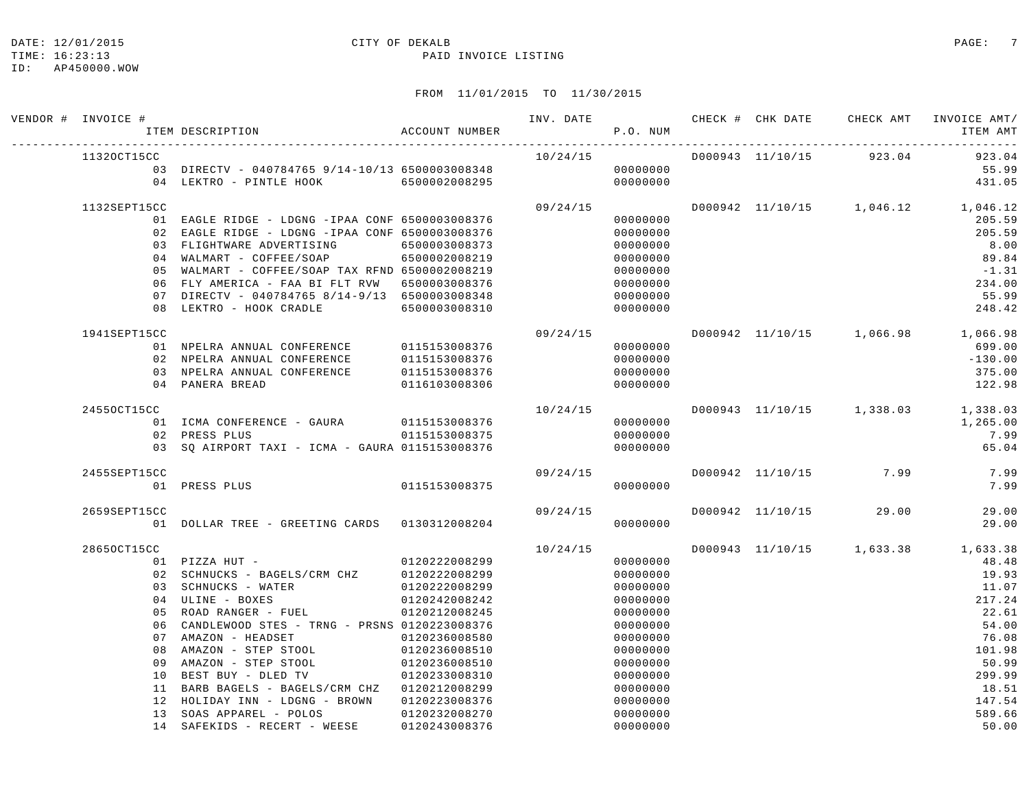## DATE: 12/01/2015 CITY OF DEKALB COMPARED PAGE: 7

#### TIME: 16:23:13 PAID INVOICE LISTING

| VENDOR # INVOICE # | ITEM DESCRIPTION <a> <a> </a> </a> <a> </a> ACCOUNT NUMBER                              |                                |           | P.O. NUM             |  |                        | INV. DATE 6 7 CHECK # CHK DATE CHECK AMT INVOICE AMT/<br>ITEM AMT |
|--------------------|-----------------------------------------------------------------------------------------|--------------------------------|-----------|----------------------|--|------------------------|-------------------------------------------------------------------|
| 11320CT15CC        |                                                                                         |                                |           |                      |  |                        | 923.04                                                            |
|                    |                                                                                         |                                |           |                      |  |                        | 55.99                                                             |
|                    | 04 LEKTRO - PINTLE HOOK 6500002008295 0000000000                                        |                                |           |                      |  |                        | 431.05                                                            |
| 1132SEPT15CC       |                                                                                         |                                | 09/24/15  |                      |  |                        | D000942 11/10/15 1,046.12 1,046.12                                |
|                    | 01 EAGLE RIDGE - LDGNG -IPAA CONF 6500003008376                                         |                                |           | 00000000             |  |                        | 205.59                                                            |
|                    | 02 EAGLE RIDGE - LDGNG -IPAA CONF 6500003008376                                         |                                |           | 00000000             |  |                        | 205.59                                                            |
|                    | 03 FLIGHTWARE ADVERTISING 6500003008373                                                 |                                |           | 00000000             |  |                        | 8.00                                                              |
|                    | 04 WALMART - COFFEE/SOAP 6500002008219                                                  |                                |           | 00000000             |  |                        | 89.84                                                             |
|                    | 05 WALMART - COFFEE/SOAP TAX RFND 6500002008219                                         |                                |           | 00000000             |  |                        | $-1.31$                                                           |
|                    | 06 FLY AMERICA - FAA BI FLT RVW 6500003008376                                           |                                |           | 00000000             |  |                        | 234.00                                                            |
|                    | 07 DIRECTV - 040784765 8/14-9/13 6500003008348<br>08 LEKTRO - HOOK CRADLE 6500003008310 |                                |           | 00000000<br>00000000 |  |                        | 55.99                                                             |
|                    |                                                                                         |                                |           |                      |  |                        | 248.42                                                            |
| 1941SEPT15CC       |                                                                                         |                                | 09/24/15  |                      |  |                        | D000942 11/10/15 1,066.98 1,066.98                                |
|                    | 01 NPELRA ANNUAL CONFERENCE 0115153008376<br>02 NPELRA ANNUAL CONFERENCE 0115153008376  |                                |           | 00000000             |  |                        | 699.00                                                            |
|                    |                                                                                         |                                |           | 00000000             |  |                        | $-130.00$                                                         |
|                    | 03 NPELRA ANNUAL CONFERENCE 0115153008376                                               |                                |           | 00000000             |  |                        | 375.00                                                            |
|                    | 04 PANERA BREAD                                                                         | 0116103008306                  |           | 00000000             |  |                        | 122.98                                                            |
| 24550CT15CC        |                                                                                         |                                |           |                      |  |                        | $10/24/15$ $D000943$ $11/10/15$ $1,338.03$ $1,338.03$             |
|                    | 01 ICMA CONFERENCE - GAURA 0115153008376                                                |                                | 000000000 |                      |  |                        | 1,265.00                                                          |
|                    | 02 PRESS PLUS                                                                           | 0115153008375                  |           | 00000000             |  |                        | 7.99                                                              |
|                    | 03 SQ AIRPORT TAXI - ICMA - GAURA 0115153008376                                         |                                | 00000000  |                      |  |                        | 65.04                                                             |
| 2455SEPT15CC       |                                                                                         |                                | 09/24/15  |                      |  |                        | D000942 11/10/15 7.99 7.99                                        |
|                    | 01 PRESS PLUS                                                                           | 0115153008375                  |           | 00000000             |  |                        | 7.99                                                              |
| 2659SEPT15CC       |                                                                                         |                                | 09/24/15  |                      |  | D000942 11/10/15 29.00 | 29.00                                                             |
|                    | 01 DOLLAR TREE - GREETING CARDS 0130312008204                                           |                                |           | 00000000             |  |                        | 29.00                                                             |
| 28650CT15CC        |                                                                                         |                                | 10/24/15  |                      |  |                        | D000943 11/10/15 1,633.38 1,633.38                                |
|                    | 01 PIZZA HUT - 0120222008299<br>02 SCHNUCKS - BAGELS/CRM CHZ 0120222008299              |                                |           | 00000000             |  |                        | 48.48                                                             |
|                    |                                                                                         |                                |           | 00000000             |  |                        | 19.93                                                             |
|                    |                                                                                         |                                |           | 00000000             |  |                        | 11.07                                                             |
|                    |                                                                                         |                                |           | 00000000             |  |                        | 217.24                                                            |
|                    | 05 ROAD RANGER - FUEL                                                                   | 0120212008245                  |           | 00000000             |  |                        | 22.61                                                             |
|                    | 06 CANDLEWOOD STES - TRNG - PRSNS 0120223008376                                         |                                |           | 00000000             |  |                        | 54.00                                                             |
|                    | 07 AMAZON - HEADSET 0120236008580                                                       |                                |           | 00000000             |  |                        | 76.08                                                             |
|                    | 08 AMAZON - STEP STOOL                                                                  | 0120236008510                  |           | 00000000             |  |                        | 101.98                                                            |
|                    | 09 AMAZON - STEP STOOL                                                                  | 0120236008510                  |           | 00000000             |  |                        | 50.99                                                             |
|                    | 10 BEST BUY - DLED TV                                                                   | 0120233008310                  |           | 00000000             |  |                        | 299.99                                                            |
|                    | 11 BARB BAGELS - BAGELS/CRM CHZ 0120212008299                                           |                                |           | 00000000             |  |                        | 18.51                                                             |
|                    | 12 HOLIDAY INN - LDGNG - BROWN                                                          | 0120223008376                  |           | 00000000             |  |                        | 147.54                                                            |
|                    | 13 SOAS APPAREL - POLOS<br>14 SAFEKIDS - RECERT - WEESE                                 | 0120232008270<br>0120243008376 |           | 00000000<br>00000000 |  |                        | 589.66<br>50.00                                                   |
|                    |                                                                                         |                                |           |                      |  |                        |                                                                   |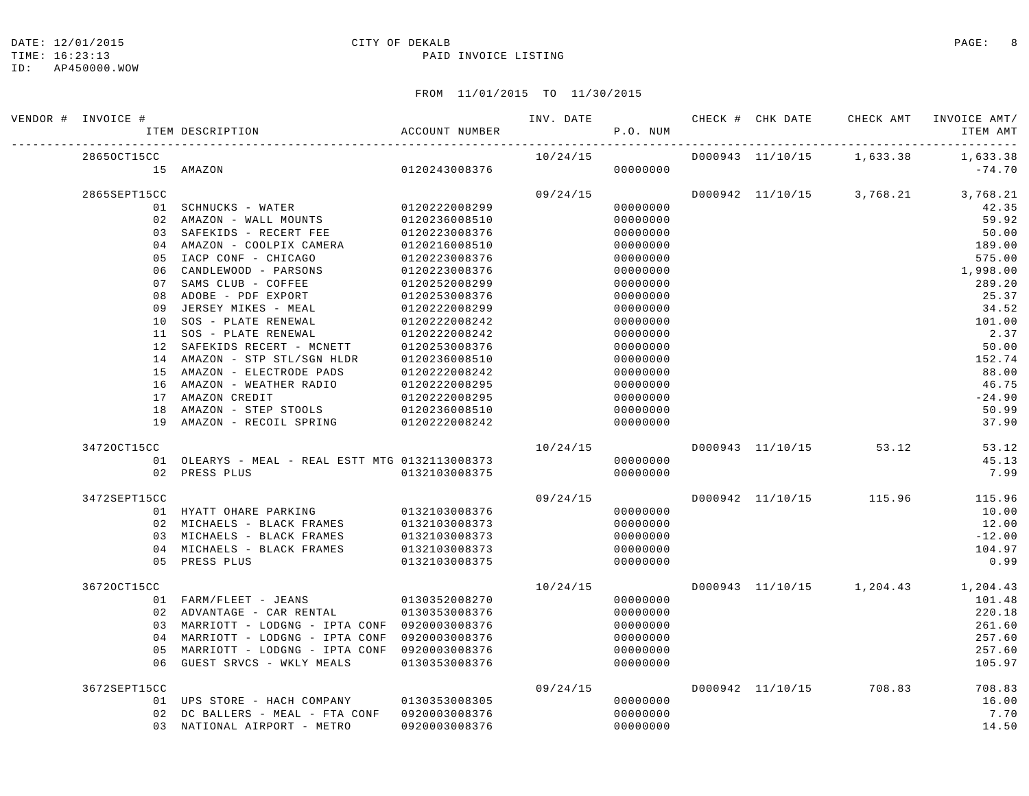#### DATE:  $12/01/2015$  PAGE: 8

#### TIME: 16:23:13 PAID INVOICE LISTING

| VENDOR # INVOICE # |                                                             |                                | INV. DATE |                      |  | CHECK # CHK DATE CHECK AMT | INVOICE AMT/                       |
|--------------------|-------------------------------------------------------------|--------------------------------|-----------|----------------------|--|----------------------------|------------------------------------|
|                    | ACCOUNT NUMBER<br>ITEM DESCRIPTION                          |                                |           | P.O. NUM             |  |                            | ITEM AMT                           |
| 28650CT15CC        |                                                             |                                | 10/24/15  |                      |  | D000943 11/10/15 1,633.38  | 1,633.38                           |
|                    | 0120243008376<br>15 AMAZON                                  |                                |           | 00000000             |  |                            | $-74.70$                           |
| 2865SEPT15CC       |                                                             |                                | 09/24/15  |                      |  |                            | D000942 11/10/15 3,768.21 3,768.21 |
|                    | 01 SCHNUCKS - WATER 0120222008299                           |                                |           | 00000000             |  |                            | 42.35                              |
|                    | 02 AMAZON - WALL MOUNTS                                     | 0120236008510                  |           | 00000000             |  |                            | 59.92                              |
|                    | 03 SAFEKIDS - RECERT FEE                                    | 0120223008376                  |           | 00000000             |  |                            | 50.00                              |
|                    | 04 AMAZON - COOLPIX CAMERA                                  | 0120216008510                  |           | 00000000             |  |                            | 189.00                             |
| 05                 | IACP CONF - CHICAGO                                         | 0120223008376                  |           | 00000000             |  |                            | 575.00                             |
| 06                 | CANDLEWOOD - PARSONS                                        | 0120223008376                  |           | 00000000             |  |                            | 1,998.00                           |
| 07                 | SAMS CLUB - COFFEE                                          | 0120252008299                  |           | 00000000             |  |                            | 289.20                             |
| 08                 | ADOBE - PDF EXPORT                                          | 0120253008376                  |           | 00000000             |  |                            | 25.37                              |
| 09                 | JERSEY MIKES - MEAL                                         | 0120222008299                  |           | 00000000             |  |                            | 34.52                              |
| 10                 | SOS - PLATE RENEWAL                                         | 0120222008242                  |           | 00000000             |  |                            | 101.00                             |
|                    | 11 SOS - PLATE RENEWAL                                      | 0120222008242<br>0120253008376 |           | 00000000             |  |                            | 2.37<br>50.00                      |
|                    | 12 SAFEKIDS RECERT - MCNETT<br>14 AMAZON - STP STL/SGN HLDR | 0120236008510                  |           | 00000000<br>00000000 |  |                            | 152.74                             |
|                    | 15 AMAZON - ELECTRODE PADS                                  | 0120222008242                  |           | 00000000             |  |                            | 88.00                              |
|                    | 16 AMAZON - WEATHER RADIO                                   | 0120222008295                  |           | 00000000             |  |                            | 46.75                              |
|                    | 17 AMAZON CREDIT                                            | 0120222008295                  |           | 00000000             |  |                            | $-24.90$                           |
|                    | 18 AMAZON - STEP STOOLS                                     | $0120236008510$                |           | 00000000             |  |                            | 50.99                              |
|                    | 19 AMAZON - RECOIL SPRING 0120222008242                     |                                |           | 00000000             |  |                            | 37.90                              |
| 34720CT15CC        |                                                             |                                | 10/24/15  |                      |  | D000943 11/10/15 53.12     | 53.12                              |
|                    | 01 OLEARYS - MEAL - REAL ESTT MTG 0132113008373             |                                |           | 00000000             |  |                            | 45.13                              |
|                    | 02 PRESS PLUS                                               | 0132103008375                  |           | 00000000             |  |                            | 7.99                               |
| 3472SEPT15CC       |                                                             |                                | 09/24/15  |                      |  | D000942 11/10/15 115.96    | 115.96                             |
|                    | 01 HYATT OHARE PARKING                                      | 0132103008376                  |           | 00000000             |  |                            | 10.00                              |
|                    | 02 MICHAELS - BLACK FRAMES                                  | 0132103008373                  |           | 00000000             |  |                            | 12.00                              |
|                    | 03 MICHAELS - BLACK FRAMES                                  | 0132103008373                  |           | 00000000             |  |                            | $-12.00$                           |
|                    | 04 MICHAELS - BLACK FRAMES                                  | 0132103008373                  |           | 00000000             |  |                            | 104.97                             |
|                    | 05 PRESS PLUS                                               | 0132103008375                  |           | 00000000             |  |                            | 0.99                               |
| 36720CT15CC        |                                                             |                                | 10/24/15  |                      |  |                            | D000943 11/10/15 1,204.43 1,204.43 |
|                    | 01 FARM/FLEET - JEANS 0130352008270                         |                                |           | 00000000             |  |                            | 101.48                             |
|                    | 02 ADVANTAGE - CAR RENTAL                                   | 0130353008376                  |           | 00000000             |  |                            | 220.18                             |
|                    | 03 MARRIOTT - LODGNG - IPTA CONF 0920003008376              |                                |           | 00000000             |  |                            | 261.60                             |
| 04                 | MARRIOTT - LODGNG - IPTA CONF                               | 0920003008376                  |           | 00000000             |  |                            | 257.60                             |
| 0 <sub>5</sub>     | MARRIOTT - LODGNG - IPTA CONF 0920003008376                 |                                |           | 00000000             |  |                            | 257.60                             |
| 06                 | GUEST SRVCS - WKLY MEALS                                    | 0130353008376                  |           | 00000000             |  |                            | 105.97                             |
| 3672SEPT15CC       |                                                             |                                | 09/24/15  |                      |  | D000942 11/10/15 708.83    | 708.83                             |
|                    | 01 UPS STORE - HACH COMPANY 0130353008305                   |                                |           | 00000000             |  |                            | 16.00                              |
|                    | 02 DC BALLERS - MEAL - FTA CONF 0920003008376               |                                |           | 00000000             |  |                            | 7.70                               |
|                    | 03 NATIONAL AIRPORT - METRO                                 | 0920003008376                  |           | 00000000             |  |                            | 14.50                              |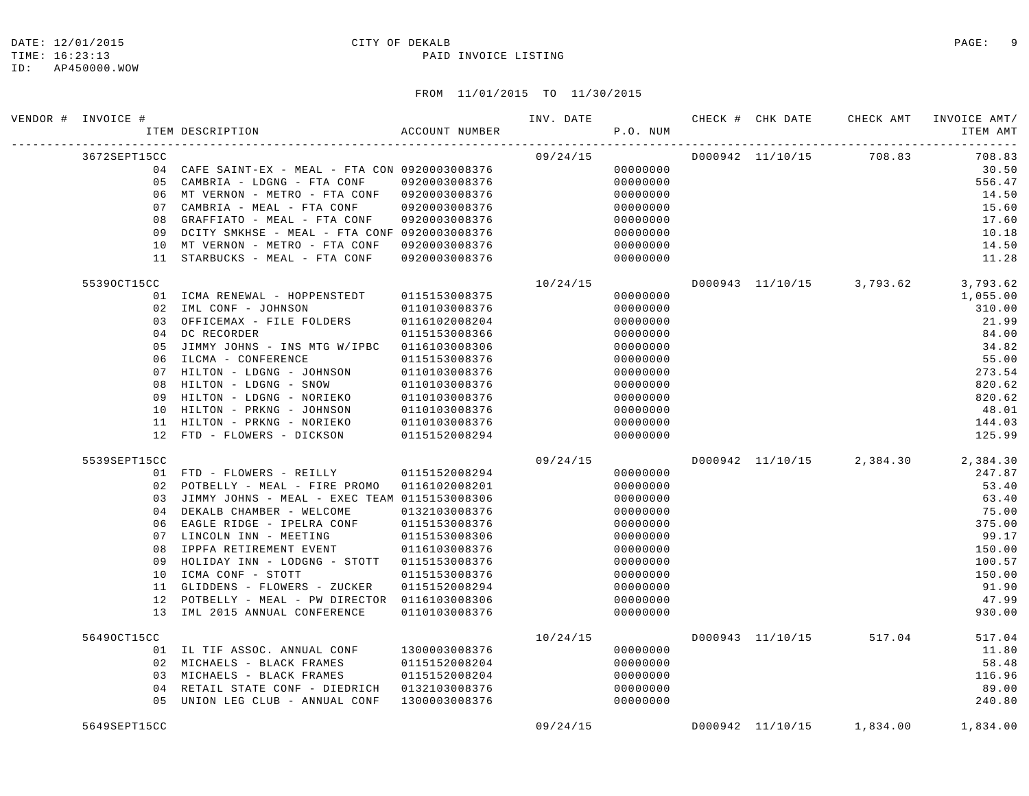### DATE: 12/01/2015 CITY OF DEKALB COMPARED PAGE: 9

#### TIME: 16:23:13 PAID INVOICE LISTING

|  | VENDOR # INVOICE # | ACCOUNT NUMBER<br>ITEM DESCRIPTION                                         |                                | INV. DATE | P.O. NUM             |  | CHECK # CHK DATE CHECK AMT | INVOICE AMT/<br>ITEM AMT           |
|--|--------------------|----------------------------------------------------------------------------|--------------------------------|-----------|----------------------|--|----------------------------|------------------------------------|
|  | 3672SEPT15CC       |                                                                            |                                | 09/24/15  |                      |  | D000942 11/10/15 708.83    | 708.83                             |
|  |                    | 04 CAFE SAINT-EX - MEAL - FTA CON 0920003008376                            |                                |           | 00000000             |  |                            | 30.50                              |
|  |                    | 05 CAMBRIA - LDGNG - FTA CONF                                              | 0920003008376                  |           | 00000000             |  |                            | 556.47                             |
|  |                    | 06 MT VERNON - METRO - FTA CONF 0920003008376                              |                                |           | 00000000             |  |                            | 14.50                              |
|  |                    | 07 CAMBRIA - MEAL - FTA CONF                                               | 0920003008376                  |           | 00000000             |  |                            | 15.60                              |
|  | 08                 | GRAFFIATO - MEAL - FTA CONF                                                | 0920003008376                  |           | 00000000             |  |                            | 17.60                              |
|  | 09                 | DCITY SMKHSE - MEAL - FTA CONF 0920003008376                               |                                |           | 00000000             |  |                            | 10.18                              |
|  | 10                 | MT VERNON - METRO - FTA CONF                                               | 0920003008376                  |           | 00000000             |  |                            | 14.50                              |
|  |                    | 11 STARBUCKS - MEAL - FTA CONF                                             | 0920003008376                  |           | 00000000             |  |                            | 11.28                              |
|  | 55390CT15CC        |                                                                            |                                | 10/24/15  |                      |  | D000943 11/10/15 3,793.62  | 3,793.62                           |
|  |                    | 01 ICMA RENEWAL - HOPPENSTEDT                                              | 0115153008375                  |           | 00000000             |  |                            | 1,055.00                           |
|  |                    | 02 IML CONF - JOHNSON                                                      | 0110103008376                  |           | 00000000             |  |                            | 310.00                             |
|  |                    | 03 OFFICEMAX - FILE FOLDERS                                                | 0116102008204                  |           | 00000000             |  |                            | 21.99                              |
|  |                    | 04 DC RECORDER                                                             | 0115153008366                  |           | 00000000             |  |                            | 84.00                              |
|  | 05                 | JIMMY JOHNS - INS MTG W/IPBC<br>06 ILCMA - CONFERENCE                      | 0116103008306<br>0115153008376 |           | 00000000<br>00000000 |  |                            | 34.82<br>55.00                     |
|  |                    | 07 HILTON - LDGNG - JOHNSON                                                | 0110103008376                  |           | 00000000             |  |                            | 273.54                             |
|  | 08                 | HILTON - LDGNG - SNOW                                                      | 0110103008376                  |           | 00000000             |  |                            | 820.62                             |
|  | 09                 | HILTON - LDGNG - NORIEKO                                                   | 0110103008376                  |           | 00000000             |  |                            | 820.62                             |
|  | 10                 | HILTON - PRKNG - JOHNSON                                                   | 0110103008376                  |           | 00000000             |  |                            | 48.01                              |
|  |                    | 11 HILTON - PRKNG - NORIEKO                                                | 0110103008376                  |           | 00000000             |  |                            | 144.03                             |
|  |                    | 12 FTD - FLOWERS - DICKSON                                                 | 0115152008294                  |           | 00000000             |  |                            | 125.99                             |
|  | 5539SEPT15CC       |                                                                            |                                | 09/24/15  |                      |  |                            | D000942 11/10/15 2,384.30 2,384.30 |
|  |                    | 01 FTD - FLOWERS - REILLY 0115152008294                                    |                                |           | 00000000             |  |                            | 247.87                             |
|  |                    | 02 POTBELLY - MEAL - FIRE PROMO 0116102008201                              |                                |           | 00000000             |  |                            | 53.40                              |
|  | 03                 | JIMMY JOHNS - MEAL - EXEC TEAM 0115153008306                               |                                |           | 00000000             |  |                            | 63.40                              |
|  | 04                 | DEKALB CHAMBER - WELCOME                                                   | 0132103008376                  |           | 00000000             |  |                            | 75.00                              |
|  | 06                 | EAGLE RIDGE - IPELRA CONF                                                  | 0115153008376                  |           | 00000000             |  |                            | 375.00                             |
|  |                    | 07 LINCOLN INN - MEETING                                                   | 0115153008306                  |           | 00000000             |  |                            | 99.17                              |
|  | 08                 | IPPFA RETIREMENT EVENT                                                     | 0116103008376                  |           | 00000000             |  |                            | 150.00                             |
|  | 09                 | HOLIDAY INN - LODGNG - STOTT                                               | 0115153008376                  |           | 00000000             |  |                            | 100.57                             |
|  | 10<br>11           | ICMA CONF - STOTT                                                          | 0115153008376                  |           | 00000000             |  |                            | 150.00                             |
|  | 12                 | GLIDDENS - FLOWERS - ZUCKER<br>POTBELLY - MEAL - PW DIRECTOR 0116103008306 | 0115152008294                  |           | 00000000<br>00000000 |  |                            | 91.90<br>47.99                     |
|  |                    | 13 IML 2015 ANNUAL CONFERENCE                                              | 0110103008376                  |           | 00000000             |  |                            | 930.00                             |
|  |                    |                                                                            |                                |           |                      |  |                            |                                    |
|  | 56490CT15CC        |                                                                            |                                | 10/24/15  |                      |  | D000943 11/10/15 517.04    | 517.04                             |
|  |                    | 01 IL TIF ASSOC. ANNUAL CONF                                               | 1300003008376                  |           | 00000000             |  |                            | 11.80                              |
|  |                    | 02 MICHAELS - BLACK FRAMES                                                 | 0115152008204                  |           | 00000000             |  |                            | 58.48                              |
|  |                    | 03 MICHAELS - BLACK FRAMES                                                 | 0115152008204                  |           | 00000000             |  |                            | 116.96                             |
|  |                    | 04 RETAIL STATE CONF - DIEDRICH 0132103008376                              |                                |           | 00000000             |  |                            | 89.00                              |
|  |                    | 05 UNION LEG CLUB - ANNUAL CONF                                            | 1300003008376                  |           | 00000000             |  |                            | 240.80                             |
|  | 5649SEPT15CC       |                                                                            |                                | 09/24/15  |                      |  |                            | D000942 11/10/15 1,834.00 1,834.00 |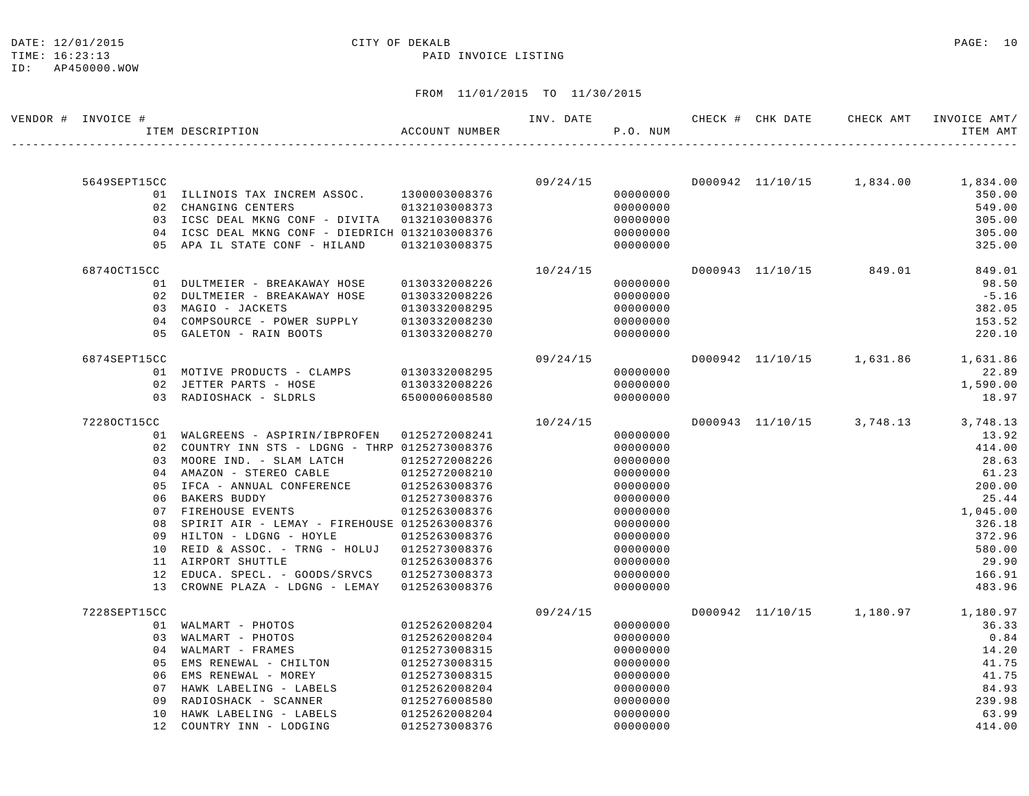## DATE: 12/01/2015 **CITY OF DEKALB CITY OF DERALB PAGE: 10**

#### TIME: 16:23:13 PAID INVOICE LISTING

| VENDOR # INVOICE # | ACCOUNT NUMBER<br>ITEM DESCRIPTION              |               | INV. DATE | P.O. NUM |  | CHECK # CHK DATE CHECK AMT INVOICE AMT/ | ITEM AMT |
|--------------------|-------------------------------------------------|---------------|-----------|----------|--|-----------------------------------------|----------|
|                    |                                                 |               |           |          |  |                                         |          |
| 5649SEPT15CC       |                                                 |               | 09/24/15  |          |  | D000942 11/10/15  1,834.00  1,834.00    |          |
|                    | 01 ILLINOIS TAX INCREM ASSOC. 1300003008376     |               |           | 00000000 |  |                                         | 350.00   |
|                    | 02 CHANGING CENTERS                             | 0132103008373 |           | 00000000 |  |                                         | 549.00   |
|                    | 03 ICSC DEAL MKNG CONF - DIVITA 0132103008376   |               |           | 00000000 |  |                                         | 305.00   |
|                    | 04 ICSC DEAL MKNG CONF - DIEDRICH 0132103008376 |               |           | 00000000 |  |                                         | 305.00   |
|                    | 05 APA IL STATE CONF - HILAND                   | 0132103008375 |           | 00000000 |  |                                         | 325.00   |
| 68740CT15CC        |                                                 |               | 10/24/15  |          |  | D000943 11/10/15 849.01                 | 849.01   |
|                    | 01 DULTMEIER - BREAKAWAY HOSE                   | 0130332008226 |           | 00000000 |  |                                         | 98.50    |
|                    | 02 DULTMEIER - BREAKAWAY HOSE                   | 0130332008226 |           | 00000000 |  |                                         | $-5.16$  |
|                    | 03 MAGIO - JACKETS                              | 0130332008295 |           | 00000000 |  |                                         | 382.05   |
|                    | 04 COMPSOURCE - POWER SUPPLY                    | 0130332008230 |           | 00000000 |  |                                         | 153.52   |
|                    | 05 GALETON - RAIN BOOTS                         | 0130332008270 |           | 00000000 |  |                                         | 220.10   |
| 6874SEPT15CC       |                                                 |               | 09/24/15  |          |  | D000942 11/10/15 1,631.86 1,631.86      |          |
|                    | 01 MOTIVE PRODUCTS - CLAMPS                     | 0130332008295 |           | 00000000 |  |                                         | 22.89    |
|                    | 02 JETTER PARTS - HOSE                          | 0130332008226 |           | 00000000 |  |                                         | 1,590.00 |
|                    | 03 RADIOSHACK - SLDRLS                          | 6500006008580 |           | 00000000 |  |                                         | 18.97    |
| 72280CT15CC        |                                                 |               | 10/24/15  |          |  | D000943 11/10/15 3,748.13 3,748.13      |          |
|                    | 01 WALGREENS - ASPIRIN/IBPROFEN 0125272008241   |               |           | 00000000 |  |                                         | 13.92    |
|                    | 02 COUNTRY INN STS - LDGNG - THRP 0125273008376 |               |           | 00000000 |  |                                         | 414.00   |
|                    | 03 MOORE IND. - SLAM LATCH                      | 0125272008226 |           | 00000000 |  |                                         | 28.63    |
|                    | 04 AMAZON - STEREO CABLE                        | 0125272008210 |           | 00000000 |  |                                         | 61.23    |
| 05                 | IFCA - ANNUAL CONFERENCE                        | 0125263008376 |           | 00000000 |  |                                         | 200.00   |
|                    | 06 BAKERS BUDDY                                 | 0125273008376 |           | 00000000 |  |                                         | 25.44    |
|                    | 07 FIREHOUSE EVENTS                             | 0125263008376 |           | 00000000 |  |                                         | 1,045.00 |
| 08                 | SPIRIT AIR - LEMAY - FIREHOUSE 0125263008376    |               |           | 00000000 |  |                                         | 326.18   |
|                    | 09 HILTON - LDGNG - HOYLE                       | 0125263008376 |           | 00000000 |  |                                         | 372.96   |
|                    | 10 REID & ASSOC. - TRNG - HOLUJ 0125273008376   |               |           | 00000000 |  |                                         | 580.00   |
|                    | 11 AIRPORT SHUTTLE                              | 0125263008376 |           | 00000000 |  |                                         | 29.90    |
|                    | 12 EDUCA. SPECL. - GOODS/SRVCS 0125273008373    |               |           | 00000000 |  |                                         | 166.91   |
|                    | 13 CROWNE PLAZA - LDGNG - LEMAY 0125263008376   |               |           | 00000000 |  |                                         | 483.96   |
| 7228SEPT15CC       |                                                 |               | 09/24/15  |          |  | D000942 11/10/15 1,180.97 1,180.97      |          |
|                    | 01 WALMART - PHOTOS                             | 0125262008204 |           | 00000000 |  |                                         | 36.33    |
|                    | 03 WALMART - PHOTOS                             | 0125262008204 |           | 00000000 |  |                                         | 0.84     |
|                    | 04 WALMART - FRAMES                             | 0125273008315 |           | 00000000 |  |                                         | 14.20    |
| 05                 | EMS RENEWAL - CHILTON                           | 0125273008315 |           | 00000000 |  |                                         | 41.75    |
| 06                 | EMS RENEWAL - MOREY                             | 0125273008315 |           | 00000000 |  |                                         | 41.75    |
| 07                 | HAWK LABELING - LABELS                          | 0125262008204 |           | 00000000 |  |                                         | 84.93    |
| 09                 | RADIOSHACK - SCANNER                            | 0125276008580 |           | 00000000 |  |                                         | 239.98   |
| 10                 | HAWK LABELING - LABELS                          | 0125262008204 |           | 00000000 |  |                                         | 63.99    |
|                    | 12 COUNTRY INN - LODGING                        | 0125273008376 |           | 00000000 |  |                                         | 414.00   |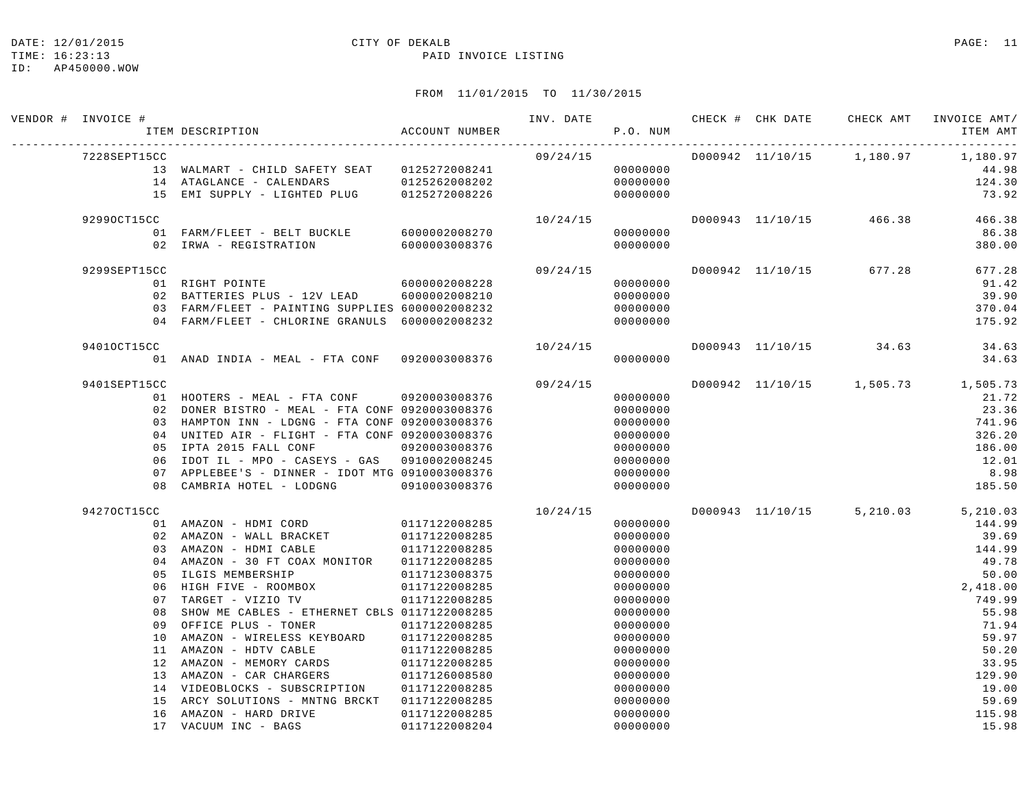#### DATE: 12/01/2015 CITY OF DEKALB PAGE: 11

#### TIME: 16:23:13 PAID INVOICE LISTING

ID: AP450000.WOW

| VENDOR # INVOICE # | ACCOUNT NUMBER<br>ITEM DESCRIPTION                                                   |                                | INV. DATE | P.O. NUM             |  |                         | ITEM AMT                           |
|--------------------|--------------------------------------------------------------------------------------|--------------------------------|-----------|----------------------|--|-------------------------|------------------------------------|
| 7228SEPT15CC       |                                                                                      |                                | 09/24/15  |                      |  |                         | D000942 11/10/15 1,180.97 1,180.97 |
|                    | 13 WALMART - CHILD SAFETY SEAT 0125272008241                                         |                                |           | 00000000             |  |                         | 44.98                              |
|                    | 14 ATAGLANCE - CALENDARS 0125262008202<br>15 EMI SUPPLY - LIGHTED PLUG 0125272008226 |                                |           | 00000000             |  |                         | 124.30                             |
|                    |                                                                                      |                                |           | 00000000             |  |                         | 73.92                              |
| 92990CT15CC        |                                                                                      |                                | 10/24/15  |                      |  |                         | D000943 11/10/15 466.38 466.38     |
|                    | 01 FARM/FLEET - BELT BUCKLE 6000002008270                                            |                                |           | 00000000             |  |                         | 86.38                              |
|                    | 02 IRWA - REGISTRATION                                                               | 6000003008376                  |           | 00000000             |  |                         | 380.00                             |
| 9299SEPT15CC       |                                                                                      |                                | 09/24/15  |                      |  | D000942 11/10/15 677.28 | 677.28                             |
|                    | 60000002008228<br>01 RIGHT POINTE                                                    |                                |           | 00000000             |  |                         | 91.42                              |
|                    | 02 BATTERIES PLUS - 12V LEAD                                                         | 6000002008210                  |           | 00000000             |  |                         | 39.90                              |
|                    | 03 FARM/FLEET - PAINTING SUPPLIES 6000002008232                                      |                                |           | 00000000             |  |                         | 370.04                             |
|                    | 04 FARM/FLEET - CHLORINE GRANULS 6000002008232                                       |                                |           | 00000000             |  |                         | 175.92                             |
| 94010CT15CC        |                                                                                      |                                | 10/24/15  |                      |  | D000943 11/10/15 34.63  | 34.63                              |
|                    | 01 ANAD INDIA - MEAL - FTA CONF 0920003008376                                        |                                |           | 00000000             |  |                         | 34.63                              |
| 9401SEPT15CC       |                                                                                      |                                | 09/24/15  |                      |  |                         | D000942 11/10/15 1,505.73 1,505.73 |
|                    | 01 HOOTERS - MEAL - FTA CONF 0920003008376                                           |                                |           | 00000000             |  |                         | 21.72                              |
|                    | 02 DONER BISTRO - MEAL - FTA CONF 0920003008376                                      |                                |           | 00000000             |  |                         | 23.36                              |
|                    | 03 HAMPTON INN - LDGNG - FTA CONF 0920003008376                                      |                                |           | 00000000             |  |                         | 741.96                             |
|                    | 04 UNITED AIR - FLIGHT - FTA CONF 0920003008376                                      |                                |           | 00000000             |  |                         | 326.20                             |
|                    | 05 IPTA 2015 FALL CONF                                                               | 0920003008376                  |           | 00000000             |  |                         | 186.00                             |
| 06                 | IDOT IL - MPO - CASEYS - GAS 0910002008245                                           |                                |           | 00000000             |  |                         | 12.01                              |
| 07                 | APPLEBEE'S - DINNER - IDOT MTG 0910003008376                                         |                                |           | 00000000             |  |                         | 8.98                               |
| 08                 | CAMBRIA HOTEL - LODGNG 0910003008376                                                 |                                |           | 00000000             |  |                         | 185.50                             |
| 94270CT15CC        |                                                                                      |                                | 10/24/15  |                      |  |                         | D000943 11/10/15 5,210.03 5,210.03 |
|                    | 01 AMAZON - HDMI CORD 0117122008285                                                  |                                |           | 00000000             |  |                         | 144.99                             |
|                    | 02 AMAZON – WALL BRACKET 0117122008285<br>03 AMAZON – HDMI CABLE 0117122008285       |                                |           | 00000000             |  |                         | 39.69                              |
|                    |                                                                                      |                                |           | 00000000             |  |                         | 144.99                             |
|                    | 04 AMAZON - 30 FT COAX MONITOR 0117122008285                                         |                                |           | 00000000             |  |                         | 49.78                              |
| 0 <sub>5</sub>     | ILGIS MEMBERSHIP                                                                     | 0117123008375                  |           | 00000000             |  |                         | 50.00                              |
| 06                 | HIGH FIVE - ROOMBOX 0117122008285                                                    |                                |           | 00000000             |  |                         | 2,418.00                           |
| 07                 | TARGET - VIZIO TV                                                                    | 0117122008285                  |           | 00000000             |  |                         | 749.99                             |
| 08                 | SHOW ME CABLES - ETHERNET CBLS 0117122008285                                         |                                |           | 00000000             |  |                         | 55.98                              |
| 09                 | OFFICE PLUS - TONER                                                                  | 0117122008285                  |           | 00000000             |  |                         | 71.94                              |
| 10                 | AMAZON - WIRELESS KEYBOARD<br>11 AMAZON - HDTV CABLE                                 | 0117122008285                  |           | 00000000             |  |                         | 59.97<br>50.20                     |
|                    | 12 AMAZON - MEMORY CARDS                                                             | 0117122008285<br>0117122008285 |           | 00000000<br>00000000 |  |                         | 33.95                              |
|                    | 13 AMAZON - CAR CHARGERS                                                             | 0117126008580                  |           | 00000000             |  |                         | 129.90                             |
|                    | 14 VIDEOBLOCKS - SUBSCRIPTION                                                        | 0117122008285                  |           | 00000000             |  |                         | 19.00                              |
| 15                 | ARCY SOLUTIONS - MNTNG BRCKT 0117122008285                                           |                                |           | 00000000             |  |                         | 59.69                              |
| 16                 | AMAZON - HARD DRIVE                                                                  | 0117122008285                  |           | 00000000             |  |                         | 115.98                             |
|                    | 17 VACUUM INC - BAGS                                                                 | 0117122008204                  |           | 00000000             |  |                         | 15.98                              |
|                    |                                                                                      |                                |           |                      |  |                         |                                    |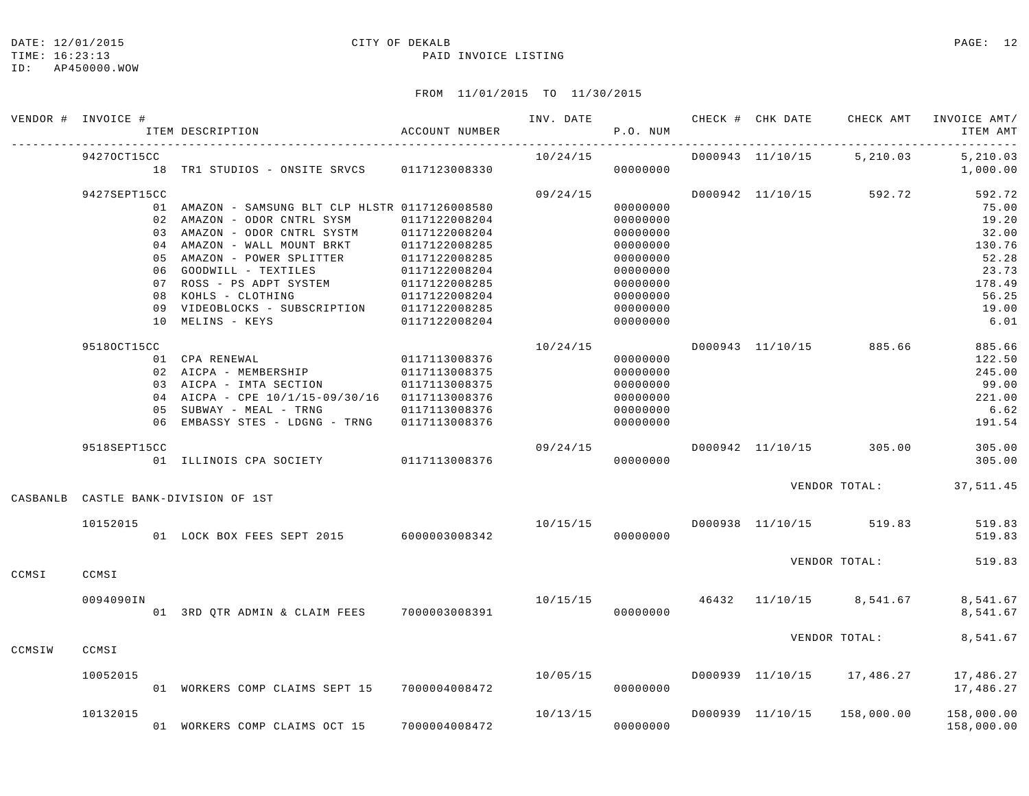#### DATE: 12/01/2015 CITY OF DEKALB PAGE: 12

#### TIME: 16:23:13 PAID INVOICE LISTING

|          | VENDOR # INVOICE # | ITEM DESCRIPTION                                | ACCOUNT NUMBER | INV. DATE | P.O. NUM |                  | CHECK # CHK DATE CHECK AMT       | INVOICE AMT/<br>ITEM AMT |
|----------|--------------------|-------------------------------------------------|----------------|-----------|----------|------------------|----------------------------------|--------------------------|
|          | 94270CT15CC        |                                                 |                | 10/24/15  |          | D000943 11/10/15 | 5,210.03                         | 5,210.03                 |
|          |                    | 18 TR1 STUDIOS - ONSITE SRVCS 0117123008330     |                |           | 00000000 |                  |                                  | 1,000.00                 |
|          | 9427SEPT15CC       |                                                 |                | 09/24/15  |          |                  | D000942 11/10/15 592.72          | 592.72                   |
|          |                    | 01 AMAZON - SAMSUNG BLT CLP HLSTR 0117126008580 |                |           | 00000000 |                  |                                  | 75.00                    |
|          |                    | 02 AMAZON - ODOR CNTRL SYSM                     | 0117122008204  |           | 00000000 |                  |                                  | 19.20                    |
|          |                    | 03 AMAZON - ODOR CNTRL SYSTM                    | 0117122008204  |           | 00000000 |                  |                                  | 32.00                    |
|          |                    | 04 AMAZON - WALL MOUNT BRKT                     | 0117122008285  |           | 00000000 |                  |                                  | 130.76                   |
|          |                    | 05 AMAZON - POWER SPLITTER                      | 0117122008285  |           | 00000000 |                  |                                  | 52.28                    |
|          |                    | 06 GOODWILL - TEXTILES                          | 0117122008204  |           | 00000000 |                  |                                  | 23.73                    |
|          |                    | 07 ROSS - PS ADPT SYSTEM                        | 0117122008285  |           | 00000000 |                  |                                  | 178.49                   |
|          |                    | 08 KOHLS - CLOTHING                             | 0117122008204  |           | 00000000 |                  |                                  | 56.25                    |
|          |                    | 09 VIDEOBLOCKS - SUBSCRIPTION 0117122008285     |                |           | 00000000 |                  |                                  | 19.00                    |
|          |                    | 10 MELINS - KEYS                                | 0117122008204  |           | 00000000 |                  |                                  | 6.01                     |
|          | 95180CT15CC        |                                                 |                | 10/24/15  |          |                  | D000943 11/10/15 885.66          | 885.66                   |
|          |                    | 01 CPA RENEWAL                                  | 0117113008376  |           | 00000000 |                  |                                  | 122.50                   |
|          |                    | 02 AICPA - MEMBERSHIP                           | 0117113008375  |           | 00000000 |                  |                                  | 245.00                   |
|          |                    | 03 AICPA - IMTA SECTION                         | 0117113008375  |           | 00000000 |                  |                                  | 99.00                    |
|          |                    | 04 AICPA - CPE 10/1/15-09/30/16 0117113008376   |                |           | 00000000 |                  |                                  | 221.00                   |
|          |                    | 05 SUBWAY - MEAL - TRNG                         | 0117113008376  |           | 00000000 |                  |                                  | 6.62                     |
|          |                    | 06 EMBASSY STES - LDGNG - TRNG                  | 0117113008376  |           | 00000000 |                  |                                  | 191.54                   |
|          | 9518SEPT15CC       |                                                 |                | 09/24/15  |          | D000942 11/10/15 | 305.00                           | 305.00                   |
|          |                    | 01 ILLINOIS CPA SOCIETY 0117113008376           |                |           | 00000000 |                  |                                  | 305.00                   |
| CASBANLB |                    | CASTLE BANK-DIVISION OF 1ST                     |                |           |          |                  |                                  | VENDOR TOTAL: 37,511.45  |
|          |                    |                                                 |                |           |          |                  |                                  |                          |
|          | 10152015           | 01 LOCK BOX FEES SEPT 2015 6000003008342        |                |           |          |                  |                                  | 519.83                   |
|          |                    |                                                 |                |           | 00000000 |                  |                                  | 519.83                   |
| CCMSI    | CCMSI              |                                                 |                |           |          |                  | VENDOR TOTAL:                    | 519.83                   |
|          |                    |                                                 |                |           |          |                  |                                  |                          |
|          | 0094090IN          | 01 3RD QTR ADMIN & CLAIM FEES 7000003008391     |                |           | 00000000 |                  | 10/15/15 46432 11/10/15 8,541.67 | 8,541.67<br>8,541.67     |
|          |                    |                                                 |                |           |          |                  | VENDOR TOTAL:                    | 8,541.67                 |
| CCMSIW   | CCMSI              |                                                 |                |           |          |                  |                                  |                          |
|          | 10052015           |                                                 |                | 10/05/15  |          |                  | D000939 11/10/15 17,486.27       | 17,486.27                |
|          |                    | 01 WORKERS COMP CLAIMS SEPT 15 7000004008472    |                |           | 00000000 |                  |                                  | 17,486.27                |
|          | 10132015           |                                                 |                | 10/13/15  |          | D000939 11/10/15 | 158,000.00                       | 158,000.00               |
|          |                    | 01 WORKERS COMP CLAIMS OCT 15                   | 7000004008472  |           | 00000000 |                  |                                  | 158,000.00               |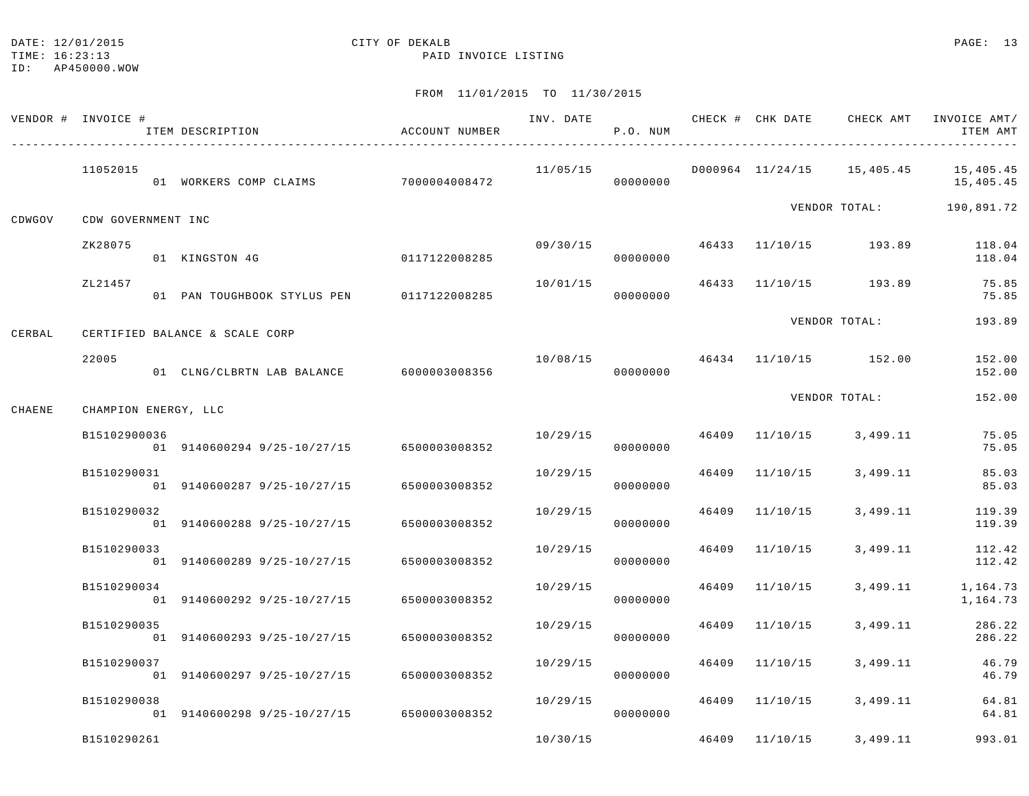## DATE: 12/01/2015 CITY OF DEKALB PAGE: 13

TIME: 16:23:13 PAID INVOICE LISTING

|        | VENDOR # INVOICE #   | ITEM DESCRIPTION                          | ACCOUNT NUMBER | INV. DATE | P.O. NUM |       | CHECK # CHK DATE | CHECK AMT                  | INVOICE AMT/<br>ITEM AMT |
|--------|----------------------|-------------------------------------------|----------------|-----------|----------|-------|------------------|----------------------------|--------------------------|
|        | 11052015             | 01 WORKERS COMP CLAIMS                    | 7000004008472  | 11/05/15  | 00000000 |       |                  | D000964 11/24/15 15,405.45 | 15,405.45<br>15,405.45   |
| CDWGOV | CDW GOVERNMENT INC   |                                           |                |           |          |       |                  |                            | VENDOR TOTAL: 190,891.72 |
|        | ZK28075              | 01 KINGSTON 4G                            | 0117122008285  | 09/30/15  | 00000000 |       |                  | 46433 11/10/15 193.89      | 118.04<br>118.04         |
|        | ZL21457              | 01 PAN TOUGHBOOK STYLUS PEN 0117122008285 |                | 10/01/15  | 00000000 | 46433 |                  | 11/10/15 193.89            | 75.85<br>75.85           |
| CERBAL |                      | CERTIFIED BALANCE & SCALE CORP            |                |           |          |       |                  | VENDOR TOTAL:              | 193.89                   |
|        | 22005                | 01 CLNG/CLBRTN LAB BALANCE                | 6000003008356  | 10/08/15  | 00000000 |       |                  | 46434 11/10/15 152.00      | 152.00<br>152.00         |
| CHAENE | CHAMPION ENERGY, LLC |                                           |                |           |          |       |                  | VENDOR TOTAL:              | 152.00                   |
|        | B15102900036         | 01 9140600294 9/25-10/27/15 6500003008352 |                | 10/29/15  | 00000000 | 46409 | 11/10/15         | 3,499.11                   | 75.05<br>75.05           |
|        | B1510290031          | 01 9140600287 9/25-10/27/15               | 6500003008352  | 10/29/15  | 00000000 | 46409 | 11/10/15         | 3,499.11                   | 85.03<br>85.03           |
|        | B1510290032          | 01 9140600288 9/25-10/27/15               | 6500003008352  | 10/29/15  | 00000000 | 46409 | 11/10/15         | 3,499.11                   | 119.39<br>119.39         |
|        | B1510290033          | 01 9140600289 9/25-10/27/15               | 6500003008352  | 10/29/15  | 00000000 | 46409 | 11/10/15         | 3,499.11                   | 112.42<br>112.42         |
|        | B1510290034          | 01 9140600292 9/25-10/27/15               | 6500003008352  | 10/29/15  | 00000000 | 46409 | 11/10/15         | 3,499.11                   | 1,164.73<br>1,164.73     |
|        | B1510290035          | 01 9140600293 9/25-10/27/15               | 6500003008352  | 10/29/15  | 00000000 | 46409 | 11/10/15         | 3,499.11                   | 286.22<br>286.22         |
|        | B1510290037          | 01 9140600297 9/25-10/27/15               | 6500003008352  | 10/29/15  | 00000000 | 46409 | 11/10/15         | 3,499.11                   | 46.79<br>46.79           |
|        | B1510290038          | 01 9140600298 9/25-10/27/15               | 6500003008352  | 10/29/15  | 00000000 | 46409 | 11/10/15         | 3,499.11                   | 64.81<br>64.81           |
|        | B1510290261          |                                           |                | 10/30/15  |          |       | 46409 11/10/15   | 3,499.11                   | 993.01                   |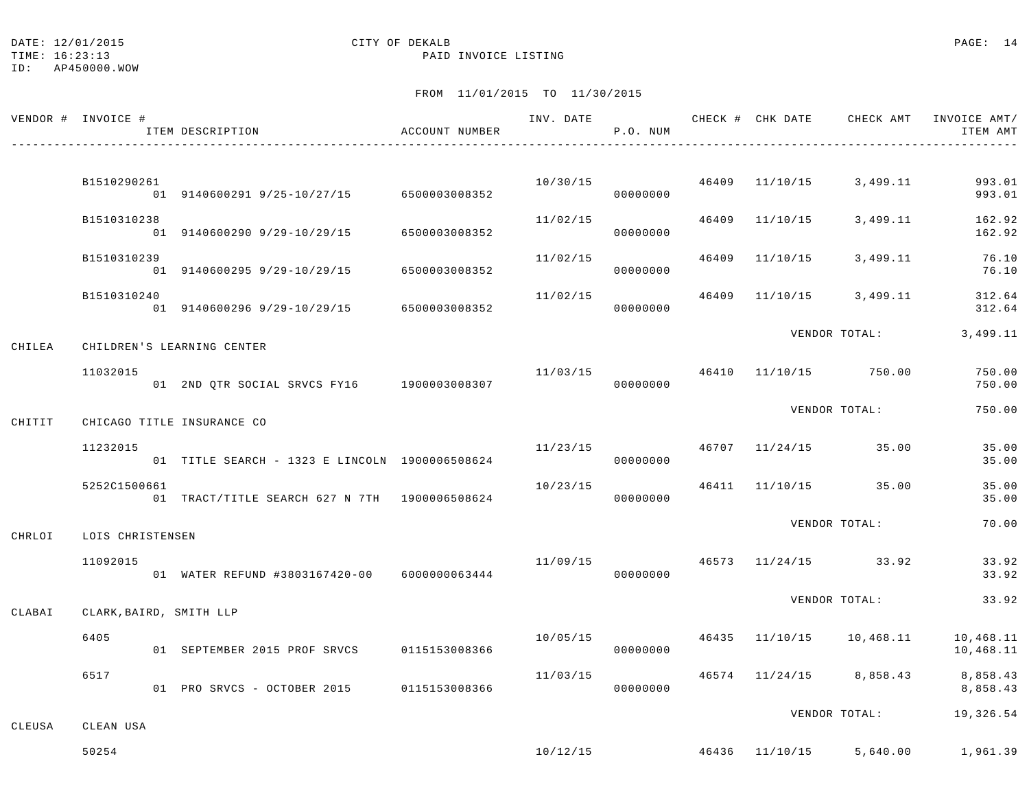#### DATE: 12/01/2015 CITY OF DEKALB PAGE: 14

TIME: 16:23:13 PAID INVOICE LISTING

ID: AP450000.WOW

|        | VENDOR # INVOICE #      | ITEM DESCRIPTION                               | ACCOUNT NUMBER | INV. DATE | P.O. NUM |       |                                           | CHECK # CHK DATE CHECK AMT INVOICE AMT/<br>ITEM AMT |
|--------|-------------------------|------------------------------------------------|----------------|-----------|----------|-------|-------------------------------------------|-----------------------------------------------------|
|        |                         |                                                |                |           |          |       | $10/30/15$ 46409 $11/10/15$ 3,499.11      | 993.01                                              |
|        | B1510290261             | 01 9140600291 9/25-10/27/15 6500003008352      |                |           | 00000000 |       |                                           | 993.01                                              |
|        | B1510310238             | 01 9140600290 9/29-10/29/15                    | 6500003008352  | 11/02/15  | 00000000 |       | 46409 11/10/15 3,499.11                   | 162.92<br>162.92                                    |
|        | B1510310239             | 01 9140600295 9/29-10/29/15                    | 6500003008352  | 11/02/15  | 00000000 | 46409 | $11/10/15$ 3,499.11                       | 76.10<br>76.10                                      |
|        | B1510310240             | 01 9140600296 9/29-10/29/15 6500003008352      |                | 11/02/15  | 00000000 |       | 46409 11/10/15 3,499.11                   | 312.64<br>312.64                                    |
| CHILEA |                         | CHILDREN'S LEARNING CENTER                     |                |           |          |       | VENDOR TOTAL:                             | 3,499.11                                            |
|        | 11032015                | 01 2ND QTR SOCIAL SRVCS FY16 1900003008307     |                |           | 00000000 |       | $11/03/15$ $46410$ $11/10/15$ $750.00$    | 750.00<br>750.00                                    |
| CHITIT |                         | CHICAGO TITLE INSURANCE CO                     |                |           |          |       | VENDOR TOTAL:                             | 750.00                                              |
|        | 11232015                | 01 TITLE SEARCH - 1323 E LINCOLN 1900006508624 |                |           | 00000000 |       | $11/23/15$ $46707$ $11/24/15$ $35.00$     | 35.00<br>35.00                                      |
|        | 5252C1500661            | 01 TRACT/TITLE SEARCH 627 N 7TH 1900006508624  |                | 10/23/15  | 00000000 |       | 46411 11/10/15 35.00                      | 35.00<br>35.00                                      |
| CHRLOI | LOIS CHRISTENSEN        |                                                |                |           |          |       | VENDOR TOTAL:                             | 70.00                                               |
|        | 11092015                | 01 WATER REFUND #3803167420-00 6000000063444   |                |           | 00000000 |       | $11/09/15$ $46573$ $11/24/15$ $33.92$     | 33.92<br>33.92                                      |
| CLABAI | CLARK, BAIRD, SMITH LLP |                                                |                |           |          |       | VENDOR TOTAL:                             | 33.92                                               |
|        | 6405                    | 01 SEPTEMBER 2015 PROF SRVCS 0115153008366     |                |           | 00000000 |       | $10/05/15$ $46435$ $11/10/15$ $10/468.11$ | 10,468.11<br>10,468.11                              |
|        | 6517                    | 01 PRO SRVCS - OCTOBER 2015 0115153008366      |                | 11/03/15  | 00000000 |       | 46574 11/24/15 8,858.43                   | 8,858.43<br>8,858.43                                |
|        |                         |                                                |                |           |          |       |                                           | VENDOR TOTAL: 19,326.54                             |
| CLEUSA | CLEAN USA<br>50254      |                                                |                |           |          |       |                                           | $10/12/15$ $46436$ $11/10/15$ $5,640.00$ $1,961.39$ |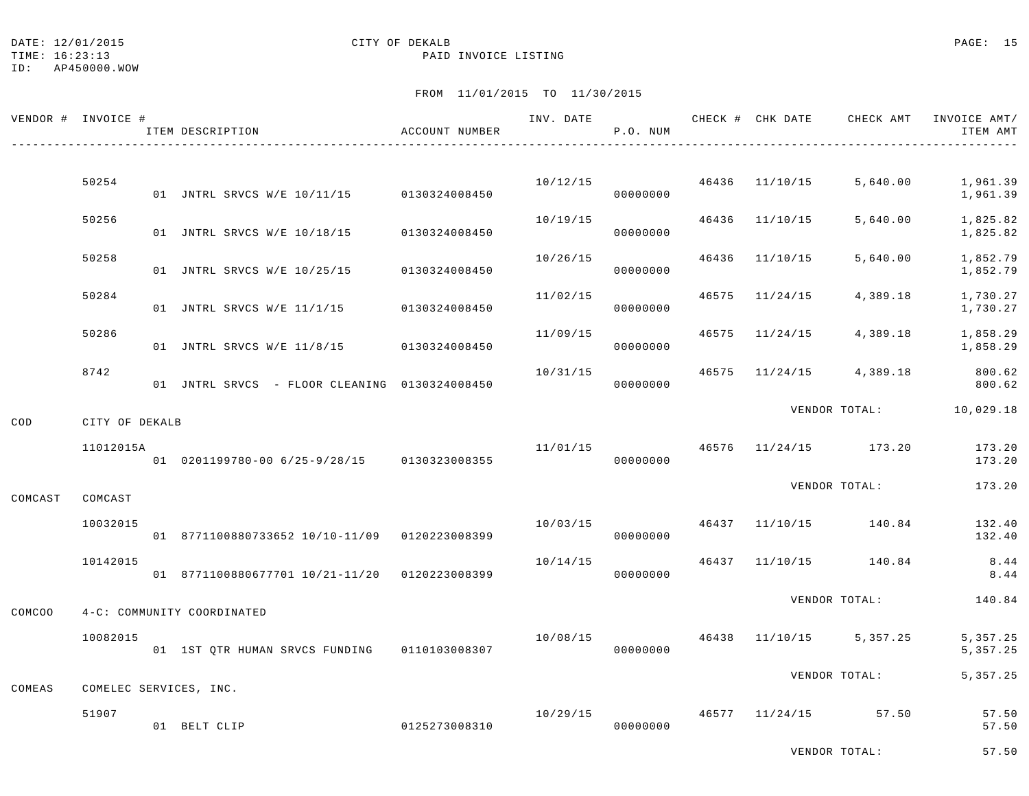DATE: 12/01/2015 **CITY OF DEKALB** CITY OF DEXALB **PAGE:** 15

TIME: 16:23:13 PAID INVOICE LISTING

ID: AP450000.WOW

## FROM 11/01/2015 TO 11/30/2015

|         | VENDOR # INVOICE #     | ITEM DESCRIPTION                               | ACCOUNT NUMBER | INV. DATE | P.O. NUM |       | CHECK # CHK DATE | CHECK AMT             | INVOICE AMT/<br>ITEM AMT |
|---------|------------------------|------------------------------------------------|----------------|-----------|----------|-------|------------------|-----------------------|--------------------------|
|         | 50254                  | 01 JNTRL SRVCS W/E 10/11/15 0130324008450      |                | 10/12/15  | 00000000 |       | 46436 11/10/15   | 5,640.00              | 1,961.39<br>1,961.39     |
|         | 50256                  | 01 JNTRL SRVCS W/E 10/18/15                    | 0130324008450  | 10/19/15  | 00000000 | 46436 | 11/10/15         | 5,640.00              | 1,825.82<br>1,825.82     |
|         | 50258                  | 01 JNTRL SRVCS W/E 10/25/15                    | 0130324008450  | 10/26/15  | 00000000 | 46436 | 11/10/15         | 5,640.00              | 1,852.79<br>1,852.79     |
|         | 50284                  | 01 JNTRL SRVCS W/E 11/1/15                     | 0130324008450  | 11/02/15  | 00000000 | 46575 | 11/24/15         | 4,389.18              | 1,730.27<br>1,730.27     |
|         | 50286                  | 01 JNTRL SRVCS W/E 11/8/15                     | 0130324008450  | 11/09/15  | 00000000 | 46575 | 11/24/15         | 4,389.18              | 1,858.29<br>1,858.29     |
|         | 8742                   | 01 JNTRL SRVCS - FLOOR CLEANING 0130324008450  |                | 10/31/15  | 00000000 | 46575 | 11/24/15         | 4,389.18              | 800.62<br>800.62         |
| COD     | CITY OF DEKALB         |                                                |                |           |          |       |                  |                       | VENDOR TOTAL: 10,029.18  |
|         | 11012015A              | 01 0201199780-00 6/25-9/28/15 0130323008355    |                | 11/01/15  | 00000000 |       |                  | 46576 11/24/15 173.20 | 173.20<br>173.20         |
| COMCAST | COMCAST                |                                                |                |           |          |       |                  | VENDOR TOTAL:         | 173.20                   |
|         | 10032015               | 01 8771100880733652 10/10-11/09 0120223008399  |                | 10/03/15  | 00000000 |       |                  | 46437 11/10/15 140.84 | 132.40<br>132.40         |
|         | 10142015               | 01 8771100880677701 10/21-11/20 0120223008399  |                | 10/14/15  | 00000000 |       | 46437 11/10/15   | 140.84                | 8.44<br>8.44             |
| COMCOO  |                        | 4-C: COMMUNITY COORDINATED                     |                |           |          |       |                  | VENDOR TOTAL:         | 140.84                   |
|         | 10082015               | 01 1ST QTR HUMAN SRVCS FUNDING   0110103008307 |                | 10/08/15  | 00000000 | 46438 |                  | $11/10/15$ 5,357.25   | 5, 357.25<br>5, 357. 25  |
| COMEAS  | COMELEC SERVICES, INC. |                                                |                |           |          |       |                  | VENDOR TOTAL:         | 5, 357.25                |
|         | 51907                  | 01 BELT CLIP                                   | 0125273008310  | 10/29/15  | 00000000 |       | 46577 11/24/15   | 57.50                 | 57.50<br>57.50           |

VENDOR TOTAL: 57.50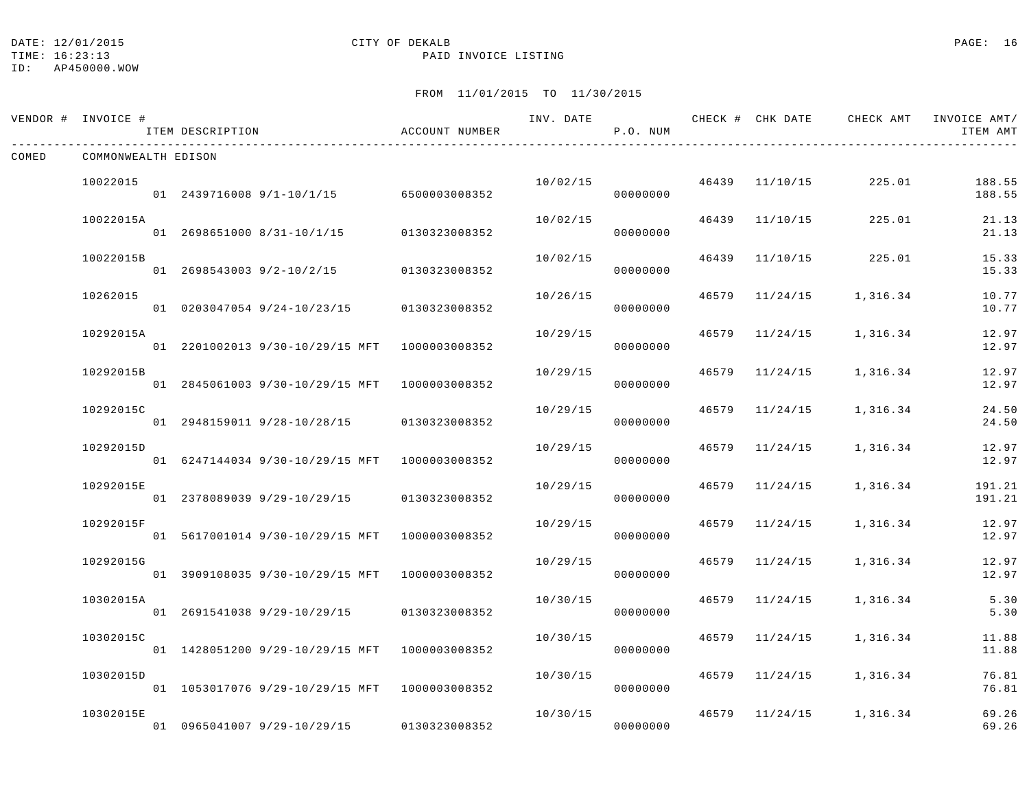#### DATE: 12/01/2015 **CITY OF DEKALB CITY OF DERALB PAGE:** 16

TIME: 16:23:13 PAID INVOICE LISTING

ID: AP450000.WOW

|       | VENDOR # INVOICE #  | ITEM DESCRIPTION |                                               | ACCOUNT NUMBER | INV. DATE | P.O. NUM |       |                | CHECK # CHK DATE CHECK AMT | INVOICE AMT/<br>ITEM AMT |
|-------|---------------------|------------------|-----------------------------------------------|----------------|-----------|----------|-------|----------------|----------------------------|--------------------------|
| COMED | COMMONWEALTH EDISON |                  |                                               |                |           |          |       |                |                            |                          |
|       | 10022015            |                  | 01  2439716008  9/1-10/1/15  6500003008352    |                | 10/02/15  | 00000000 |       | 46439 11/10/15 | 225.01                     | 188.55<br>188.55         |
|       | 10022015A           |                  | 01 2698651000 8/31-10/1/15                    | 0130323008352  | 10/02/15  | 00000000 | 46439 | 11/10/15       | 225.01                     | 21.13<br>21.13           |
|       | 10022015B           |                  | 01 2698543003 9/2-10/2/15 0130323008352       |                | 10/02/15  | 00000000 |       | 46439 11/10/15 | 225.01                     | 15.33<br>15.33           |
|       | 10262015            |                  | 01 0203047054 9/24-10/23/15 0130323008352     |                | 10/26/15  | 00000000 | 46579 | 11/24/15       | 1,316.34                   | 10.77<br>10.77           |
|       | 10292015A           |                  | 01 2201002013 9/30-10/29/15 MFT 1000003008352 |                | 10/29/15  | 00000000 | 46579 | 11/24/15       | 1,316.34                   | 12.97<br>12.97           |
|       | 10292015B           |                  | 01 2845061003 9/30-10/29/15 MFT 1000003008352 |                | 10/29/15  | 00000000 | 46579 | 11/24/15       | 1,316.34                   | 12.97<br>12.97           |
|       | 10292015C           |                  | 01 2948159011 9/28-10/28/15 0130323008352     |                | 10/29/15  | 00000000 |       | 46579 11/24/15 | 1,316.34                   | 24.50<br>24.50           |
|       | 10292015D           |                  | 01 6247144034 9/30-10/29/15 MFT 1000003008352 |                | 10/29/15  | 00000000 | 46579 | 11/24/15       | 1,316.34                   | 12.97<br>12.97           |
|       | 10292015E           |                  | 01 2378089039 9/29-10/29/15                   | 0130323008352  | 10/29/15  | 00000000 | 46579 | 11/24/15       | 1,316.34                   | 191.21<br>191.21         |
|       | 10292015F           |                  | 01 5617001014 9/30-10/29/15 MFT 1000003008352 |                | 10/29/15  | 00000000 | 46579 | 11/24/15       | 1,316.34                   | 12.97<br>12.97           |
|       | 10292015G           |                  | 01 3909108035 9/30-10/29/15 MFT 1000003008352 |                | 10/29/15  | 00000000 | 46579 | 11/24/15       | 1,316.34                   | 12.97<br>12.97           |
|       | 10302015A           |                  | 01 2691541038 9/29-10/29/15 0130323008352     |                | 10/30/15  | 00000000 | 46579 | 11/24/15       | 1,316.34                   | 5.30<br>5.30             |
|       | 10302015C           |                  | 01 1428051200 9/29-10/29/15 MFT 1000003008352 |                | 10/30/15  | 00000000 | 46579 | 11/24/15       | 1,316.34                   | 11.88<br>11.88           |
|       | 10302015D           |                  | 01 1053017076 9/29-10/29/15 MFT 1000003008352 |                | 10/30/15  | 00000000 |       |                | 46579 11/24/15 1,316.34    | 76.81<br>76.81           |
|       | 10302015E           |                  | 01 0965041007 9/29-10/29/15                   | 0130323008352  | 10/30/15  | 00000000 | 46579 |                | $11/24/15$ 1,316.34        | 69.26<br>69.26           |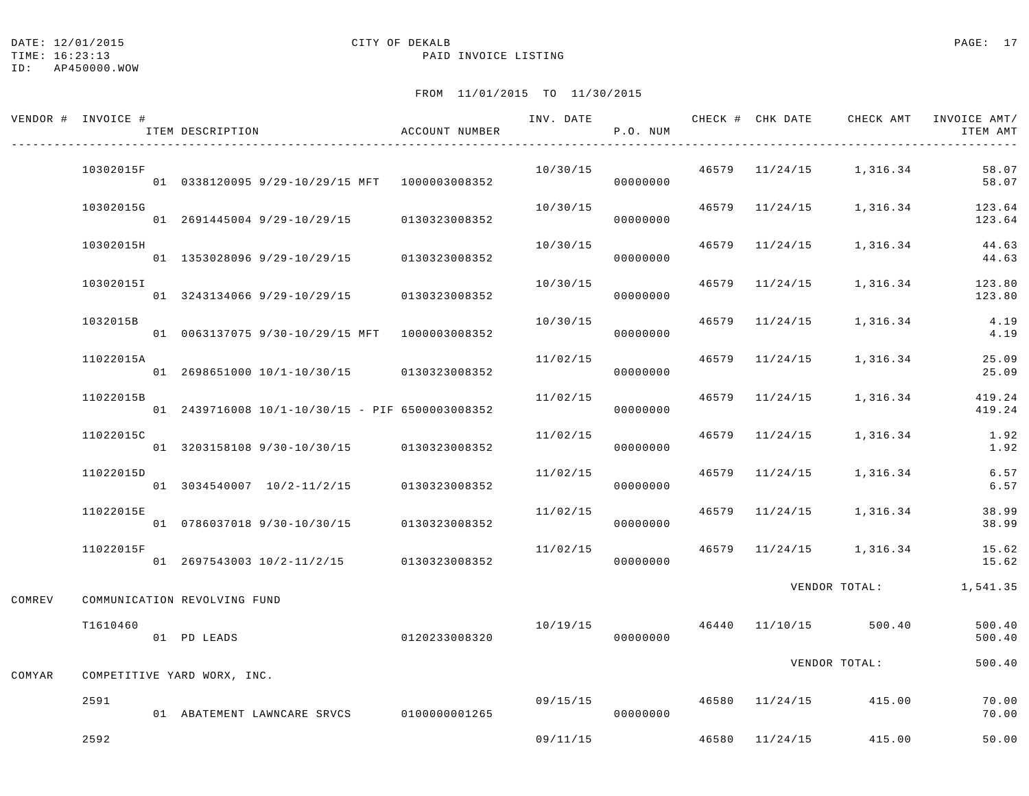|        | VENDOR # INVOICE # | ITEM DESCRIPTION                                  | ACCOUNT NUMBER | INV. DATE | P.O. NUM |       | CHECK # CHK DATE | CHECK AMT               | INVOICE AMT/<br>ITEM AMT   |
|--------|--------------------|---------------------------------------------------|----------------|-----------|----------|-------|------------------|-------------------------|----------------------------|
|        | 10302015F          | 01 0338120095 9/29-10/29/15 MFT 1000003008352     |                | 10/30/15  | 00000000 |       |                  | 46579 11/24/15 1,316.34 | 58.07<br>58.07             |
|        | 10302015G          | 01 2691445004 9/29-10/29/15                       | 0130323008352  | 10/30/15  | 00000000 |       | 46579 11/24/15   |                         | 1, 316.34 123.64<br>123.64 |
|        | 10302015H          | 01 1353028096 9/29-10/29/15                       | 0130323008352  | 10/30/15  | 00000000 |       | 46579 11/24/15   | 1,316.34                | 44.63<br>44.63             |
|        | 10302015I          | 01 3243134066 9/29-10/29/15 0130323008352         |                | 10/30/15  | 00000000 | 46579 | 11/24/15         |                         | 1,316.34 123.80<br>123.80  |
|        | 1032015B           | 01 0063137075 9/30-10/29/15 MFT 1000003008352     |                | 10/30/15  | 00000000 | 46579 | 11/24/15         | 1,316.34                | 4.19<br>4.19               |
|        | 11022015A          | 01 2698651000 10/1-10/30/15 0130323008352         |                | 11/02/15  | 00000000 |       | 46579 11/24/15   | 1,316.34                | 25.09<br>25.09             |
|        | 11022015B          | 01  2439716008  10/1-10/30/15 - PIF 6500003008352 |                | 11/02/15  | 00000000 |       | 46579 11/24/15   | 1,316.34                | 419.24<br>419.24           |
|        | 11022015C          | 01 3203158108 9/30-10/30/15 0130323008352         |                | 11/02/15  | 00000000 |       | 46579 11/24/15   | 1,316.34                | 1.92<br>1.92               |
|        | 11022015D          | 01 3034540007 10/2-11/2/15 0130323008352          |                | 11/02/15  | 00000000 |       | 46579 11/24/15   | 1,316.34                | 6.57<br>6.57               |
|        | 11022015E          | 01 0786037018 9/30-10/30/15 0130323008352         |                | 11/02/15  | 00000000 |       | 46579 11/24/15   | 1,316.34                | 38.99<br>38.99             |
|        | 11022015F          | 01 2697543003 10/2-11/2/15 0130323008352          |                | 11/02/15  | 00000000 |       |                  | 46579 11/24/15 1,316.34 | 15.62<br>15.62             |
| COMREV |                    | COMMUNICATION REVOLVING FUND                      |                |           |          |       |                  | VENDOR TOTAL:           | 1,541.35                   |
|        | T1610460           | 01 PD LEADS                                       | 0120233008320  | 10/19/15  | 00000000 |       | 46440 11/10/15   | 500.40                  | 500.40<br>500.40           |
| COMYAR |                    | COMPETITIVE YARD WORX, INC.                       |                |           |          |       |                  | VENDOR TOTAL:           | 500.40                     |
|        | 2591               | 01 ABATEMENT LAWNCARE SRVCS 0100000001265         |                | 09/15/15  | 00000000 |       | 46580 11/24/15   | 415.00                  | 70.00<br>70.00             |
|        | 2592               |                                                   |                | 09/11/15  |          |       |                  | 46580 11/24/15 415.00   | 50.00                      |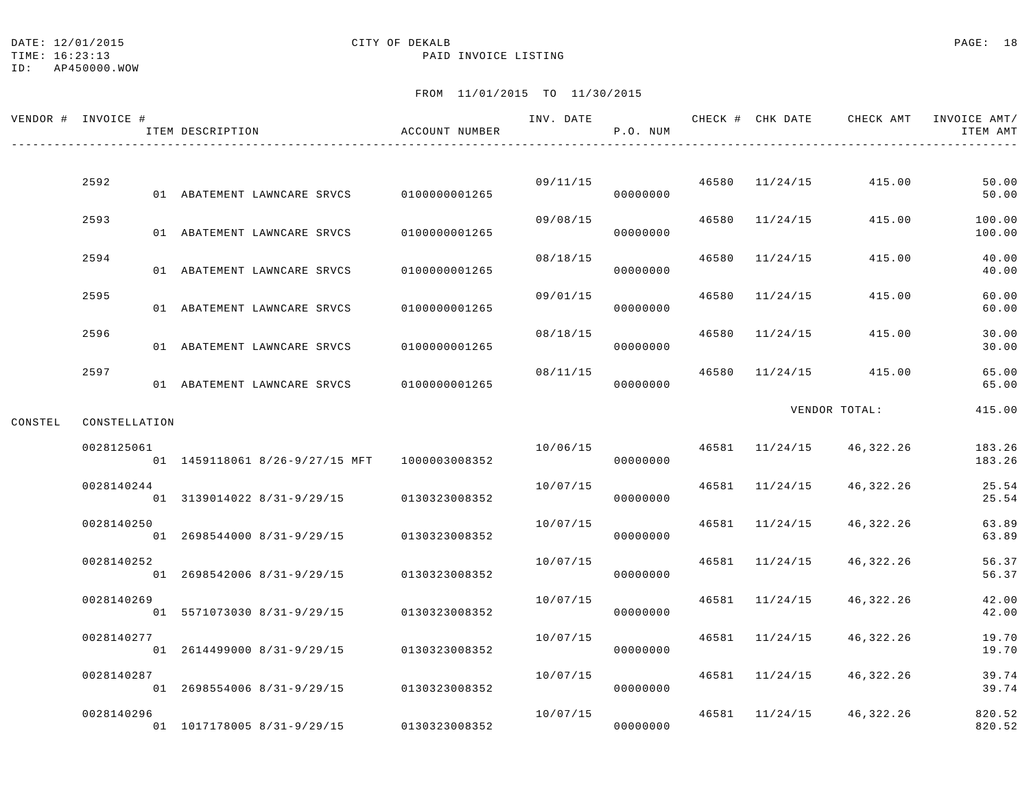#### DATE: 12/01/2015 CITY OF DEKALB PAGE: 18

TIME: 16:23:13 PAID INVOICE LISTING

ID: AP450000.WOW

|         | VENDOR # INVOICE # | ITEM DESCRIPTION |                                | ACCOUNT NUMBER | INV. DATE | P.O. NUM |       |                | CHECK # CHK DATE CHECK AMT | INVOICE AMT/<br>ITEM AMT |
|---------|--------------------|------------------|--------------------------------|----------------|-----------|----------|-------|----------------|----------------------------|--------------------------|
|         |                    |                  |                                |                |           |          |       |                |                            |                          |
|         | 2592               |                  | 01 ABATEMENT LAWNCARE SRVCS    | 0100000001265  | 09/11/15  | 00000000 |       | 46580 11/24/15 | 415.00                     | 50.00<br>50.00           |
|         | 2593               |                  | 01 ABATEMENT LAWNCARE SRVCS    | 0100000001265  | 09/08/15  | 00000000 | 46580 | 11/24/15       | 415.00                     | 100.00<br>100.00         |
|         | 2594               |                  | 01 ABATEMENT LAWNCARE SRVCS    | 0100000001265  | 08/18/15  | 00000000 | 46580 | 11/24/15       | 415.00                     | 40.00<br>40.00           |
|         | 2595               |                  | 01 ABATEMENT LAWNCARE SRVCS    | 0100000001265  | 09/01/15  | 00000000 | 46580 | 11/24/15       | 415.00                     | 60.00<br>60.00           |
|         | 2596               |                  | 01 ABATEMENT LAWNCARE SRVCS    | 0100000001265  | 08/18/15  | 00000000 | 46580 | 11/24/15       | 415.00                     | 30.00<br>30.00           |
|         | 2597               |                  |                                | 0100000001265  | 08/11/15  |          | 46580 | 11/24/15       | 415.00                     | 65.00                    |
|         |                    |                  | 01 ABATEMENT LAWNCARE SRVCS    |                |           | 00000000 |       |                | VENDOR TOTAL:              | 65.00<br>415.00          |
| CONSTEL | CONSTELLATION      |                  |                                |                |           |          |       |                |                            |                          |
|         | 0028125061         |                  | 01 1459118061 8/26-9/27/15 MFT | 1000003008352  | 10/06/15  | 00000000 | 46581 | 11/24/15       | 46,322.26                  | 183.26<br>183.26         |
|         | 0028140244         |                  | 01 3139014022 8/31-9/29/15     | 0130323008352  | 10/07/15  | 00000000 | 46581 | 11/24/15       | 46,322.26                  | 25.54<br>25.54           |
|         | 0028140250         |                  | 01 2698544000 8/31-9/29/15     | 0130323008352  | 10/07/15  | 00000000 | 46581 | 11/24/15       | 46,322.26                  | 63.89<br>63.89           |
|         | 0028140252         |                  | 01 2698542006 8/31-9/29/15     | 0130323008352  | 10/07/15  | 00000000 | 46581 | 11/24/15       | 46,322.26                  | 56.37<br>56.37           |
|         | 0028140269         |                  | 01 5571073030 8/31-9/29/15     | 0130323008352  | 10/07/15  | 00000000 | 46581 | 11/24/15       | 46,322.26                  | 42.00<br>42.00           |
|         | 0028140277         |                  | 01 2614499000 8/31-9/29/15     | 0130323008352  | 10/07/15  | 00000000 | 46581 | 11/24/15       | 46,322.26                  | 19.70<br>19.70           |
|         | 0028140287         |                  |                                |                | 10/07/15  |          | 46581 | 11/24/15       | 46,322.26                  | 39.74                    |
|         |                    |                  | 01 2698554006 8/31-9/29/15     | 0130323008352  |           | 00000000 |       |                |                            | 39.74                    |
|         | 0028140296         |                  | 01 1017178005 8/31-9/29/15     | 0130323008352  | 10/07/15  | 00000000 | 46581 |                | 11/24/15 46,322.26         | 820.52<br>820.52         |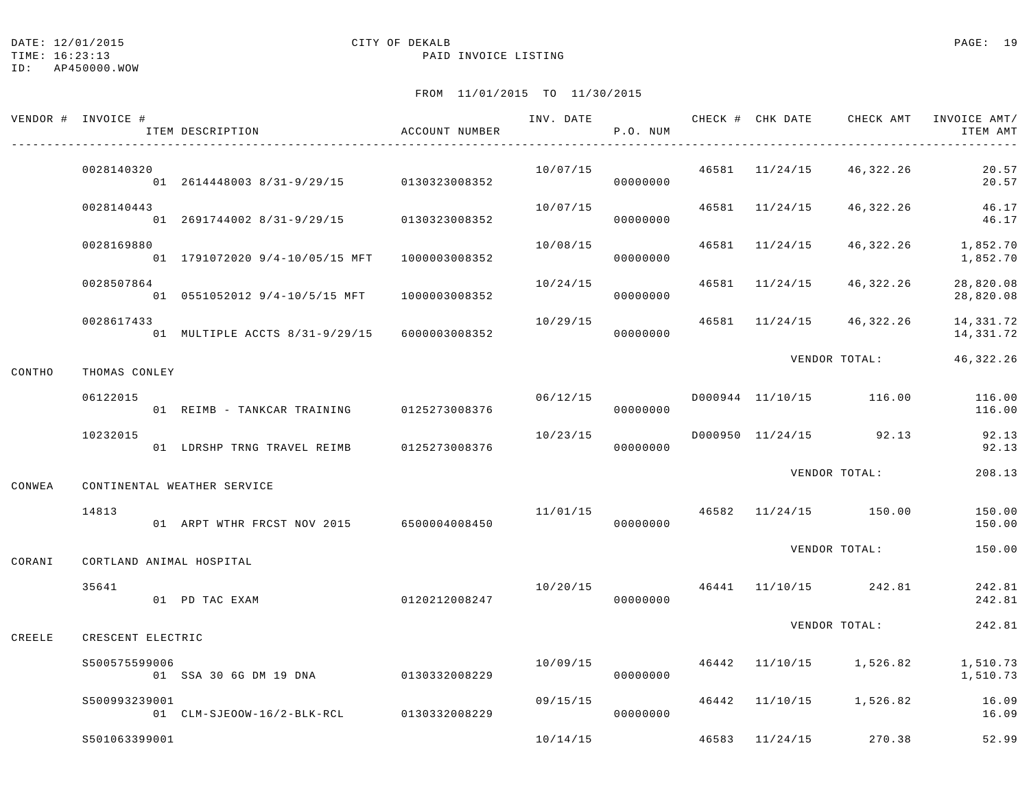TIME: 16:23:13 PAID INVOICE LISTING

|        | VENDOR # INVOICE #       | ITEM DESCRIPTION                             | ACCOUNT NUMBER |          | P.O. NUM             |                |                          | INV. DATE 6 1999 CHECK # CHK DATE 6 CHECK AMT INVOICE AMT<br>ITEM AMT |
|--------|--------------------------|----------------------------------------------|----------------|----------|----------------------|----------------|--------------------------|-----------------------------------------------------------------------|
|        | 0028140320               | 01 2614448003 8/31-9/29/15 0130323008352     |                | 10/07/15 | 00000000             |                | 46581 11/24/15 46,322.26 | 20.57<br>20.57                                                        |
|        | 0028140443               | 01 2691744002 8/31-9/29/15                   | 0130323008352  | 10/07/15 | 00000000             | 46581 11/24/15 | 46,322.26                | 46.17<br>46.17                                                        |
|        | 0028169880               | 01 1791072020 9/4-10/05/15 MFT 1000003008352 |                | 10/08/15 | 00000000             | 46581 11/24/15 | 46,322.26                | 1,852.70<br>1,852.70                                                  |
|        | 0028507864               | 01 0551052012 9/4-10/5/15 MFT                | 1000003008352  | 10/24/15 | 00000000             | 46581 11/24/15 | 46,322.26                | 28,820.08<br>28,820.08                                                |
|        | 0028617433               | 01 MULTIPLE ACCTS 8/31-9/29/15               | 6000003008352  | 10/29/15 | 00000000             |                | 46581 11/24/15 46,322.26 | 14,331.72<br>14,331.72                                                |
| CONTHO | THOMAS CONLEY            |                                              |                |          |                      |                | VENDOR TOTAL:            | 46, 322. 26                                                           |
|        | 06122015                 | 01 REIMB - TANKCAR TRAINING 0125273008376    |                | 06/12/15 | 00000000             |                | D000944 11/10/15 116.00  | 116.00<br>116.00                                                      |
|        | 10232015                 | 01 LDRSHP TRNG TRAVEL REIMB                  | 0125273008376  | 10/23/15 | 00000000             |                | D000950 11/24/15 92.13   | 92.13<br>92.13                                                        |
| CONWEA |                          | CONTINENTAL WEATHER SERVICE                  |                |          |                      |                | VENDOR TOTAL:            | 208.13                                                                |
|        | 14813                    | 01 ARPT WTHR FRCST NOV 2015 6500004008450    |                |          | 11/01/15<br>00000000 |                | 46582 11/24/15 150.00    | 150.00<br>150.00                                                      |
| CORANI | CORTLAND ANIMAL HOSPITAL |                                              |                |          |                      |                | VENDOR TOTAL:            | 150.00                                                                |
|        | 35641                    | 01 PD TAC EXAM                               | 0120212008247  | 10/20/15 | 00000000             |                | 46441 11/10/15 242.81    | 242.81<br>242.81                                                      |
| CREELE | CRESCENT ELECTRIC        |                                              |                |          |                      |                | VENDOR TOTAL:            | 242.81                                                                |
|        | \$500575599006           | 01 SSA 30 6G DM 19 DNA 0130332008229         |                | 10/09/15 | 00000000             |                | 46442 11/10/15 1,526.82  | 1,510.73<br>1,510.73                                                  |
|        | S500993239001            | 01 CLM-SJEOOW-16/2-BLK-RCL 0130332008229     |                | 09/15/15 | 00000000             |                | 46442 11/10/15 1,526.82  | 16.09<br>16.09                                                        |
|        | S501063399001            |                                              |                | 10/14/15 |                      | 46583 11/24/15 | 270.38                   | 52.99                                                                 |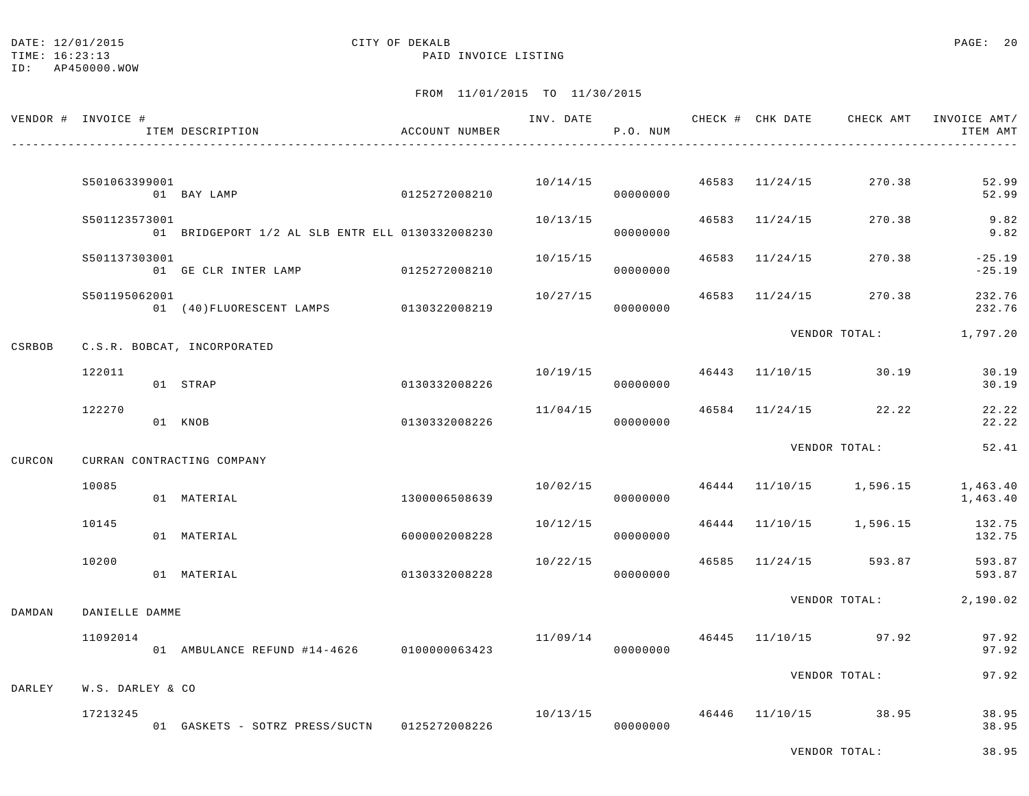#### DATE: 12/01/2015 **CITY OF DEKALB CITY OF DERALB PAGE: 20**

TIME: 16:23:13 PAID INVOICE LISTING

ID: AP450000.WOW

# FROM 11/01/2015 TO 11/30/2015

|        | VENDOR # INVOICE # | ITEM DESCRIPTION                                | ACCOUNT NUMBER |          | P.O. NUM             |                | INV. DATE 6 CHECK # CHK DATE CHECK AMT INVOICE AMT/ | ITEM AMT             |
|--------|--------------------|-------------------------------------------------|----------------|----------|----------------------|----------------|-----------------------------------------------------|----------------------|
|        | S501063399001      |                                                 |                |          | 10/14/15<br>00000000 |                | 46583 11/24/15 270.38                               | 52.99<br>52.99       |
|        | S501123573001      | 01 BRIDGEPORT 1/2 AL SLB ENTR ELL 0130332008230 |                | 10/13/15 | 00000000             | 46583 11/24/15 | 270.38                                              | 9.82<br>9.82         |
|        | S501137303001      | 01 GE CLR INTER LAMP 0125272008210              |                | 10/15/15 | 00000000             | 46583 11/24/15 | 270.38                                              | $-25.19$<br>$-25.19$ |
|        | S501195062001      | 01 (40) FLUORESCENT LAMPS 0130322008219         |                | 10/27/15 | 00000000             |                | 46583 11/24/15 270.38                               | 232.76<br>232.76     |
| CSRBOB |                    | C.S.R. BOBCAT, INCORPORATED                     |                |          |                      |                | VENDOR TOTAL: 1,797.20                              |                      |
|        | 122011             | 01 STRAP                                        | 0130332008226  |          | 00000000             |                | $10/19/15$ $46443$ $11/10/15$ $30.19$               | 30.19<br>30.19       |
|        | 122270             | 01 KNOB                                         | 0130332008226  | 11/04/15 | 00000000             |                | 46584 11/24/15 22.22                                | 22.22<br>22.22       |
| CURCON |                    | CURRAN CONTRACTING COMPANY                      |                |          |                      |                | VENDOR TOTAL:                                       | 52.41                |
|        | 10085              | 01 MATERIAL                                     | 1300006508639  | 10/02/15 | 00000000             |                | 46444 11/10/15 1,596.15 1,463.40                    | 1,463.40             |
|        | 10145              | 01 MATERIAL                                     | 6000002008228  | 10/12/15 | 00000000             |                | 46444 11/10/15 1,596.15                             | 132.75<br>132.75     |
|        | 10200              | 01 MATERIAL                                     | 0130332008228  | 10/22/15 | 00000000             |                | 46585 11/24/15 593.87                               | 593.87<br>593.87     |
| DAMDAN | DANIELLE DAMME     |                                                 |                |          |                      |                | VENDOR TOTAL: 2,190.02                              |                      |
|        | 11092014           | 01 AMBULANCE REFUND #14-4626 0100000063423      |                |          | 00000000             |                | $11/09/14$ $46445$ $11/10/15$ 97.92                 | 97.92<br>97.92       |
| DARLEY | W.S. DARLEY & CO   |                                                 |                |          |                      |                | VENDOR TOTAL:                                       | 97.92                |
|        | 17213245           | 01 GASKETS - SOTRZ PRESS/SUCTN 0125272008226    |                |          | 00000000             |                | $10/13/15$ $46446$ $11/10/15$ $38.95$               | 38.95<br>38.95       |

VENDOR TOTAL: 38.95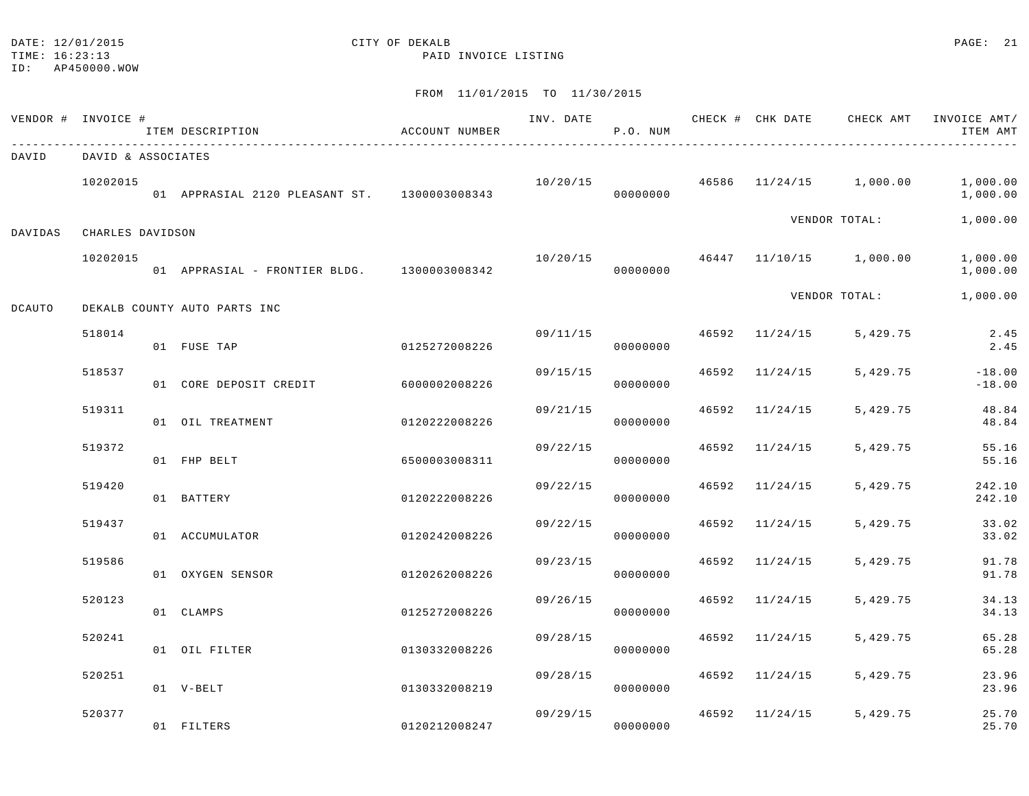# DATE: 12/01/2015 **CITY OF DEKALB CITY OF DERALD CITY OF DERALD**

TIME: 16:23:13 PAID INVOICE LISTING

|         | VENDOR # INVOICE # | ITEM DESCRIPTION                             | ACCOUNT NUMBER |          | P.O. NUM |                           |                                          | INV. DATE 6 1992 CHECK # CHK DATE CHECK AMT INVOICE AMT/<br>ITEM AMT |
|---------|--------------------|----------------------------------------------|----------------|----------|----------|---------------------------|------------------------------------------|----------------------------------------------------------------------|
| DAVID   | DAVID & ASSOCIATES |                                              |                |          |          |                           |                                          |                                                                      |
|         | 10202015           | 01 APPRASIAL 2120 PLEASANT ST. 1300003008343 |                |          | 00000000 |                           | $10/20/15$ $46586$ $11/24/15$ $1,000.00$ | 1,000.00<br>1,000.00                                                 |
| DAVIDAS | CHARLES DAVIDSON   |                                              |                |          |          |                           | VENDOR TOTAL:                            | 1,000.00                                                             |
|         | 10202015           | 01 APPRASIAL - FRONTIER BLDG. 1300003008342  |                | 10/20/15 | 00000000 |                           | 46447 11/10/15 1,000.00                  | 1,000.00<br>1,000.00                                                 |
| DCAUTO  |                    | DEKALB COUNTY AUTO PARTS INC                 |                |          |          |                           | VENDOR TOTAL:                            | 1,000.00                                                             |
|         | 518014             | 01 FUSE TAP                                  | 0125272008226  |          | 00000000 | $09/11/15$ 46592 11/24/15 | 5,429.75                                 | 2.45<br>2.45                                                         |
|         | 518537             | 01 CORE DEPOSIT CREDIT                       | 6000002008226  | 09/15/15 | 00000000 | 46592 11/24/15            | 5,429.75                                 | $-18.00$<br>$-18.00$                                                 |
|         | 519311             | 01 OIL TREATMENT                             | 0120222008226  | 09/21/15 | 00000000 | 46592 11/24/15            | 5,429.75                                 | 48.84<br>48.84                                                       |
|         | 519372             | 01 FHP BELT                                  | 6500003008311  | 09/22/15 | 00000000 | 46592 11/24/15            | 5,429.75                                 | 55.16<br>55.16                                                       |
|         | 519420             | 01 BATTERY                                   | 0120222008226  | 09/22/15 | 00000000 | 46592 11/24/15            | 5,429.75                                 | 242.10<br>242.10                                                     |
|         | 519437             | 01 ACCUMULATOR                               | 0120242008226  | 09/22/15 | 00000000 | 46592 11/24/15            | 5,429.75                                 | 33.02<br>33.02                                                       |
|         | 519586             | 01 OXYGEN SENSOR                             | 0120262008226  | 09/23/15 | 00000000 | 46592 11/24/15            | 5,429.75                                 | 91.78<br>91.78                                                       |
|         | 520123             | 01 CLAMPS                                    | 0125272008226  | 09/26/15 | 00000000 | 46592 11/24/15            | 5,429.75                                 | 34.13<br>34.13                                                       |
|         | 520241             | 01 OIL FILTER                                | 0130332008226  | 09/28/15 | 00000000 | 46592 11/24/15            | 5,429.75                                 | 65.28<br>65.28                                                       |
|         | 520251             | 01 V-BELT                                    | 0130332008219  | 09/28/15 | 00000000 | 46592 11/24/15            | 5,429.75                                 | 23.96<br>23.96                                                       |
|         | 520377             | 01 FILTERS                                   | 0120212008247  | 09/29/15 | 00000000 | 46592 11/24/15            | 5,429.75                                 | 25.70<br>25.70                                                       |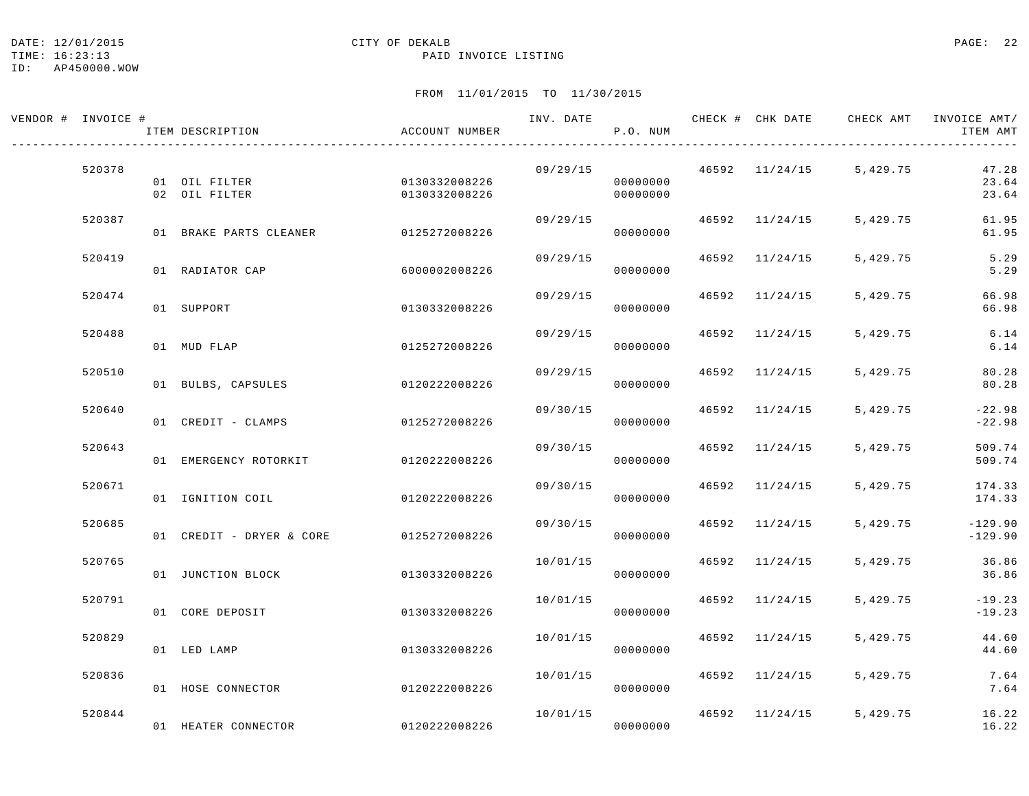#### DATE: 12/01/2015 **CITY OF DEKALB CITY OF DERALB PAGE: 22**

#### TIME: 16:23:13 PAID INVOICE LISTING

ID: AP450000.WOW

| VENDOR # INVOICE # | ITEM DESCRIPTION                       | ACCOUNT NUMBER                 | INV. DATE | P.O. NUM             |       |                | CHECK # CHK DATE CHECK AMT INVOICE AMT/ | ITEM AMT                |
|--------------------|----------------------------------------|--------------------------------|-----------|----------------------|-------|----------------|-----------------------------------------|-------------------------|
| 520378             | 01 OIL FILTER<br>02 OIL FILTER         | 0130332008226<br>0130332008226 | 09/29/15  | 00000000<br>00000000 |       | 46592 11/24/15 | 5,429.75                                | 47.28<br>23.64<br>23.64 |
| 520387             | 01 BRAKE PARTS CLEANER                 | 0125272008226                  | 09/29/15  | 00000000             |       | 46592 11/24/15 | 5,429.75                                | 61.95<br>61.95          |
| 520419             | 01 RADIATOR CAP                        | 6000002008226                  | 09/29/15  | 00000000             |       | 46592 11/24/15 | 5,429.75                                | 5.29<br>5.29            |
| 520474             | 01 SUPPORT                             | 0130332008226                  | 09/29/15  | 00000000             | 46592 | 11/24/15       | 5,429.75                                | 66.98<br>66.98          |
| 520488             | 01 MUD FLAP                            | 0125272008226                  | 09/29/15  | 00000000             | 46592 | 11/24/15       | 5,429.75                                | 6.14<br>6.14            |
| 520510             | 01 BULBS, CAPSULES                     | 0120222008226                  | 09/29/15  | 00000000             |       | 46592 11/24/15 | 5,429.75                                | 80.28<br>80.28          |
| 520640             | 01 CREDIT - CLAMPS                     | 0125272008226                  | 09/30/15  | 00000000             |       | 46592 11/24/15 | 5,429.75                                | $-22.98$<br>$-22.98$    |
| 520643             | 01 EMERGENCY ROTORKIT                  | 0120222008226                  | 09/30/15  | 00000000             |       | 46592 11/24/15 | 5,429.75                                | 509.74<br>509.74        |
| 520671             | 01 IGNITION COIL                       | 0120222008226                  | 09/30/15  | 00000000             |       | 46592 11/24/15 | 5,429.75                                | 174.33<br>174.33        |
| 520685             | 01 CREDIT - DRYER & CORE 0125272008226 |                                | 09/30/15  | 00000000             |       | 46592 11/24/15 | 5,429.75                                | $-129.90$<br>$-129.90$  |
| 520765             | 01 JUNCTION BLOCK                      | 0130332008226                  | 10/01/15  | 00000000             |       | 46592 11/24/15 | 5,429.75                                | 36.86<br>36.86          |
| 520791             | 01 CORE DEPOSIT                        | 0130332008226                  | 10/01/15  | 00000000             |       | 46592 11/24/15 | 5,429.75                                | $-19.23$<br>$-19.23$    |
| 520829             | 01 LED LAMP                            | 0130332008226                  | 10/01/15  | 00000000             |       | 46592 11/24/15 | 5,429.75                                | 44.60<br>44.60          |
| 520836             | 01 HOSE CONNECTOR                      | 0120222008226                  | 10/01/15  | 00000000             |       | 46592 11/24/15 | 5,429.75                                | 7.64<br>7.64            |
| 520844             | 01 HEATER CONNECTOR                    | 0120222008226                  | 10/01/15  | 00000000             |       | 46592 11/24/15 | 5,429.75                                | 16.22<br>16.22          |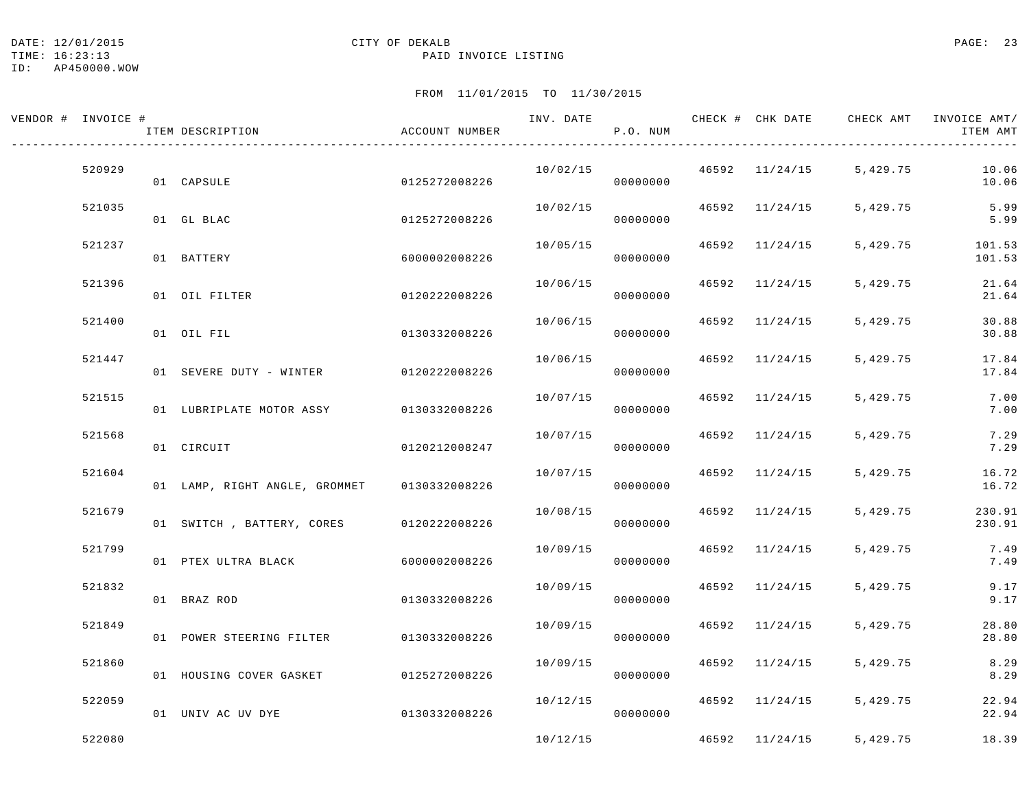### DATE: 12/01/2015 PAGE: 23

#### TIME: 16:23:13 PAID INVOICE LISTING

ID: AP450000.WOW

| VENDOR # INVOICE # |        | ITEM DESCRIPTION                        | ACCOUNT NUMBER | INV. DATE | P.O. NUM |       |                |          | CHECK # CHK DATE CHECK AMT INVOICE AMT/<br>ITEM AMT |
|--------------------|--------|-----------------------------------------|----------------|-----------|----------|-------|----------------|----------|-----------------------------------------------------|
|                    | 520929 | 01 CAPSULE                              | 0125272008226  | 10/02/15  | 00000000 |       | 46592 11/24/15 | 5,429.75 | 10.06<br>10.06                                      |
|                    | 521035 | 01 GL BLAC                              | 0125272008226  | 10/02/15  | 00000000 |       | 46592 11/24/15 | 5,429.75 | 5.99<br>5.99                                        |
|                    | 521237 | 01 BATTERY                              | 6000002008226  | 10/05/15  | 00000000 |       | 46592 11/24/15 | 5,429.75 | 101.53<br>101.53                                    |
|                    | 521396 | 01 OIL FILTER                           | 0120222008226  | 10/06/15  | 00000000 | 46592 | 11/24/15       | 5,429.75 | 21.64<br>21.64                                      |
|                    | 521400 | 01 OIL FIL                              | 0130332008226  | 10/06/15  | 00000000 | 46592 | 11/24/15       | 5,429.75 | 30.88<br>30.88                                      |
|                    | 521447 | 01 SEVERE DUTY - WINTER 0120222008226   |                | 10/06/15  | 00000000 | 46592 | 11/24/15       | 5,429.75 | 17.84<br>17.84                                      |
|                    | 521515 | 01 LUBRIPLATE MOTOR ASSY 0130332008226  |                | 10/07/15  | 00000000 |       | 46592 11/24/15 | 5,429.75 | 7.00<br>7.00                                        |
|                    | 521568 | 01 CIRCUIT                              | 0120212008247  | 10/07/15  | 00000000 | 46592 | 11/24/15       | 5,429.75 | 7.29<br>7.29                                        |
|                    | 521604 | 01 LAMP, RIGHT ANGLE, GROMMET           | 0130332008226  | 10/07/15  | 00000000 |       | 46592 11/24/15 | 5,429.75 | 16.72<br>16.72                                      |
|                    | 521679 | 01 SWITCH, BATTERY, CORES 0120222008226 |                | 10/08/15  | 00000000 | 46592 | 11/24/15       | 5,429.75 | 230.91<br>230.91                                    |
|                    | 521799 | 01 PTEX ULTRA BLACK                     | 6000002008226  | 10/09/15  | 00000000 |       | 46592 11/24/15 | 5,429.75 | 7.49<br>7.49                                        |
|                    | 521832 | 01 BRAZ ROD                             | 0130332008226  | 10/09/15  | 00000000 |       | 46592 11/24/15 | 5,429.75 | 9.17<br>9.17                                        |
|                    | 521849 | 01 POWER STEERING FILTER 0130332008226  |                | 10/09/15  | 00000000 | 46592 | 11/24/15       | 5,429.75 | 28.80<br>28.80                                      |
|                    | 521860 | 01 HOUSING COVER GASKET 0125272008226   |                | 10/09/15  | 00000000 | 46592 | 11/24/15       | 5,429.75 | 8.29<br>8.29                                        |
|                    | 522059 | 01 UNIV AC UV DYE                       | 0130332008226  | 10/12/15  | 00000000 |       | 46592 11/24/15 | 5,429.75 | 22.94<br>22.94                                      |
|                    | 522080 |                                         |                | 10/12/15  |          |       | 46592 11/24/15 | 5,429.75 | 18.39                                               |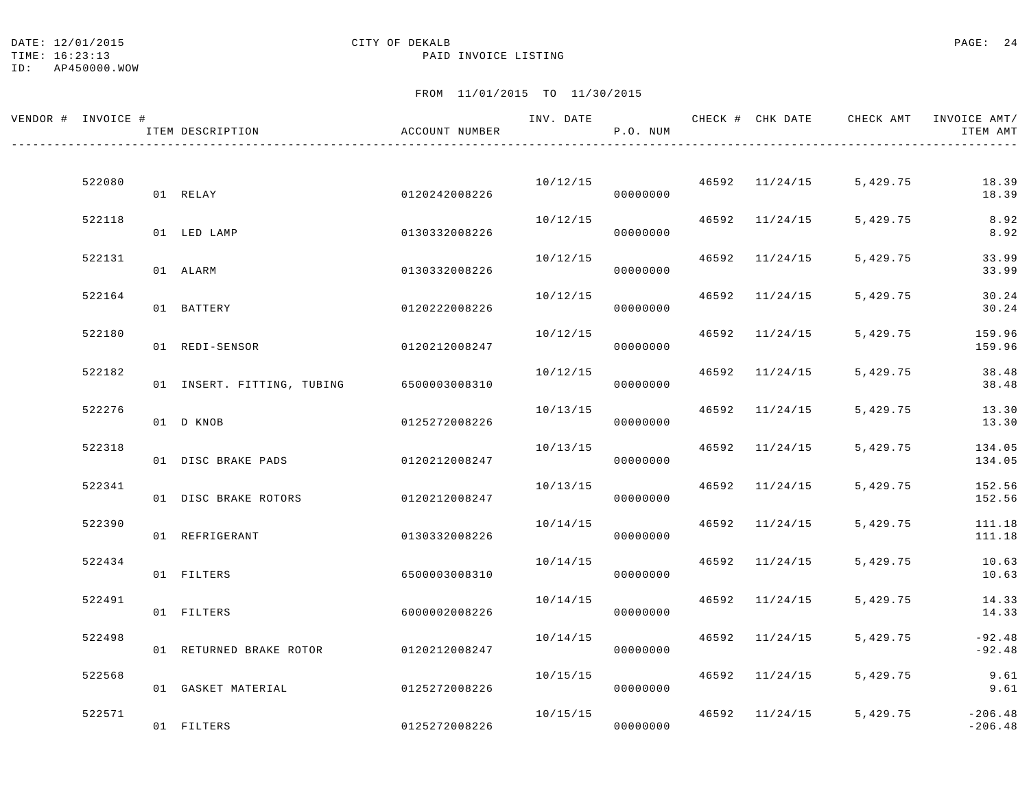## DATE: 12/01/2015 **CITY OF DEKALB CITY OF DERALB PAGE: 24**

TIME: 16:23:13 PAID INVOICE LISTING

ID: AP450000.WOW

| VENDOR # INVOICE # |        | ITEM DESCRIPTION                         | ACCOUNT NUMBER | INV. DATE | P.O. NUM |       |                | CHECK # CHK DATE CHECK AMT INVOICE AMT/ | ITEM AMT               |
|--------------------|--------|------------------------------------------|----------------|-----------|----------|-------|----------------|-----------------------------------------|------------------------|
|                    |        |                                          |                |           |          |       |                |                                         |                        |
|                    | 522080 | 01 RELAY                                 | 0120242008226  | 10/12/15  | 00000000 |       | 46592 11/24/15 | 5,429.75                                | 18.39<br>18.39         |
|                    | 522118 | 01 LED LAMP                              | 0130332008226  | 10/12/15  | 00000000 |       | 46592 11/24/15 | 5,429.75                                | 8.92<br>8.92           |
|                    | 522131 | 01 ALARM                                 | 0130332008226  | 10/12/15  | 00000000 |       | 46592 11/24/15 | 5,429.75                                | 33.99<br>33.99         |
|                    | 522164 | 01 BATTERY                               | 0120222008226  | 10/12/15  | 00000000 |       | 46592 11/24/15 | 5,429.75                                | 30.24<br>30.24         |
|                    | 522180 | 01 REDI-SENSOR                           | 0120212008247  | 10/12/15  | 00000000 | 46592 | 11/24/15       | 5,429.75                                | 159.96<br>159.96       |
|                    | 522182 | 01 INSERT. FITTING, TUBING 6500003008310 |                | 10/12/15  | 00000000 |       | 46592 11/24/15 | 5,429.75                                | 38.48<br>38.48         |
|                    | 522276 | 01 D KNOB                                | 0125272008226  | 10/13/15  | 00000000 |       | 46592 11/24/15 | 5,429.75                                | 13.30<br>13.30         |
|                    | 522318 |                                          |                | 10/13/15  |          |       | 46592 11/24/15 | 5,429.75                                | 134.05                 |
|                    | 522341 | 01 DISC BRAKE PADS                       | 0120212008247  | 10/13/15  | 00000000 |       | 46592 11/24/15 | 5,429.75                                | 134.05<br>152.56       |
|                    |        | 01 DISC BRAKE ROTORS                     | 0120212008247  |           | 00000000 |       |                |                                         | 152.56                 |
|                    | 522390 | 01 REFRIGERANT                           | 0130332008226  | 10/14/15  | 00000000 |       | 46592 11/24/15 | 5,429.75                                | 111.18<br>111.18       |
|                    | 522434 | 01 FILTERS                               | 6500003008310  | 10/14/15  | 00000000 |       | 46592 11/24/15 | 5,429.75                                | 10.63<br>10.63         |
|                    | 522491 | 01 FILTERS                               | 6000002008226  | 10/14/15  | 00000000 | 46592 | 11/24/15       | 5,429.75                                | 14.33<br>14.33         |
|                    | 522498 | 01 RETURNED BRAKE ROTOR 0120212008247    |                | 10/14/15  | 00000000 |       | 46592 11/24/15 | 5,429.75                                | $-92.48$<br>$-92.48$   |
|                    | 522568 | 01 GASKET MATERIAL                       | 0125272008226  | 10/15/15  | 00000000 |       | 46592 11/24/15 | 5,429.75                                | 9.61<br>9.61           |
|                    | 522571 | 01 FILTERS                               | 0125272008226  | 10/15/15  | 00000000 |       | 46592 11/24/15 | 5,429.75                                | $-206.48$<br>$-206.48$ |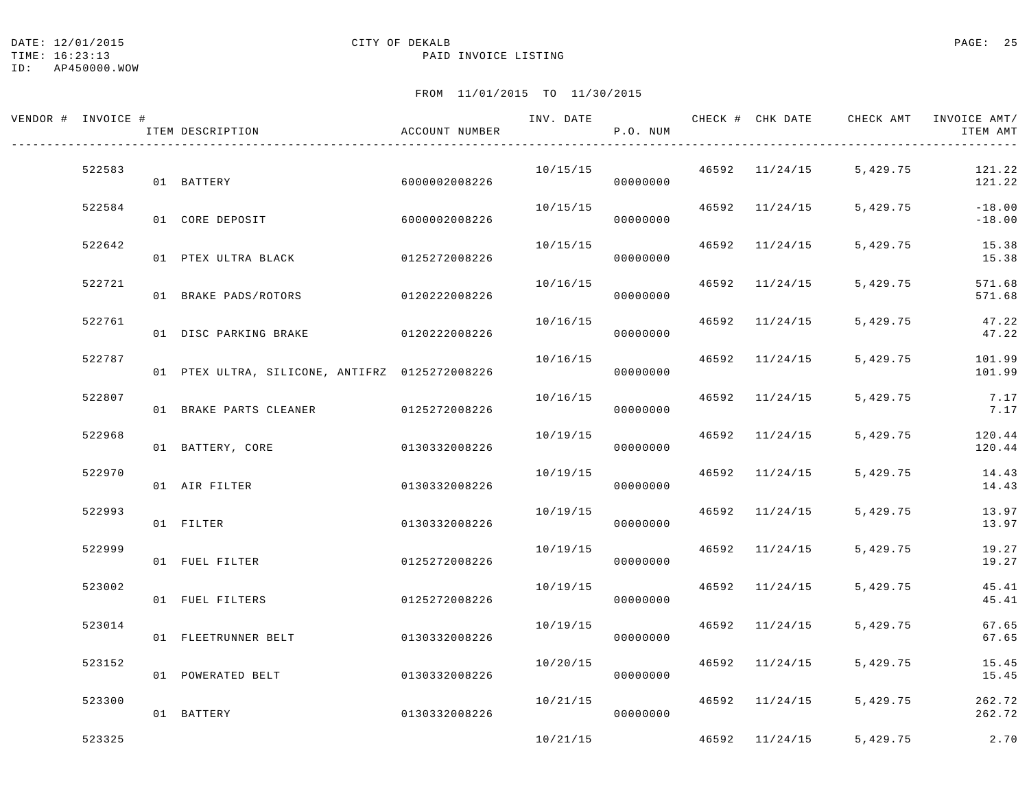#### DATE: 12/01/2015 PAGE: 25

TIME: 16:23:13 PAID INVOICE LISTING

ID: AP450000.WOW

| VENDOR # INVOICE # |        | ITEM DESCRIPTION                               | ACCOUNT NUMBER |          | P.O. NUM |                | INV. DATE 6 1999 CHECK # CHK DATE 6 CHECK AMT INVOICE AMT | ITEM AMT             |
|--------------------|--------|------------------------------------------------|----------------|----------|----------|----------------|-----------------------------------------------------------|----------------------|
|                    | 522583 | 01 BATTERY                                     | 6000002008226  | 10/15/15 | 00000000 |                | $46592$ $11/24/15$ 5,429.75                               | 121.22<br>121.22     |
|                    | 522584 | 01 CORE DEPOSIT                                | 6000002008226  | 10/15/15 | 00000000 | 46592 11/24/15 | 5,429.75                                                  | $-18.00$<br>$-18.00$ |
|                    | 522642 | 01 PTEX ULTRA BLACK                            | 0125272008226  | 10/15/15 | 00000000 | 46592 11/24/15 | 5,429.75                                                  | 15.38<br>15.38       |
|                    | 522721 | 01 BRAKE PADS/ROTORS                           | 0120222008226  | 10/16/15 | 00000000 | 46592 11/24/15 | 5,429.75                                                  | 571.68<br>571.68     |
|                    | 522761 | 01 DISC PARKING BRAKE 0120222008226            |                | 10/16/15 | 00000000 | 46592 11/24/15 | 5,429.75                                                  | 47.22<br>47.22       |
|                    | 522787 | 01 PTEX ULTRA, SILICONE, ANTIFRZ 0125272008226 |                | 10/16/15 | 00000000 | 46592 11/24/15 | 5,429.75                                                  | 101.99<br>101.99     |
|                    | 522807 | 01 BRAKE PARTS CLEANER 0125272008226           |                | 10/16/15 | 00000000 | 46592 11/24/15 | 5,429.75                                                  | 7.17<br>7.17         |
|                    | 522968 | 01 BATTERY, CORE                               | 0130332008226  | 10/19/15 | 00000000 | 46592 11/24/15 | 5,429.75                                                  | 120.44<br>120.44     |
|                    | 522970 | 01 AIR FILTER                                  | 0130332008226  | 10/19/15 | 00000000 | 46592 11/24/15 | 5,429.75                                                  | 14.43<br>14.43       |
|                    | 522993 | 01 FILTER                                      | 0130332008226  | 10/19/15 | 00000000 | 46592 11/24/15 | 5,429.75                                                  | 13.97<br>13.97       |
|                    | 522999 | 01 FUEL FILTER                                 | 0125272008226  | 10/19/15 | 00000000 | 46592 11/24/15 | 5,429.75                                                  | 19.27<br>19.27       |
|                    | 523002 | 01 FUEL FILTERS                                | 0125272008226  | 10/19/15 | 00000000 | 46592 11/24/15 | 5,429.75                                                  | 45.41<br>45.41       |
|                    | 523014 | 01 FLEETRUNNER BELT                            | 0130332008226  | 10/19/15 | 00000000 | 46592 11/24/15 | 5,429.75                                                  | 67.65<br>67.65       |
|                    | 523152 | 01 POWERATED BELT                              | 0130332008226  | 10/20/15 | 00000000 | 46592 11/24/15 | 5,429.75                                                  | 15.45<br>15.45       |
|                    | 523300 | 01 BATTERY                                     | 0130332008226  | 10/21/15 | 00000000 | 46592 11/24/15 | 5,429.75                                                  | 262.72<br>262.72     |
|                    | 523325 |                                                |                | 10/21/15 |          | 46592 11/24/15 | 5,429.75                                                  | 2.70                 |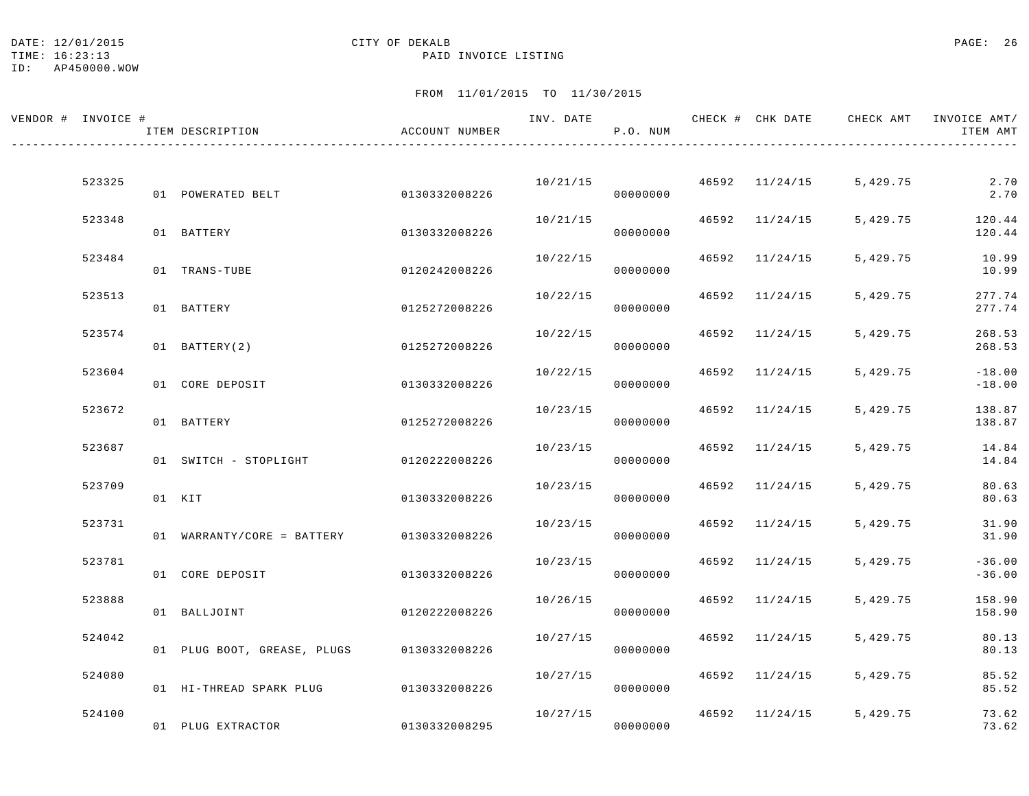#### DATE: 12/01/2015 CITY OF DEKALB PAGE: 26

TIME: 16:23:13 PAID INVOICE LISTING

ID: AP450000.WOW

| VENDOR # INVOICE # | ITEM DESCRIPTION                          | ACCOUNT NUMBER |          | P.O. NUM |       |                | INV. DATE 6 7 200 CHECK # CHK DATE 6 CHECK AMT INVOICE AMT | ITEM AMT             |
|--------------------|-------------------------------------------|----------------|----------|----------|-------|----------------|------------------------------------------------------------|----------------------|
| 523325             |                                           |                | 10/21/15 |          |       | 46592 11/24/15 | 5,429.75                                                   | 2.70                 |
| 523348             | 01 POWERATED BELT                         | 0130332008226  | 10/21/15 | 00000000 | 46592 | 11/24/15       | 5,429.75                                                   | 2.70<br>120.44       |
|                    | 01 BATTERY                                | 0130332008226  |          | 00000000 |       |                |                                                            | 120.44               |
| 523484             | 01 TRANS-TUBE                             | 0120242008226  | 10/22/15 | 00000000 |       | 46592 11/24/15 | 5,429.75                                                   | 10.99<br>10.99       |
| 523513             | 01 BATTERY                                | 0125272008226  | 10/22/15 | 00000000 |       | 46592 11/24/15 | 5,429.75                                                   | 277.74<br>277.74     |
| 523574             | 01 BATTERY(2)                             | 0125272008226  | 10/22/15 | 00000000 | 46592 | 11/24/15       | 5,429.75                                                   | 268.53<br>268.53     |
| 523604             | 01 CORE DEPOSIT                           | 0130332008226  | 10/22/15 | 00000000 |       | 46592 11/24/15 | 5,429.75                                                   | $-18.00$<br>$-18.00$ |
| 523672             | 01 BATTERY                                | 0125272008226  | 10/23/15 | 00000000 |       | 46592 11/24/15 | 5,429.75                                                   | 138.87<br>138.87     |
| 523687             | 01 SWITCH - STOPLIGHT 0120222008226       |                | 10/23/15 | 00000000 |       | 46592 11/24/15 | 5,429.75                                                   | 14.84<br>14.84       |
| 523709             | 01 KIT                                    | 0130332008226  | 10/23/15 | 00000000 |       | 46592 11/24/15 | 5,429.75                                                   | 80.63<br>80.63       |
| 523731             | 01 WARRANTY/CORE = BATTERY 0130332008226  |                | 10/23/15 | 00000000 |       | 46592 11/24/15 | 5,429.75                                                   | 31.90<br>31.90       |
| 523781             | 01 CORE DEPOSIT                           | 0130332008226  | 10/23/15 | 00000000 |       | 46592 11/24/15 | 5,429.75                                                   | $-36.00$<br>$-36.00$ |
| 523888             | 01 BALLJOINT                              | 0120222008226  | 10/26/15 | 00000000 |       | 46592 11/24/15 | 5,429.75                                                   | 158.90<br>158.90     |
| 524042             | 01 PLUG BOOT, GREASE, PLUGS 0130332008226 |                | 10/27/15 | 00000000 |       | 46592 11/24/15 | 5,429.75                                                   | 80.13<br>80.13       |
| 524080             |                                           |                | 10/27/15 |          |       | 46592 11/24/15 | 5,429.75                                                   | 85.52                |
|                    | 01 HI-THREAD SPARK PLUG 0130332008226     |                |          | 00000000 |       |                |                                                            | 85.52                |
| 524100             | 01 PLUG EXTRACTOR                         | 0130332008295  | 10/27/15 | 00000000 |       | 46592 11/24/15 | 5,429.75                                                   | 73.62<br>73.62       |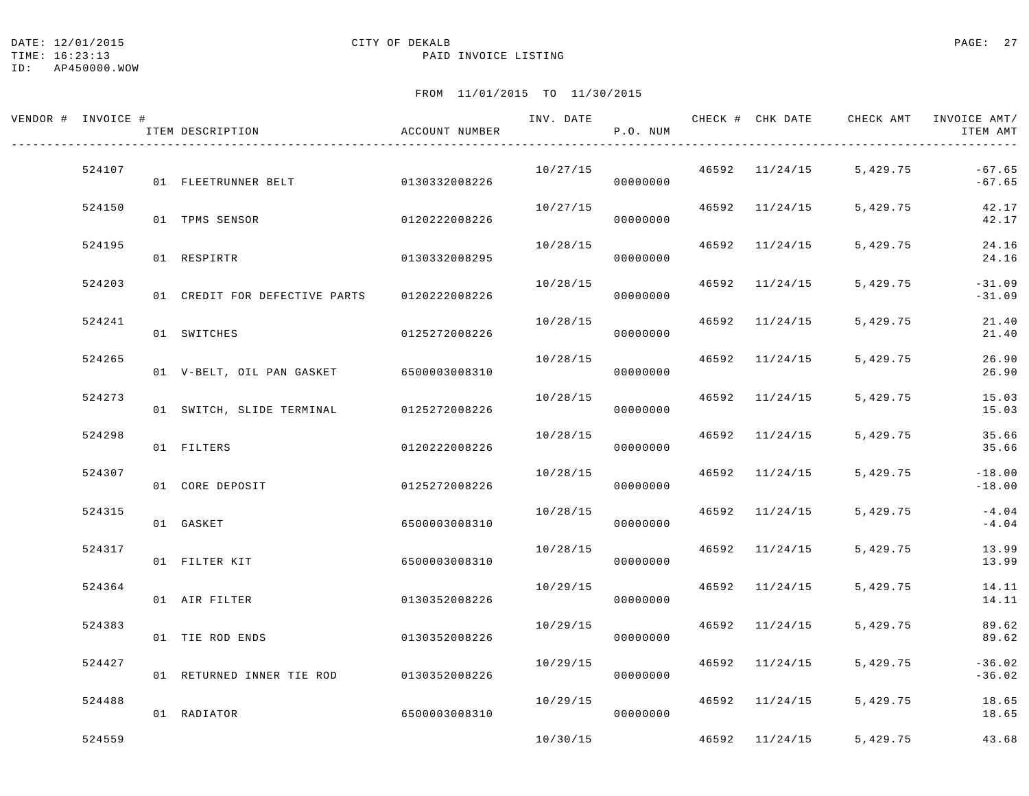#### DATE: 12/01/2015 CITY OF DEKALB PAGE: 27

#### TIME: 16:23:13 PAID INVOICE LISTING

ID: AP450000.WOW

| VENDOR # INVOICE # | ITEM DESCRIPTION                        | ACCOUNT NUMBER | INV. DATE | P.O. NUM |       | CHECK # CHK DATE | CHECK AMT               | INVOICE AMT/<br>ITEM AMT |
|--------------------|-----------------------------------------|----------------|-----------|----------|-------|------------------|-------------------------|--------------------------|
| 524107             | 01 FLEETRUNNER BELT                     | 0130332008226  | 10/27/15  | 00000000 |       | 46592 11/24/15   | 5,429.75                | $-67.65$<br>$-67.65$     |
| 524150             | 01 TPMS SENSOR                          | 0120222008226  | 10/27/15  | 00000000 |       | 46592 11/24/15   | 5,429.75                | 42.17<br>42.17           |
| 524195             | 01 RESPIRTR                             | 0130332008295  | 10/28/15  | 00000000 |       | 46592 11/24/15   | 5,429.75                | 24.16<br>24.16           |
| 524203             | 01 CREDIT FOR DEFECTIVE PARTS           | 0120222008226  | 10/28/15  | 00000000 |       | 46592 11/24/15   | 5,429.75                | $-31.09$<br>$-31.09$     |
| 524241             | 01 SWITCHES                             | 0125272008226  | 10/28/15  | 00000000 | 46592 | 11/24/15         | 5,429.75                | 21.40<br>21.40           |
| 524265             | 01 V-BELT, OIL PAN GASKET 6500003008310 |                | 10/28/15  | 00000000 |       | 46592 11/24/15   | 5,429.75                | 26.90<br>26.90           |
| 524273             | 01 SWITCH, SLIDE TERMINAL 0125272008226 |                | 10/28/15  | 00000000 |       | 46592 11/24/15   | 5,429.75                | 15.03<br>15.03           |
| 524298             | 01 FILTERS                              | 0120222008226  | 10/28/15  | 00000000 |       | 46592 11/24/15   | 5,429.75                | 35.66<br>35.66           |
| 524307             | 01 CORE DEPOSIT                         | 0125272008226  | 10/28/15  | 00000000 |       | 46592 11/24/15   | 5,429.75                | $-18.00$<br>$-18.00$     |
| 524315             | 01 GASKET                               | 6500003008310  | 10/28/15  | 00000000 |       | 46592 11/24/15   | 5,429.75                | $-4.04$<br>$-4.04$       |
| 524317             | 01 FILTER KIT                           | 6500003008310  | 10/28/15  | 00000000 |       | 46592 11/24/15   | 5,429.75                | 13.99<br>13.99           |
| 524364             | 01 AIR FILTER                           | 0130352008226  | 10/29/15  | 00000000 |       | 46592 11/24/15   | 5,429.75                | 14.11<br>14.11           |
| 524383             | 01 TIE ROD ENDS                         | 0130352008226  | 10/29/15  | 00000000 | 46592 | 11/24/15         | 5,429.75                | 89.62<br>89.62           |
| 524427             | 01 RETURNED INNER TIE ROD               | 0130352008226  | 10/29/15  | 00000000 |       | 46592 11/24/15   | 5,429.75                | $-36.02$<br>$-36.02$     |
| 524488             | 01 RADIATOR                             | 6500003008310  | 10/29/15  | 00000000 |       | 46592 11/24/15   | 5,429.75                | 18.65<br>18.65           |
| 524559             |                                         |                | 10/30/15  |          |       |                  | 46592 11/24/15 5,429.75 | 43.68                    |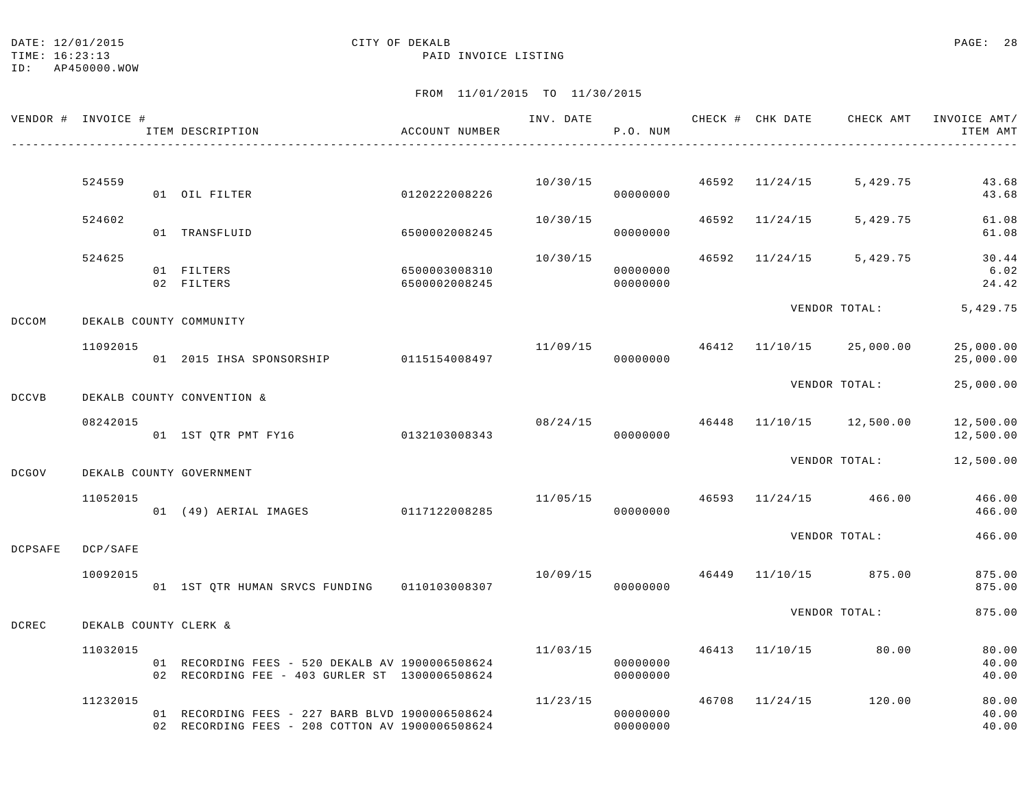TIME: 16:23:13 PAID INVOICE LISTING

|                | VENDOR # INVOICE #    | ITEM DESCRIPTION                                                                                   | ACCOUNT NUMBER                 |           | P.O. NUM             |  | INV. DATE 6 CHECK # CHK DATE CHECK AMT INVOICE AMT/ | ITEM AMT                |
|----------------|-----------------------|----------------------------------------------------------------------------------------------------|--------------------------------|-----------|----------------------|--|-----------------------------------------------------|-------------------------|
|                |                       |                                                                                                    |                                |           |                      |  |                                                     |                         |
|                | 524559                | 01 OIL FILTER                                                                                      | 0120222008226                  |           | 00000000             |  | $10/30/15$ $46592$ $11/24/15$ $5,429.75$            | 43.68<br>43.68          |
|                | 524602                | 01 TRANSFLUID                                                                                      | 6500002008245                  | 10/30/15  | 00000000             |  | 46592 11/24/15 5,429.75                             | 61.08<br>61.08          |
|                | 524625                |                                                                                                    |                                | 10/30/15  | 00000000             |  | 46592 11/24/15 5,429.75                             | 30.44                   |
|                |                       | 01 FILTERS<br>02 FILTERS                                                                           | 6500003008310<br>6500002008245 |           | 00000000             |  |                                                     | 6.02<br>24.42           |
| <b>DCCOM</b>   |                       | DEKALB COUNTY COMMUNITY                                                                            |                                |           |                      |  | VENDOR TOTAL:                                       | 5,429.75                |
|                | 11092015              | 01  2015  IHSA SPONSORSHIP   0115154008497                                                         |                                |           | 00000000             |  | 11/09/15  46412  11/10/15  25,000.00                | 25,000.00<br>25,000.00  |
| <b>DCCVB</b>   |                       | DEKALB COUNTY CONVENTION &                                                                         |                                |           |                      |  | VENDOR TOTAL:                                       | 25,000.00               |
|                | 08242015              | 01 1ST QTR PMT FY16 0132103008343                                                                  |                                |           | 00000000             |  | $08/24/15$ $46448$ $11/10/15$ $12,500.00$           | 12,500.00<br>12,500.00  |
| DCGOV          |                       | DEKALB COUNTY GOVERNMENT                                                                           |                                |           |                      |  | VENDOR TOTAL:                                       | 12,500.00               |
|                | 11052015              | 01 (49) AERIAL IMAGES 0117122008285                                                                |                                |           | 00000000             |  | $11/05/15$ 46593 $11/24/15$ 466.00                  | 466.00<br>466.00        |
| <b>DCPSAFE</b> | DCP/SAFE              |                                                                                                    |                                |           |                      |  | VENDOR TOTAL:                                       | 466.00                  |
|                | 10092015              | 01 1ST QTR HUMAN SRVCS FUNDING   0110103008307                                                     |                                | 000000000 |                      |  | 10/09/15 46449 11/10/15 875.00                      | 875.00<br>875.00        |
| DCREC          | DEKALB COUNTY CLERK & |                                                                                                    |                                |           |                      |  | VENDOR TOTAL:                                       | 875.00                  |
|                | 11032015              |                                                                                                    |                                | 11/03/15  |                      |  | 46413 11/10/15 80.00                                | 80.00                   |
|                |                       | 01 RECORDING FEES - 520 DEKALB AV 1900006508624<br>02 RECORDING FEE - 403 GURLER ST 1300006508624  |                                |           | 00000000<br>00000000 |  |                                                     | 40.00<br>40.00          |
|                | 11232015              | 01 RECORDING FEES - 227 BARB BLVD 1900006508624<br>02 RECORDING FEES - 208 COTTON AV 1900006508624 |                                | 11/23/15  | 00000000<br>00000000 |  | 46708 11/24/15 120.00                               | 80.00<br>40.00<br>40.00 |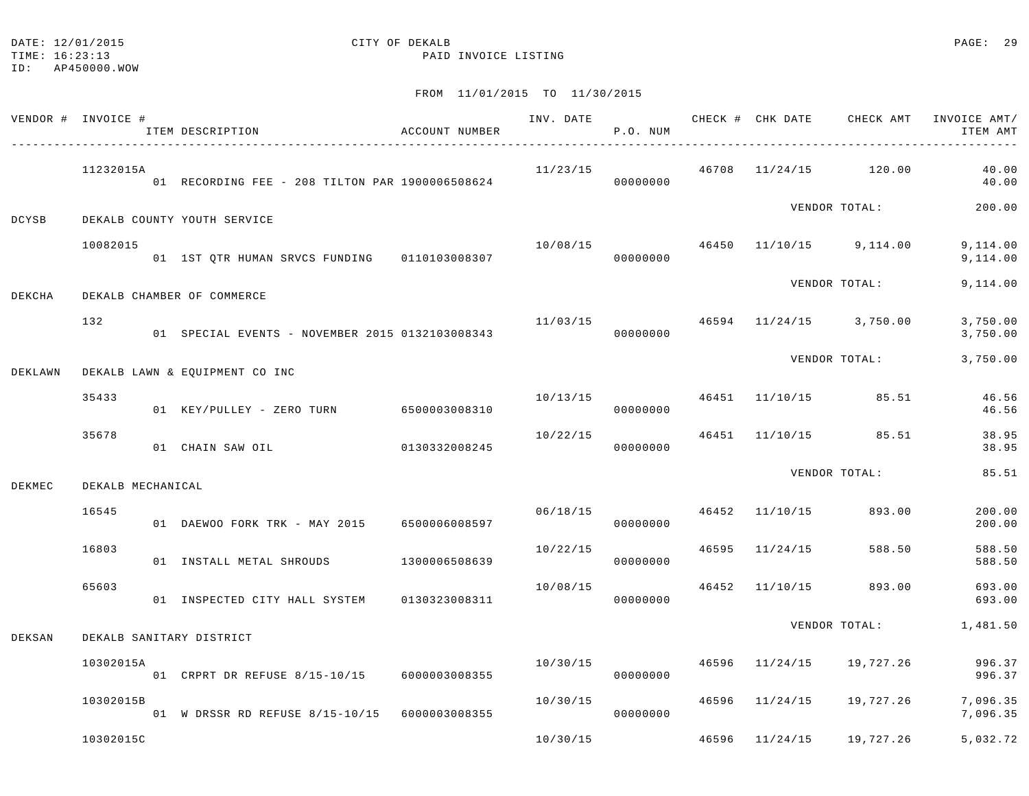## DATE: 12/01/2015 **CITY OF DEKALB CITY OF DERALB PAGE: 29**

TIME: 16:23:13 PAID INVOICE LISTING

ID: AP450000.WOW

|        | VENDOR # INVOICE # | ITEM DESCRIPTION                                | ACCOUNT NUMBER |          | P.O. NUM |                | INV. DATE 6 CHECK # CHK DATE CHECK AMT | INVOICE AMT/<br>ITEM AMT |
|--------|--------------------|-------------------------------------------------|----------------|----------|----------|----------------|----------------------------------------|--------------------------|
|        | 11232015A          | 01 RECORDING FEE - 208 TILTON PAR 1900006508624 |                | 11/23/15 | 00000000 |                | $46708$ $11/24/15$ $120.00$            | 40.00<br>40.00           |
| DCYSB  |                    | DEKALB COUNTY YOUTH SERVICE                     |                |          |          |                | VENDOR TOTAL:                          | 200.00                   |
|        | 10082015           | 01 1ST QTR HUMAN SRVCS FUNDING   0110103008307  |                | 10/08/15 | 00000000 |                | 46450 11/10/15 9,114.00                | 9,114.00<br>9,114.00     |
| DEKCHA |                    | DEKALB CHAMBER OF COMMERCE                      |                |          |          |                | VENDOR TOTAL:                          | 9,114.00                 |
|        | 132                | 01 SPECIAL EVENTS - NOVEMBER 2015 0132103008343 |                | 11/03/15 | 00000000 |                | 46594 11/24/15 3,750.00                | 3,750.00<br>3,750.00     |
|        |                    | DEKLAWN DEKALB LAWN & EQUIPMENT CO INC          |                |          |          |                | VENDOR TOTAL:                          | 3,750.00                 |
|        | 35433              | 01 KEY/PULLEY - ZERO TURN 6500003008310         |                | 10/13/15 | 00000000 |                | 46451 11/10/15 85.51                   | 46.56<br>46.56           |
|        | 35678              | 01 CHAIN SAW OIL                                | 0130332008245  | 10/22/15 | 00000000 |                | 46451 11/10/15 85.51                   | 38.95<br>38.95           |
| DEKMEC | DEKALB MECHANICAL  |                                                 |                |          |          |                | VENDOR TOTAL:                          | 85.51                    |
|        | 16545              | 01 DAEWOO FORK TRK - MAY 2015 6500006008597     |                | 06/18/15 | 00000000 | 46452 11/10/15 | 893.00                                 | 200.00<br>200.00         |
|        | 16803              | 01 INSTALL METAL SHROUDS 1300006508639          |                | 10/22/15 | 00000000 | 46595 11/24/15 | 588.50                                 | 588.50<br>588.50         |
|        | 65603              | 01 INSPECTED CITY HALL SYSTEM 0130323008311     |                | 10/08/15 | 00000000 |                | 46452 11/10/15 893.00                  | 693.00<br>693.00         |
| DEKSAN |                    | DEKALB SANITARY DISTRICT                        |                |          |          |                | VENDOR TOTAL:                          | 1,481.50                 |
|        | 10302015A          | 01 CRPRT DR REFUSE 8/15-10/15 6000003008355     |                | 10/30/15 | 00000000 |                | 46596 11/24/15 19,727.26               | 996.37<br>996.37         |
|        | 10302015B          | 01 W DRSSR RD REFUSE 8/15-10/15 6000003008355   |                | 10/30/15 | 00000000 | 46596 11/24/15 | 19,727.26                              | 7,096.35<br>7,096.35     |
|        | 10302015C          |                                                 |                | 10/30/15 |          | 46596 11/24/15 | 19,727.26                              | 5,032.72                 |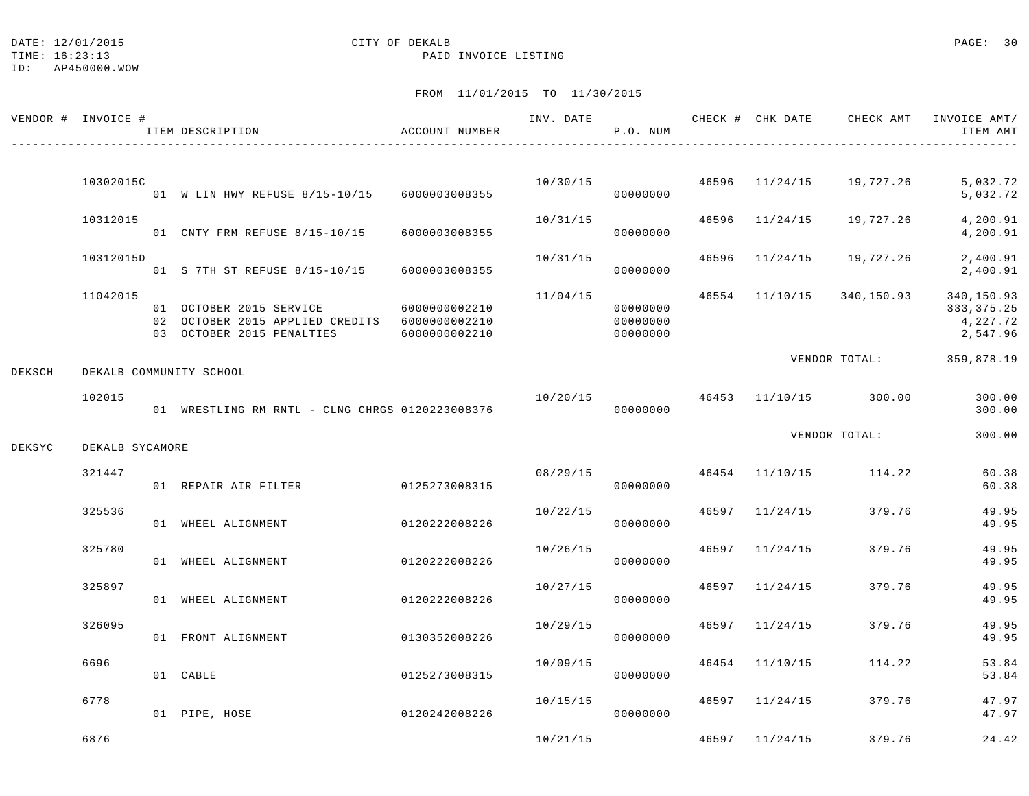## DATE: 12/01/2015 **CITY OF DEKALB** CITY OF DEXALB **PAGE:** 30

TIME: 16:23:13 PAID INVOICE LISTING

|        | VENDOR # INVOICE # | ITEM DESCRIPTION                                                                                                    | ACCOUNT NUMBER |          | INV. DATE<br>P.O. NUM            |                | CHECK # CHK DATE CHECK AMT INVOICE AMT/ | ITEM AMT                                           |
|--------|--------------------|---------------------------------------------------------------------------------------------------------------------|----------------|----------|----------------------------------|----------------|-----------------------------------------|----------------------------------------------------|
|        | 10302015C          |                                                                                                                     |                |          | 10/30/15                         | 46596 11/24/15 | 19,727.26                               | 5,032.72                                           |
|        | 10312015           | 01 W LIN HWY REFUSE 8/15-10/15 6000003008355                                                                        |                | 10/31/15 | 00000000                         | 46596 11/24/15 | 19,727.26                               | 5,032.72<br>4,200.91                               |
|        |                    | 01 CNTY FRM REFUSE 8/15-10/15                                                                                       | 6000003008355  |          | 00000000                         |                |                                         | 4,200.91                                           |
|        | 10312015D          | 01 S 7TH ST REFUSE 8/15-10/15 6000003008355                                                                         |                | 10/31/15 | 00000000                         | 46596 11/24/15 | 19,727.26                               | 2,400.91<br>2,400.91                               |
|        | 11042015           | 01 OCTOBER 2015 SERVICE 6000000002210<br>02 OCTOBER 2015 APPLIED CREDITS 6000000002210<br>03 OCTOBER 2015 PENALTIES | 6000000002210  | 11/04/15 | 00000000<br>00000000<br>00000000 |                | 46554 11/10/15 340,150.93               | 340,150.93<br>333, 375. 25<br>4,227.72<br>2,547.96 |
| DEKSCH |                    | DEKALB COMMUNITY SCHOOL                                                                                             |                |          |                                  |                | VENDOR TOTAL: 359,878.19                |                                                    |
|        | 102015             | 01 WRESTLING RM RNTL - CLNG CHRGS 0120223008376                                                                     |                | 10/20/15 | 00000000                         |                | 46453 11/10/15 300.00                   | 300.00<br>300.00                                   |
| DEKSYC | DEKALB SYCAMORE    |                                                                                                                     |                |          |                                  |                | VENDOR TOTAL:                           | 300.00                                             |
|        | 321447             | 01 REPAIR AIR FILTER                                                                                                | 0125273008315  | 08/29/15 | 00000000                         |                | 46454 11/10/15 114.22                   | 60.38<br>60.38                                     |
|        | 325536             | 01 WHEEL ALIGNMENT                                                                                                  | 0120222008226  | 10/22/15 | 00000000                         | 46597 11/24/15 | 379.76                                  | 49.95<br>49.95                                     |
|        | 325780             | 01 WHEEL ALIGNMENT                                                                                                  | 0120222008226  | 10/26/15 | 00000000                         | 46597 11/24/15 | 379.76                                  | 49.95<br>49.95                                     |
|        | 325897             | 01 WHEEL ALIGNMENT                                                                                                  | 0120222008226  | 10/27/15 | 00000000                         | 46597 11/24/15 | 379.76                                  | 49.95<br>49.95                                     |
|        | 326095             | 01 FRONT ALIGNMENT                                                                                                  | 0130352008226  | 10/29/15 | 00000000                         | 46597 11/24/15 | 379.76                                  | 49.95<br>49.95                                     |
|        | 6696               | 01 CABLE                                                                                                            | 0125273008315  | 10/09/15 | 00000000                         | 46454 11/10/15 | 114.22                                  | 53.84<br>53.84                                     |
|        | 6778               | 0120242008226<br>01 PIPE, HOSE                                                                                      |                | 10/15/15 | 00000000                         | 46597 11/24/15 | 379.76                                  | 47.97<br>47.97                                     |
|        | 6876               |                                                                                                                     |                | 10/21/15 |                                  | 46597 11/24/15 | 379.76                                  | 24.42                                              |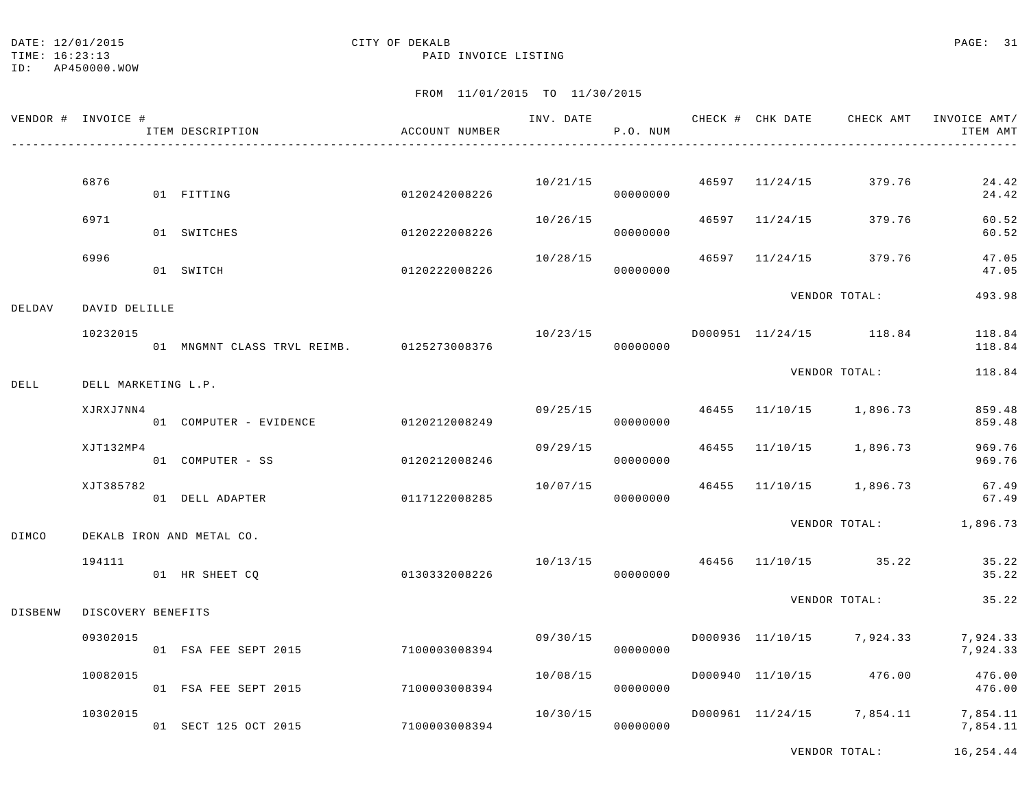TIME: 16:23:13 PAID INVOICE LISTING

# FROM 11/01/2015 TO 11/30/2015

|         | VENDOR # INVOICE #  | ITEM DESCRIPTION                          | ACCOUNT NUMBER |          | P.O. NUM             |  | INV. DATE 6 CHECK # CHK DATE CHECK AMT INVOICE AMT/ | ITEM AMT         |
|---------|---------------------|-------------------------------------------|----------------|----------|----------------------|--|-----------------------------------------------------|------------------|
|         | 6876                |                                           |                |          |                      |  | $10/21/15$ 46597 $11/24/15$ 379.76                  | 24.42            |
|         |                     | 01 FITTING                                | 0120242008226  |          | 00000000             |  |                                                     | 24.42            |
|         | 6971                | 01 SWITCHES                               | 0120222008226  | 10/26/15 | 00000000             |  | 46597 11/24/15 379.76                               | 60.52<br>60.52   |
|         | 6996                | 01 SWITCH                                 | 0120222008226  | 10/28/15 | 00000000             |  | 46597 11/24/15 379.76                               | 47.05<br>47.05   |
| DELDAV  | DAVID DELILLE       |                                           |                |          |                      |  | VENDOR TOTAL:                                       | 493.98           |
|         | 10232015            | 01 MNGMNT CLASS TRVL REIMB. 0125273008376 |                | 10/23/15 | 00000000             |  | D000951 11/24/15 118.84                             | 118.84<br>118.84 |
| DELL    | DELL MARKETING L.P. |                                           |                |          |                      |  | VENDOR TOTAL:                                       | 118.84           |
|         | XJRXJ7NN4           | 01 COMPUTER - EVIDENCE 0120212008249      |                |          | 09/25/15<br>00000000 |  | 46455 11/10/15 1,896.73                             | 859.48<br>859.48 |
|         | XJT132MP4           | 01 COMPUTER - SS                          | 0120212008246  | 09/29/15 | 00000000             |  | 46455 11/10/15 1,896.73                             | 969.76<br>969.76 |
|         | XJT385782           | 01 DELL ADAPTER                           | 0117122008285  |          | 00000000             |  | $10/07/15$ $46455$ $11/10/15$ $1,896.73$            | 67.49<br>67.49   |
| DIMCO   |                     | DEKALB IRON AND METAL CO.                 |                |          |                      |  | VENDOR TOTAL: 1,896.73                              |                  |
|         | 194111              | 01 HR SHEET CO                            | 0130332008226  | 10/13/15 | 00000000             |  | 46456 11/10/15 35.22                                | 35.22<br>35.22   |
| DISBENW | DISCOVERY BENEFITS  |                                           |                |          |                      |  | VENDOR TOTAL:                                       | 35.22            |
|         | 09302015            | 01 FSA FEE SEPT 2015 7100003008394        |                | 09/30/15 | 00000000             |  | D000936 11/10/15 7,924.33 7,924.33                  | 7,924.33         |
|         | 10082015            | 01 FSA FEE SEPT 2015                      | 7100003008394  | 10/08/15 | 00000000             |  | D000940 11/10/15 476.00                             | 476.00<br>476.00 |
|         | 10302015            | 01 SECT 125 OCT 2015                      | 7100003008394  | 10/30/15 | 00000000             |  | D000961 11/24/15 7,854.11 7,854.11                  | 7,854.11         |

VENDOR TOTAL: 16,254.44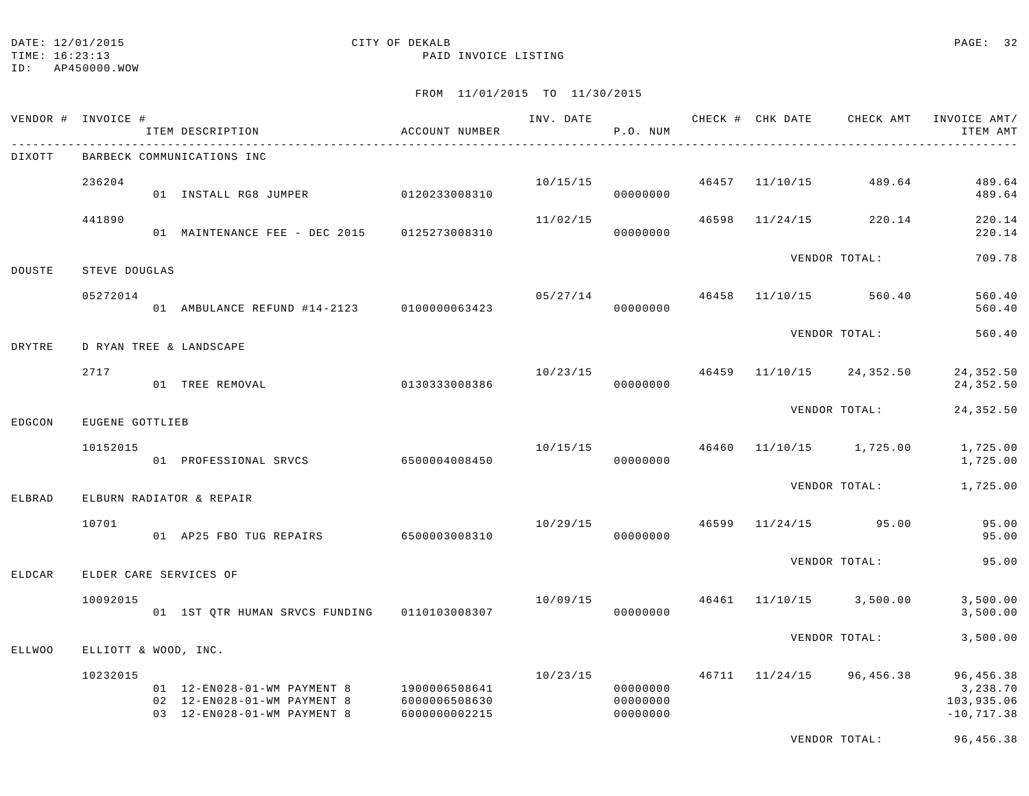# DATE: 12/01/2015 **CITY OF DEKALB** CITY OF DEXALB **PAGE:** 32

TIME: 16:23:13 PAID INVOICE LISTING

FROM 11/01/2015 TO 11/30/2015

|               | VENDOR # INVOICE #   | ITEM DESCRIPTION                                                                            | ACCOUNT NUMBER                                  | INV. DATE | P.O. NUM                         |       | CHECK # CHK DATE | CHECK AMT        | INVOICE AMT/<br>ITEM AMT                             |
|---------------|----------------------|---------------------------------------------------------------------------------------------|-------------------------------------------------|-----------|----------------------------------|-------|------------------|------------------|------------------------------------------------------|
| DIXOTT        |                      | BARBECK COMMUNICATIONS INC                                                                  |                                                 |           |                                  |       |                  |                  |                                                      |
|               | 236204               | 01 INSTALL RG8 JUMPER                                                                       | 0120233008310                                   | 10/15/15  | 00000000                         | 46457 | 11/10/15         | 489.64           | 489.64<br>489.64                                     |
|               | 441890               | 01 MAINTENANCE FEE - DEC 2015                                                               | 0125273008310                                   | 11/02/15  | 00000000                         | 46598 | 11/24/15         | 220.14           | 220.14<br>220.14                                     |
| DOUSTE        | STEVE DOUGLAS        |                                                                                             |                                                 |           |                                  |       |                  | VENDOR TOTAL:    | 709.78                                               |
|               | 05272014             | 01 AMBULANCE REFUND #14-2123 0100000063423                                                  |                                                 | 05/27/14  | 00000000                         | 46458 | 11/10/15         | 560.40           | 560.40<br>560.40                                     |
| DRYTRE        |                      | D RYAN TREE & LANDSCAPE                                                                     |                                                 |           |                                  |       |                  | VENDOR TOTAL:    | 560.40                                               |
|               | 2717                 | 01 TREE REMOVAL                                                                             | 0130333008386                                   | 10/23/15  | 00000000                         | 46459 | 11/10/15         | 24,352.50        | 24,352.50<br>24,352.50                               |
| EDGCON        | EUGENE GOTTLIEB      |                                                                                             |                                                 |           |                                  |       |                  | VENDOR TOTAL:    | 24,352.50                                            |
|               | 10152015             | 01 PROFESSIONAL SRVCS                                                                       | 6500004008450                                   | 10/15/15  | 00000000                         | 46460 | 11/10/15         | 1,725.00         | 1,725.00<br>1,725.00                                 |
| ELBRAD        |                      | ELBURN RADIATOR & REPAIR                                                                    |                                                 |           |                                  |       |                  | VENDOR TOTAL:    | 1,725.00                                             |
|               | 10701                | 01 AP25 FBO TUG REPAIRS                                                                     | 6500003008310                                   | 10/29/15  | 00000000                         | 46599 |                  | $11/24/15$ 95.00 | 95.00<br>95.00                                       |
| ELDCAR        |                      | ELDER CARE SERVICES OF                                                                      |                                                 |           |                                  |       |                  | VENDOR TOTAL:    | 95.00                                                |
|               | 10092015             | 01 1ST QTR HUMAN SRVCS FUNDING                                                              | 0110103008307                                   | 10/09/15  | 00000000                         |       | 46461 11/10/15   | 3,500.00         | 3,500.00<br>3,500.00                                 |
| <b>ELLWOO</b> | ELLIOTT & WOOD, INC. |                                                                                             |                                                 |           |                                  |       |                  | VENDOR TOTAL:    | 3,500.00                                             |
|               | 10232015             | 01  12-EN028-01-WM  PAYMENT 8<br>02 12-EN028-01-WM PAYMENT 8<br>03 12-EN028-01-WM PAYMENT 8 | 1900006508641<br>6000006508630<br>6000000002215 | 10/23/15  | 00000000<br>00000000<br>00000000 |       | 46711 11/24/15   | 96,456.38        | 96,456.38<br>3,238.70<br>103,935.06<br>$-10, 717.38$ |

VENDOR TOTAL: 96,456.38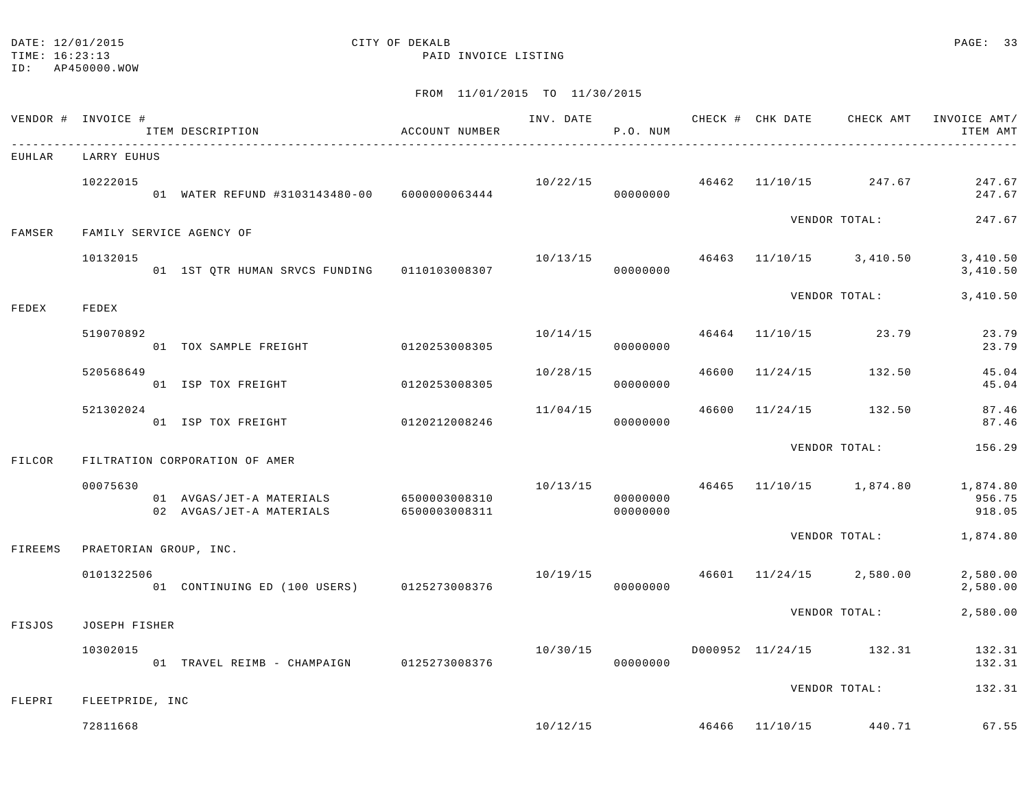#### DATE: 12/01/2015 CITY OF DEKALB PAGE: 33

TIME: 16:23:13 PAID INVOICE LISTING

ID: AP450000.WOW

|         | VENDOR # INVOICE #          | ITEM DESCRIPTION                                                   | ACCOUNT NUMBER |          | P.O. NUM             |  |                                          | INV. DATE 6 CHECK # CHK DATE CHECK AMT INVOICE AMT/<br>ITEM AMT |
|---------|-----------------------------|--------------------------------------------------------------------|----------------|----------|----------------------|--|------------------------------------------|-----------------------------------------------------------------|
| EUHLAR  | LARRY EUHUS                 |                                                                    |                |          |                      |  |                                          |                                                                 |
|         | 10222015                    | 01 WATER REFUND #3103143480-00 6000000063444                       |                | 00000000 |                      |  | $10/22/15$ $46462$ $11/10/15$ $247.67$   | 247.67<br>247.67                                                |
| FAMSER  | FAMILY SERVICE AGENCY OF    |                                                                    |                |          |                      |  | VENDOR TOTAL:                            | 247.67                                                          |
|         | 10132015                    |                                                                    |                |          | 00000000             |  | $10/13/15$ $46463$ $11/10/15$ $3,410.50$ | 3,410.50<br>3,410.50                                            |
| FEDEX   | FEDEX                       |                                                                    |                |          |                      |  |                                          | VENDOR TOTAL: 3,410.50                                          |
|         | 519070892                   | 01 TOX SAMPLE FREIGHT 0120253008305                                |                |          | 00000000             |  | $10/14/15$ $46464$ $11/10/15$ $23.79$    | 23.79<br>23.79                                                  |
|         | 520568649                   | 01 ISP TOX FREIGHT 0120253008305                                   |                | 10/28/15 | 00000000             |  | 46600 11/24/15 132.50                    | 45.04<br>45.04                                                  |
|         | 521302024                   | 01 ISP TOX FREIGHT                                                 | 0120212008246  | 11/04/15 | 00000000             |  | 46600 11/24/15 132.50                    | 87.46<br>87.46                                                  |
| FILCOR  |                             | FILTRATION CORPORATION OF AMER                                     |                |          |                      |  | VENDOR TOTAL:                            | 156.29                                                          |
|         | 00075630                    | 01 AVGAS/JET-A MATERIALS 6500003008310<br>02 AVGAS/JET-A MATERIALS | 6500003008311  | 10/13/15 | 00000000<br>00000000 |  |                                          | 46465 11/10/15 1,874.80 1,874.80<br>956.75<br>918.05            |
| FIREEMS | PRAETORIAN GROUP, INC.      |                                                                    |                |          |                      |  |                                          | VENDOR TOTAL: 1,874.80                                          |
|         | 0101322506                  | 01 CONTINUING ED (100 USERS) 0125273008376                         |                |          | 00000000             |  | $10/19/15$ $46601$ $11/24/15$ $2,580.00$ | 2,580.00<br>2,580.00                                            |
| FISJOS  | JOSEPH FISHER               |                                                                    |                |          |                      |  | VENDOR TOTAL:                            | 2,580.00                                                        |
|         | 10302015                    | 01 TRAVEL REIMB - CHAMPAIGN 0125273008376                          |                | 10/30/15 | 00000000             |  | D000952 11/24/15 132.31                  | 132.31<br>132.31                                                |
| FLEPRI  |                             |                                                                    |                |          |                      |  | VENDOR TOTAL:                            | 132.31                                                          |
|         | FLEETPRIDE, INC<br>72811668 |                                                                    |                |          |                      |  | $10/12/15$ $46466$ $11/10/15$ $440.71$   | 67.55                                                           |
|         |                             |                                                                    |                |          |                      |  |                                          |                                                                 |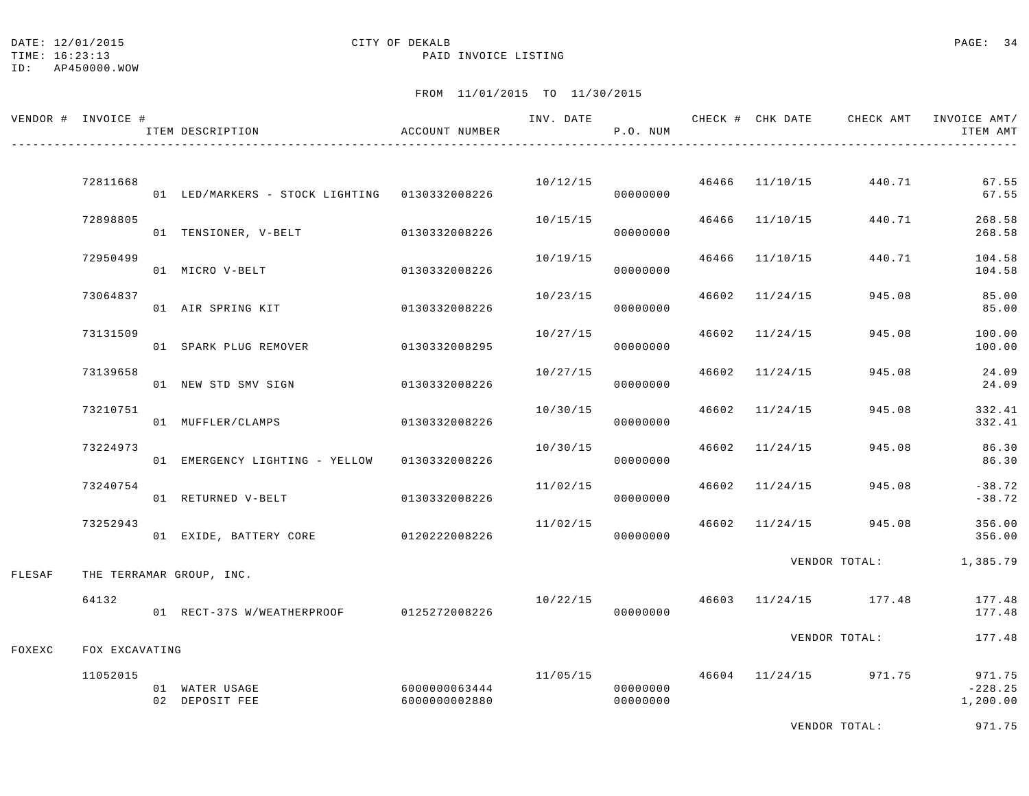## DATE: 12/01/2015 CITY OF DEKALB PAGE: 34

TIME: 16:23:13 PAID INVOICE LISTING

ID: AP450000.WOW

|        | VENDOR # INVOICE # | ITEM DESCRIPTION                              | ACCOUNT NUMBER                 | INV. DATE | P.O. NUM             |       | CHECK # CHK DATE            | CHECK AMT             | INVOICE AMT/<br>ITEM AMT        |
|--------|--------------------|-----------------------------------------------|--------------------------------|-----------|----------------------|-------|-----------------------------|-----------------------|---------------------------------|
|        | 72811668           | 01 LED/MARKERS - STOCK LIGHTING 0130332008226 |                                |           | 00000000             |       | $10/12/15$ 46466 $11/10/15$ | 440.71                | 67.55<br>67.55                  |
|        | 72898805           | 01 TENSIONER, V-BELT                          | 0130332008226                  | 10/15/15  | 00000000             |       | 46466 11/10/15              | 440.71                | 268.58<br>268.58                |
|        | 72950499           | 01 MICRO V-BELT                               | 0130332008226                  | 10/19/15  | 00000000             | 46466 | 11/10/15                    | 440.71                | 104.58<br>104.58                |
|        | 73064837           | 01 AIR SPRING KIT                             | 0130332008226                  | 10/23/15  | 00000000             | 46602 | 11/24/15                    | 945.08                | 85.00<br>85.00                  |
|        | 73131509           | 01 SPARK PLUG REMOVER                         | 0130332008295                  | 10/27/15  | 00000000             | 46602 | 11/24/15                    | 945.08                | 100.00<br>100.00                |
|        | 73139658           | 01 NEW STD SMV SIGN                           | 0130332008226                  | 10/27/15  | 00000000             |       | 46602 11/24/15              | 945.08                | 24.09<br>24.09                  |
|        | 73210751           | 01 MUFFLER/CLAMPS                             | 0130332008226                  | 10/30/15  | 00000000             | 46602 | 11/24/15                    | 945.08                | 332.41<br>332.41                |
|        | 73224973           | 01 EMERGENCY LIGHTING - YELLOW                | 0130332008226                  | 10/30/15  | 00000000             | 46602 | 11/24/15                    | 945.08                | 86.30<br>86.30                  |
|        | 73240754           | 01 RETURNED V-BELT                            | 0130332008226                  | 11/02/15  | 00000000             |       | 46602 11/24/15              | 945.08                | $-38.72$<br>$-38.72$            |
|        | 73252943           | 01 EXIDE, BATTERY CORE 0120222008226          |                                | 11/02/15  | 00000000             |       |                             | 46602 11/24/15 945.08 | 356.00<br>356.00                |
| FLESAF |                    | THE TERRAMAR GROUP, INC.                      |                                |           |                      |       |                             | VENDOR TOTAL:         | 1,385.79                        |
|        | 64132              | 01 RECT-37S W/WEATHERPROOF 0125272008226      |                                | 10/22/15  | 00000000             |       |                             | 46603 11/24/15 177.48 | 177.48<br>177.48                |
| FOXEXC | FOX EXCAVATING     |                                               |                                |           |                      |       |                             | VENDOR TOTAL:         | 177.48                          |
|        | 11052015           | 01 WATER USAGE<br>02 DEPOSIT FEE              | 6000000063444<br>6000000002880 | 11/05/15  | 00000000<br>00000000 |       |                             | 46604 11/24/15 971.75 | 971.75<br>$-228.25$<br>1,200.00 |
|        |                    |                                               |                                |           |                      |       |                             | VENDOR TOTAL:         | 971.75                          |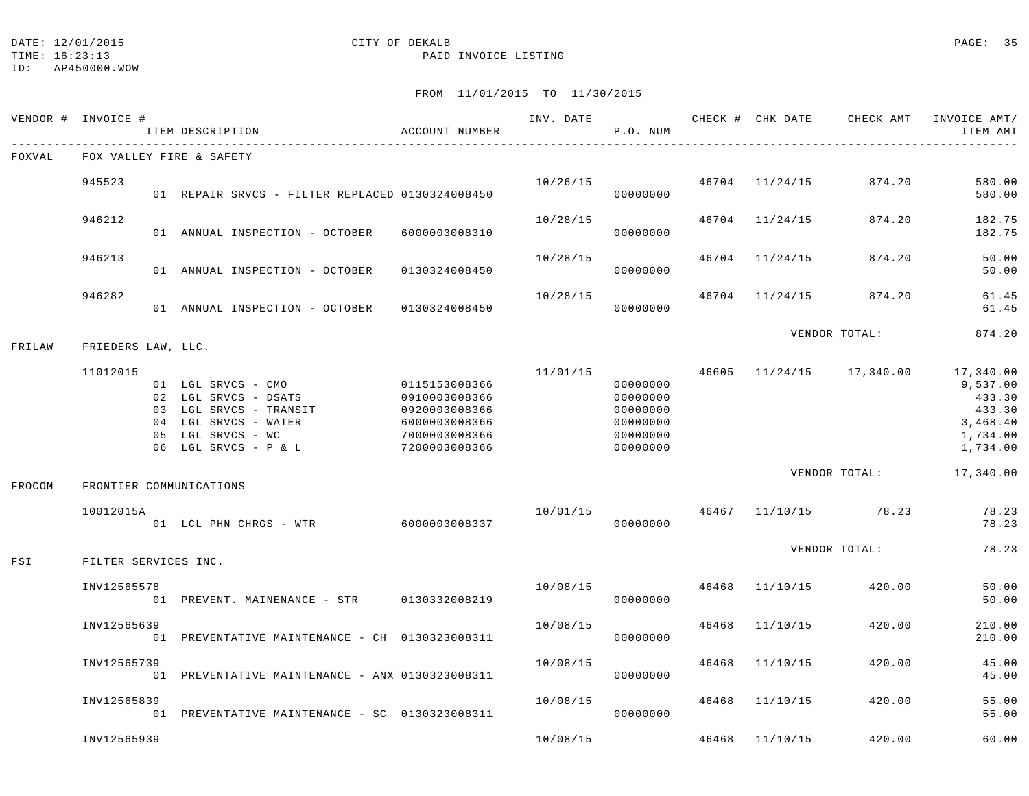#### DATE: 12/01/2015 **CITY OF DEKALB** CITY OF DEXALB **PAGE:** 35

TIME: 16:23:13 PAID INVOICE LISTING

ID: AP450000.WOW

| VENDOR # INVOICE # |                      | ITEM DESCRIPTION                                                                                                                          | ACCOUNT NUMBER                                                                                     | INV. DATE | P.O. NUM                                                             |       |                | CHECK # CHK DATE 6 CHECK AMT INVOICE AMT | ITEM AMT                                                                      |
|--------------------|----------------------|-------------------------------------------------------------------------------------------------------------------------------------------|----------------------------------------------------------------------------------------------------|-----------|----------------------------------------------------------------------|-------|----------------|------------------------------------------|-------------------------------------------------------------------------------|
| FOXVAL             |                      | FOX VALLEY FIRE & SAFETY                                                                                                                  |                                                                                                    |           |                                                                      |       |                |                                          |                                                                               |
|                    | 945523               | 01 REPAIR SRVCS - FILTER REPLACED 0130324008450                                                                                           |                                                                                                    |           | 10/26/15<br>00000000                                                 |       | 46704 11/24/15 | 874.20                                   | 580.00<br>580.00                                                              |
|                    | 946212               | 01 ANNUAL INSPECTION - OCTOBER 6000003008310                                                                                              |                                                                                                    | 10/28/15  | 00000000                                                             |       | 46704 11/24/15 | 874.20                                   | 182.75<br>182.75                                                              |
|                    | 946213               | 01 ANNUAL INSPECTION - OCTOBER                                                                                                            | 0130324008450                                                                                      | 10/28/15  | 00000000                                                             |       | 46704 11/24/15 | 874.20                                   | 50.00<br>50.00                                                                |
|                    | 946282               | 01 ANNUAL INSPECTION - OCTOBER                                                                                                            | 0130324008450                                                                                      | 10/28/15  | 00000000                                                             |       | 46704 11/24/15 | 874.20                                   | 61.45<br>61.45                                                                |
| FRILAW             | FRIEDERS LAW, LLC.   |                                                                                                                                           |                                                                                                    |           |                                                                      |       |                | VENDOR TOTAL:                            | 874.20                                                                        |
|                    | 11012015             | 01 LGL SRVCS - CMO<br>02 LGL SRVCS - DSATS<br>03 LGL SRVCS - TRANSIT<br>04 LGL SRVCS - WATER<br>05 LGL SRVCS - WC<br>06 LGL SRVCS - P & L | 0115153008366<br>0910003008366<br>0920003008366<br>6000003008366<br>7000003008366<br>7200003008366 | 11/01/15  | 00000000<br>00000000<br>00000000<br>00000000<br>00000000<br>00000000 |       |                | 46605 11/24/15 17,340.00                 | 17,340.00<br>9,537.00<br>433.30<br>433.30<br>3,468.40<br>1,734.00<br>1,734.00 |
| FROCOM             |                      | FRONTIER COMMUNICATIONS                                                                                                                   |                                                                                                    |           |                                                                      |       |                | VENDOR TOTAL:                            | 17,340.00                                                                     |
|                    | 10012015A            | 01 LCL PHN CHRGS - WTR                                                                                                                    | 6000003008337                                                                                      | 10/01/15  | 00000000                                                             |       |                | 46467 11/10/15 78.23                     | 78.23<br>78.23                                                                |
| FSI                | FILTER SERVICES INC. |                                                                                                                                           |                                                                                                    |           |                                                                      |       |                | VENDOR TOTAL:                            | 78.23                                                                         |
|                    | INV12565578          | 01 PREVENT. MAINENANCE - STR 0130332008219                                                                                                |                                                                                                    | 10/08/15  | 00000000                                                             | 46468 | 11/10/15       | 420.00                                   | 50.00<br>50.00                                                                |
|                    | INV12565639          | 01 PREVENTATIVE MAINTENANCE - CH 0130323008311                                                                                            |                                                                                                    | 10/08/15  | 00000000                                                             | 46468 | 11/10/15       | 420.00                                   | 210.00<br>210.00                                                              |
|                    | INV12565739          | 01 PREVENTATIVE MAINTENANCE - ANX 0130323008311                                                                                           |                                                                                                    | 10/08/15  | 00000000                                                             | 46468 | 11/10/15       | 420.00                                   | 45.00<br>45.00                                                                |
|                    | INV12565839          | 01 PREVENTATIVE MAINTENANCE - SC 0130323008311                                                                                            |                                                                                                    | 10/08/15  | 00000000                                                             |       | 46468 11/10/15 | 420.00                                   | 55.00<br>55.00                                                                |
|                    | INV12565939          |                                                                                                                                           |                                                                                                    | 10/08/15  |                                                                      |       | 46468 11/10/15 | 420.00                                   | 60.00                                                                         |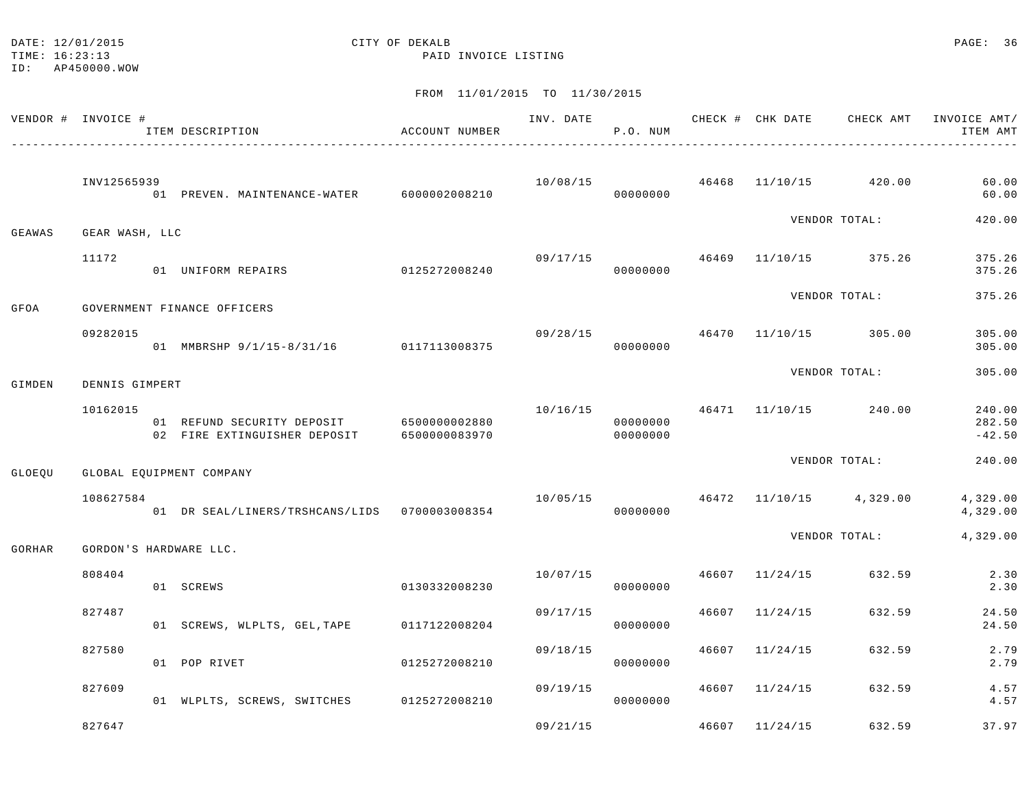| DATE: 12/01/2015         |  |
|--------------------------|--|
| m T M T + 16 + 0 0 + 1 0 |  |

## CITY OF DEKALB PAGE: 36

TIME: 16:23:13 PAID INVOICE LISTING

|               | VENDOR # INVOICE #          |                | ITEM DESCRIPTION                                           | ACCOUNT NUMBER                 | INV. DATE | P.O. NUM             |               | CHECK # CHK DATE | CHECK AMT                              | INVOICE AMT/<br>ITEM AMT     |
|---------------|-----------------------------|----------------|------------------------------------------------------------|--------------------------------|-----------|----------------------|---------------|------------------|----------------------------------------|------------------------------|
|               | INV12565939                 |                | 01 PREVEN. MAINTENANCE-WATER 6000002008210                 |                                |           | 00000000             |               |                  | $10/08/15$ $46468$ $11/10/15$ $420.00$ | 60.00<br>60.00               |
| GEAWAS        | GEAR WASH, LLC              |                |                                                            |                                |           |                      | VENDOR TOTAL: | 420.00           |                                        |                              |
|               | 11172                       |                | 01 UNIFORM REPAIRS                                         | 0125272008240                  | 09/17/15  | 00000000             |               |                  | 46469 11/10/15 375.26                  | 375.26<br>375.26             |
| GFOA          | GOVERNMENT FINANCE OFFICERS |                |                                                            |                                |           |                      |               | VENDOR TOTAL:    | 375.26                                 |                              |
|               | 09282015                    |                | 01 MMBRSHP 9/1/15-8/31/16 0117113008375                    |                                | 09/28/15  | 00000000             |               |                  | 46470 11/10/15 305.00                  | 305.00<br>305.00             |
| GIMDEN        |                             | DENNIS GIMPERT |                                                            |                                |           |                      |               | VENDOR TOTAL:    | 305.00                                 |                              |
|               | 10162015                    |                | 01 REFUND SECURITY DEPOSIT<br>02 FIRE EXTINGUISHER DEPOSIT | 6500000002880<br>6500000083970 |           | 00000000<br>00000000 |               |                  | $10/16/15$ $46471$ $11/10/15$ $240.00$ | 240.00<br>282.50<br>$-42.50$ |
| <b>GLOEOU</b> | GLOBAL EQUIPMENT COMPANY    |                |                                                            |                                |           |                      | VENDOR TOTAL: | 240.00           |                                        |                              |
|               | 108627584                   |                | 01 DR SEAL/LINERS/TRSHCANS/LIDS 0700003008354              |                                | 10/05/15  | 00000000             |               |                  | 46472 11/10/15 4,329.00                | 4,329.00<br>4,329.00         |
| GORHAR        |                             |                | GORDON'S HARDWARE LLC.                                     |                                |           |                      |               | VENDOR TOTAL:    |                                        | 4,329.00                     |
|               | 808404                      |                | 01 SCREWS                                                  | 0130332008230                  | 10/07/15  | 00000000             |               | 46607 11/24/15   | 632.59                                 | 2.30<br>2.30                 |
|               | 827487                      |                | 01 SCREWS, WLPLTS, GEL, TAPE                               | 0117122008204                  | 09/17/15  | 00000000             | 46607         | 11/24/15         | 632.59                                 | 24.50<br>24.50               |
|               | 827580                      |                | 01 POP RIVET                                               | 0125272008210                  | 09/18/15  | 00000000             |               | 46607 11/24/15   | 632.59                                 | 2.79<br>2.79                 |
|               | 827609                      |                | 01 WLPLTS, SCREWS, SWITCHES 0125272008210                  |                                | 09/19/15  | 00000000             |               | 46607 11/24/15   | 632.59                                 | 4.57<br>4.57                 |
|               | 827647                      |                |                                                            |                                | 09/21/15  |                      |               | 46607 11/24/15   | 632.59                                 | 37.97                        |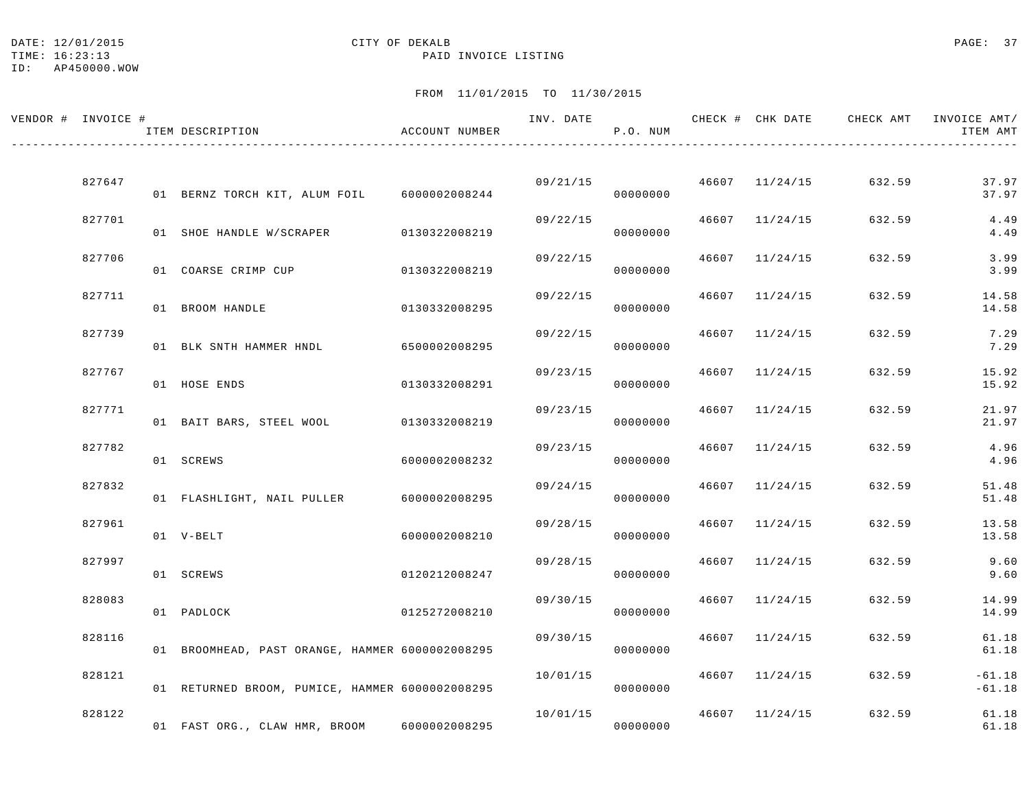#### DATE: 12/01/2015 **CITY OF DEKALB** CITY OF DEXALB **PAGE: 37**

TIME: 16:23:13 PAID INVOICE LISTING

ID: AP450000.WOW

| VENDOR # INVOICE # | ITEM DESCRIPTION                                | ACCOUNT NUMBER |          | P.O. NUM             |       |                | INV. DATE 6 CHECK # CHK DATE CHECK AMT INVOICE AMT/ | ITEM AMT             |
|--------------------|-------------------------------------------------|----------------|----------|----------------------|-------|----------------|-----------------------------------------------------|----------------------|
|                    |                                                 |                |          |                      |       |                |                                                     |                      |
| 827647             | 01 BERNZ TORCH KIT, ALUM FOIL 6000002008244     |                |          | 09/21/15<br>00000000 |       | 46607 11/24/15 | 632.59                                              | 37.97<br>37.97       |
| 827701             | 01 SHOE HANDLE W/SCRAPER                        | 0130322008219  | 09/22/15 | 00000000             |       | 46607 11/24/15 | 632.59                                              | 4.49<br>4.49         |
| 827706             | 01 COARSE CRIMP CUP                             | 0130322008219  | 09/22/15 | 00000000             |       | 46607 11/24/15 | 632.59                                              | 3.99<br>3.99         |
| 827711             | 01 BROOM HANDLE                                 | 0130332008295  | 09/22/15 | 00000000             |       | 46607 11/24/15 | 632.59                                              | 14.58<br>14.58       |
| 827739             | 01 BLK SNTH HAMMER HNDL                         | 6500002008295  | 09/22/15 | 00000000             | 46607 | 11/24/15       | 632.59                                              | 7.29<br>7.29         |
| 827767             | 01 HOSE ENDS                                    | 0130332008291  | 09/23/15 | 00000000             |       | 46607 11/24/15 | 632.59                                              | 15.92<br>15.92       |
| 827771             | 01 BAIT BARS, STEEL WOOL                        | 0130332008219  | 09/23/15 | 00000000             |       | 46607 11/24/15 | 632.59                                              | 21.97<br>21.97       |
| 827782             | 01 SCREWS                                       | 6000002008232  | 09/23/15 | 00000000             | 46607 | 11/24/15       | 632.59                                              | 4.96<br>4.96         |
| 827832             | 01 FLASHLIGHT, NAIL PULLER                      | 6000002008295  | 09/24/15 | 00000000             |       | 46607 11/24/15 | 632.59                                              | 51.48<br>51.48       |
| 827961             | 01 V-BELT                                       | 6000002008210  | 09/28/15 | 00000000             |       | 46607 11/24/15 | 632.59                                              | 13.58<br>13.58       |
| 827997             | 01 SCREWS                                       | 0120212008247  | 09/28/15 | 00000000             |       | 46607 11/24/15 | 632.59                                              | 9.60<br>9.60         |
| 828083             | 01 PADLOCK                                      | 0125272008210  | 09/30/15 | 00000000             |       | 46607 11/24/15 | 632.59                                              | 14.99<br>14.99       |
| 828116             | 01 BROOMHEAD, PAST ORANGE, HAMMER 6000002008295 |                | 09/30/15 | 00000000             |       | 46607 11/24/15 | 632.59                                              | 61.18<br>61.18       |
| 828121             | 01 RETURNED BROOM, PUMICE, HAMMER 6000002008295 |                | 10/01/15 | 00000000             |       | 46607 11/24/15 | 632.59                                              | $-61.18$<br>$-61.18$ |
| 828122             | 01 FAST ORG., CLAW HMR, BROOM                   | 6000002008295  | 10/01/15 | 00000000             |       | 46607 11/24/15 | 632.59                                              | 61.18<br>61.18       |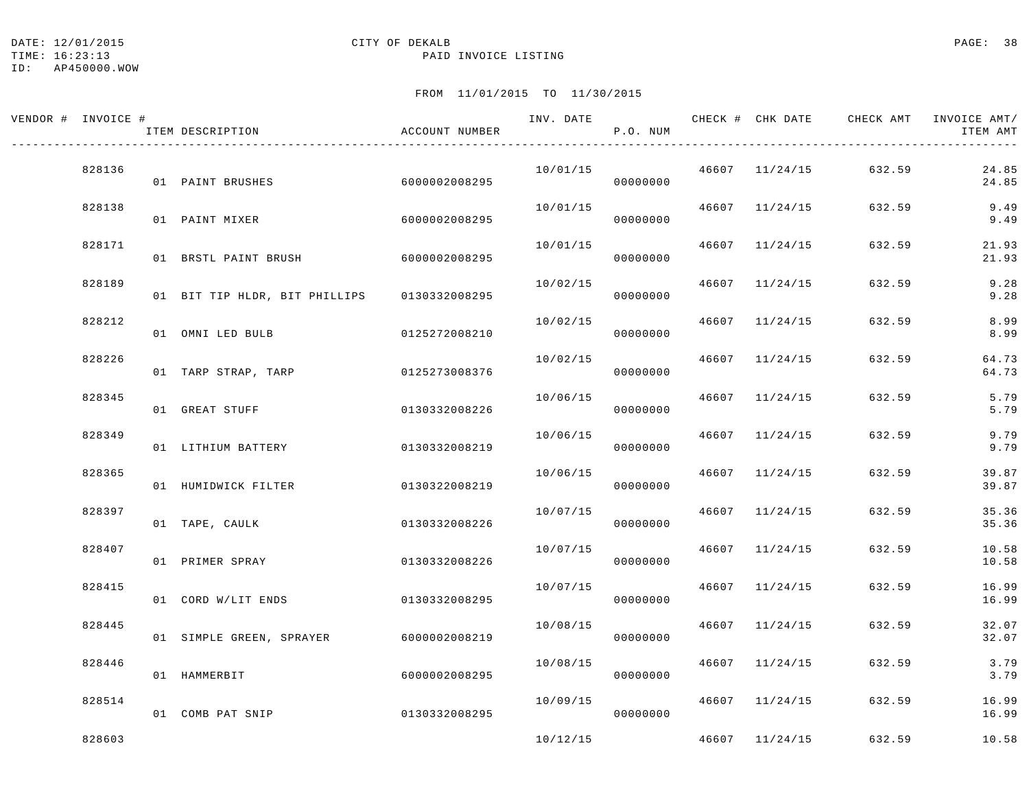TIME: 16:23:13 PAID INVOICE LISTING

ID: AP450000.WOW

| VENDOR # INVOICE # | ITEM DESCRIPTION                       | ACCOUNT NUMBER |          | P.O. NUM |       |                | INV. DATE 6 1999 CHECK # CHK DATE 6 CHECK AMT INVOICE AMT/ | ITEM AMT       |
|--------------------|----------------------------------------|----------------|----------|----------|-------|----------------|------------------------------------------------------------|----------------|
| 828136             | 01 PAINT BRUSHES                       | 6000002008295  | 10/01/15 | 00000000 |       | 46607 11/24/15 | 632.59                                                     | 24.85<br>24.85 |
| 828138             | 01 PAINT MIXER                         | 6000002008295  | 10/01/15 | 00000000 |       | 46607 11/24/15 | 632.59                                                     | 9.49<br>9.49   |
| 828171             | 01 BRSTL PAINT BRUSH                   | 60000002008295 | 10/01/15 | 00000000 |       | 46607 11/24/15 | 632.59                                                     | 21.93<br>21.93 |
| 828189             | 01 BIT TIP HLDR, BIT PHILLIPS          | 0130332008295  | 10/02/15 | 00000000 |       | 46607 11/24/15 | 632.59                                                     | 9.28<br>9.28   |
| 828212             | 01 OMNI LED BULB                       | 0125272008210  | 10/02/15 | 00000000 |       | 46607 11/24/15 | 632.59                                                     | 8.99<br>8.99   |
| 828226             | 01 TARP STRAP, TARP                    | 0125273008376  | 10/02/15 | 00000000 |       | 46607 11/24/15 | 632.59                                                     | 64.73<br>64.73 |
| 828345             | 01 GREAT STUFF                         | 0130332008226  | 10/06/15 | 00000000 |       | 46607 11/24/15 | 632.59                                                     | 5.79<br>5.79   |
| 828349             | 01 LITHIUM BATTERY                     | 0130332008219  | 10/06/15 | 00000000 | 46607 | 11/24/15       | 632.59                                                     | 9.79<br>9.79   |
| 828365             | 01 HUMIDWICK FILTER                    | 0130322008219  | 10/06/15 | 00000000 |       | 46607 11/24/15 | 632.59                                                     | 39.87<br>39.87 |
| 828397             | 01 TAPE, CAULK                         | 0130332008226  | 10/07/15 | 00000000 |       | 46607 11/24/15 | 632.59                                                     | 35.36<br>35.36 |
| 828407             | 01 PRIMER SPRAY                        | 0130332008226  | 10/07/15 | 00000000 |       | 46607 11/24/15 | 632.59                                                     | 10.58<br>10.58 |
| 828415             | 01 CORD W/LIT ENDS                     | 0130332008295  | 10/07/15 | 00000000 |       | 46607 11/24/15 | 632.59                                                     | 16.99<br>16.99 |
| 828445             | 01 SIMPLE GREEN, SPRAYER 6000002008219 |                | 10/08/15 | 00000000 |       | 46607 11/24/15 | 632.59                                                     | 32.07<br>32.07 |
| 828446             | 01 HAMMERBIT                           | 6000002008295  | 10/08/15 | 00000000 |       | 46607 11/24/15 | 632.59                                                     | 3.79<br>3.79   |
| 828514             | 01 COMB PAT SNIP                       | 0130332008295  | 10/09/15 | 00000000 |       | 46607 11/24/15 | 632.59                                                     | 16.99<br>16.99 |
| 828603             |                                        |                | 10/12/15 |          |       | 46607 11/24/15 | 632.59                                                     | 10.58          |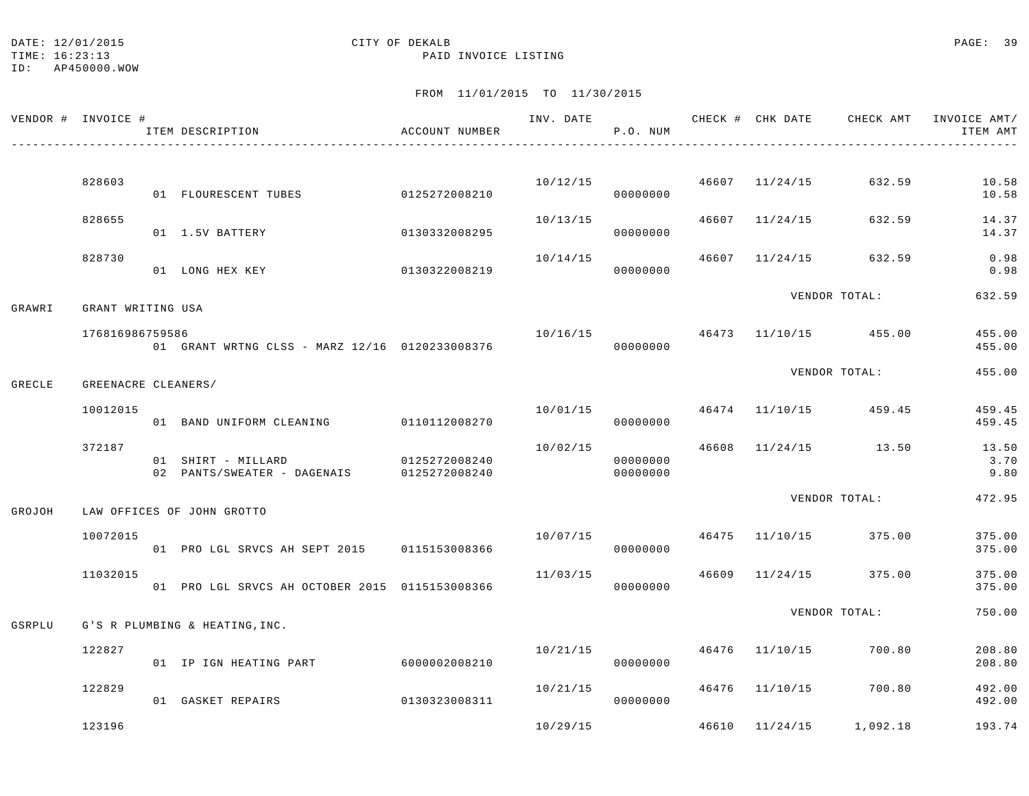TIME: 16:23:13 PAID INVOICE LISTING

ID: AP450000.WOW

|        | VENDOR # INVOICE #  | ITEM DESCRIPTION<br>_____________________________ | ACCOUNT NUMBER                 |          | INV. DATE<br>P.O. NUM |                | CHECK # CHK DATE CHECK AMT           | INVOICE AMT/<br>ITEM AMT |
|--------|---------------------|---------------------------------------------------|--------------------------------|----------|-----------------------|----------------|--------------------------------------|--------------------------|
|        |                     |                                                   |                                |          |                       |                |                                      |                          |
|        | 828603              | 01 FLOURESCENT TUBES                              | 0125272008210                  |          | 00000000              |                | $10/12/15$ $46607$ $11/24/15$ 632.59 | 10.58<br>10.58           |
|        | 828655              | 01 1.5V BATTERY                                   | 0130332008295                  | 10/13/15 | 00000000              | 46607 11/24/15 | 632.59                               | 14.37<br>14.37           |
|        | 828730              | 01 LONG HEX KEY                                   | 0130322008219                  | 10/14/15 | 00000000              |                | 46607 11/24/15 632.59                | 0.98<br>0.98             |
| GRAWRI | GRANT WRITING USA   |                                                   |                                |          |                       |                | VENDOR TOTAL:                        | 632.59                   |
|        | 176816986759586     | 01 GRANT WRTNG CLSS - MARZ 12/16 0120233008376    |                                | 10/16/15 | 00000000              |                | 46473 11/10/15 455.00                | 455.00<br>455.00         |
| GRECLE | GREENACRE CLEANERS/ |                                                   |                                |          |                       |                | VENDOR TOTAL:                        | 455.00                   |
|        | 10012015            |                                                   |                                | 10/01/15 |                       |                | 46474 11/10/15 459.45                | 459.45                   |
|        |                     | 01 BAND UNIFORM CLEANING 0110112008270            |                                |          | 00000000              |                |                                      | 459.45                   |
|        | 372187              | 01 SHIRT - MILLARD<br>02 PANTS/SWEATER - DAGENAIS | 0125272008240<br>0125272008240 | 10/02/15 | 00000000<br>00000000  |                | 46608 11/24/15 13.50                 | 13.50<br>3.70<br>9.80    |
|        |                     |                                                   |                                |          |                       |                | VENDOR TOTAL:                        | 472.95                   |
| GROJOH |                     | LAW OFFICES OF JOHN GROTTO                        |                                |          |                       |                |                                      |                          |
|        | 10072015            | 01 PRO LGL SRVCS AH SEPT 2015 0115153008366       |                                | 10/07/15 | 00000000              |                | 46475 11/10/15 375.00                | 375.00<br>375.00         |
|        | 11032015            | 01 PRO LGL SRVCS AH OCTOBER 2015 0115153008366    |                                | 11/03/15 | 00000000              |                | 46609 11/24/15 375.00                | 375.00<br>375.00         |
| GSRPLU |                     | G'S R PLUMBING & HEATING, INC.                    |                                |          |                       |                | VENDOR TOTAL:                        | 750.00                   |
|        | 122827              |                                                   |                                | 10/21/15 |                       | 46476 11/10/15 | 700.80                               | 208.80                   |
|        |                     | 01 IP IGN HEATING PART                            | 60000002008210                 |          | 00000000              |                |                                      | 208.80                   |
|        | 122829              | 01 GASKET REPAIRS                                 | 0130323008311                  | 10/21/15 | 00000000              | 46476 11/10/15 | 700.80                               | 492.00<br>492.00         |
|        | 123196              |                                                   |                                | 10/29/15 |                       | 46610 11/24/15 | 1,092.18                             | 193.74                   |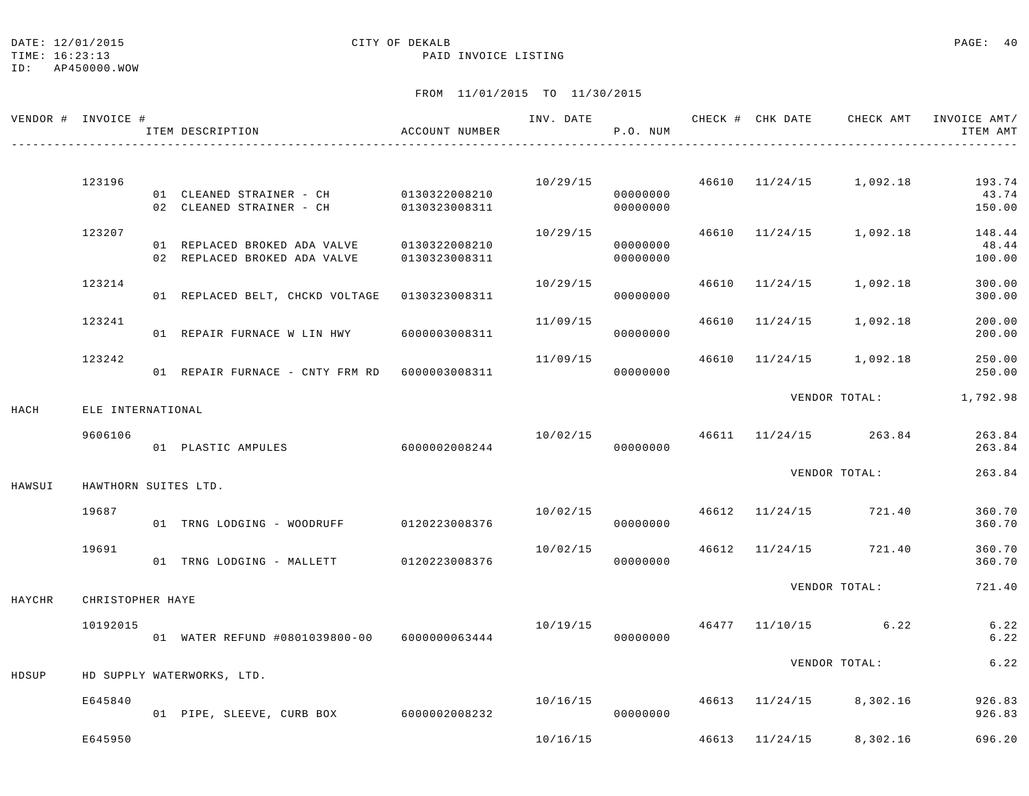#### DATE: 12/01/2015 CITY OF DEKALB PAGE: 40

#### TIME: 16:23:13 PAID INVOICE LISTING

|        | VENDOR # INVOICE #   | ITEM DESCRIPTION                                                                 | ACCOUNT NUMBER                 |          | P.O. NUM             |                | INV. DATE 6 CHECK # CHK DATE CHECK AMT INVOICE AMT/ | ITEM AMT                  |
|--------|----------------------|----------------------------------------------------------------------------------|--------------------------------|----------|----------------------|----------------|-----------------------------------------------------|---------------------------|
|        | 123196               |                                                                                  |                                |          | 10/29/15             |                | 46610 11/24/15 1,092.18                             | 193.74                    |
|        |                      | 01 CLEANED STRAINER - CH 0130322008210<br>02 CLEANED STRAINER - CH 0130323008311 |                                |          | 00000000<br>00000000 |                |                                                     | 43.74<br>150.00           |
|        | 123207               | 01 REPLACED BROKED ADA VALVE<br>02 REPLACED BROKED ADA VALVE                     | 0130322008210<br>0130323008311 | 10/29/15 | 00000000<br>00000000 |                | 46610 11/24/15 1,092.18                             | 148.44<br>48.44<br>100.00 |
|        | 123214               | 01 REPLACED BELT, CHCKD VOLTAGE 0130323008311                                    |                                | 10/29/15 | 00000000             |                | 46610 11/24/15 1,092.18                             | 300.00<br>300.00          |
|        | 123241               | 01 REPAIR FURNACE W LIN HWY                                                      | 6000003008311                  | 11/09/15 | 00000000             | 46610 11/24/15 | 1,092.18                                            | 200.00<br>200.00          |
|        | 123242               | 01 REPAIR FURNACE - CNTY FRM RD 6000003008311                                    |                                | 11/09/15 | 00000000             |                | 46610 11/24/15 1,092.18                             | 250.00<br>250.00          |
| HACH   | ELE INTERNATIONAL    |                                                                                  |                                |          |                      |                | VENDOR TOTAL:                                       | 1,792.98                  |
|        | 9606106              | 01 PLASTIC AMPULES                                                               | 6000002008244                  | 10/02/15 | 00000000             |                | 46611 11/24/15 263.84                               | 263.84<br>263.84          |
| HAWSUI | HAWTHORN SUITES LTD. |                                                                                  |                                |          |                      |                | VENDOR TOTAL:                                       | 263.84                    |
|        | 19687                | 01 TRNG LODGING - WOODRUFF 0120223008376                                         |                                | 10/02/15 | 00000000             |                | 46612 11/24/15 721.40                               | 360.70<br>360.70          |
|        | 19691                | 01 TRNG LODGING - MALLETT 0120223008376                                          |                                | 10/02/15 | 00000000             |                | 46612 11/24/15 721.40                               | 360.70<br>360.70          |
| HAYCHR | CHRISTOPHER HAYE     |                                                                                  |                                |          |                      |                | VENDOR TOTAL:                                       | 721.40                    |
|        | 10192015             | 01 WATER REFUND #0801039800-00 6000000063444                                     |                                | 10/19/15 | 00000000             |                | 46477 11/10/15 6.22                                 | 6.22<br>6.22              |
| HDSUP  |                      | HD SUPPLY WATERWORKS, LTD.                                                       |                                |          |                      |                | VENDOR TOTAL:                                       | 6.22                      |
|        | E645840              | 01 PIPE, SLEEVE, CURB BOX 6000002008232                                          |                                | 10/16/15 | 00000000             |                | 46613 11/24/15 8,302.16                             | 926.83<br>926.83          |
|        | E645950              |                                                                                  |                                | 10/16/15 |                      | 46613 11/24/15 | 8,302.16                                            | 696.20                    |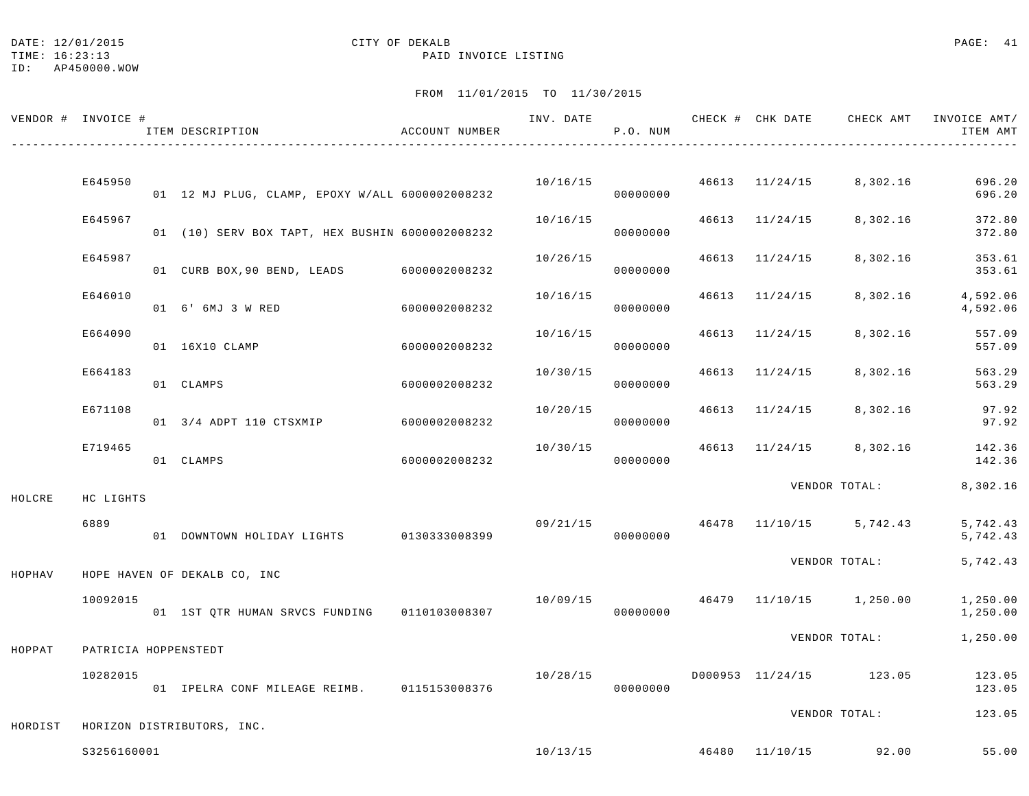TIME: 16:23:13 PAID INVOICE LISTING

ID: AP450000.WOW

| VENDOR # INVOICE # |                      | ITEM DESCRIPTION                                | ACCOUNT NUMBER | INV. DATE | P.O. NUM |                | CHECK # CHK DATE CHECK AMT               | INVOICE AMT/<br>ITEM AMT |
|--------------------|----------------------|-------------------------------------------------|----------------|-----------|----------|----------------|------------------------------------------|--------------------------|
|                    | E645950              |                                                 |                |           | 10/16/15 | 46613 11/24/15 | 8,302.16                                 | 696.20                   |
|                    |                      | 01 12 MJ PLUG, CLAMP, EPOXY W/ALL 6000002008232 |                |           | 00000000 |                |                                          | 696.20                   |
|                    | E645967              | 01 (10) SERV BOX TAPT, HEX BUSHIN 6000002008232 |                | 10/16/15  | 00000000 | 46613 11/24/15 | 8,302.16                                 | 372.80<br>372.80         |
|                    | E645987              | 01 CURB BOX, 90 BEND, LEADS                     | 6000002008232  | 10/26/15  | 00000000 | 46613 11/24/15 | 8,302.16                                 | 353.61<br>353.61         |
|                    | E646010              | 01 6' 6MJ 3 W RED                               | 6000002008232  | 10/16/15  | 00000000 | 46613 11/24/15 | 8,302.16                                 | 4,592.06<br>4,592.06     |
|                    | E664090              | 01 16X10 CLAMP                                  | 6000002008232  | 10/16/15  | 00000000 | 46613 11/24/15 | 8,302.16                                 | 557.09<br>557.09         |
|                    | E664183              | 01 CLAMPS                                       | 6000002008232  | 10/30/15  | 00000000 | 46613 11/24/15 | 8,302.16                                 | 563.29<br>563.29         |
|                    | E671108              | 01 3/4 ADPT 110 CTSXMIP                         | 6000002008232  | 10/20/15  | 00000000 | 46613 11/24/15 | 8,302.16                                 | 97.92<br>97.92           |
|                    | E719465              | 01 CLAMPS                                       | 6000002008232  | 10/30/15  | 00000000 | 46613 11/24/15 | 8,302.16                                 | 142.36<br>142.36         |
| HOLCRE             | HC LIGHTS            |                                                 |                |           |          |                | VENDOR TOTAL:                            | 8,302.16                 |
|                    | 6889                 | 01 DOWNTOWN HOLIDAY LIGHTS 0130333008399        |                | 09/21/15  | 00000000 |                | 46478 11/10/15 5,742.43                  | 5,742.43<br>5,742.43     |
| HOPHAV             |                      | HOPE HAVEN OF DEKALB CO, INC                    |                |           |          |                | VENDOR TOTAL:                            | 5,742.43                 |
|                    | 10092015             | 01 1ST QTR HUMAN SRVCS FUNDING 0110103008307    |                |           | 00000000 |                | $10/09/15$ $46479$ $11/10/15$ $1,250.00$ | 1,250.00<br>1,250.00     |
| HOPPAT             | PATRICIA HOPPENSTEDT |                                                 |                |           |          |                | VENDOR TOTAL:                            | 1,250.00                 |
|                    | 10282015             | 01 IPELRA CONF MILEAGE REIMB. 0115153008376     |                | 10/28/15  | 00000000 |                | D000953 11/24/15 123.05                  | 123.05<br>123.05         |
| HORDIST            |                      | HORIZON DISTRIBUTORS, INC.                      |                |           |          |                | VENDOR TOTAL:                            | 123.05                   |
|                    | S3256160001          |                                                 |                |           |          |                | $10/13/15$ $46480$ $11/10/15$ 92.00      | 55.00                    |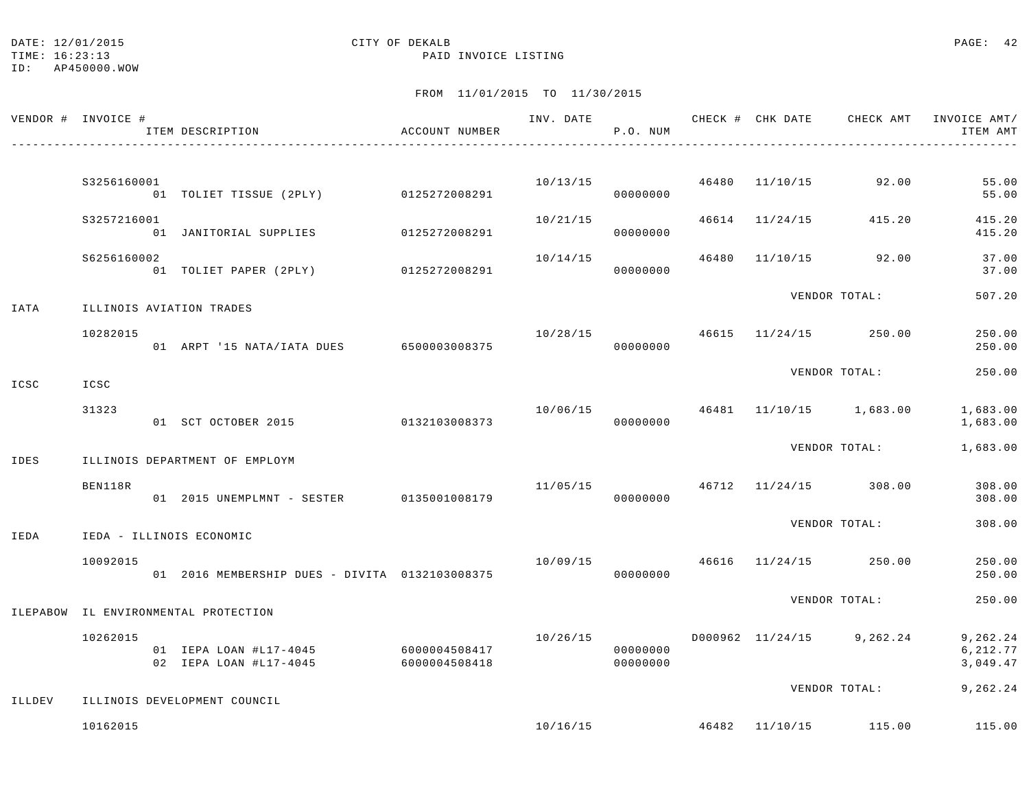TIME: 16:23:13 PAID INVOICE LISTING

|        | VENDOR # INVOICE # | ITEM DESCRIPTION                                 | ACCOUNT NUMBER                 |          | P.O. NUM             |                | INV. DATE <b>CHECK # CHK DATE</b> CHECK AMT | INVOICE AMT/<br>ITEM AMT          |
|--------|--------------------|--------------------------------------------------|--------------------------------|----------|----------------------|----------------|---------------------------------------------|-----------------------------------|
|        | S3256160001        | 01 TOLIET TISSUE (2PLY) 0125272008291            |                                |          | 10/13/15<br>00000000 | 46480 11/10/15 | 92.00                                       | 55.00<br>55.00                    |
|        | S3257216001        | 01 JANITORIAL SUPPLIES 0125272008291             |                                | 10/21/15 | 00000000             | 46614 11/24/15 | 415.20                                      | 415.20<br>415.20                  |
|        | S6256160002        | 01 TOLIET PAPER (2PLY) 0125272008291             |                                | 10/14/15 | 00000000             |                | 46480 11/10/15 92.00                        | 37.00<br>37.00                    |
| IATA   |                    | ILLINOIS AVIATION TRADES                         |                                |          |                      |                | VENDOR TOTAL:                               | 507.20                            |
|        | 10282015           | 01 ARPT '15 NATA/IATA DUES                       | 6500003008375                  |          | 00000000             |                | $10/28/15$ $46615$ $11/24/15$ $250.00$      | 250.00<br>250.00                  |
| ICSC   | ICSC               |                                                  |                                |          |                      |                | VENDOR TOTAL:                               | 250.00                            |
|        | 31323              | 01 SCT OCTOBER 2015                              | 0132103008373                  | 10/06/15 | 00000000             |                | 46481 11/10/15 1,683.00                     | 1,683.00<br>1,683.00              |
| IDES   |                    | ILLINOIS DEPARTMENT OF EMPLOYM                   |                                |          |                      |                | VENDOR TOTAL:                               | 1,683.00                          |
|        | BEN118R            | 01 2015 UNEMPLMNT - SESTER                       | 0135001008179                  | 11/05/15 | 00000000             |                | 46712 11/24/15 308.00                       | 308.00<br>308.00                  |
| IEDA   |                    | IEDA - ILLINOIS ECONOMIC                         |                                |          |                      |                | VENDOR TOTAL:                               | 308.00                            |
|        | 10092015           | 01  2016 MEMBERSHIP DUES - DIVITA  0132103008375 |                                |          | 00000000             |                | $10/09/15$ $46616$ $11/24/15$ $250.00$      | 250.00<br>250.00                  |
|        |                    | ILEPABOW IL ENVIRONMENTAL PROTECTION             |                                |          |                      |                | VENDOR TOTAL:                               | 250.00                            |
|        | 10262015           | 01 IEPA LOAN #L17-4045<br>02 IEPA LOAN #L17-4045 | 6000004508417<br>6000004508418 | 10/26/15 | 00000000<br>00000000 |                | D000962 11/24/15 9,262.24                   | 9,262.24<br>6, 212.77<br>3,049.47 |
| ILLDEV |                    | ILLINOIS DEVELOPMENT COUNCIL                     |                                |          |                      |                | VENDOR TOTAL:                               | 9,262.24                          |
|        | 10162015           |                                                  |                                | 10/16/15 |                      |                | 46482 11/10/15 115.00                       | 115.00                            |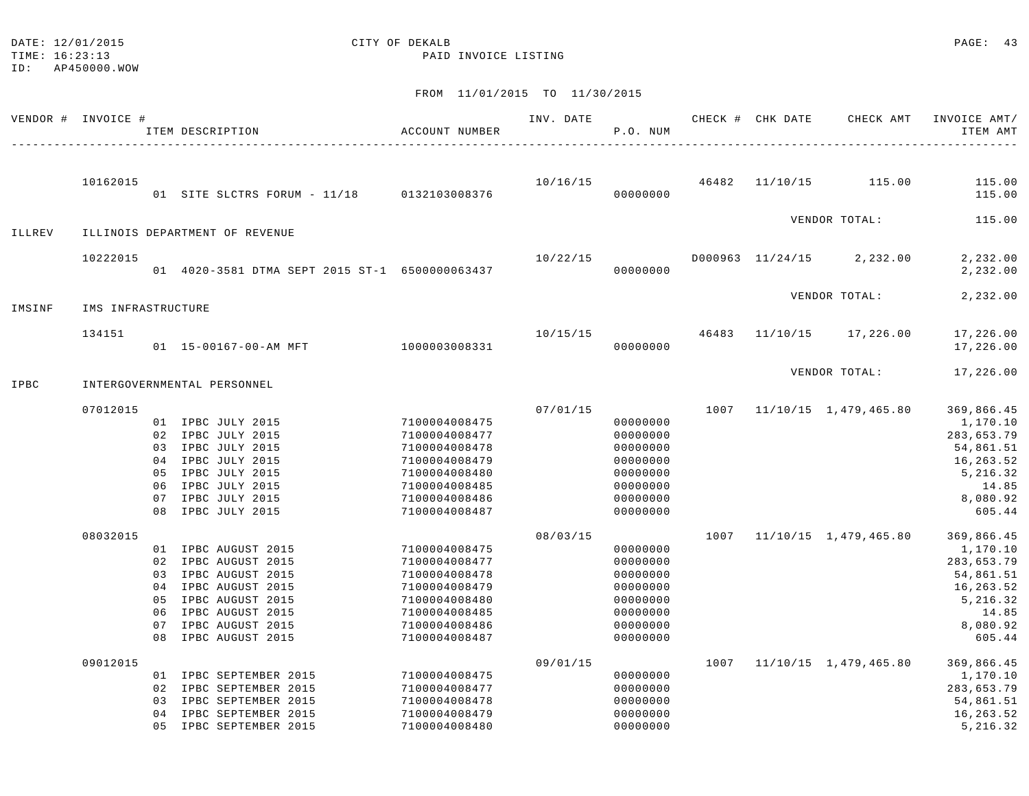# DATE: 12/01/2015 CITY OF DEKALB COMPONENTS CONTENTS OF LOCAL CONTENTS OF LOCAL CONTENTS OF LOCAL CONTENTS OF LOCAL CONTENTS OF LOCAL CONTENTS OF LOCAL CONTENTS OF LOCAL CONTENTS OF LOCAL CONTENTS OF LOCAL CONTENTS OF LOCAL

TIME: 16:23:13 PAID INVOICE LISTING

|        | VENDOR # INVOICE # |                                  | ITEM DESCRIPTION                                                                                                                                                   | ACCOUNT NUMBER                                                                                                                       | INV. DATE | P.O. NUM                                                                                     |      | CHECK # CHK DATE | CHECK AMT                              | INVOICE AMT/<br>ITEM AMT                                                                                  |
|--------|--------------------|----------------------------------|--------------------------------------------------------------------------------------------------------------------------------------------------------------------|--------------------------------------------------------------------------------------------------------------------------------------|-----------|----------------------------------------------------------------------------------------------|------|------------------|----------------------------------------|-----------------------------------------------------------------------------------------------------------|
|        | 10162015           |                                  | 01 SITE SLCTRS FORUM - 11/18 0132103008376                                                                                                                         |                                                                                                                                      |           | 00000000                                                                                     |      |                  | $10/16/15$ $46482$ $11/10/15$ $115.00$ | 115.00<br>115.00                                                                                          |
|        |                    |                                  |                                                                                                                                                                    |                                                                                                                                      |           |                                                                                              |      |                  | VENDOR TOTAL:                          | 115.00                                                                                                    |
| ILLREV |                    |                                  | ILLINOIS DEPARTMENT OF REVENUE                                                                                                                                     |                                                                                                                                      |           |                                                                                              |      |                  |                                        |                                                                                                           |
|        | 10222015           |                                  | 01 4020-3581 DTMA SEPT 2015 ST-1 6500000063437                                                                                                                     |                                                                                                                                      | 10/22/15  | 00000000                                                                                     |      |                  | D000963 11/24/15 2,232.00              | 2,232.00<br>2,232.00                                                                                      |
| IMSINF | IMS INFRASTRUCTURE |                                  |                                                                                                                                                                    |                                                                                                                                      |           |                                                                                              |      |                  | VENDOR TOTAL:                          | 2,232.00                                                                                                  |
|        | 134151             |                                  | 01  15-00167-00-AM MFT                                                                                                                                             | 1000003008331                                                                                                                        | 10/15/15  | 46483<br>00000000                                                                            |      |                  | 11/10/15 17,226.00                     | 17,226.00<br>17,226.00                                                                                    |
| IPBC   |                    |                                  | INTERGOVERNMENTAL PERSONNEL                                                                                                                                        |                                                                                                                                      |           |                                                                                              |      |                  | VENDOR TOTAL:                          | 17,226.00                                                                                                 |
|        | 07012015           | 05<br>06<br>07<br>08             | 01 IPBC JULY 2015<br>02 IPBC JULY 2015<br>03 IPBC JULY 2015<br>04 IPBC JULY 2015<br>IPBC JULY 2015<br>IPBC JULY 2015<br>IPBC JULY 2015<br>IPBC JULY 2015           | 7100004008475<br>7100004008477<br>7100004008478<br>7100004008479<br>7100004008480<br>7100004008485<br>7100004008486<br>7100004008487 | 07/01/15  | 00000000<br>00000000<br>00000000<br>00000000<br>00000000<br>00000000<br>00000000<br>00000000 |      |                  | 1007 11/10/15 1,479,465.80             | 369,866.45<br>1,170.10<br>283,653.79<br>54,861.51<br>16,263.52<br>5,216.32<br>14.85<br>8,080.92<br>605.44 |
|        | 08032015           | 03<br>04<br>05<br>06<br>07<br>08 | 01 IPBC AUGUST 2015<br>02 IPBC AUGUST 2015<br>IPBC AUGUST 2015<br>IPBC AUGUST 2015<br>IPBC AUGUST 2015<br>IPBC AUGUST 2015<br>IPBC AUGUST 2015<br>IPBC AUGUST 2015 | 7100004008475<br>7100004008477<br>7100004008478<br>7100004008479<br>7100004008480<br>7100004008485<br>7100004008486<br>7100004008487 | 08/03/15  | 00000000<br>00000000<br>00000000<br>00000000<br>00000000<br>00000000<br>00000000<br>00000000 |      |                  | 1007 11/10/15 1,479,465.80             | 369,866.45<br>1,170.10<br>283,653.79<br>54,861.51<br>16,263.52<br>5,216.32<br>14.85<br>8,080.92<br>605.44 |
|        | 09012015           | 02<br>03<br>04<br>0.5            | 01 IPBC SEPTEMBER 2015<br>IPBC SEPTEMBER 2015<br>IPBC SEPTEMBER 2015<br>IPBC SEPTEMBER 2015<br>IPBC SEPTEMBER 2015                                                 | 7100004008475<br>7100004008477<br>7100004008478<br>7100004008479<br>7100004008480                                                    | 09/01/15  | 00000000<br>00000000<br>00000000<br>00000000<br>00000000                                     | 1007 |                  | 11/10/15 1,479,465.80                  | 369,866.45<br>1,170.10<br>283,653.79<br>54,861.51<br>16,263.52<br>5,216.32                                |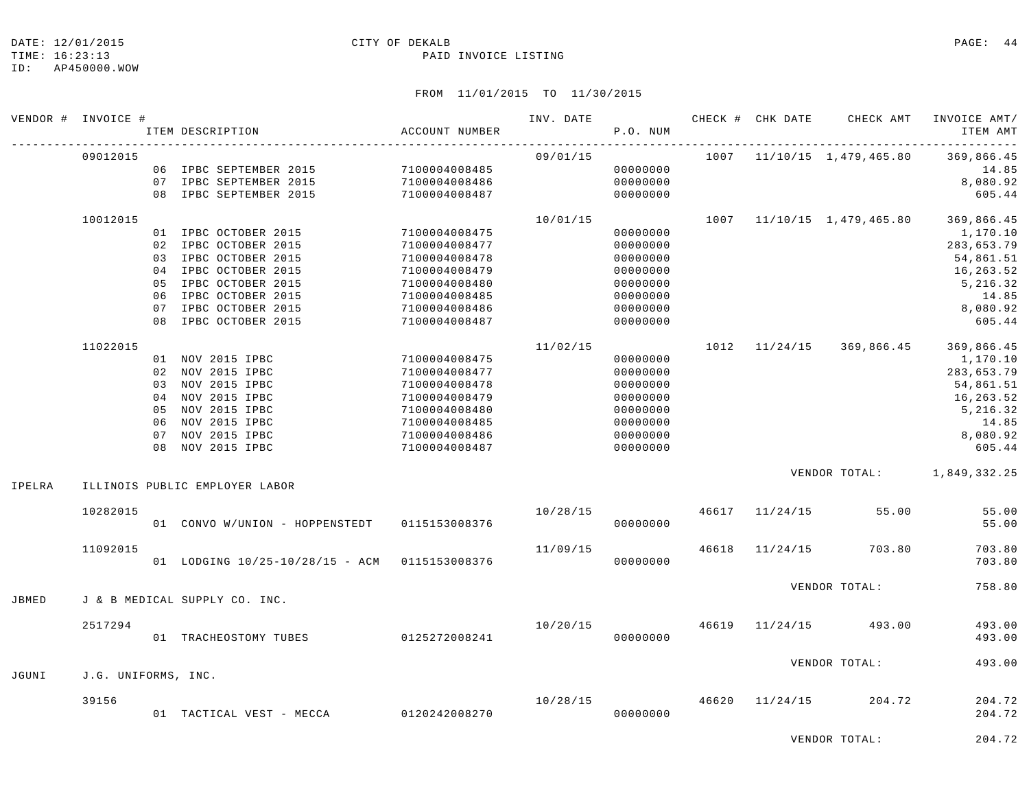#### DATE: 12/01/2015 **CITY OF DEKALB CITY OF DERALB PAGE: 44**

#### TIME: 16:23:13 PAID INVOICE LISTING

## FROM 11/01/2015 TO 11/30/2015

|        | VENDOR # INVOICE #  |          | ITEM DESCRIPTION                                                                                                                                                                       | ACCOUNT NUMBER                                                                                                                       | INV. DATE | P.O. NUM                                                                                     |       |                | CHECK # CHK DATE CHECK AMT | INVOICE AMT/<br>ITEM AMT                                                                                  |
|--------|---------------------|----------|----------------------------------------------------------------------------------------------------------------------------------------------------------------------------------------|--------------------------------------------------------------------------------------------------------------------------------------|-----------|----------------------------------------------------------------------------------------------|-------|----------------|----------------------------|-----------------------------------------------------------------------------------------------------------|
|        | 09012015            |          | 06 IPBC SEPTEMBER 2015 7100004008485<br>07 IPBC SEPTEMBER 2015<br>08 IPBC SEPTEMBER 2015                                                                                               | 7100004008486<br>7100004008487                                                                                                       | 09/01/15  | 00000000<br>00000000<br>00000000                                                             |       |                | 1007 11/10/15 1,479,465.80 | 369,866.45<br>14.85<br>8,080.92<br>605.44                                                                 |
|        | 10012015            | 05<br>07 | 01 IPBC OCTOBER 2015<br>02 IPBC OCTOBER 2015<br>03 IPBC OCTOBER 2015<br>04 IPBC OCTOBER 2015<br>IPBC OCTOBER 2015<br>06 IPBC OCTOBER 2015<br>IPBC OCTOBER 2015<br>08 IPBC OCTOBER 2015 | 7100004008475<br>7100004008477<br>7100004008478<br>7100004008479<br>7100004008480<br>7100004008485<br>7100004008486<br>7100004008487 | 10/01/15  | 00000000<br>00000000<br>00000000<br>00000000<br>00000000<br>00000000<br>00000000<br>00000000 |       |                | 1007 11/10/15 1,479,465.80 | 369,866.45<br>1,170.10<br>283,653.79<br>54,861.51<br>16,263.52<br>5,216.32<br>14.85<br>8,080.92<br>605.44 |
|        | 11022015            |          | 01 NOV 2015 IPBC<br>02 NOV 2015 IPBC<br>03 NOV 2015 IPBC<br>04 NOV 2015 IPBC<br>05 NOV 2015 IPBC<br>06 NOV 2015 IPBC<br>07 NOV 2015 IPBC<br>08 NOV 2015 IPBC                           | 7100004008475<br>7100004008477<br>7100004008478<br>7100004008479<br>7100004008480<br>7100004008485<br>7100004008486<br>7100004008487 | 11/02/15  | 00000000<br>00000000<br>00000000<br>00000000<br>00000000<br>00000000<br>00000000<br>00000000 |       |                | 1012 11/24/15 369,866.45   | 369,866.45<br>1,170.10<br>283,653.79<br>54,861.51<br>16,263.52<br>5,216.32<br>14.85<br>8,080.92<br>605.44 |
| IPELRA |                     |          | ILLINOIS PUBLIC EMPLOYER LABOR                                                                                                                                                         |                                                                                                                                      |           |                                                                                              |       |                | VENDOR TOTAL: 1,849,332.25 |                                                                                                           |
|        | 10282015            |          | 01 CONVO W/UNION - HOPPENSTEDT 0115153008376                                                                                                                                           |                                                                                                                                      | 10/28/15  | 00000000                                                                                     |       | 46617 11/24/15 | 55.00                      | 55.00<br>55.00                                                                                            |
|        | 11092015            |          | 01 LODGING 10/25-10/28/15 - ACM 0115153008376                                                                                                                                          |                                                                                                                                      | 11/09/15  | 00000000                                                                                     | 46618 | 11/24/15       | 703.80                     | 703.80<br>703.80                                                                                          |
| JBMED  |                     |          | J & B MEDICAL SUPPLY CO. INC.                                                                                                                                                          |                                                                                                                                      |           |                                                                                              |       |                | VENDOR TOTAL:              | 758.80                                                                                                    |
|        | 2517294             |          | 01 TRACHEOSTOMY TUBES                                                                                                                                                                  | 0125272008241                                                                                                                        | 10/20/15  | 00000000                                                                                     |       |                | 46619 11/24/15 493.00      | 493.00<br>493.00                                                                                          |
| JGUNI  | J.G. UNIFORMS, INC. |          |                                                                                                                                                                                        |                                                                                                                                      |           |                                                                                              |       |                | VENDOR TOTAL:              | 493.00                                                                                                    |
|        | 39156               |          | 01 TACTICAL VEST - MECCA 0120242008270                                                                                                                                                 |                                                                                                                                      | 10/28/15  | 00000000                                                                                     |       | 46620 11/24/15 | 204.72                     | 204.72<br>204.72                                                                                          |

VENDOR TOTAL: 204.72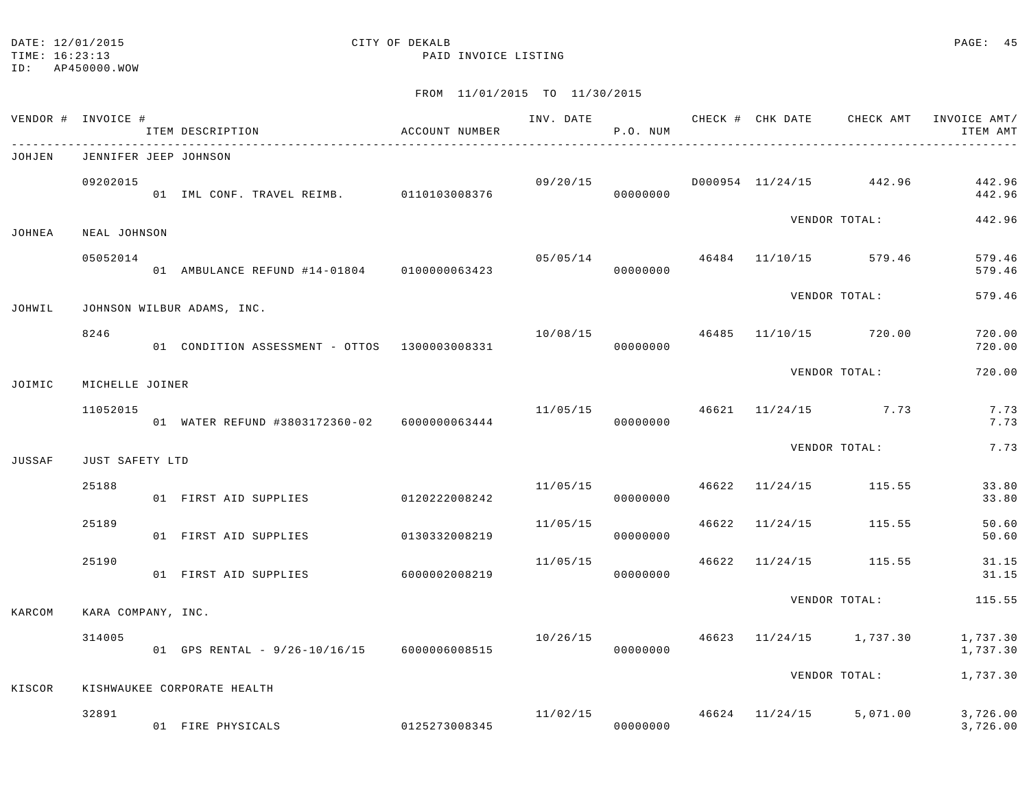# DATE: 12/01/2015 **CITY OF DEKALB CITY OF DERALB PAGE: 45**

TIME: 16:23:13 PAID INVOICE LISTING

|        | VENDOR # INVOICE #    | ITEM DESCRIPTION                              | ACCOUNT NUMBER |          | P.O. NUM |       |                | INV. DATE 6 CHECK # CHK DATE CHECK AMT | INVOICE AMT/<br>ITEM AMT |
|--------|-----------------------|-----------------------------------------------|----------------|----------|----------|-------|----------------|----------------------------------------|--------------------------|
| JOHJEN | JENNIFER JEEP JOHNSON |                                               |                |          |          |       |                |                                        |                          |
|        | 09202015              | 01 IML CONF. TRAVEL REIMB. 0110103008376      |                | 09/20/15 | 00000000 |       |                | D000954 11/24/15 442.96                | 442.96<br>442.96         |
| JOHNEA | NEAL JOHNSON          |                                               |                |          |          |       |                | VENDOR TOTAL:                          | 442.96                   |
|        | 05052014              | 01 AMBULANCE REFUND #14-01804 0100000063423   |                | 05/05/14 | 00000000 |       |                | 46484 11/10/15 579.46                  | 579.46<br>579.46         |
| JOHWIL |                       | JOHNSON WILBUR ADAMS, INC.                    |                |          |          |       |                | VENDOR TOTAL:                          | 579.46                   |
|        | 8246                  | 01 CONDITION ASSESSMENT - OTTOS 1300003008331 |                |          | 00000000 |       |                | $10/08/15$ $46485$ $11/10/15$ $720.00$ | 720.00<br>720.00         |
| JOIMIC | MICHELLE JOINER       |                                               |                |          |          |       |                | VENDOR TOTAL:                          | 720.00                   |
|        | 11052015              | 01 WATER REFUND #3803172360-02 6000000063444  |                |          | 00000000 |       |                | $11/05/15$ 46621 $11/24/15$ 7.73       | 7.73<br>7.73             |
| JUSSAF | JUST SAFETY LTD       |                                               |                |          |          |       |                | VENDOR TOTAL:                          | 7.73                     |
|        | 25188                 | 01 FIRST AID SUPPLIES                         | 0120222008242  | 11/05/15 | 00000000 |       |                | 46622 11/24/15 115.55                  | 33.80<br>33.80           |
|        | 25189                 | 01 FIRST AID SUPPLIES                         | 0130332008219  | 11/05/15 | 00000000 |       | 46622 11/24/15 | 115.55                                 | 50.60<br>50.60           |
|        | 25190                 | 01 FIRST AID SUPPLIES                         | 6000002008219  | 11/05/15 | 00000000 | 46622 |                | $11/24/15$ 115.55                      | 31.15<br>31.15           |
| KARCOM | KARA COMPANY, INC.    |                                               |                |          |          |       |                | VENDOR TOTAL:                          | 115.55                   |
|        | 314005                | 01 GPS RENTAL - 9/26-10/16/15 6000006008515   |                | 10/26/15 | 00000000 |       |                | 46623 11/24/15 1,737.30                | 1,737.30<br>1,737.30     |
| KISCOR |                       | KISHWAUKEE CORPORATE HEALTH                   |                |          |          |       |                | VENDOR TOTAL:                          | 1,737.30                 |
|        | 32891                 | 01 FIRE PHYSICALS                             | 0125273008345  | 11/02/15 | 00000000 |       |                | 46624 11/24/15 5,071.00                | 3,726.00<br>3,726.00     |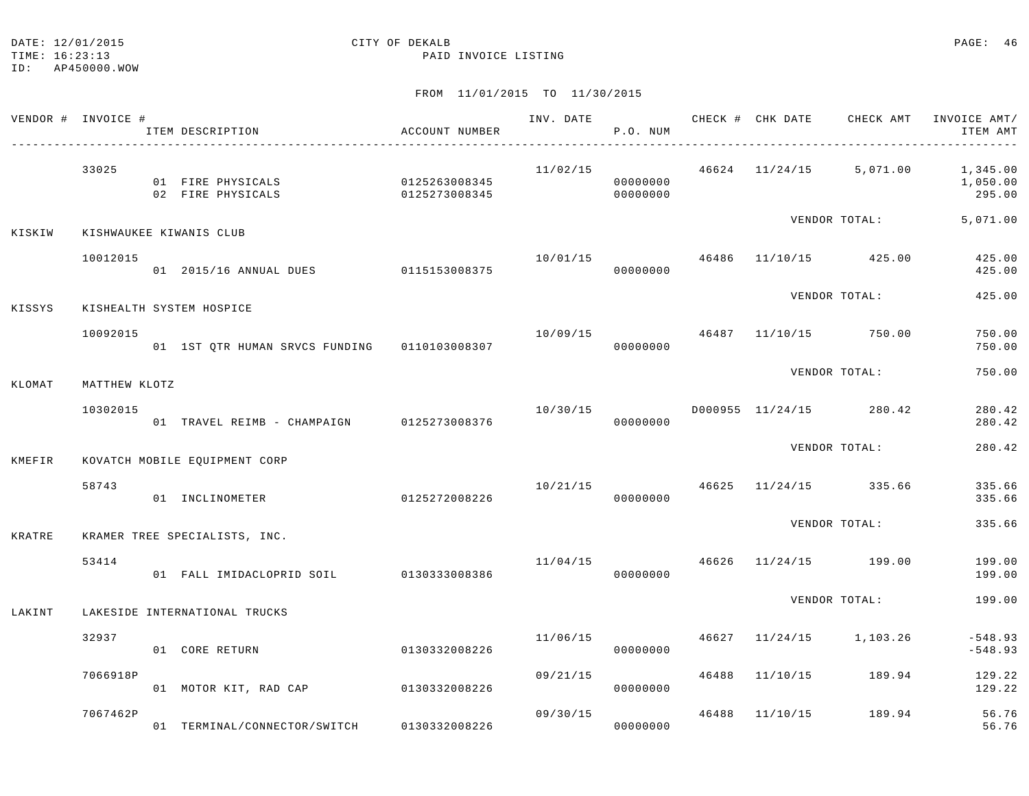#### DATE: 12/01/2015 **CITY OF DEKALB CITY OF DERALB PAGE: 46**

TIME: 16:23:13 PAID INVOICE LISTING

ID: AP450000.WOW

|        | VENDOR # INVOICE # | ITEM DESCRIPTION                             | ACCOUNT NUMBER                 | INV. DATE 6 CHECK # CHK DATE CHECK AMT | P.O. NUM             |       |                                        | INVOICE AMT/<br>ITEM AMT                                                  |
|--------|--------------------|----------------------------------------------|--------------------------------|----------------------------------------|----------------------|-------|----------------------------------------|---------------------------------------------------------------------------|
|        | 33025              | 01 FIRE PHYSICALS<br>02 FIRE PHYSICALS       | 0125263008345<br>0125273008345 |                                        | 00000000<br>00000000 |       |                                        | $11/02/15$ $46624$ $11/24/15$ $5,071.00$ $1,345.00$<br>1,050.00<br>295.00 |
| KISKIW |                    | KISHWAUKEE KIWANIS CLUB                      |                                |                                        |                      |       | VENDOR TOTAL:                          | 5,071.00                                                                  |
|        | 10012015           | 01 2015/16 ANNUAL DUES 0115153008375         |                                | 10/01/15                               | 00000000             |       | 46486 11/10/15 425.00                  | 425.00<br>425.00                                                          |
| KISSYS |                    | KISHEALTH SYSTEM HOSPICE                     |                                |                                        |                      |       | VENDOR TOTAL:                          | 425.00                                                                    |
|        | 10092015           | 01 1ST QTR HUMAN SRVCS FUNDING 0110103008307 |                                | 10/09/15 46487                         | 00000000             |       | 11/10/15 750.00                        | 750.00<br>750.00                                                          |
| KLOMAT | MATTHEW KLOTZ      |                                              |                                |                                        |                      |       | VENDOR TOTAL:                          | 750.00                                                                    |
|        | 10302015           | 01 TRAVEL REIMB - CHAMPAIGN 0125273008376    |                                | 10/30/15                               | 00000000             |       | D000955 11/24/15 280.42                | 280.42<br>280.42                                                          |
| KMEFIR |                    | KOVATCH MOBILE EQUIPMENT CORP                |                                |                                        |                      |       | VENDOR TOTAL:                          | 280.42                                                                    |
|        | 58743              | 01 INCLINOMETER                              | 0125272008226                  |                                        | 00000000             |       | $10/21/15$ $46625$ $11/24/15$ $335.66$ | 335.66<br>335.66                                                          |
| KRATRE |                    | KRAMER TREE SPECIALISTS, INC.                |                                |                                        |                      |       | VENDOR TOTAL:                          | 335.66                                                                    |
|        | 53414              | 01 FALL IMIDACLOPRID SOIL 0130333008386      |                                | 11/04/15 46626                         | 00000000             |       | $11/24/15$ 199.00                      | 199.00<br>199.00                                                          |
| LAKINT |                    | LAKESIDE INTERNATIONAL TRUCKS                |                                |                                        |                      |       | VENDOR TOTAL:                          | 199.00                                                                    |
|        | 32937              | 01 CORE RETURN                               | 0130332008226                  | 11/06/15                               | 00000000             |       | 46627 11/24/15 1,103.26                | $-548.93$<br>$-548.93$                                                    |
|        | 7066918P           | 01 MOTOR KIT, RAD CAP 0130332008226          |                                | 09/21/15                               | 00000000             | 46488 | 11/10/15 189.94                        | 129.22<br>129.22                                                          |
|        | 7067462P           | 01 TERMINAL/CONNECTOR/SWITCH                 | 0130332008226                  | 09/30/15                               | 00000000             | 46488 | 11/10/15 189.94                        | 56.76<br>56.76                                                            |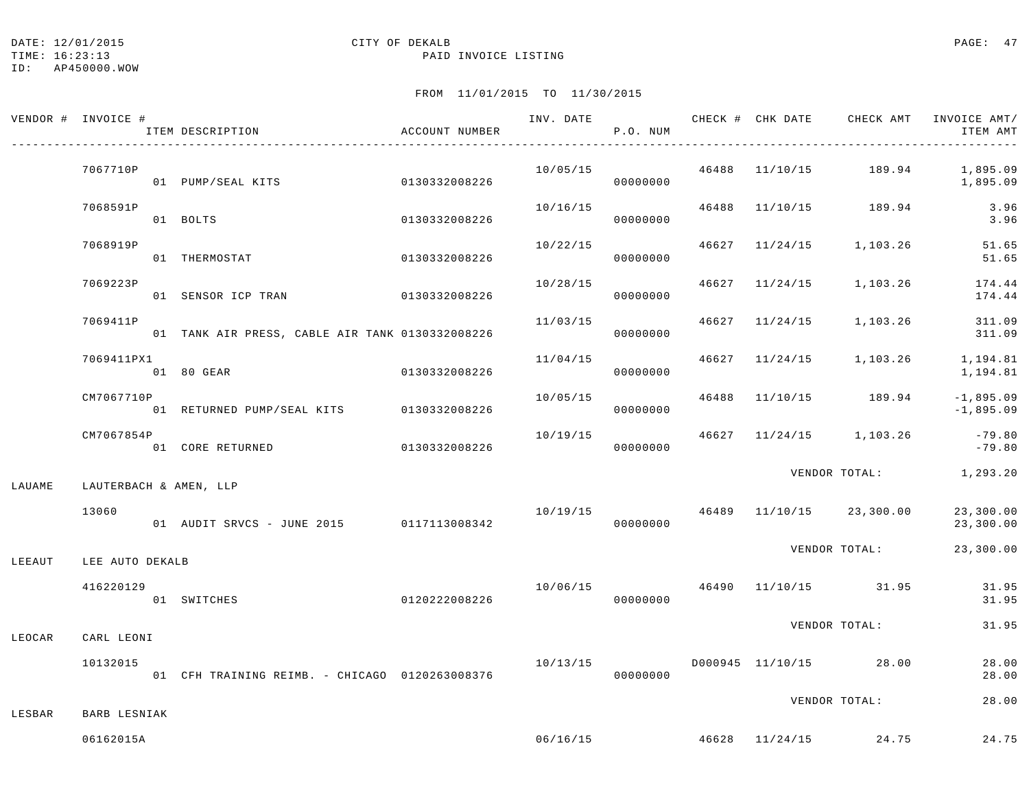TIME: 16:23:13 PAID INVOICE LISTING

ID: AP450000.WOW

|        | VENDOR # INVOICE #     | ACCOUNT NUMBER<br>ITEM DESCRIPTION              |               |          | P.O. NUM |  |                                       | INV. DATE 6 1990 CHECK # CHK DATE 6 CHECK AMT INVOICE AMT<br>ITEM AMT |
|--------|------------------------|-------------------------------------------------|---------------|----------|----------|--|---------------------------------------|-----------------------------------------------------------------------|
|        | 7067710P               |                                                 |               | 10/05/15 | 00000000 |  |                                       | 46488 11/10/15 189.94 1,895.09<br>1,895.09                            |
|        | 7068591P               | 01 BOLTS                                        | 0130332008226 | 10/16/15 | 00000000 |  | 46488 11/10/15 189.94                 | 3.96<br>3.96                                                          |
|        | 7068919P               | 01 THERMOSTAT<br>0130332008226                  |               | 10/22/15 | 00000000 |  | 46627 11/24/15 1,103.26               | 51.65<br>51.65                                                        |
|        | 7069223P               | 01 SENSOR ICP TRAN 0130332008226                |               | 10/28/15 | 00000000 |  |                                       | 46627 11/24/15 1,103.26 174.44<br>174.44                              |
|        | 7069411P               | 01 TANK AIR PRESS, CABLE AIR TANK 0130332008226 |               | 11/03/15 | 00000000 |  | 46627 11/24/15 1,103.26               | 311.09<br>311.09                                                      |
|        | 7069411PX1             | 01 80 GEAR                                      | 0130332008226 | 11/04/15 | 00000000 |  |                                       | 46627 11/24/15 1,103.26 1,194.81<br>1,194.81                          |
|        | CM7067710P             | 01 RETURNED PUMP/SEAL KITS 0130332008226        |               | 10/05/15 | 00000000 |  | 46488 11/10/15 189.94                 | $-1,895.09$<br>$-1,895.09$                                            |
|        | CM7067854P             | 01 CORE RETURNED                                | 0130332008226 |          | 00000000 |  | 10/19/15 46627 11/24/15 1,103.26      | $-79.80$<br>$-79.80$                                                  |
| LAUAME | LAUTERBACH & AMEN, LLP |                                                 |               |          |          |  |                                       | VENDOR TOTAL: 1,293.20                                                |
|        | 13060                  | 01 AUDIT SRVCS - JUNE 2015 0117113008342        |               |          | 00000000 |  |                                       | $10/19/15$ $46489$ $11/10/15$ $23,300.00$ $23,300.00$<br>23,300.00    |
| LEEAUT | LEE AUTO DEKALB        |                                                 |               |          |          |  |                                       | VENDOR TOTAL: 23,300.00                                               |
|        | 416220129              | 0120222008226<br>01 SWITCHES                    |               |          | 00000000 |  | 10/06/15  46490  11/10/15  31.95      | 31.95<br>31.95                                                        |
| LEOCAR | CARL LEONI             |                                                 |               |          |          |  | VENDOR TOTAL:                         | 31.95                                                                 |
|        | 10132015               | 01 CFH TRAINING REIMB. - CHICAGO 0120263008376  |               | 10/13/15 | 00000000 |  | D000945 11/10/15 28.00                | 28.00<br>28.00                                                        |
| LESBAR | BARB LESNIAK           |                                                 |               |          |          |  | VENDOR TOTAL:                         | 28.00                                                                 |
|        | 06162015A              |                                                 |               |          |          |  | $06/16/15$ $46628$ $11/24/15$ $24.75$ | 24.75                                                                 |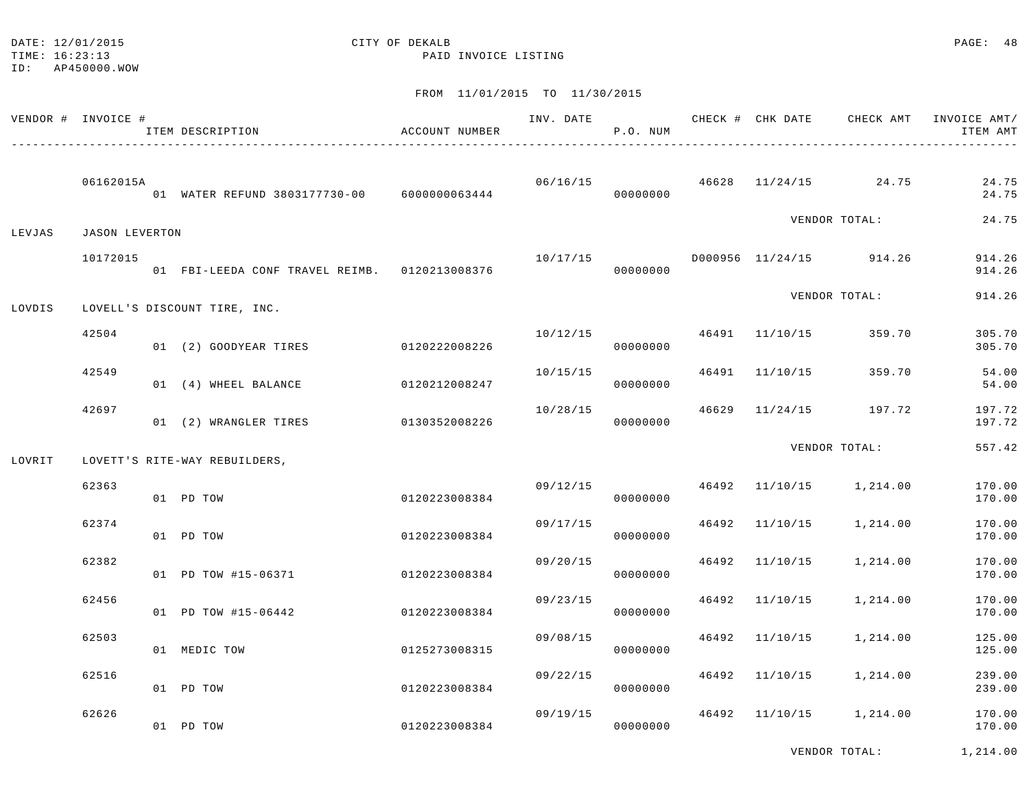## DATE: 12/01/2015 **CITY OF DEKALB CITY OF DEXALB**

TIME: 16:23:13 PAID INVOICE LISTING

|        | VENDOR # INVOICE #    | ITEM DESCRIPTION                              | ACCOUNT NUMBER | INV. DATE | P.O. NUM |       |          | CHECK # CHK DATE CHECK AMT | INVOICE AMT/<br>ITEM AMT |
|--------|-----------------------|-----------------------------------------------|----------------|-----------|----------|-------|----------|----------------------------|--------------------------|
|        | 06162015A             | 01 WATER REFUND 3803177730-00 6000000063444   |                | 06/16/15  | 00000000 | 46628 | 11/24/15 | 24.75                      | 24.75<br>24.75           |
| LEVJAS | <b>JASON LEVERTON</b> |                                               |                |           |          |       |          | VENDOR TOTAL:              | 24.75                    |
|        | 10172015              | 01 FBI-LEEDA CONF TRAVEL REIMB. 0120213008376 |                | 10/17/15  | 00000000 |       |          | D000956 11/24/15 914.26    | 914.26<br>914.26         |
| LOVDIS |                       | LOVELL'S DISCOUNT TIRE, INC.                  |                |           |          |       |          | VENDOR TOTAL:              | 914.26                   |
|        | 42504                 | 01 (2) GOODYEAR TIRES                         | 0120222008226  | 10/12/15  | 00000000 | 46491 | 11/10/15 | 359.70                     | 305.70<br>305.70         |
|        | 42549                 | 01 (4) WHEEL BALANCE                          | 0120212008247  | 10/15/15  | 00000000 | 46491 | 11/10/15 | 359.70                     | 54.00<br>54.00           |
|        | 42697                 | 01 (2) WRANGLER TIRES                         | 0130352008226  | 10/28/15  | 00000000 | 46629 | 11/24/15 | 197.72                     | 197.72<br>197.72         |
| LOVRIT |                       | LOVETT'S RITE-WAY REBUILDERS,                 |                |           |          |       |          | VENDOR TOTAL:              | 557.42                   |
|        | 62363                 | 01 PD TOW                                     | 0120223008384  | 09/12/15  | 00000000 | 46492 | 11/10/15 | 1,214.00                   | 170.00<br>170.00         |
|        | 62374                 | 01 PD TOW                                     | 0120223008384  | 09/17/15  | 00000000 | 46492 | 11/10/15 | 1,214.00                   | 170.00<br>170.00         |
|        | 62382                 | 01 PD TOW #15-06371                           | 0120223008384  | 09/20/15  | 00000000 | 46492 | 11/10/15 | 1,214.00                   | 170.00<br>170.00         |
|        | 62456                 | 01 PD TOW #15-06442                           | 0120223008384  | 09/23/15  | 00000000 | 46492 | 11/10/15 | 1,214.00                   | 170.00<br>170.00         |
|        | 62503                 | 01 MEDIC TOW                                  | 0125273008315  | 09/08/15  | 00000000 | 46492 | 11/10/15 | 1,214.00                   | 125.00<br>125.00         |
|        | 62516                 | 01 PD TOW                                     | 0120223008384  | 09/22/15  | 00000000 | 46492 | 11/10/15 | 1,214.00                   | 239.00<br>239.00         |
|        | 62626                 | 01 PD TOW                                     | 0120223008384  | 09/19/15  | 00000000 | 46492 | 11/10/15 | 1,214.00                   | 170.00<br>170.00         |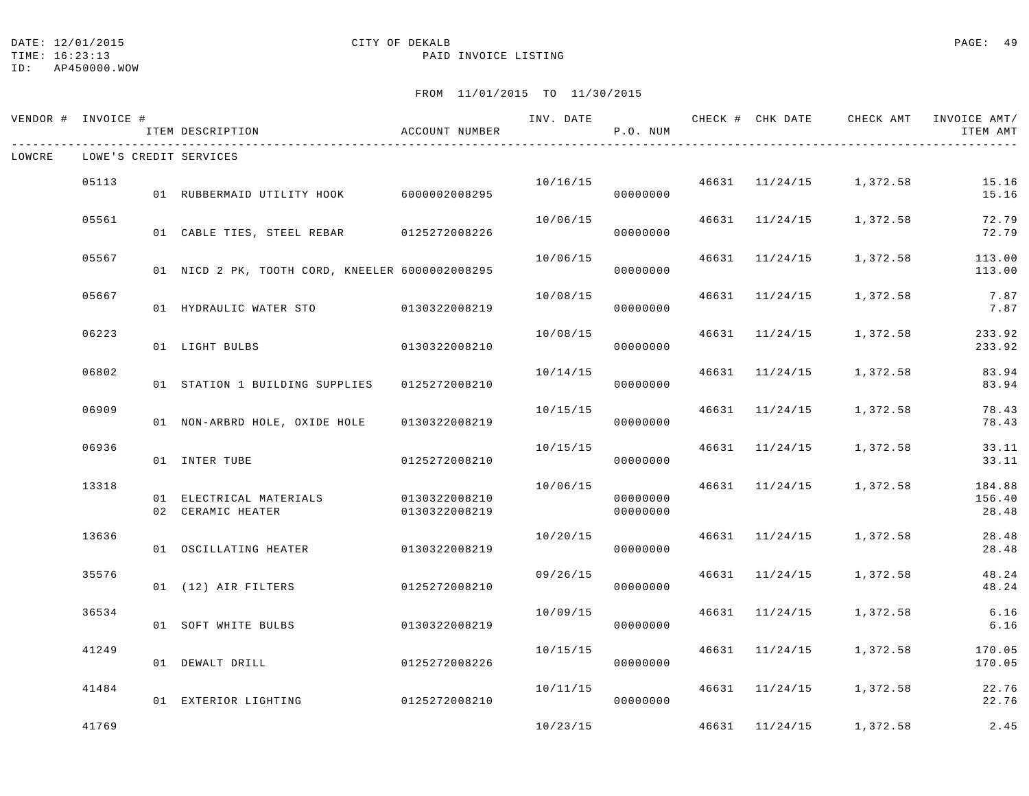## DATE: 12/01/2015 CITY OF DEKALB PAGE: 49

#### TIME: 16:23:13 PAID INVOICE LISTING

|        | VENDOR # INVOICE # | ITEM DESCRIPTION                                           | ACCOUNT NUMBER |          | P.O. NUM             |                |                                          | INV. DATE 6 CHECK # CHK DATE CHECK AMT INVOICE AMT/<br>ITEM AMT |
|--------|--------------------|------------------------------------------------------------|----------------|----------|----------------------|----------------|------------------------------------------|-----------------------------------------------------------------|
| LOWCRE |                    | LOWE'S CREDIT SERVICES                                     |                |          |                      |                |                                          |                                                                 |
|        | 05113              | 01 RUBBERMAID UTILITY HOOK 6000002008295                   |                |          | 00000000             |                | $10/16/15$ $46631$ $11/24/15$ $1,372.58$ | 15.16<br>15.16                                                  |
|        | 05561              | 01 CABLE TIES, STEEL REBAR 0125272008226                   |                | 10/06/15 | 00000000             | 46631 11/24/15 | 1,372.58                                 | 72.79<br>72.79                                                  |
|        | 05567              | 01 NICD 2 PK, TOOTH CORD, KNEELER 6000002008295            |                | 10/06/15 | 00000000             | 46631 11/24/15 | 1,372.58                                 | 113.00<br>113.00                                                |
|        | 05667              | 01 HYDRAULIC WATER STO 0130322008219                       |                | 10/08/15 | 00000000             | 46631 11/24/15 | 1,372.58                                 | 7.87<br>7.87                                                    |
|        | 06223              | 01 LIGHT BULBS                                             | 0130322008210  | 10/08/15 | 00000000             | 46631 11/24/15 | 1,372.58                                 | 233.92<br>233.92                                                |
|        | 06802              | 01 STATION 1 BUILDING SUPPLIES 0125272008210               |                | 10/14/15 | 00000000             | 46631 11/24/15 | 1,372.58                                 | 83.94<br>83.94                                                  |
|        | 06909              | 01 NON-ARBRD HOLE, OXIDE HOLE                              | 0130322008219  | 10/15/15 | 00000000             |                | 46631 11/24/15 1,372.58                  | 78.43<br>78.43                                                  |
|        | 06936              | 01 INTER TUBE                                              | 0125272008210  | 10/15/15 | 00000000             | 46631 11/24/15 | 1,372.58                                 | 33.11<br>33.11                                                  |
|        | 13318              | 01 ELECTRICAL MATERIALS 0130322008210<br>02 CERAMIC HEATER | 0130322008219  | 10/06/15 | 00000000<br>00000000 |                | 46631 11/24/15 1,372.58                  | 184.88<br>156.40<br>28.48                                       |
|        | 13636              | 01 OSCILLATING HEATER                                      | 0130322008219  | 10/20/15 | 00000000             |                | 46631 11/24/15 1,372.58                  | 28.48<br>28.48                                                  |
|        | 35576              | 01 (12) AIR FILTERS                                        | 0125272008210  | 09/26/15 | 00000000             |                | 46631 11/24/15 1,372.58                  | 48.24<br>48.24                                                  |
|        | 36534              | 01 SOFT WHITE BULBS                                        | 0130322008219  | 10/09/15 | 00000000             | 46631 11/24/15 | 1,372.58                                 | 6.16<br>6.16                                                    |
|        | 41249              | 01 DEWALT DRILL                                            | 0125272008226  | 10/15/15 | 00000000             | 46631 11/24/15 | 1,372.58                                 | 170.05<br>170.05                                                |
|        | 41484              | 01 EXTERIOR LIGHTING                                       | 0125272008210  | 10/11/15 | 00000000             |                | 46631 11/24/15 1,372.58                  | 22.76<br>22.76                                                  |
|        | 41769              |                                                            |                | 10/23/15 |                      | 46631 11/24/15 | 1,372.58                                 | 2.45                                                            |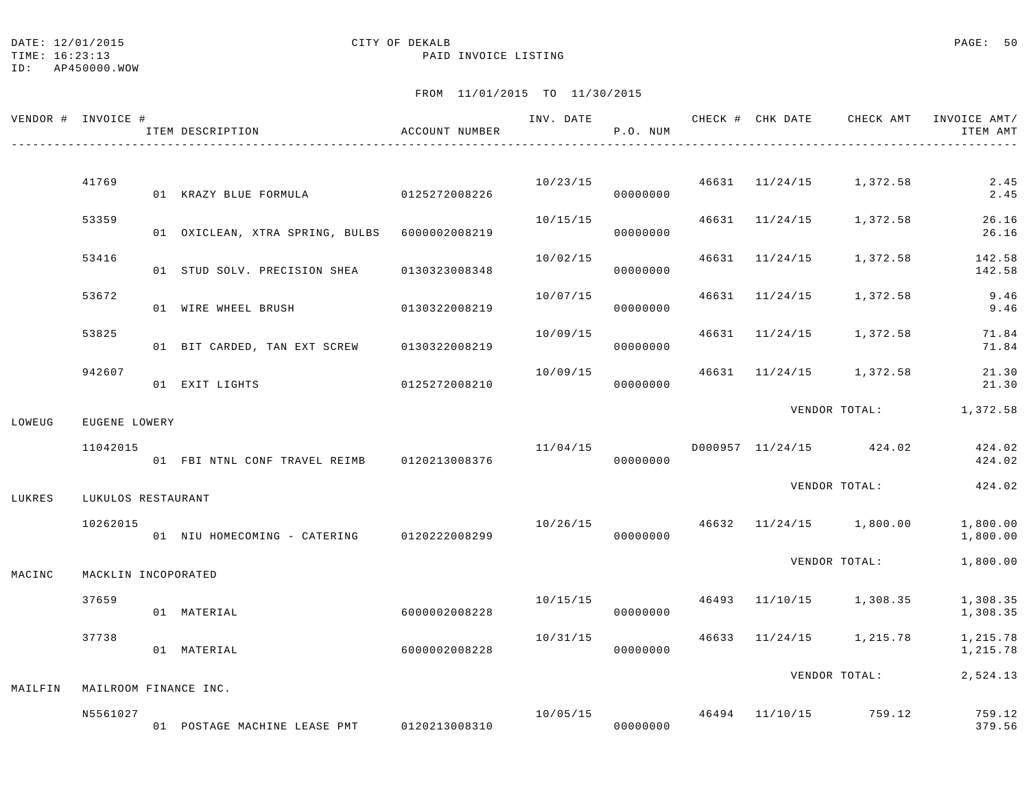#### DATE: 12/01/2015 CITY OF DEKALB COMPARED PAGE: 50

TIME: 16:23:13 PAID INVOICE LISTING

ID: AP450000.WOW

|         | VENDOR # INVOICE #    | ITEM DESCRIPTION                              | ACCOUNT NUMBER |          | P.O. NUM |                |                                          | INV. DATE 6 CHECK # CHK DATE CHECK AMT INVOICE AMT/<br>ITEM AMT |
|---------|-----------------------|-----------------------------------------------|----------------|----------|----------|----------------|------------------------------------------|-----------------------------------------------------------------|
|         |                       |                                               |                |          |          |                |                                          |                                                                 |
|         | 41769                 | 01 KRAZY BLUE FORMULA 0125272008226           |                |          | 00000000 |                | $10/23/15$ $46631$ $11/24/15$ $1,372.58$ | 2.45<br>2.45                                                    |
|         | 53359                 | 01 OXICLEAN, XTRA SPRING, BULBS 6000002008219 |                | 10/15/15 | 00000000 |                | 46631 11/24/15 1,372.58                  | 26.16<br>26.16                                                  |
|         | 53416                 | 01 STUD SOLV. PRECISION SHEA 0130323008348    |                | 10/02/15 | 00000000 | 46631 11/24/15 | 1,372.58                                 | 142.58<br>142.58                                                |
|         | 53672                 | 01 WIRE WHEEL BRUSH                           | 0130322008219  | 10/07/15 | 00000000 | 46631 11/24/15 | 1,372.58                                 | 9.46<br>9.46                                                    |
|         | 53825                 | 01 BIT CARDED, TAN EXT SCREW 0130322008219    |                | 10/09/15 | 00000000 |                | 46631 11/24/15 1,372.58                  | 71.84<br>71.84                                                  |
|         | 942607                | 01 EXIT LIGHTS                                | 0125272008210  | 10/09/15 | 00000000 |                | 46631 11/24/15 1,372.58                  | 21.30<br>21.30                                                  |
| LOWEUG  | EUGENE LOWERY         |                                               |                |          |          |                |                                          | VENDOR TOTAL: 1,372.58                                          |
|         | 11042015              |                                               |                | 11/04/15 | 00000000 |                | D000957 11/24/15 424.02                  | 424.02<br>424.02                                                |
| LUKRES  | LUKULOS RESTAURANT    |                                               |                |          |          |                | VENDOR TOTAL:                            | 424.02                                                          |
|         | 10262015              | 01 NIU HOMECOMING - CATERING 0120222008299    |                |          | 00000000 |                | $10/26/15$ $46632$ $11/24/15$ $1,800.00$ | 1,800.00<br>1,800.00                                            |
| MACINC  | MACKLIN INCOPORATED   |                                               |                |          |          |                | VENDOR TOTAL:                            | 1,800.00                                                        |
|         | 37659                 | 01 MATERIAL                                   | 6000002008228  | 10/15/15 | 00000000 |                | 46493 11/10/15 1,308.35                  | 1,308.35<br>1,308.35                                            |
|         | 37738                 | 01 MATERIAL                                   | 6000002008228  | 10/31/15 | 00000000 |                | 46633 11/24/15 1,215.78                  | 1,215.78<br>1,215.78                                            |
| MAILFIN | MAILROOM FINANCE INC. |                                               |                |          |          |                | VENDOR TOTAL:                            | 2,524.13                                                        |
|         | N5561027              | 01 POSTAGE MACHINE LEASE PMT                  | 0120213008310  |          | 00000000 |                | $10/05/15$ $46494$ $11/10/15$ 759.12     | 759.12<br>379.56                                                |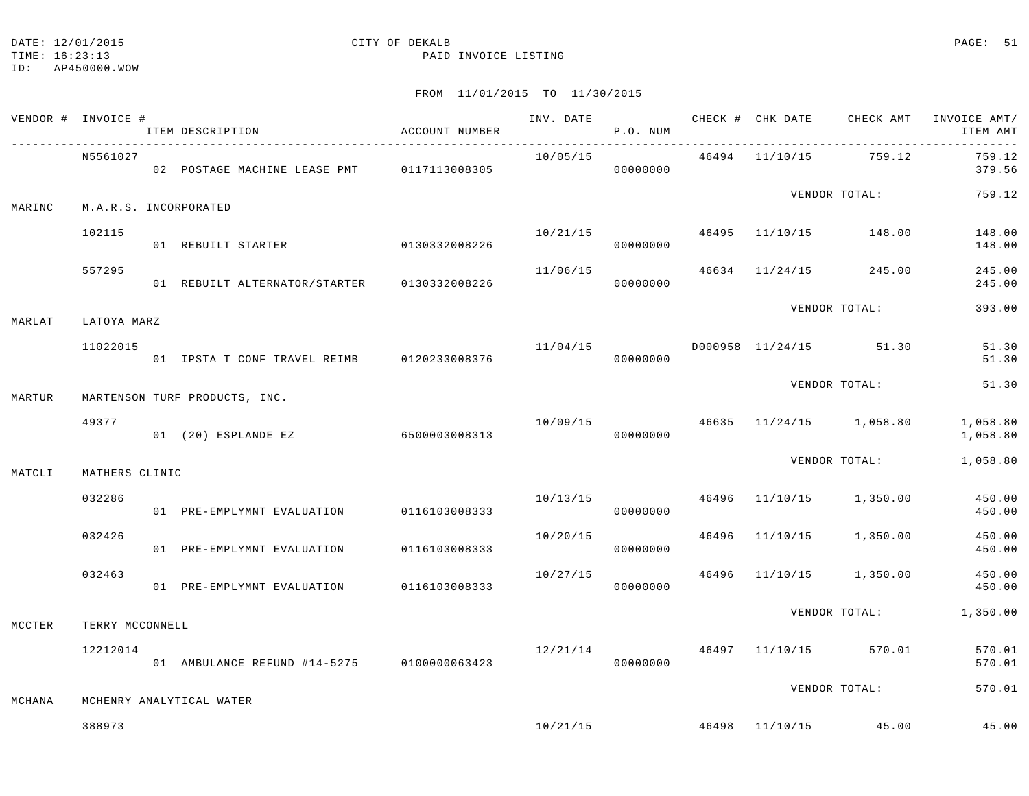TIME: 16:23:13 PAID INVOICE LISTING

|        | VENDOR # INVOICE #    | ITEM DESCRIPTION                           | ACCOUNT NUMBER |          | P.O. NUM |  | INV. DATE 6 CHECK # CHK DATE CHECK AMT INVOICE AMT/ | ITEM AMT               |
|--------|-----------------------|--------------------------------------------|----------------|----------|----------|--|-----------------------------------------------------|------------------------|
|        | N5561027              | 02 POSTAGE MACHINE LEASE PMT 0117113008305 |                | 10/05/15 | 00000000 |  | 46494 11/10/15 759.12                               | 759.12<br>379.56       |
| MARINC | M.A.R.S. INCORPORATED |                                            |                |          |          |  | VENDOR TOTAL:                                       | 759.12                 |
|        | 102115                | 01 REBUILT STARTER 0130332008226           |                |          | 00000000 |  | $10/21/15$ $46495$ $11/10/15$ $148.00$              | 148.00<br>148.00       |
|        | 557295                |                                            |                | 11/06/15 | 00000000 |  | 46634 11/24/15 245.00                               | 245.00<br>245.00       |
| MARLAT | LATOYA MARZ           |                                            |                |          |          |  | VENDOR TOTAL:                                       | 393.00                 |
|        | 11022015              | 01 IPSTA T CONF TRAVEL REIMB 0120233008376 |                |          | 00000000 |  | $11/04/15$ D000958 $11/24/15$ 51.30                 | 51.30<br>51.30         |
| MARTUR |                       | MARTENSON TURF PRODUCTS, INC.              |                |          |          |  | VENDOR TOTAL:                                       | 51.30                  |
|        | 49377                 | 01 (20) ESPLANDE EZ 6500003008313          |                |          | 00000000 |  | $10/09/15$ $46635$ $11/24/15$ $1,058.80$ $1,058.80$ | 1,058.80               |
| MATCLI | MATHERS CLINIC        |                                            |                |          |          |  | VENDOR TOTAL:                                       | 1,058.80               |
|        | 032286                | 01 PRE-EMPLYMNT EVALUATION 0116103008333   |                |          | 00000000 |  | 10/13/15 46496 11/10/15 1,350.00                    | 450.00<br>450.00       |
|        | 032426                | 01 PRE-EMPLYMNT EVALUATION                 | 0116103008333  | 10/20/15 | 00000000 |  | 46496 11/10/15 1,350.00                             | 450.00<br>450.00       |
|        | 032463                | 01 PRE-EMPLYMNT EVALUATION 0116103008333   |                | 10/27/15 | 00000000 |  | 46496 11/10/15 1,350.00                             | 450.00<br>450.00       |
| MCCTER | TERRY MCCONNELL       |                                            |                |          |          |  |                                                     | VENDOR TOTAL: 1,350.00 |
|        | 12212014              |                                            |                |          |          |  | $12/21/14$ $46497$ $11/10/15$ 570.01                | 570.01<br>570.01       |
| MCHANA |                       | MCHENRY ANALYTICAL WATER                   |                |          |          |  | VENDOR TOTAL:                                       | 570.01                 |
|        | 388973                |                                            |                |          |          |  | $10/21/15$ $46498$ $11/10/15$ $45.00$               | 45.00                  |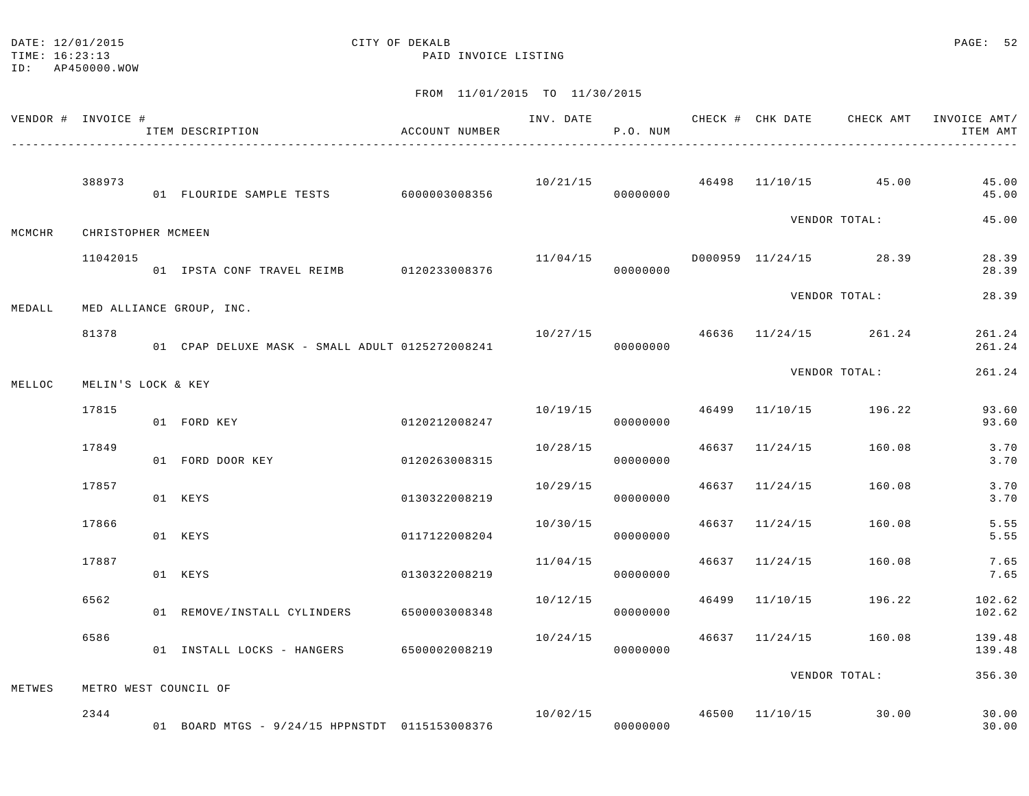| DATE: | 12/01/2015 |  |
|-------|------------|--|
|       |            |  |

### CITY OF DEKALB **PAGE:** 52

TIME: 16:23:13 PAID INVOICE LISTING

ID: AP450000.WOW

| VENDOR # INVOICE # |                    | ITEM DESCRIPTION<br>_________________________________ | ACCOUNT NUMBER |                                                   | P.O. NUM |       |                | INV. DATE 6 CHECK # CHK DATE CHECK AMT | INVOICE AMT/<br>ITEM AMT |
|--------------------|--------------------|-------------------------------------------------------|----------------|---------------------------------------------------|----------|-------|----------------|----------------------------------------|--------------------------|
|                    | 388973             | 01 FLOURIDE SAMPLE TESTS 6000003008356                |                | 10/21/15                                          | 00000000 |       |                | 46498 11/10/15 45.00                   | 45.00<br>45.00           |
| MCMCHR             | CHRISTOPHER MCMEEN |                                                       |                |                                                   |          |       |                | VENDOR TOTAL:                          | 45.00                    |
|                    | 11042015           | 01 IPSTA CONF TRAVEL REIMB 0120233008376              |                |                                                   | 00000000 |       |                | $11/04/15$ D000959 11/24/15 28.39      | 28.39<br>28.39           |
| MEDALL             |                    | MED ALLIANCE GROUP, INC.                              |                |                                                   |          |       |                | VENDOR TOTAL:                          | 28.39                    |
|                    | 81378              | 01 CPAP DELUXE MASK - SMALL ADULT 0125272008241       |                |                                                   | 00000000 |       |                | $10/27/15$ 46636 $11/24/15$ 261.24     | 261.24<br>261.24         |
| MELLOC             | MELIN'S LOCK & KEY |                                                       |                |                                                   |          |       |                | VENDOR TOTAL:                          | 261.24                   |
|                    | 17815              | 01 FORD KEY                                           | 0120212008247  | 10/19/15                                          | 00000000 |       |                | 46499 11/10/15 196.22                  | 93.60<br>93.60           |
|                    | 17849              | 01 FORD DOOR KEY                                      | 0120263008315  | 10/28/15                                          | 00000000 |       | 46637 11/24/15 | 160.08                                 | 3.70<br>3.70             |
|                    | 17857              | 01 KEYS                                               | 0130322008219  | 10/29/15                                          | 00000000 |       | 46637 11/24/15 | 160.08                                 | 3.70<br>3.70             |
|                    | 17866              | 01 KEYS                                               | 0117122008204  | 10/30/15                                          | 00000000 |       | 46637 11/24/15 | 160.08                                 | 5.55<br>5.55             |
|                    | 17887              | 01 KEYS                                               | 0130322008219  | 11/04/15                                          | 00000000 |       | 46637 11/24/15 | 160.08                                 | 7.65<br>7.65             |
|                    | 6562               | 01 REMOVE/INSTALL CYLINDERS                           | 6500003008348  | 10/12/15                                          | 00000000 | 46499 | 11/10/15       | 196.22                                 | 102.62<br>102.62         |
|                    | 6586               | 01 INSTALL LOCKS - HANGERS                            | 6500002008219  | 10/24/15                                          | 00000000 |       | 46637 11/24/15 | 160.08                                 | 139.48<br>139.48         |
| METWES             |                    | METRO WEST COUNCIL OF                                 |                |                                                   |          |       |                | VENDOR TOTAL:                          | 356.30                   |
|                    | 2344               | 01 BOARD MTGS - 9/24/15 HPPNSTDT 0115153008376        |                | $10/02/15$ $46500$ $11/10/15$ $30.00$<br>00000000 |          |       |                |                                        | 30.00<br>30.00           |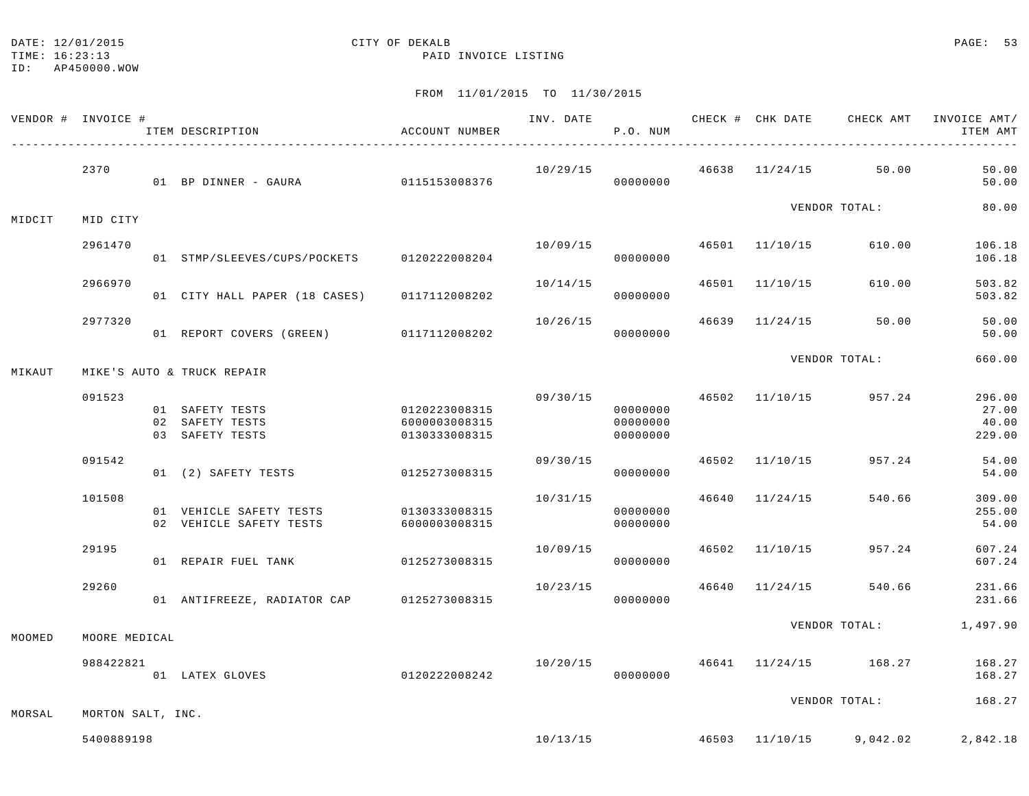TIME: 16:23:13 PAID INVOICE LISTING

ID: AP450000.WOW

|        | VENDOR # INVOICE # | ITEM DESCRIPTION                                      | ACCOUNT NUMBER                                  |          | INV. DATE<br>P.O. NUM            |                | CHECK # CHK DATE CHECK AMT | INVOICE AMT/<br>ITEM AMT                            |
|--------|--------------------|-------------------------------------------------------|-------------------------------------------------|----------|----------------------------------|----------------|----------------------------|-----------------------------------------------------|
|        | 2370               | 01 BP DINNER - GAURA 0115153008376                    |                                                 | 10/29/15 | 00000000                         |                | $46638$ $11/24/15$ 50.00   | 50.00<br>50.00                                      |
| MIDCIT | MID CITY           |                                                       |                                                 |          |                                  |                | VENDOR TOTAL:              | 80.00                                               |
|        | 2961470            | 01 STMP/SLEEVES/CUPS/POCKETS 0120222008204            |                                                 | 10/09/15 | 00000000                         | 46501 11/10/15 | 610.00                     | 106.18<br>106.18                                    |
|        | 2966970            | 01 CITY HALL PAPER (18 CASES) 0117112008202           |                                                 | 10/14/15 | 00000000                         | 46501 11/10/15 | 610.00                     | 503.82<br>503.82                                    |
|        | 2977320            | 01 REPORT COVERS (GREEN) 0117112008202                |                                                 | 10/26/15 | 00000000                         | 46639 11/24/15 | 50.00                      | 50.00<br>50.00                                      |
| MIKAUT |                    | MIKE'S AUTO & TRUCK REPAIR                            |                                                 |          |                                  |                | VENDOR TOTAL:              | 660.00                                              |
|        | 091523             | 01 SAFETY TESTS<br>02 SAFETY TESTS<br>03 SAFETY TESTS | 0120223008315<br>6000003008315<br>0130333008315 | 09/30/15 | 00000000<br>00000000<br>00000000 | 46502 11/10/15 | 957.24                     | 296.00<br>27.00<br>40.00<br>229.00                  |
|        | 091542             | 01 (2) SAFETY TESTS                                   | 0125273008315                                   | 09/30/15 | 00000000                         | 46502 11/10/15 | 957.24                     | 54.00<br>54.00                                      |
|        | 101508             | 01 VEHICLE SAFETY TESTS<br>02 VEHICLE SAFETY TESTS    | 0130333008315<br>6000003008315                  | 10/31/15 | 00000000<br>00000000             | 46640 11/24/15 | 540.66                     | 309.00<br>255.00<br>54.00                           |
|        | 29195              | 01 REPAIR FUEL TANK                                   | 0125273008315                                   | 10/09/15 | 00000000                         | 46502 11/10/15 | 957.24                     | 607.24<br>607.24                                    |
|        | 29260              | 01 ANTIFREEZE, RADIATOR CAP 0125273008315             |                                                 | 10/23/15 | 00000000                         |                | 46640 11/24/15 540.66      | 231.66<br>231.66                                    |
| MOOMED | MOORE MEDICAL      |                                                       |                                                 |          |                                  |                |                            | VENDOR TOTAL: 1,497.90                              |
|        | 988422821          | 01 LATEX GLOVES                                       | 0120222008242                                   | 10/20/15 | 00000000                         |                | 46641 11/24/15 168.27      | 168.27<br>168.27                                    |
| MORSAL | MORTON SALT, INC.  |                                                       |                                                 |          |                                  |                | VENDOR TOTAL:              | 168.27                                              |
|        | 5400889198         |                                                       |                                                 |          |                                  |                |                            | $10/13/15$ $46503$ $11/10/15$ $9.042.02$ $2.842.18$ |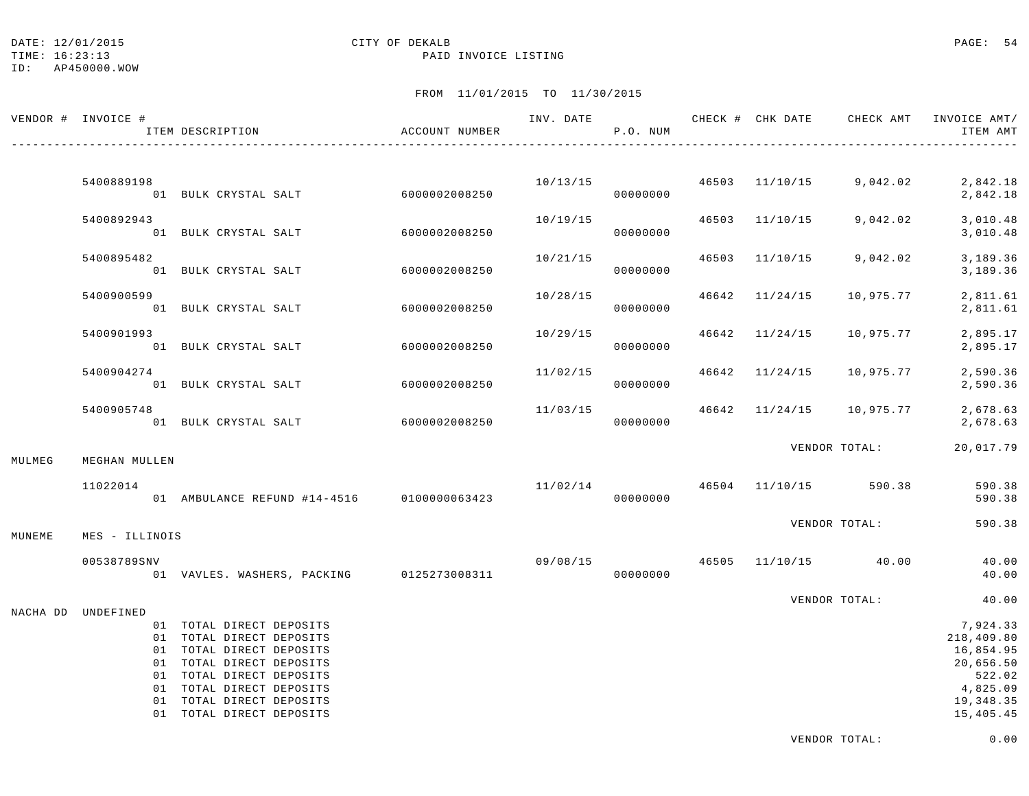## DATE: 12/01/2015 **CITY OF DEKALB CITY OF LOOP CITY OF LOOP CITY OF LOOP CITY OF LOOP CITY OF LOOP CITY OF LOOP CITY** OF LOOP CITY OF LOOP CITY OF LOOP CITY OF LOOP CONTRACTS **EXALLS**

TIME: 16:23:13 PAID INVOICE LISTING

|        | VENDOR # INVOICE #       | ITEM DESCRIPTION                                                                                                                                                                                                          | ACCOUNT NUMBER | INV. DATE | CHECK # CHK DATE<br>P.O. NUM |                | CHECK AMT                            | INVOICE AMT/<br>ITEM AMT                                                                         |
|--------|--------------------------|---------------------------------------------------------------------------------------------------------------------------------------------------------------------------------------------------------------------------|----------------|-----------|------------------------------|----------------|--------------------------------------|--------------------------------------------------------------------------------------------------|
|        | 5400889198               | 01 BULK CRYSTAL SALT 6000002008250                                                                                                                                                                                        |                |           | 00000000                     |                |                                      | $10/13/15$ $46503$ $11/10/15$ $9,042.02$ $2,842.18$<br>2,842.18                                  |
|        | 5400892943               | 01 BULK CRYSTAL SALT 6000002008250                                                                                                                                                                                        |                | 10/19/15  | 00000000                     |                | 46503 11/10/15 9,042.02              | 3,010.48<br>3,010.48                                                                             |
|        | 5400895482               | 01 BULK CRYSTAL SALT                                                                                                                                                                                                      | 6000002008250  | 10/21/15  | 00000000                     |                | 46503 11/10/15 9,042.02              | 3,189.36<br>3,189.36                                                                             |
|        | 5400900599               | 01 BULK CRYSTAL SALT                                                                                                                                                                                                      | 6000002008250  | 10/28/15  | 00000000                     | 46642 11/24/15 | 10,975.77                            | 2,811.61<br>2,811.61                                                                             |
|        | 5400901993               | 01 BULK CRYSTAL SALT 6000002008250                                                                                                                                                                                        |                | 10/29/15  | 00000000                     |                | 46642 11/24/15 10,975.77             | 2,895.17<br>2,895.17                                                                             |
|        | 5400904274               | 01 BULK CRYSTAL SALT                                                                                                                                                                                                      | 6000002008250  | 11/02/15  | 00000000                     |                | 46642 11/24/15 10,975.77             | 2,590.36<br>2,590.36                                                                             |
|        | 5400905748               | 01 BULK CRYSTAL SALT 6000002008250                                                                                                                                                                                        |                |           | 00000000                     |                |                                      | $11/03/15$ $46642$ $11/24/15$ $10,975.77$ $2,678.63$<br>2,678.63                                 |
| MULMEG | MEGHAN MULLEN            |                                                                                                                                                                                                                           |                |           |                              |                | VENDOR TOTAL:                        | 20,017.79                                                                                        |
|        | 11022014                 | 01 AMBULANCE REFUND #14-4516 0100000063423                                                                                                                                                                                |                |           | 00000000                     |                | $11/02/14$ $46504$ $11/10/15$ 590.38 | 590.38<br>590.38                                                                                 |
| MUNEME | MES - ILLINOIS           |                                                                                                                                                                                                                           |                |           |                              |                | VENDOR TOTAL:                        | 590.38                                                                                           |
|        | 00538789SNV              | 01 VAVLES. WASHERS, PACKING 0125273008311                                                                                                                                                                                 |                | 09/08/15  | 00000000                     |                | 46505 11/10/15 40.00                 | 40.00<br>40.00                                                                                   |
|        |                          |                                                                                                                                                                                                                           |                |           |                              |                | VENDOR TOTAL:                        | 40.00                                                                                            |
|        | NACHA DD UNDEFINED<br>01 | 01 TOTAL DIRECT DEPOSITS<br>01 TOTAL DIRECT DEPOSITS<br>01 TOTAL DIRECT DEPOSITS<br>01 TOTAL DIRECT DEPOSITS<br>01 TOTAL DIRECT DEPOSITS<br>01 TOTAL DIRECT DEPOSITS<br>TOTAL DIRECT DEPOSITS<br>01 TOTAL DIRECT DEPOSITS |                |           |                              |                |                                      | 7,924.33<br>218,409.80<br>16,854.95<br>20,656.50<br>522.02<br>4,825.09<br>19,348.35<br>15,405.45 |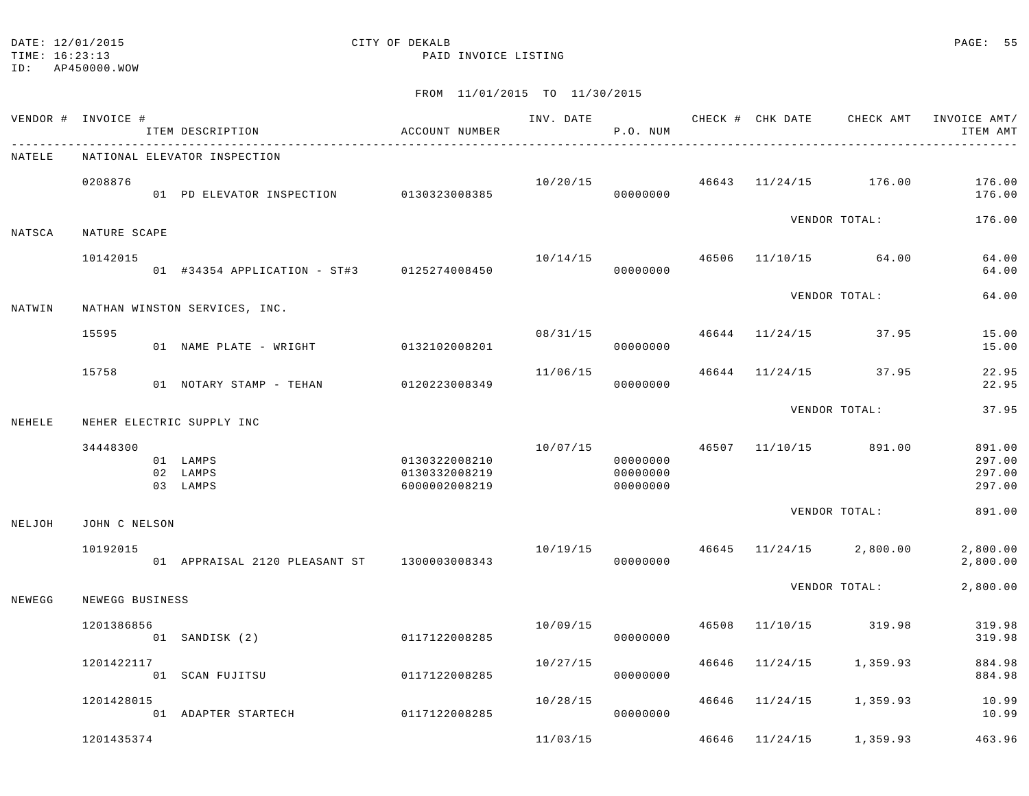# DATE: 12/01/2015 **CITY OF DEKALB** CITY OF DEXALB **PAGE: 55**

TIME: 16:23:13 PAID INVOICE LISTING

|        | VENDOR # INVOICE # | ITEM DESCRIPTION                            | ACCOUNT NUMBER                                  | INV. DATE | P.O. NUM                         |       | CHECK # CHK DATE | CHECK AMT               | INVOICE AMT/<br>ITEM AMT             |
|--------|--------------------|---------------------------------------------|-------------------------------------------------|-----------|----------------------------------|-------|------------------|-------------------------|--------------------------------------|
| NATELE |                    | NATIONAL ELEVATOR INSPECTION                |                                                 |           |                                  |       |                  |                         |                                      |
|        | 0208876            | 01 PD ELEVATOR INSPECTION 0130323008385     |                                                 | 10/20/15  | 00000000                         |       |                  | 46643 11/24/15 176.00   | 176.00<br>176.00                     |
| NATSCA | NATURE SCAPE       |                                             |                                                 |           |                                  |       |                  | VENDOR TOTAL:           | 176.00                               |
|        | 10142015           | 01 #34354 APPLICATION - ST#3 0125274008450  |                                                 | 10/14/15  | 00000000                         | 46506 |                  | $11/10/15$ 64.00        | 64.00<br>64.00                       |
| NATWIN |                    | NATHAN WINSTON SERVICES, INC.               |                                                 |           |                                  |       |                  | VENDOR TOTAL:           | 64.00                                |
|        | 15595              | 01 NAME PLATE - WRIGHT                      | 0132102008201                                   |           | 08/31/15<br>00000000             |       |                  | 46644 11/24/15 37.95    | 15.00<br>15.00                       |
|        | 15758              | 01 NOTARY STAMP - TEHAN                     | 0120223008349                                   | 11/06/15  | 00000000                         |       | 46644 11/24/15   | 37.95                   | 22.95<br>22.95                       |
| NEHELE |                    | NEHER ELECTRIC SUPPLY INC                   |                                                 |           |                                  |       |                  | VENDOR TOTAL:           | 37.95                                |
|        | 34448300           | 01 LAMPS<br>02 LAMPS<br>03 LAMPS            | 0130322008210<br>0130332008219<br>6000002008219 | 10/07/15  | 00000000<br>00000000<br>00000000 |       |                  | 46507 11/10/15 891.00   | 891.00<br>297.00<br>297.00<br>297.00 |
| NELJOH | JOHN C NELSON      |                                             |                                                 |           |                                  |       |                  | VENDOR TOTAL:           | 891.00                               |
|        | 10192015           | 01 APPRAISAL 2120 PLEASANT ST 1300003008343 |                                                 | 10/19/15  | 00000000                         |       |                  | 46645 11/24/15 2,800.00 | 2,800.00<br>2,800.00                 |
| NEWEGG | NEWEGG BUSINESS    |                                             |                                                 |           |                                  |       |                  | VENDOR TOTAL:           | 2,800.00                             |
|        | 1201386856         | 01 SANDISK (2)                              | 0117122008285                                   | 10/09/15  | 00000000                         | 46508 | 11/10/15         | 319.98                  | 319.98<br>319.98                     |
|        | 1201422117         | 01 SCAN FUJITSU                             | 0117122008285                                   | 10/27/15  | 00000000                         | 46646 | 11/24/15         | 1,359.93                | 884.98<br>884.98                     |
|        | 1201428015         | 01 ADAPTER STARTECH                         | 0117122008285                                   | 10/28/15  | 00000000                         |       | 46646 11/24/15   | 1,359.93                | 10.99<br>10.99                       |
|        | 1201435374         |                                             |                                                 | 11/03/15  |                                  |       | 46646 11/24/15   | 1,359.93                | 463.96                               |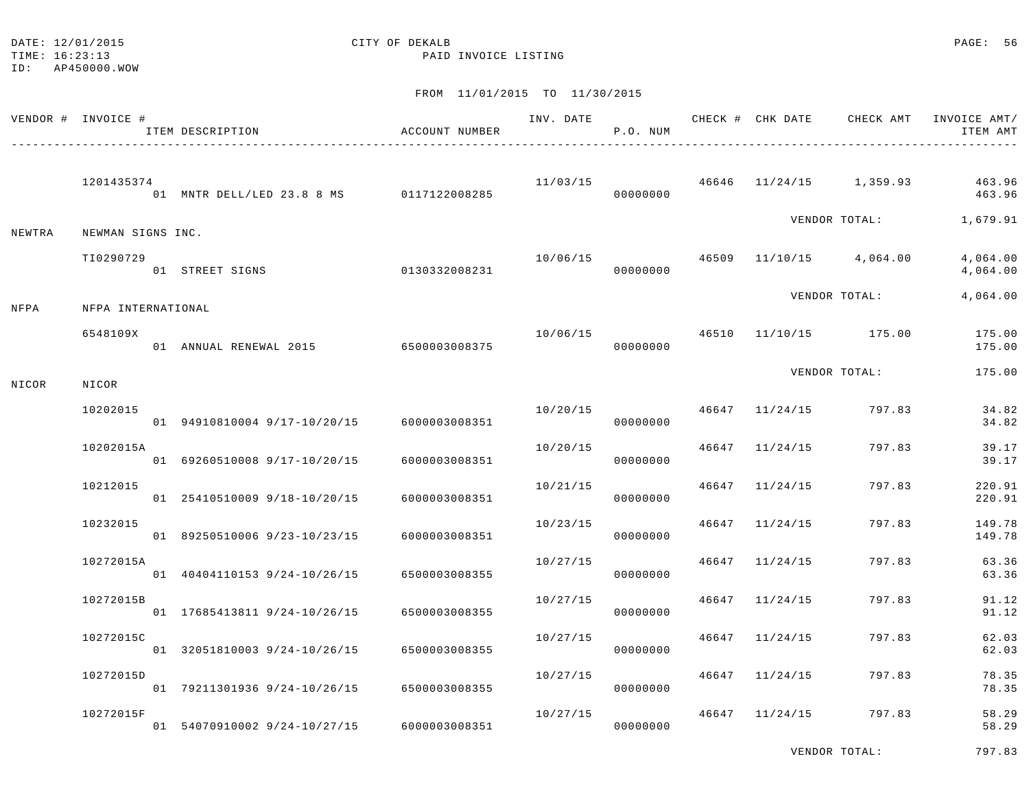| DATE: | 12/01/2015 |  |
|-------|------------|--|
|       |            |  |

#### CITY OF DEKALB **PAGE:** 56

TIME: 16:23:13 PAID INVOICE LISTING

|        | VENDOR # INVOICE # | ITEM DESCRIPTION                           | ACCOUNT NUMBER | INV. DATE | P.O. NUM |       | CHECK # CHK DATE | CHECK AMT               | INVOICE AMT/<br>ITEM AMT |
|--------|--------------------|--------------------------------------------|----------------|-----------|----------|-------|------------------|-------------------------|--------------------------|
|        | 1201435374         | 01 MNTR DELL/LED 23.8 8 MS   0117122008285 |                | 11/03/15  | 00000000 |       |                  | 46646 11/24/15 1,359.93 | 463.96<br>463.96         |
| NEWTRA | NEWMAN SIGNS INC.  |                                            |                |           |          |       |                  | VENDOR TOTAL:           | 1,679.91                 |
|        | TI0290729          | 01 STREET SIGNS                            | 0130332008231  | 10/06/15  | 00000000 | 46509 |                  | 11/10/15 4,064.00       | 4,064.00<br>4,064.00     |
| NFPA   | NFPA INTERNATIONAL |                                            |                |           |          |       |                  | VENDOR TOTAL:           | 4,064.00                 |
|        | 6548109X           | 01 ANNUAL RENEWAL 2015                     | 6500003008375  | 10/06/15  | 00000000 | 46510 |                  | 11/10/15 175.00         | 175.00<br>175.00         |
| NICOR  | NICOR              |                                            |                |           |          |       |                  | VENDOR TOTAL:           | 175.00                   |
|        | 10202015           | 01 94910810004 9/17-10/20/15               | 6000003008351  | 10/20/15  | 00000000 |       | 46647 11/24/15   | 797.83                  | 34.82<br>34.82           |
|        | 10202015A          | 01 69260510008 9/17-10/20/15               | 6000003008351  | 10/20/15  | 00000000 | 46647 | 11/24/15         | 797.83                  | 39.17<br>39.17           |
|        | 10212015           | 01 25410510009 9/18-10/20/15               | 6000003008351  | 10/21/15  | 00000000 | 46647 | 11/24/15         | 797.83                  | 220.91<br>220.91         |
|        | 10232015           | 01 89250510006 9/23-10/23/15               | 6000003008351  | 10/23/15  | 00000000 | 46647 | 11/24/15         | 797.83                  | 149.78<br>149.78         |
|        | 10272015A          | 01 40404110153 9/24-10/26/15               | 6500003008355  | 10/27/15  | 00000000 | 46647 | 11/24/15         | 797.83                  | 63.36<br>63.36           |
|        | 10272015B          | 01 17685413811 9/24-10/26/15               | 6500003008355  | 10/27/15  | 00000000 | 46647 | 11/24/15         | 797.83                  | 91.12<br>91.12           |
|        | 10272015C          | 01 32051810003 9/24-10/26/15               | 6500003008355  | 10/27/15  | 00000000 | 46647 | 11/24/15         | 797.83                  | 62.03<br>62.03           |
|        | 10272015D          | 01 79211301936 9/24-10/26/15               | 6500003008355  | 10/27/15  | 00000000 | 46647 | 11/24/15         | 797.83                  | 78.35<br>78.35           |
|        | 10272015F          | 01 54070910002 9/24-10/27/15               | 6000003008351  | 10/27/15  | 00000000 | 46647 | 11/24/15         | 797.83                  | 58.29<br>58.29           |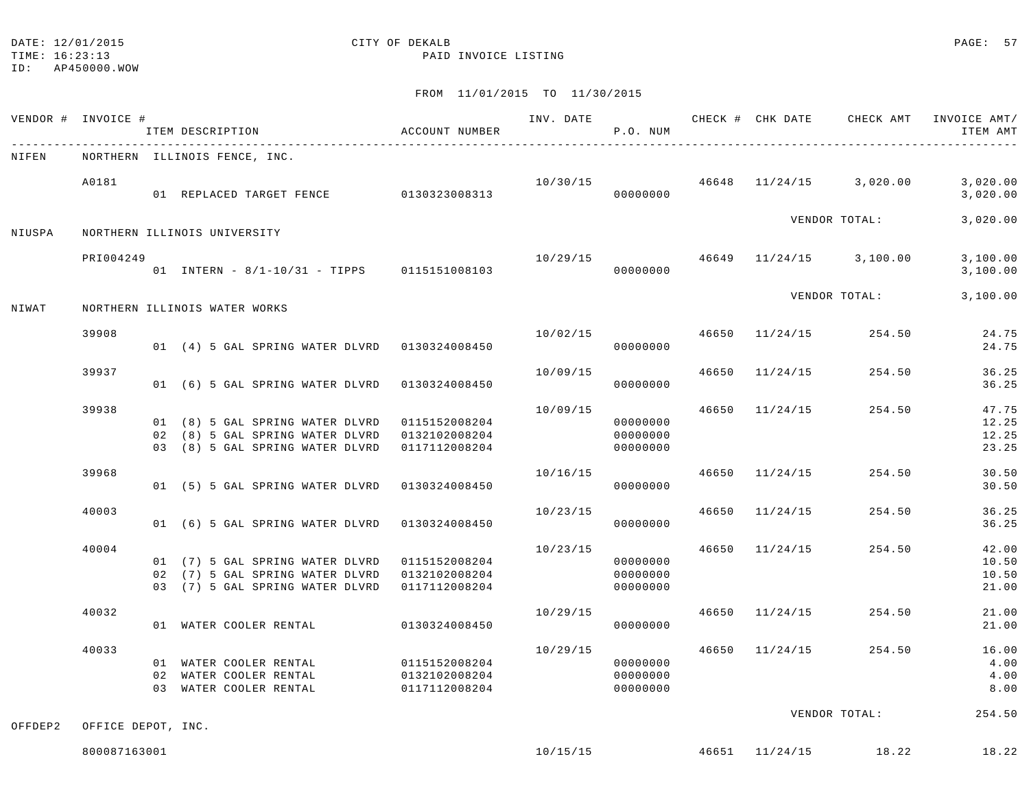TIME: 16:23:13 PAID INVOICE LISTING

ID: AP450000.WOW

|         | VENDOR # INVOICE #           |  | ITEM DESCRIPTION                                                                                      | ACCOUNT NUMBER                                  | INV. DATE | P.O. NUM                         |       |                |                         | CHECK # CHK DATE GHECK AMT INVOICE AMT/<br>ITEM AMT |
|---------|------------------------------|--|-------------------------------------------------------------------------------------------------------|-------------------------------------------------|-----------|----------------------------------|-------|----------------|-------------------------|-----------------------------------------------------|
| NIFEN   |                              |  | NORTHERN ILLINOIS FENCE, INC.                                                                         |                                                 |           |                                  |       |                |                         |                                                     |
|         | A0181                        |  | 01 REPLACED TARGET FENCE 0130323008313                                                                |                                                 | 10/30/15  | 00000000                         |       |                | 46648 11/24/15 3,020.00 | 3,020.00<br>3,020.00                                |
| NIUSPA  | NORTHERN ILLINOIS UNIVERSITY |  |                                                                                                       |                                                 |           |                                  |       |                | VENDOR TOTAL:           | 3,020.00                                            |
|         | PRI004249                    |  | 01 INTERN - 8/1-10/31 - TIPPS 0115151008103                                                           |                                                 | 10/29/15  | 00000000                         |       |                | 46649 11/24/15 3,100.00 | 3,100.00<br>3,100.00                                |
| NIWAT   |                              |  | NORTHERN ILLINOIS WATER WORKS                                                                         |                                                 |           |                                  |       |                | VENDOR TOTAL:           | 3,100.00                                            |
|         | 39908                        |  | 01 (4) 5 GAL SPRING WATER DLVRD 0130324008450                                                         |                                                 | 10/02/15  | 00000000                         |       | 46650 11/24/15 | 254.50                  | 24.75<br>24.75                                      |
|         | 39937                        |  | 01 (6) 5 GAL SPRING WATER DLVRD                                                                       | 0130324008450                                   | 10/09/15  | 00000000                         | 46650 | 11/24/15       | 254.50                  | 36.25<br>36.25                                      |
|         | 39938                        |  | 01 (8) 5 GAL SPRING WATER DLVRD<br>02 (8) 5 GAL SPRING WATER DLVRD<br>03 (8) 5 GAL SPRING WATER DLVRD | 0115152008204<br>0132102008204<br>0117112008204 | 10/09/15  | 00000000<br>00000000<br>00000000 |       | 46650 11/24/15 | 254.50                  | 47.75<br>12.25<br>12.25<br>23.25                    |
|         | 39968                        |  | 01 (5) 5 GAL SPRING WATER DLVRD                                                                       | 0130324008450                                   | 10/16/15  | 00000000                         |       | 46650 11/24/15 | 254.50                  | 30.50<br>30.50                                      |
|         | 40003                        |  | 01 (6) 5 GAL SPRING WATER DLVRD                                                                       | 0130324008450                                   | 10/23/15  | 00000000                         | 46650 | 11/24/15       | 254.50                  | 36.25<br>36.25                                      |
|         | 40004                        |  | 01 (7) 5 GAL SPRING WATER DLVRD<br>02 (7) 5 GAL SPRING WATER DLVRD<br>03 (7) 5 GAL SPRING WATER DLVRD | 0115152008204<br>0132102008204<br>0117112008204 | 10/23/15  | 00000000<br>00000000<br>00000000 |       | 46650 11/24/15 | 254.50                  | 42.00<br>10.50<br>10.50<br>21.00                    |
|         | 40032                        |  | 01 WATER COOLER RENTAL                                                                                | 0130324008450                                   | 10/29/15  | 00000000                         |       | 46650 11/24/15 | 254.50                  | 21.00<br>21.00                                      |
|         | 40033                        |  | 01 WATER COOLER RENTAL<br>02 WATER COOLER RENTAL<br>03 WATER COOLER RENTAL                            | 0115152008204<br>0132102008204<br>0117112008204 | 10/29/15  | 00000000<br>00000000<br>00000000 |       | 46650 11/24/15 | 254.50                  | 16.00<br>4.00<br>4.00<br>8.00                       |
| OFFDEP2 | OFFICE DEPOT, INC.           |  |                                                                                                       |                                                 |           |                                  |       |                | VENDOR TOTAL:           | 254.50                                              |
|         | 800087163001                 |  |                                                                                                       |                                                 | 10/15/15  |                                  |       |                | 46651 11/24/15 18.22    | 18.22                                               |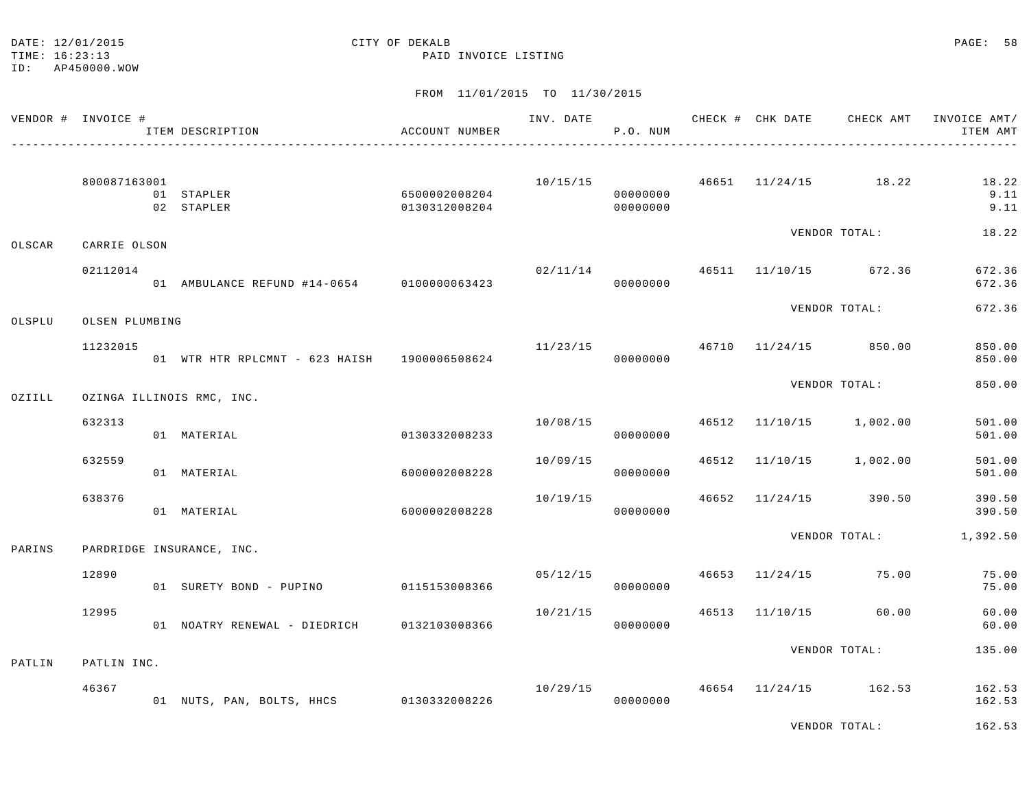TIME: 16:23:13 PAID INVOICE LISTING

ID: AP450000.WOW

|        | VENDOR # INVOICE # |                                            | ITEM DESCRIPTION<br>_____________________________ | ACCOUNT NUMBER                 |                                        | INV. DATE<br>P.O. NUM |  | CHECK # CHK DATE CHECK AMT            | INVOICE AMT/<br>ITEM AMT |
|--------|--------------------|--------------------------------------------|---------------------------------------------------|--------------------------------|----------------------------------------|-----------------------|--|---------------------------------------|--------------------------|
|        | 800087163001       |                                            | 01 STAPLER<br>02 STAPLER                          | 6500002008204<br>0130312008204 |                                        | 00000000<br>00000000  |  | $10/15/15$ $46651$ $11/24/15$ $18.22$ | 18.22<br>9.11<br>9.11    |
| OLSCAR | CARRIE OLSON       |                                            |                                                   |                                |                                        |                       |  | VENDOR TOTAL:                         | 18.22                    |
|        | 02112014           |                                            | 01 AMBULANCE REFUND #14-0654 0100000063423        |                                |                                        | 00000000              |  | $02/11/14$ $46511$ $11/10/15$ 672.36  | 672.36<br>672.36         |
| OLSPLU | OLSEN PLUMBING     |                                            |                                                   |                                |                                        |                       |  | VENDOR TOTAL:                         | 672.36                   |
|        | 11232015           |                                            | 01 WTR HTR RPLCMNT - 623 HAISH 1900006508624      |                                | $11/23/15$ $46710$ $11/24/15$ $850.00$ | 00000000              |  |                                       | 850.00<br>850.00         |
| OZIILL |                    | VENDOR TOTAL:<br>OZINGA ILLINOIS RMC, INC. |                                                   | 850.00                         |                                        |                       |  |                                       |                          |
|        | 632313             |                                            | 01 MATERIAL                                       | 0130332008233                  | 10/08/15                               | 00000000              |  | 46512 11/10/15 1,002.00               | 501.00<br>501.00         |
|        | 632559             |                                            | 01 MATERIAL                                       | 6000002008228                  | 10/09/15                               | 00000000              |  | 46512 11/10/15 1,002.00               | 501.00<br>501.00         |
|        | 638376             |                                            | 01 MATERIAL                                       | 6000002008228                  | 10/19/15                               | 00000000              |  | 46652 11/24/15 390.50                 | 390.50<br>390.50         |
| PARINS |                    |                                            | PARDRIDGE INSURANCE, INC.                         |                                |                                        |                       |  |                                       | VENDOR TOTAL: 1,392.50   |
|        | 12890              |                                            | 01 SURETY BOND - PUPINO 0115153008366             |                                |                                        | 05/12/15<br>00000000  |  | 46653 11/24/15 75.00                  | 75.00<br>75.00           |
|        | 12995              |                                            | 01 NOATRY RENEWAL - DIEDRICH 0132103008366        |                                | 10/21/15                               | 00000000              |  | 46513 11/10/15 60.00                  | 60.00<br>60.00           |
| PATLIN | PATLIN INC.        |                                            |                                                   |                                |                                        |                       |  | VENDOR TOTAL:                         | 135.00                   |
|        | 46367              |                                            | 01 NUTS, PAN, BOLTS, HHCS 0130332008226           |                                | 10/29/15                               | 00000000              |  | 46654 11/24/15 162.53                 | 162.53<br>162.53         |
|        |                    |                                            |                                                   |                                |                                        |                       |  | VENDOR TOTAL:                         | 162.53                   |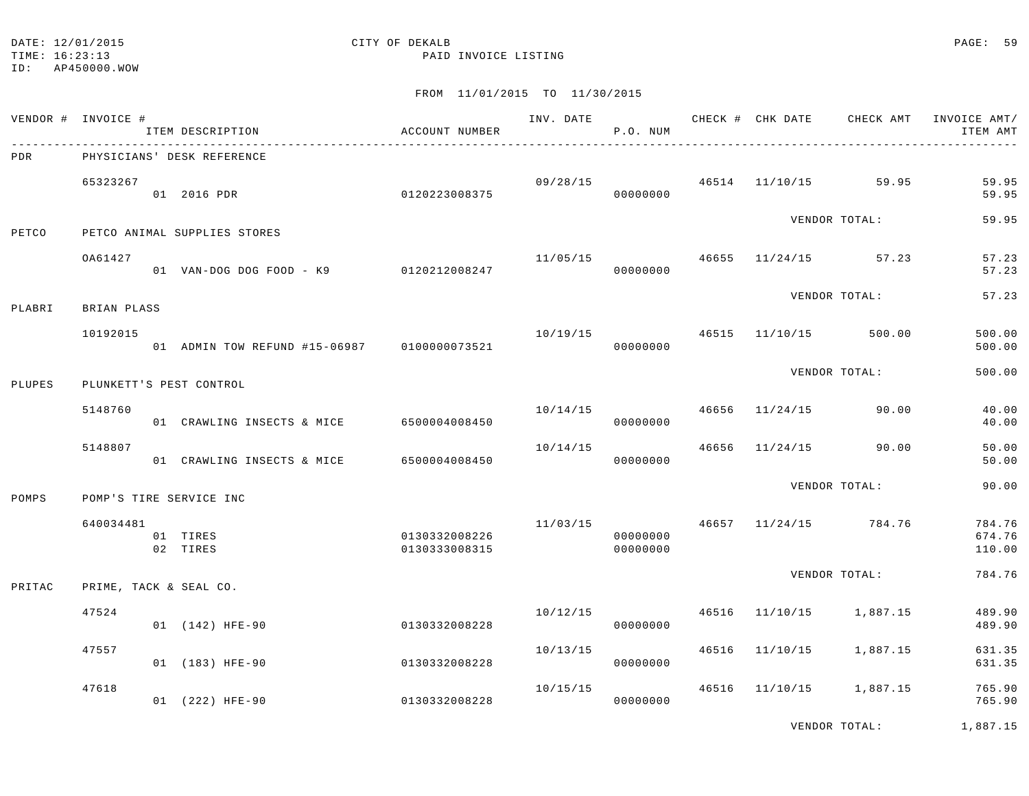## DATE: 12/01/2015 CITY OF DEKALB PAGE: 59

TIME: 16:23:13 PAID INVOICE LISTING

FROM 11/01/2015 TO 11/30/2015

|        | VENDOR # INVOICE # | ITEM DESCRIPTION                            | ACCOUNT NUMBER                 |                                      | P.O. NUM             |  |                                     | INV. DATE 6 CHECK # CHK DATE CHECK AMT INVOICE AMT/<br>ITEM AMT |
|--------|--------------------|---------------------------------------------|--------------------------------|--------------------------------------|----------------------|--|-------------------------------------|-----------------------------------------------------------------|
| PDR    |                    | PHYSICIANS' DESK REFERENCE                  |                                |                                      |                      |  |                                     |                                                                 |
|        | 65323267           | 01 2016 PDR                                 | 0120223008375                  |                                      | 00000000             |  | $09/28/15$ $46514$ $11/10/15$ 59.95 | 59.95<br>59.95                                                  |
| PETCO  |                    | PETCO ANIMAL SUPPLIES STORES                |                                |                                      |                      |  | VENDOR TOTAL:                       | 59.95                                                           |
|        | OA61427            | 01  VAN-DOG DOG FOOD - K9   0120212008247   |                                |                                      | 00000000             |  | $11/05/15$ $46655$ $11/24/15$ 57.23 | 57.23<br>57.23                                                  |
| PLABRI | BRIAN PLASS        |                                             |                                |                                      |                      |  | VENDOR TOTAL:                       | 57.23                                                           |
|        | 10192015           | 01 ADMIN TOW REFUND #15-06987 0100000073521 |                                | 10/19/15   46515   11/10/15   500.00 | 00000000             |  |                                     | 500.00<br>500.00                                                |
| PLUPES |                    | PLUNKETT'S PEST CONTROL                     |                                |                                      |                      |  | VENDOR TOTAL:                       | 500.00                                                          |
|        |                    |                                             |                                |                                      |                      |  |                                     |                                                                 |
|        | 5148760            | 01 CRAWLING INSECTS & MICE                  | 6500004008450                  |                                      | 00000000             |  | $10/14/15$ $46656$ $11/24/15$ 90.00 | 40.00<br>40.00                                                  |
|        | 5148807            | 01 CRAWLING INSECTS & MICE                  | 6500004008450                  | 10/14/15                             | 00000000             |  | 46656 11/24/15 90.00                | 50.00<br>50.00                                                  |
| POMPS  |                    | POMP'S TIRE SERVICE INC                     |                                |                                      |                      |  | VENDOR TOTAL:                       | 90.00                                                           |
|        | 640034481          | 01 TIRES<br>02 TIRES                        | 0130332008226<br>0130333008315 |                                      | 00000000<br>00000000 |  | $11/03/15$ 46657 $11/24/15$ 784.76  | 784.76<br>674.76<br>110.00                                      |
| PRITAC |                    | PRIME, TACK & SEAL CO.                      |                                |                                      |                      |  | VENDOR TOTAL:                       | 784.76                                                          |
|        |                    |                                             |                                |                                      |                      |  |                                     |                                                                 |
|        | 47524              | 01 (142) HFE-90                             | 0130332008228                  | 10/12/15                             | 00000000             |  | 46516 11/10/15 1,887.15             | 489.90<br>489.90                                                |
|        | 47557              | 01 (183) HFE-90                             | 0130332008228                  | 10/13/15                             | 00000000             |  | 46516 11/10/15 1,887.15             | 631.35<br>631.35                                                |
|        | 47618              | 01 (222) HFE-90                             | 0130332008228                  | 10/15/15                             | 00000000             |  | 46516 11/10/15 1,887.15             | 765.90<br>765.90                                                |
|        |                    |                                             |                                |                                      |                      |  |                                     |                                                                 |

VENDOR TOTAL: 1,887.15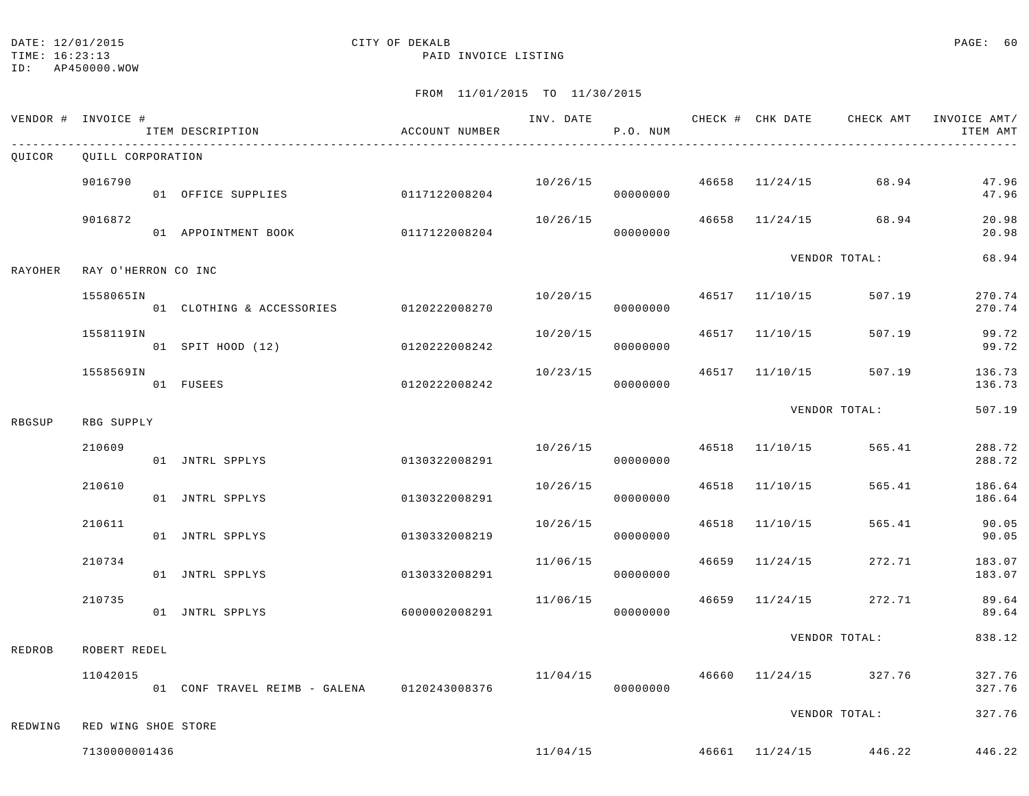TIME: 16:23:13 PAID INVOICE LISTING

ID: AP450000.WOW

|         | VENDOR # INVOICE #  | ITEM DESCRIPTION              | ACCOUNT NUMBER | INV. DATE | P.O. NUM |       |                | CHECK # CHK DATE CHECK AMT             | INVOICE AMT/<br>ITEM AMT |
|---------|---------------------|-------------------------------|----------------|-----------|----------|-------|----------------|----------------------------------------|--------------------------|
| QUICOR  | QUILL CORPORATION   |                               |                |           |          |       |                |                                        |                          |
|         | 9016790             | 01 OFFICE SUPPLIES            | 0117122008204  | 10/26/15  | 00000000 |       | 46658 11/24/15 | 68.94                                  | 47.96<br>47.96           |
|         | 9016872             | 01 APPOINTMENT BOOK           | 0117122008204  | 10/26/15  | 00000000 | 46658 |                | $11/24/15$ 68.94                       | 20.98<br>20.98           |
| RAYOHER | RAY O'HERRON CO INC |                               |                |           |          |       |                | VENDOR TOTAL:                          | 68.94                    |
|         | 1558065IN           | 01 CLOTHING & ACCESSORIES     | 0120222008270  | 10/20/15  | 00000000 |       | 46517 11/10/15 | 507.19                                 | 270.74<br>270.74         |
|         | 1558119IN           | 01 SPIT HOOD (12)             | 0120222008242  | 10/20/15  | 00000000 |       | 46517 11/10/15 | 507.19                                 | 99.72<br>99.72           |
|         | 1558569IN           | 01 FUSEES                     | 0120222008242  | 10/23/15  | 00000000 |       | 46517 11/10/15 | 507.19                                 | 136.73<br>136.73         |
| RBGSUP  | RBG SUPPLY          |                               |                |           |          |       | VENDOR TOTAL:  | 507.19                                 |                          |
|         | 210609              | 01 JNTRL SPPLYS               | 0130322008291  | 10/26/15  | 00000000 |       | 46518 11/10/15 | 565.41                                 | 288.72<br>288.72         |
|         | 210610              | 01 JNTRL SPPLYS               | 0130322008291  | 10/26/15  | 00000000 | 46518 | 11/10/15       | 565.41                                 | 186.64<br>186.64         |
|         | 210611              | 01 JNTRL SPPLYS               | 0130332008219  | 10/26/15  | 00000000 |       | 46518 11/10/15 | 565.41                                 | 90.05<br>90.05           |
|         | 210734              | 01 JNTRL SPPLYS               | 0130332008291  | 11/06/15  | 00000000 |       | 46659 11/24/15 | 272.71                                 | 183.07<br>183.07         |
|         | 210735              | 01 JNTRL SPPLYS               | 6000002008291  | 11/06/15  | 00000000 | 46659 | 11/24/15       | 272.71                                 | 89.64<br>89.64           |
| REDROB  | ROBERT REDEL        |                               |                |           |          |       |                | VENDOR TOTAL:                          | 838.12                   |
|         | 11042015            | 01 CONF TRAVEL REIMB - GALENA | 0120243008376  | 11/04/15  | 00000000 |       |                | 46660 11/24/15 327.76                  | 327.76<br>327.76         |
| REDWING | RED WING SHOE STORE |                               |                |           |          |       |                | VENDOR TOTAL:                          | 327.76                   |
|         | 7130000001436       |                               |                |           |          |       |                | $11/04/15$ $46661$ $11/24/15$ $446.22$ | 446.22                   |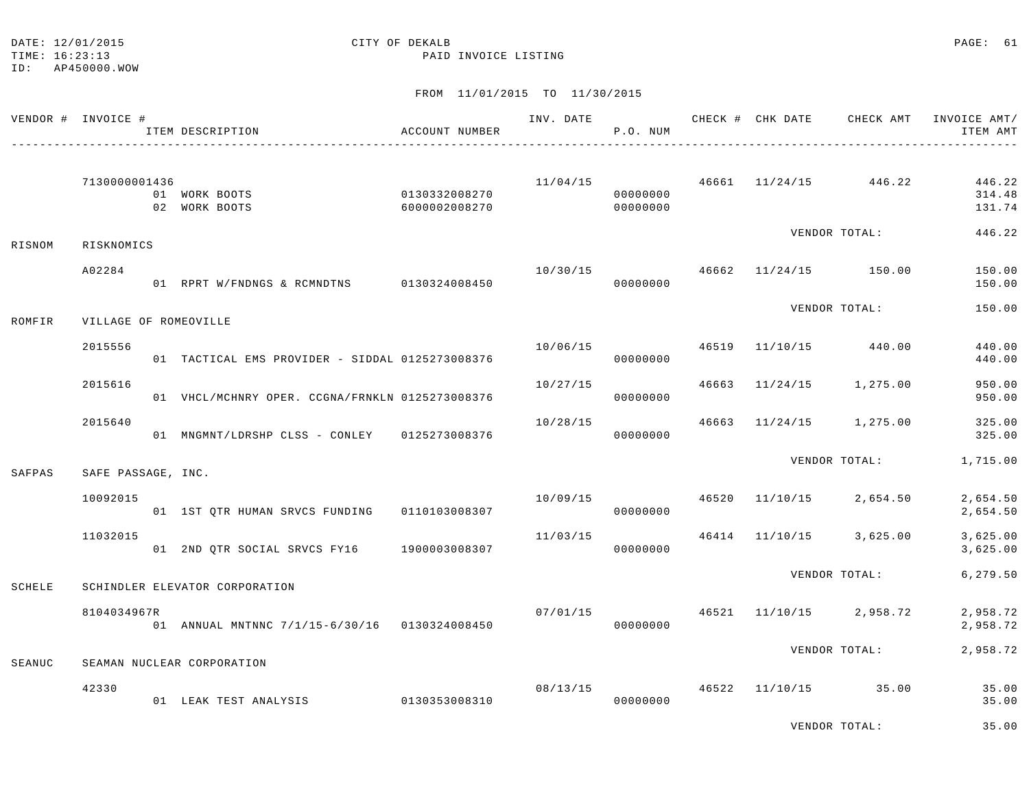TIME: 16:23:13 PAID INVOICE LISTING

| VENDOR # INVOICE # |                       | ITEM DESCRIPTION                                | ACCOUNT NUMBER                 | INV. DATE | P.O. NUM             |       | CHECK # CHK DATE CHECK AMT |                                          | INVOICE AMT/<br>ITEM AMT   |
|--------------------|-----------------------|-------------------------------------------------|--------------------------------|-----------|----------------------|-------|----------------------------|------------------------------------------|----------------------------|
|                    | 7130000001436         | 01 WORK BOOTS<br>02 WORK BOOTS                  | 0130332008270<br>6000002008270 |           | 00000000<br>00000000 |       |                            | $11/04/15$ $46661$ $11/24/15$ $446.22$   | 446.22<br>314.48<br>131.74 |
| RISNOM             | RISKNOMICS            |                                                 |                                |           |                      |       |                            | VENDOR TOTAL:                            | 446.22                     |
|                    | A02284                | 01 RPRT W/FNDNGS & RCMNDTNS 0130324008450       |                                | 10/30/15  | 00000000             |       | 46662 11/24/15 150.00      |                                          | 150.00<br>150.00           |
| ROMFIR             | VILLAGE OF ROMEOVILLE |                                                 |                                |           |                      |       |                            | VENDOR TOTAL:                            | 150.00                     |
|                    | 2015556               | 01 TACTICAL EMS PROVIDER - SIDDAL 0125273008376 |                                |           | 10/06/15<br>00000000 | 46519 | 11/10/15 440.00            |                                          | 440.00<br>440.00           |
|                    | 2015616               | 01 VHCL/MCHNRY OPER. CCGNA/FRNKLN 0125273008376 |                                | 10/27/15  | 00000000             |       |                            | 46663 11/24/15 1,275.00                  | 950.00<br>950.00           |
|                    | 2015640               | 01 MNGMNT/LDRSHP CLSS - CONLEY 0125273008376    |                                | 10/28/15  | 00000000             |       |                            | 46663 11/24/15 1,275.00                  | 325.00<br>325.00           |
| SAFPAS             | SAFE PASSAGE, INC.    |                                                 |                                |           |                      |       |                            | VENDOR TOTAL:                            | 1,715.00                   |
|                    | 10092015              | 01 1ST QTR HUMAN SRVCS FUNDING                  | 0110103008307                  |           | 00000000             |       |                            | $10/09/15$ $46520$ $11/10/15$ $2,654.50$ | 2,654.50<br>2,654.50       |
|                    | 11032015              | 01 2ND QTR SOCIAL SRVCS FY16 1900003008307      |                                | 11/03/15  | 00000000             |       |                            | 46414 11/10/15 3,625.00                  | 3,625.00<br>3,625.00       |
| SCHELE             |                       | SCHINDLER ELEVATOR CORPORATION                  |                                |           |                      |       |                            | VENDOR TOTAL:                            | 6,279.50                   |
|                    | 8104034967R           | 01 ANNUAL MNTNNC 7/1/15-6/30/16 0130324008450   |                                | 07/01/15  | 00000000             |       |                            | 46521 11/10/15 2,958.72                  | 2,958.72<br>2,958.72       |
| SEANUC             |                       | SEAMAN NUCLEAR CORPORATION                      |                                |           |                      |       |                            | VENDOR TOTAL:                            | 2,958.72                   |
|                    | 42330                 | 01 LEAK TEST ANALYSIS                           | 0130353008310                  |           | 08/13/15<br>00000000 |       |                            | 46522 11/10/15 35.00                     | 35.00<br>35.00             |
|                    |                       |                                                 |                                |           |                      |       |                            | VENDOR TOTAL:                            | 35.00                      |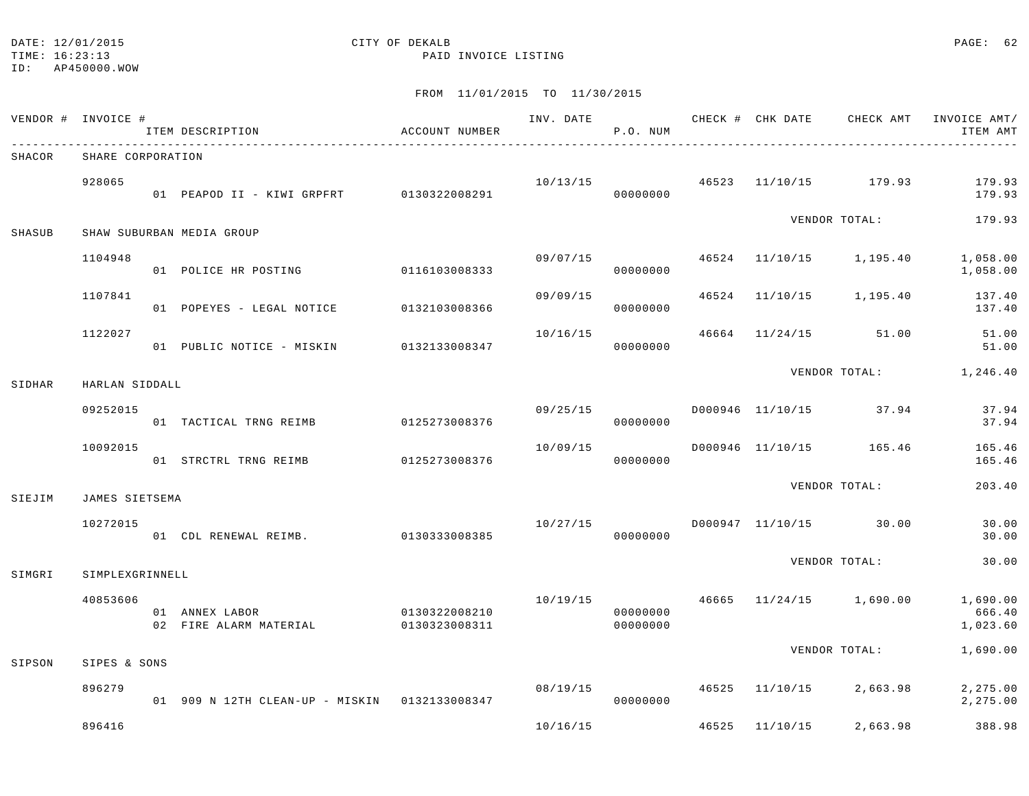TIME: 16:23:13 PAID INVOICE LISTING

ID: AP450000.WOW

|        | VENDOR # INVOICE # | ITEM DESCRIPTION                              | ACCOUNT NUMBER                 |          | P.O. NUM             |       |                |                         | ITEM AMT                       |
|--------|--------------------|-----------------------------------------------|--------------------------------|----------|----------------------|-------|----------------|-------------------------|--------------------------------|
| SHACOR | SHARE CORPORATION  |                                               |                                |          |                      |       |                |                         |                                |
|        | 928065             | 01 PEAPOD II - KIWI GRPFRT 0130322008291      |                                | 10/13/15 | 00000000             |       |                | 46523 11/10/15 179.93   | 179.93<br>179.93               |
| SHASUB |                    | SHAW SUBURBAN MEDIA GROUP                     |                                |          |                      |       |                | VENDOR TOTAL:           | 179.93                         |
|        | 1104948            | 01 POLICE HR POSTING 0116103008333            |                                | 09/07/15 | 00000000             |       |                | 46524 11/10/15 1,195.40 | 1,058.00<br>1,058.00           |
|        | 1107841            | 01 POPEYES - LEGAL NOTICE                     | 0132103008366                  | 09/09/15 | 00000000             | 46524 |                | 11/10/15 1,195.40       | 137.40<br>137.40               |
|        | 1122027            | 01 PUBLIC NOTICE - MISKIN                     | 0132133008347                  | 10/16/15 | 00000000             | 46664 |                | 11/24/15 51.00          | 51.00<br>51.00                 |
| SIDHAR | HARLAN SIDDALL     |                                               |                                |          |                      |       |                |                         | VENDOR TOTAL: 1,246.40         |
|        | 09252015           | 01 TACTICAL TRNG REIMB                        | 0125273008376                  | 09/25/15 | 00000000             |       |                | D000946 11/10/15 37.94  | 37.94<br>37.94                 |
|        | 10092015           |                                               |                                | 10/09/15 | 00000000             |       |                | D000946 11/10/15 165.46 | 165.46<br>165.46               |
| SIEJIM | JAMES SIETSEMA     |                                               |                                |          |                      |       |                | VENDOR TOTAL:           | 203.40                         |
|        | 10272015           | 01 CDL RENEWAL REIMB. 0130333008385           |                                | 10/27/15 | 00000000             |       |                | D000947 11/10/15 30.00  | 30.00<br>30.00                 |
| SIMGRI | SIMPLEXGRINNELL    |                                               |                                |          |                      |       |                | VENDOR TOTAL:           | 30.00                          |
|        | 40853606           | 01 ANNEX LABOR<br>02 FIRE ALARM MATERIAL      | 0130322008210<br>0130323008311 | 10/19/15 | 00000000<br>00000000 |       |                | 46665 11/24/15 1,690.00 | 1,690.00<br>666.40<br>1,023.60 |
| SIPSON | SIPES & SONS       |                                               |                                |          |                      |       |                | VENDOR TOTAL:           | 1,690.00                       |
|        | 896279             | 01 909 N 12TH CLEAN-UP - MISKIN 0132133008347 |                                | 08/19/15 | 00000000             |       |                | 46525 11/10/15 2,663.98 | 2,275.00<br>2,275.00           |
|        | 896416             |                                               |                                | 10/16/15 |                      |       | 46525 11/10/15 | 2,663.98                | 388.98                         |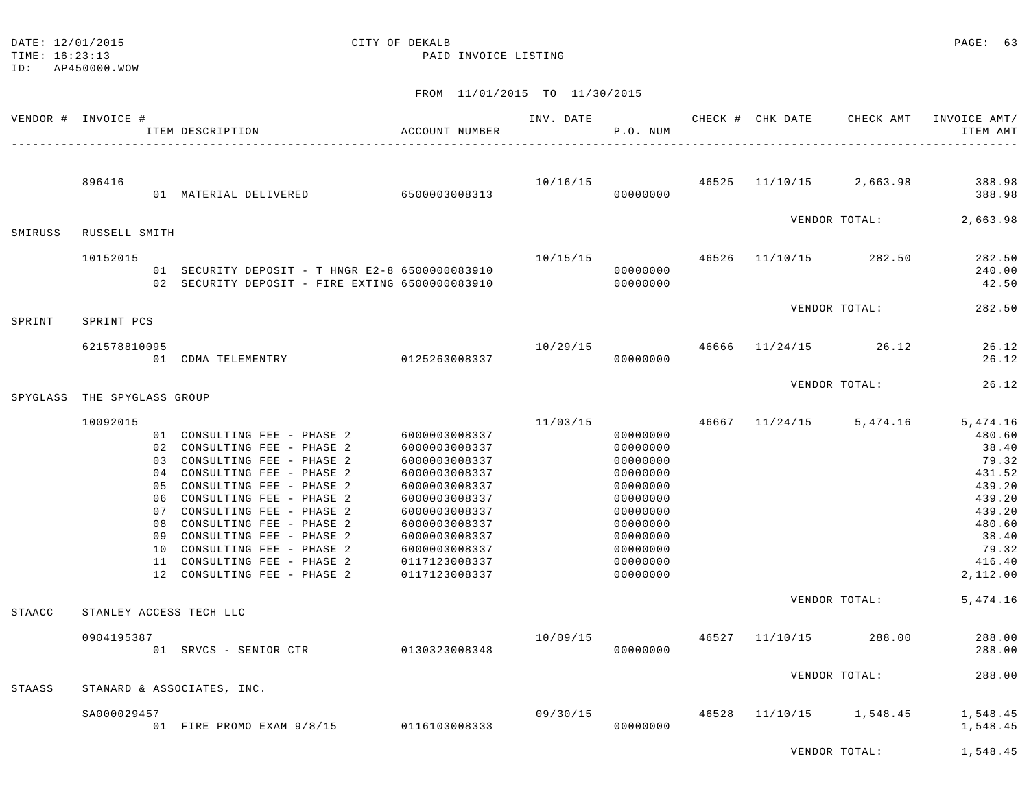|          | VENDOR # INVOICE # |                 | ITEM DESCRIPTION                                                                                                                                                                                                                                                                                                                                                                                   | ACCOUNT NUMBER                                                                                                                                                                                           | INV. DATE | P.O. NUM                                                                                                                                     |       | CHECK # CHK DATE        | CHECK AMT     | INVOICE AMT/<br>ITEM AMT                                                                                                       |
|----------|--------------------|-----------------|----------------------------------------------------------------------------------------------------------------------------------------------------------------------------------------------------------------------------------------------------------------------------------------------------------------------------------------------------------------------------------------------------|----------------------------------------------------------------------------------------------------------------------------------------------------------------------------------------------------------|-----------|----------------------------------------------------------------------------------------------------------------------------------------------|-------|-------------------------|---------------|--------------------------------------------------------------------------------------------------------------------------------|
|          | 896416             |                 | 01 MATERIAL DELIVERED 6500003008313                                                                                                                                                                                                                                                                                                                                                                |                                                                                                                                                                                                          | 10/16/15  | 00000000                                                                                                                                     |       | 46525 11/10/15 2,663.98 |               | 388.98<br>388.98                                                                                                               |
| SMIRUSS  | RUSSELL SMITH      |                 |                                                                                                                                                                                                                                                                                                                                                                                                    |                                                                                                                                                                                                          |           |                                                                                                                                              |       |                         | VENDOR TOTAL: | 2,663.98                                                                                                                       |
|          | 10152015           |                 | 01 SECURITY DEPOSIT - T HNGR E2-8 6500000083910<br>02 SECURITY DEPOSIT - FIRE EXTING 6500000083910                                                                                                                                                                                                                                                                                                 |                                                                                                                                                                                                          | 10/15/15  | 00000000<br>00000000                                                                                                                         |       | 46526 11/10/15 282.50   |               | 282.50<br>240.00<br>42.50                                                                                                      |
| SPRINT   | SPRINT PCS         |                 |                                                                                                                                                                                                                                                                                                                                                                                                    |                                                                                                                                                                                                          |           |                                                                                                                                              |       |                         | VENDOR TOTAL: | 282.50                                                                                                                         |
|          | 621578810095       |                 | 01 CDMA TELEMENTRY                                                                                                                                                                                                                                                                                                                                                                                 | 0125263008337                                                                                                                                                                                            | 10/29/15  | 00000000                                                                                                                                     | 46666 | $11/24/15$ 26.12        |               | 26.12<br>26.12                                                                                                                 |
| SPYGLASS | THE SPYGLASS GROUP |                 |                                                                                                                                                                                                                                                                                                                                                                                                    |                                                                                                                                                                                                          |           |                                                                                                                                              |       |                         | VENDOR TOTAL: | 26.12                                                                                                                          |
|          | 10092015           |                 |                                                                                                                                                                                                                                                                                                                                                                                                    |                                                                                                                                                                                                          | 11/03/15  |                                                                                                                                              |       | 46667 11/24/15 5,474.16 |               | 5,474.16                                                                                                                       |
| STAACC   |                    | 0.3<br>10<br>11 | 01 CONSULTING FEE - PHASE 2<br>02 CONSULTING FEE - PHASE 2<br>CONSULTING FEE - PHASE 2<br>04 CONSULTING FEE - PHASE 2<br>05 CONSULTING FEE - PHASE 2<br>06 CONSULTING FEE - PHASE 2<br>07 CONSULTING FEE - PHASE 2<br>08 CONSULTING FEE - PHASE 2<br>09 CONSULTING FEE - PHASE 2<br>CONSULTING FEE - PHASE 2<br>CONSULTING FEE - PHASE 2<br>12 CONSULTING FEE - PHASE 2<br>STANLEY ACCESS TECH LLC | 6000003008337<br>6000003008337<br>6000003008337<br>6000003008337<br>6000003008337<br>6000003008337<br>6000003008337<br>6000003008337<br>6000003008337<br>6000003008337<br>0117123008337<br>0117123008337 |           | 00000000<br>00000000<br>00000000<br>00000000<br>00000000<br>00000000<br>00000000<br>00000000<br>00000000<br>00000000<br>00000000<br>00000000 |       |                         | VENDOR TOTAL: | 480.60<br>38.40<br>79.32<br>431.52<br>439.20<br>439.20<br>439.20<br>480.60<br>38.40<br>79.32<br>416.40<br>2,112.00<br>5,474.16 |
|          | 0904195387         |                 | 01 SRVCS - SENIOR CTR 0130323008348                                                                                                                                                                                                                                                                                                                                                                |                                                                                                                                                                                                          | 10/09/15  | 00000000                                                                                                                                     |       | 46527 11/10/15 288.00   |               | 288.00<br>288.00                                                                                                               |
| STAASS   |                    |                 | STANARD & ASSOCIATES, INC.                                                                                                                                                                                                                                                                                                                                                                         |                                                                                                                                                                                                          |           |                                                                                                                                              |       |                         | VENDOR TOTAL: | 288.00                                                                                                                         |
|          | SA000029457        |                 | 01 FIRE PROMO EXAM 9/8/15 0116103008333                                                                                                                                                                                                                                                                                                                                                            |                                                                                                                                                                                                          | 09/30/15  | 00000000                                                                                                                                     | 46528 | 11/10/15                | 1,548.45      | 1,548.45<br>1,548.45                                                                                                           |

FROM 11/01/2015 TO 11/30/2015

DATE: 12/01/2015 CITY OF DEKALB PAGE: 63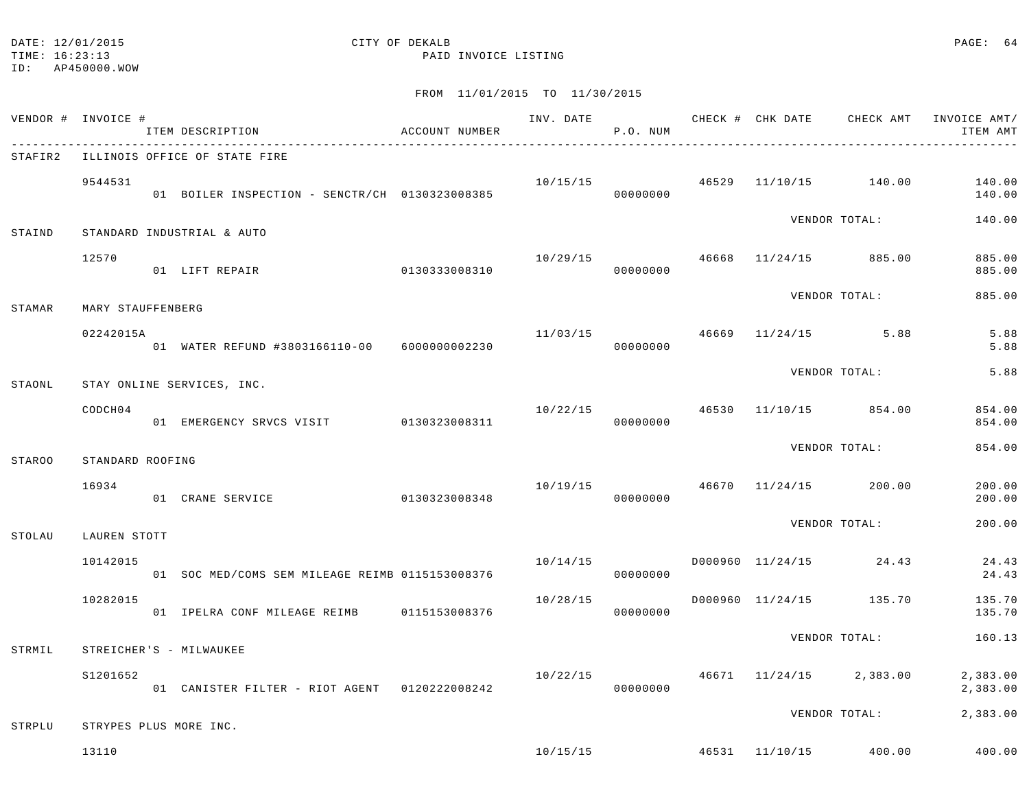TIME: 16:23:13 PAID INVOICE LISTING

ID: AP450000.WOW

| VENDOR # INVOICE # |                   | ITEM DESCRIPTION                                | ACCOUNT NUMBER |          | P.O. NUM |  |                                        | INV. DATE 6 1990 CHECK # CHK DATE 6 CHECK AMT INVOICE AMT<br>ITEM AMT |
|--------------------|-------------------|-------------------------------------------------|----------------|----------|----------|--|----------------------------------------|-----------------------------------------------------------------------|
| STAFIR2            |                   | ILLINOIS OFFICE OF STATE FIRE                   |                |          |          |  |                                        |                                                                       |
|                    | 9544531           | 01 BOILER INSPECTION - SENCTR/CH 0130323008385  |                |          | 00000000 |  | $10/15/15$ $46529$ $11/10/15$ $140.00$ | 140.00<br>140.00                                                      |
| STAIND             |                   | STANDARD INDUSTRIAL & AUTO                      |                |          |          |  | VENDOR TOTAL:                          | 140.00                                                                |
|                    | 12570             | 0130333008310<br>01 LIFT REPAIR                 |                | 10/29/15 | 00000000 |  | 46668 11/24/15 885.00                  | 885.00<br>885.00                                                      |
| STAMAR             | MARY STAUFFENBERG |                                                 |                |          |          |  | VENDOR TOTAL:                          | 885.00                                                                |
|                    | 02242015A         | 01 WATER REFUND #3803166110-00 6000000002230    |                | 11/03/15 | 00000000 |  | 46669 11/24/15 5.88                    | 5.88<br>5.88                                                          |
| STAONL             |                   | STAY ONLINE SERVICES, INC.                      |                |          |          |  | VENDOR TOTAL:                          | 5.88                                                                  |
|                    | CODCH04           | 01 EMERGENCY SRVCS VISIT 0130323008311          |                |          | 00000000 |  | $10/22/15$ $46530$ $11/10/15$ $854.00$ | 854.00<br>854.00                                                      |
| <b>STAROO</b>      | STANDARD ROOFING  |                                                 |                |          |          |  | VENDOR TOTAL:                          | 854.00                                                                |
|                    | 16934             | 01 CRANE SERVICE 0130323008348                  |                | 10/19/15 | 00000000 |  | 46670 11/24/15 200.00                  | 200.00<br>200.00                                                      |
| STOLAU             | LAUREN STOTT      |                                                 |                |          |          |  | VENDOR TOTAL:                          | 200.00                                                                |
|                    | 10142015          | 01 SOC MED/COMS SEM MILEAGE REIMB 0115153008376 |                | 10/14/15 | 00000000 |  | D000960 11/24/15 24.43                 | 24.43<br>24.43                                                        |
|                    | 10282015          | 01 IPELRA CONF MILEAGE REIMB 0115153008376      |                | 10/28/15 | 00000000 |  | D000960 11/24/15 135.70                | 135.70<br>135.70                                                      |
| STRMIL             |                   | STREICHER'S - MILWAUKEE                         |                |          |          |  | VENDOR TOTAL:                          | 160.13                                                                |
|                    | S1201652          | 01 CANISTER FILTER - RIOT AGENT 0120222008242   |                | 10/22/15 | 00000000 |  | 46671 11/24/15 2,383.00                | 2,383.00<br>2,383.00                                                  |
| STRPLU             |                   | STRYPES PLUS MORE INC.                          |                |          |          |  | VENDOR TOTAL:                          | 2,383.00                                                              |
|                    | 13110             |                                                 |                |          |          |  | $10/15/15$ $46531$ $11/10/15$ $400.00$ | 400.00                                                                |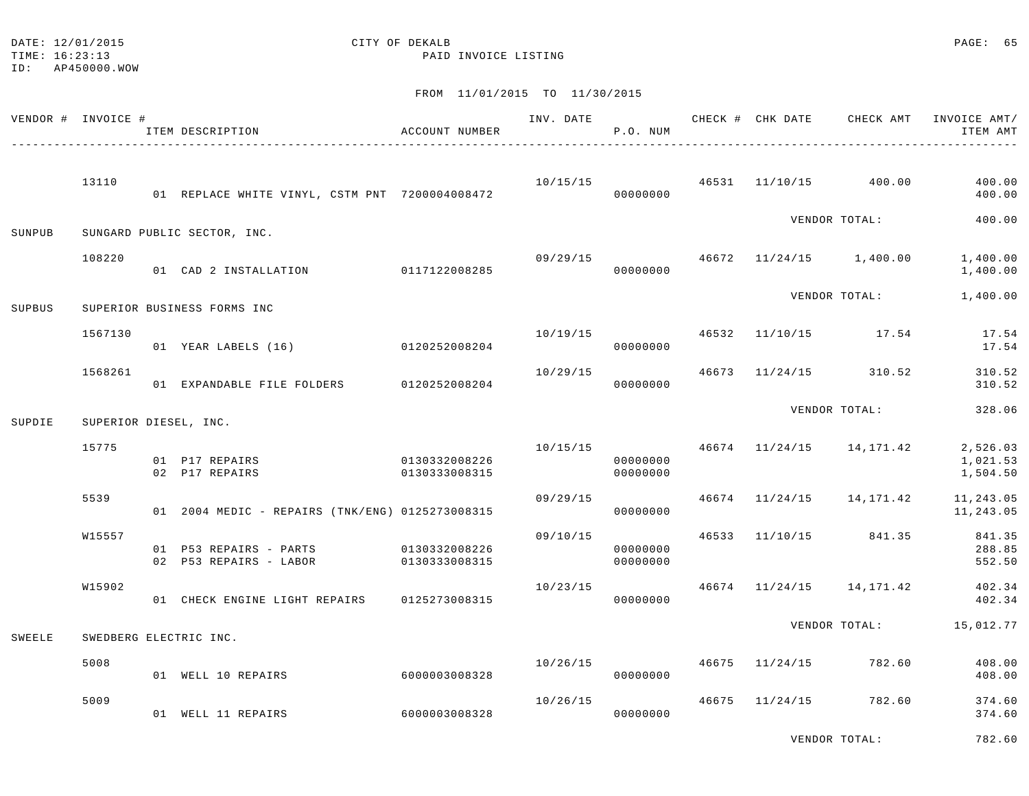# DATE: 12/01/2015 **CITY OF DEKALB** CITY OF DEXALB

TIME: 16:23:13 PAID INVOICE LISTING

## FROM 11/01/2015 TO 11/30/2015

| VENDOR # INVOICE # |         | ITEM DESCRIPTION<br>-----------------------------------                 | ACCOUNT NUMBER                 |          | P.O. NUM             |  | INV. DATE 6 CHECK # CHK DATE CHECK AMT | INVOICE AMT/<br>ITEM AMT         |
|--------------------|---------|-------------------------------------------------------------------------|--------------------------------|----------|----------------------|--|----------------------------------------|----------------------------------|
|                    | 13110   | 01 REPLACE WHITE VINYL, CSTM PNT 7200004008472                          |                                |          | 00000000             |  | $10/15/15$ $46531$ $11/10/15$ $400.00$ | 400.00<br>400.00                 |
| SUNPUB             |         | SUNGARD PUBLIC SECTOR, INC.                                             |                                |          |                      |  | VENDOR TOTAL:                          | 400.00                           |
|                    | 108220  | 01 CAD 2 INSTALLATION 0117122008285                                     |                                | 09/29/15 | 00000000             |  | 46672 11/24/15 1,400.00                | 1,400.00<br>1,400.00             |
| SUPBUS             |         | SUPERIOR BUSINESS FORMS INC                                             |                                |          |                      |  | VENDOR TOTAL:                          | 1,400.00                         |
|                    | 1567130 | 01 YEAR LABELS (16) 0120252008204                                       |                                |          | 00000000             |  | $10/19/15$ $46532$ $11/10/15$ $17.54$  | 17.54<br>17.54                   |
|                    | 1568261 | 01 EXPANDABLE FILE FOLDERS 0120252008204                                |                                | 10/29/15 | 00000000             |  | 46673 11/24/15 310.52                  | 310.52<br>310.52                 |
| SUPDIE             |         | SUPERIOR DIESEL, INC.                                                   |                                |          |                      |  | VENDOR TOTAL:                          | 328.06                           |
|                    | 15775   | 01 P17 REPAIRS<br>02 P17 REPAIRS                                        | 0130332008226<br>0130333008315 | 10/15/15 | 00000000<br>00000000 |  | 46674 11/24/15 14,171.42               | 2,526.03<br>1,021.53<br>1,504.50 |
|                    | 5539    | 01  2004 MEDIC - REPAIRS (TNK/ENG) 0125273008315                        |                                | 09/29/15 | 00000000             |  | 46674 11/24/15 14,171.42               | 11,243.05<br>11,243.05           |
|                    | W15557  | 01    P53    REPAIRS - PARTS    0130332008226<br>02 P53 REPAIRS - LABOR | 0130333008315                  | 09/10/15 | 00000000<br>00000000 |  | 46533 11/10/15 841.35                  | 841.35<br>288.85<br>552.50       |
|                    | W15902  | 01 CHECK ENGINE LIGHT REPAIRS 0125273008315                             |                                | 10/23/15 | 00000000             |  | 46674 11/24/15 14,171.42               | 402.34<br>402.34                 |
| SWEELE             |         | SWEDBERG ELECTRIC INC.                                                  |                                |          |                      |  |                                        | VENDOR TOTAL: 15,012.77          |
|                    | 5008    | 01 WELL 10 REPAIRS                                                      | 60000003008328                 | 10/26/15 | 00000000             |  | 46675 11/24/15 782.60                  | 408.00<br>408.00                 |
|                    | 5009    | 01 WELL 11 REPAIRS                                                      | 6000003008328                  | 10/26/15 | 00000000             |  | 46675 11/24/15 782.60                  | 374.60<br>374.60                 |

VENDOR TOTAL: 782.60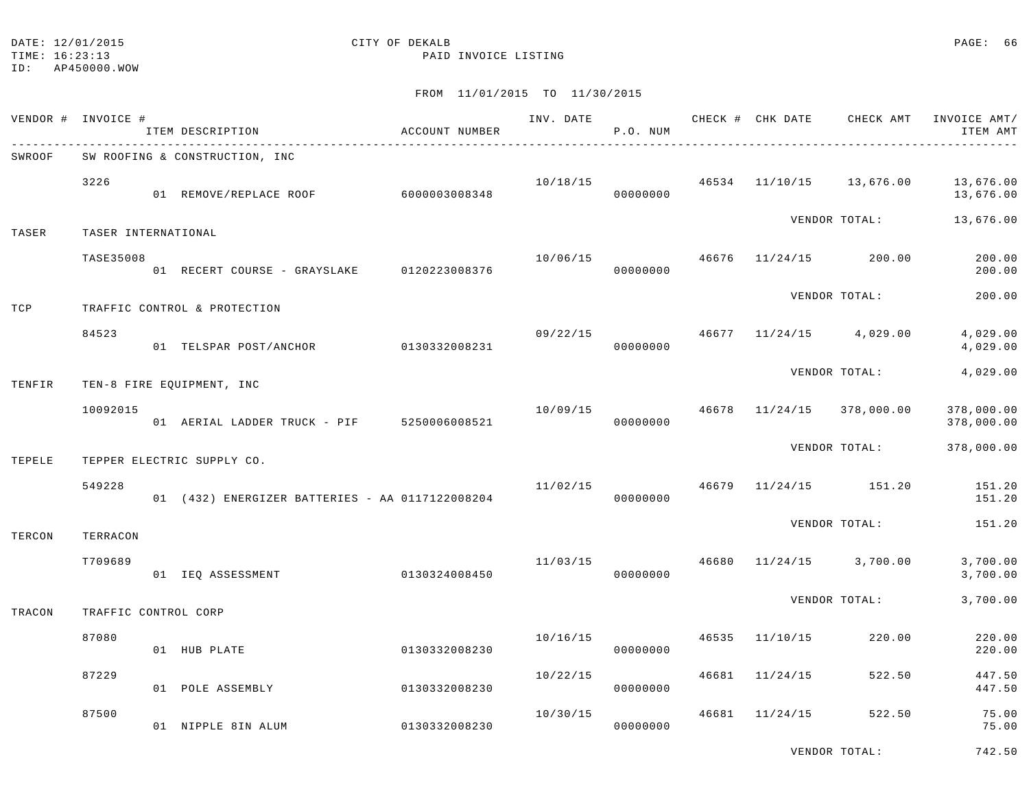TIME: 16:23:13 PAID INVOICE LISTING

|        | VENDOR # INVOICE #   | ITEM DESCRIPTION<br>------------------------------- | ACCOUNT NUMBER | INV. DATE | P.O. NUM |       |                | CHECK # CHK DATE CHECK AMT                | INVOICE AMT/<br>ITEM AMT |
|--------|----------------------|-----------------------------------------------------|----------------|-----------|----------|-------|----------------|-------------------------------------------|--------------------------|
| SWROOF |                      | SW ROOFING & CONSTRUCTION, INC                      |                |           |          |       |                |                                           |                          |
|        | 3226                 | 01 REMOVE/REPLACE ROOF 6000003008348                |                |           | 00000000 |       |                | $10/18/15$ $46534$ $11/10/15$ $13,676.00$ | 13,676.00<br>13,676.00   |
| TASER  | TASER INTERNATIONAL  |                                                     |                |           |          |       |                | VENDOR TOTAL:                             | 13,676.00                |
|        | <b>TASE35008</b>     | 01 RECERT COURSE - GRAYSLAKE 0120223008376          |                | 10/06/15  | 00000000 |       |                | 46676 11/24/15 200.00                     | 200.00<br>200.00         |
| TCP    |                      | TRAFFIC CONTROL & PROTECTION                        |                |           |          |       |                | VENDOR TOTAL:                             | 200.00                   |
|        | 84523                | 01 TELSPAR POST/ANCHOR 0130332008231                |                |           | 00000000 |       |                | $09/22/15$ $46677$ $11/24/15$ $4,029.00$  | 4,029.00<br>4,029.00     |
| TENFIR |                      | TEN-8 FIRE EQUIPMENT, INC                           |                |           |          |       |                | VENDOR TOTAL:                             | 4,029.00                 |
|        | 10092015             | 01 AERIAL LADDER TRUCK - PIF 5250006008521          |                | 10/09/15  | 00000000 |       |                | 46678 11/24/15 378,000.00                 | 378,000.00<br>378,000.00 |
| TEPELE |                      | TEPPER ELECTRIC SUPPLY CO.                          |                |           |          |       |                | VENDOR TOTAL:                             | 378,000.00               |
|        | 549228               | 01 (432) ENERGIZER BATTERIES - AA 0117122008204     |                |           | 00000000 |       |                | $11/02/15$ $46679$ $11/24/15$ $151.20$    | 151.20<br>151.20         |
| TERCON | TERRACON             |                                                     |                |           |          |       |                | VENDOR TOTAL:                             | 151.20                   |
|        | T709689              | 01 IEQ ASSESSMENT                                   | 0130324008450  | 11/03/15  | 00000000 |       |                | 46680 11/24/15 3,700.00                   | 3,700.00<br>3,700.00     |
| TRACON | TRAFFIC CONTROL CORP |                                                     |                |           |          |       |                | VENDOR TOTAL:                             | 3,700.00                 |
|        | 87080                | 01 HUB PLATE                                        | 0130332008230  | 10/16/15  | 00000000 | 46535 | 11/10/15       | 220.00                                    | 220.00<br>220.00         |
|        | 87229                | 01 POLE ASSEMBLY                                    | 0130332008230  | 10/22/15  | 00000000 |       | 46681 11/24/15 | 522.50                                    | 447.50<br>447.50         |
|        | 87500                | 01 NIPPLE 8IN ALUM                                  | 0130332008230  | 10/30/15  | 00000000 | 46681 | 11/24/15       | 522.50                                    | 75.00<br>75.00           |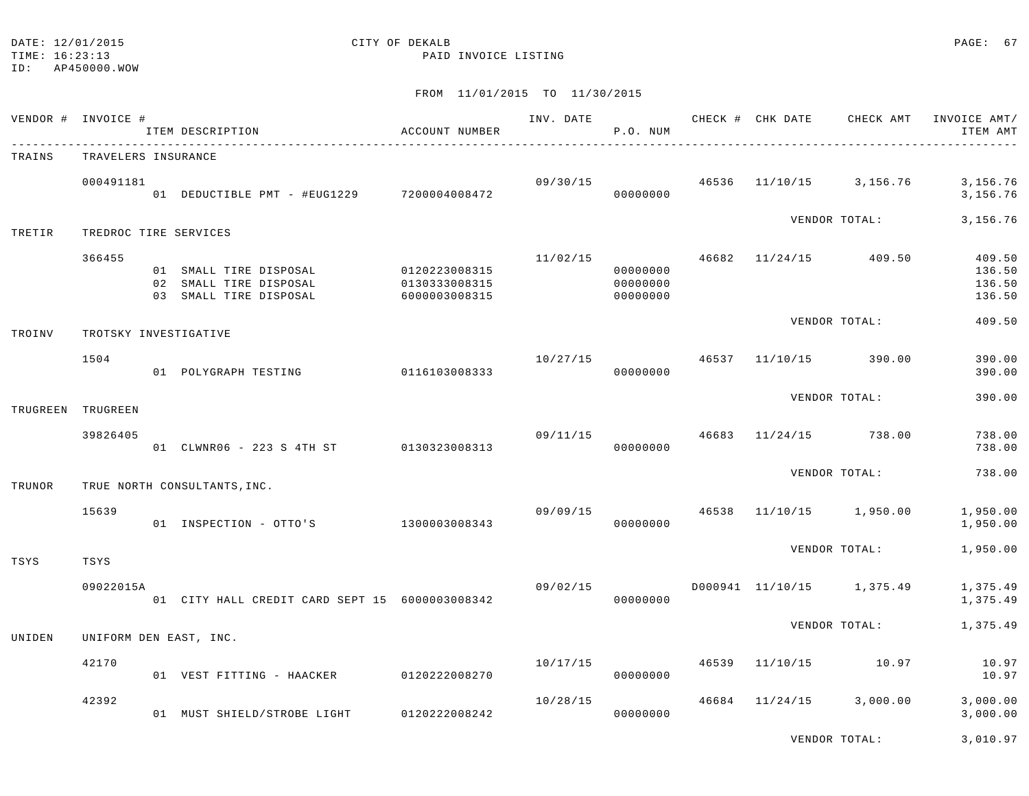| DATE: 12/01/2015 |  |
|------------------|--|
|                  |  |

# CITY OF DEKALB **PAGE:** 67

TIME: 16:23:13 PAID INVOICE LISTING

## FROM 11/01/2015 TO 11/30/2015

| VENDOR # | INVOICE #             | ITEM DESCRIPTION                                                           | ACCOUNT NUMBER                                  | INV. DATE | P.O. NUM                         |       | CHECK # CHK DATE | CHECK AMT                 | INVOICE AMT/<br>ITEM AMT             |
|----------|-----------------------|----------------------------------------------------------------------------|-------------------------------------------------|-----------|----------------------------------|-------|------------------|---------------------------|--------------------------------------|
| TRAINS   | TRAVELERS INSURANCE   |                                                                            |                                                 |           |                                  |       |                  |                           |                                      |
|          | 000491181             | 01 DEDUCTIBLE PMT - #EUG1229 7200004008472                                 |                                                 | 09/30/15  | 00000000                         | 46536 | 11/10/15         | 3,156.76                  | 3,156.76<br>3,156.76                 |
| TRETIR   | TREDROC TIRE SERVICES |                                                                            |                                                 |           |                                  |       |                  | VENDOR TOTAL:             | 3, 156.76                            |
|          | 366455                | 01 SMALL TIRE DISPOSAL<br>02 SMALL TIRE DISPOSAL<br>03 SMALL TIRE DISPOSAL | 0120223008315<br>0130333008315<br>6000003008315 | 11/02/15  | 00000000<br>00000000<br>00000000 |       |                  | 46682 11/24/15 409.50     | 409.50<br>136.50<br>136.50<br>136.50 |
| TROINV   | TROTSKY INVESTIGATIVE |                                                                            |                                                 |           |                                  |       |                  | VENDOR TOTAL:             | 409.50                               |
|          | 1504                  | 01 POLYGRAPH TESTING                                                       | 0116103008333                                   | 10/27/15  | 00000000                         | 46537 | 11/10/15         | 390.00                    | 390.00<br>390.00                     |
| TRUGREEN | TRUGREEN              |                                                                            |                                                 |           |                                  |       |                  | VENDOR TOTAL:             | 390.00                               |
|          | 39826405              | 01 CLWNR06 - 223 S 4TH ST 0130323008313                                    |                                                 | 09/11/15  | 00000000                         | 46683 |                  | 11/24/15 738.00           | 738.00<br>738.00                     |
| TRUNOR   |                       | TRUE NORTH CONSULTANTS, INC.                                               |                                                 |           |                                  |       |                  | VENDOR TOTAL:             | 738.00                               |
|          | 15639                 | 01 INSPECTION - OTTO'S 1300003008343                                       |                                                 | 09/09/15  | 00000000                         | 46538 | 11/10/15         | 1,950.00                  | 1,950.00<br>1,950.00                 |
| TSYS     | TSYS                  |                                                                            |                                                 |           |                                  |       |                  | VENDOR TOTAL:             | 1,950.00                             |
|          | 09022015A             | 01 CITY HALL CREDIT CARD SEPT 15 6000003008342                             |                                                 | 09/02/15  | 00000000                         |       |                  | D000941 11/10/15 1,375.49 | 1,375.49<br>1,375.49                 |
| UNIDEN   |                       | UNIFORM DEN EAST, INC.                                                     |                                                 |           |                                  |       |                  | VENDOR TOTAL:             | 1,375.49                             |
|          | 42170                 | 01 VEST FITTING - HAACKER                                                  | 0120222008270                                   | 10/17/15  | 00000000                         | 46539 | 11/10/15         | 10.97                     | 10.97<br>10.97                       |
|          | 42392                 | 01 MUST SHIELD/STROBE LIGHT                                                | 0120222008242                                   | 10/28/15  | 00000000                         |       | 46684 11/24/15   | 3,000.00                  | 3,000.00<br>3,000.00                 |

VENDOR TOTAL: 3,010.97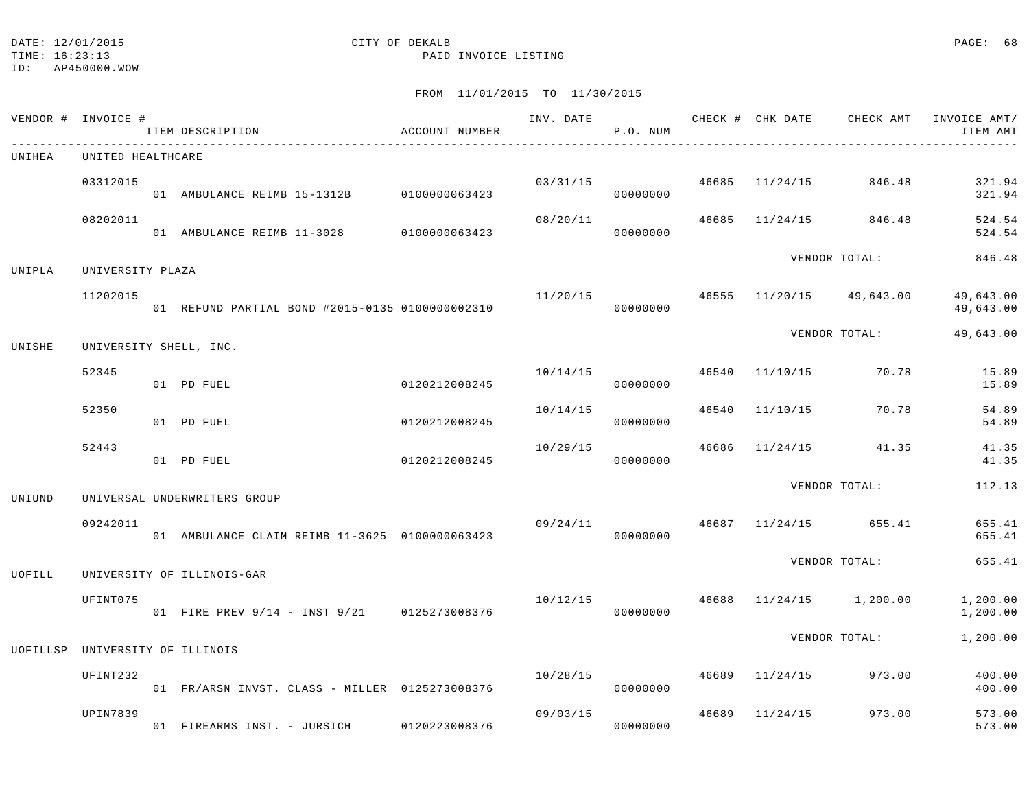#### DATE: 12/01/2015 PAGE: 68

TIME: 16:23:13 PAID INVOICE LISTING

ID: AP450000.WOW

| VENDOR # | INVOICE #         | ITEM DESCRIPTION                                 | ACCOUNT NUMBER | INV. DATE | P.O. NUM |       |                             | CHECK # CHK DATE CHECK AMT                | INVOICE AMT/<br>ITEM AMT |
|----------|-------------------|--------------------------------------------------|----------------|-----------|----------|-------|-----------------------------|-------------------------------------------|--------------------------|
| UNIHEA   | UNITED HEALTHCARE |                                                  |                |           |          |       |                             |                                           |                          |
|          | 03312015          | 01 AMBULANCE REIMB 15-1312B 0100000063423        |                |           | 00000000 |       | $03/31/15$ 46685 $11/24/15$ | 846.48                                    | 321.94<br>321.94         |
|          | 08202011          | 01 AMBULANCE REIMB 11-3028 0100000063423         |                | 08/20/11  | 00000000 |       |                             | 46685 11/24/15 846.48                     | 524.54<br>524.54         |
| UNIPLA   | UNIVERSITY PLAZA  |                                                  |                |           |          |       |                             | VENDOR TOTAL:                             | 846.48                   |
|          | 11202015          | 01 REFUND PARTIAL BOND #2015-0135 01000000002310 |                |           | 00000000 |       |                             | $11/20/15$ $46555$ $11/20/15$ $49,643.00$ | 49,643.00<br>49,643.00   |
| UNISHE   |                   | UNIVERSITY SHELL, INC.                           |                |           |          |       |                             | VENDOR TOTAL:                             | 49,643.00                |
|          | 52345             | 01 PD FUEL                                       | 0120212008245  | 10/14/15  | 00000000 |       |                             | 46540 11/10/15 70.78                      | 15.89<br>15.89           |
|          | 52350             | 01 PD FUEL                                       | 0120212008245  | 10/14/15  | 00000000 |       | 46540 11/10/15              | 70.78                                     | 54.89<br>54.89           |
|          | 52443             | 01 PD FUEL                                       | 0120212008245  | 10/29/15  | 00000000 | 46686 |                             | $11/24/15$ 41.35                          | 41.35<br>41.35           |
| UNIUND   |                   | UNIVERSAL UNDERWRITERS GROUP                     |                |           |          |       |                             | VENDOR TOTAL:                             | 112.13                   |
|          | 09242011          | 01 AMBULANCE CLAIM REIMB 11-3625 0100000063423   |                | 09/24/11  | 00000000 |       |                             | 46687 11/24/15 655.41                     | 655.41<br>655.41         |
| UOFILL   |                   | UNIVERSITY OF ILLINOIS-GAR                       |                |           |          |       |                             | VENDOR TOTAL:                             | 655.41                   |
|          | UFINT075          | 01 FIRE PREV 9/14 - INST 9/21 0125273008376      |                |           | 00000000 |       |                             | $10/12/15$ $46688$ $11/24/15$ $1,200.00$  | 1,200.00<br>1,200.00     |
|          |                   | UOFILLSP UNIVERSITY OF ILLINOIS                  |                |           |          |       |                             | VENDOR TOTAL:                             | 1,200.00                 |
|          | UFINT232          | 01 FR/ARSN INVST. CLASS - MILLER 0125273008376   |                | 10/28/15  | 00000000 |       |                             | 46689 11/24/15 973.00                     | 400.00<br>400.00         |
|          | UPIN7839          | 01 FIREARMS INST. - JURSICH 0120223008376        |                | 09/03/15  | 00000000 | 46689 | 11/24/15                    | 973.00                                    | 573.00<br>573.00         |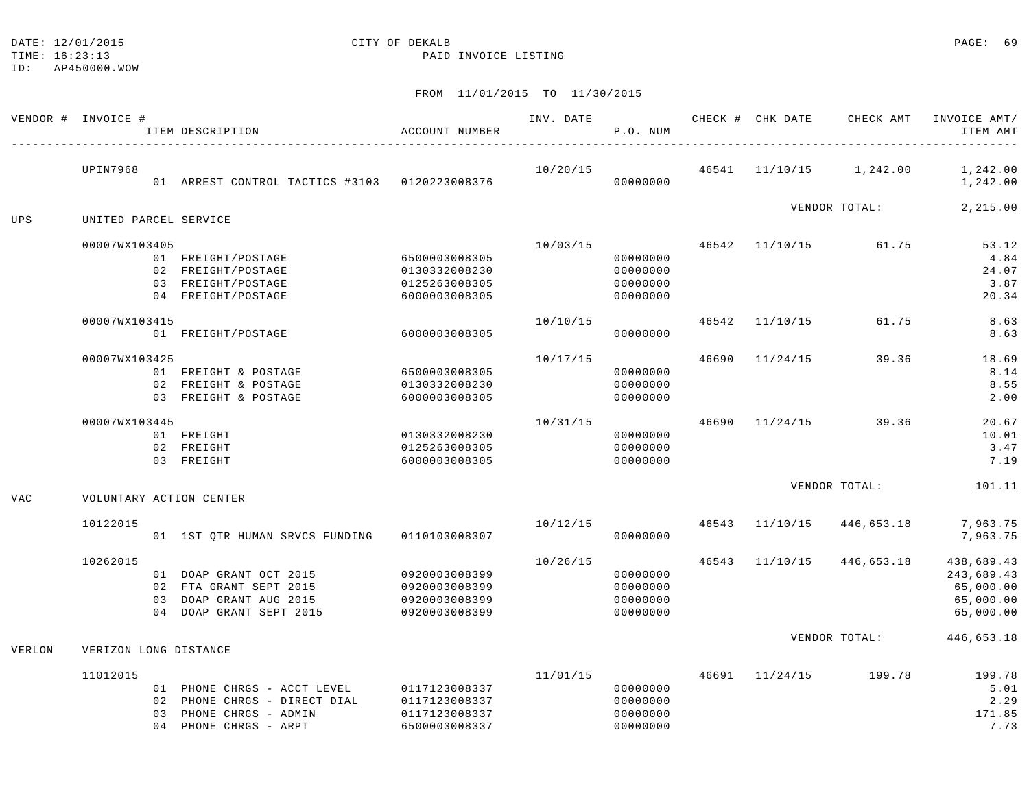# DATE: 12/01/2015 CITY OF DEKALB PAGE: 69

TIME: 16:23:13 PAID INVOICE LISTING

| VENDOR #   | INVOICE #             |                | ITEM DESCRIPTION                                         | ACCOUNT NUMBER                 | INV. DATE | P.O. NUM             |       | CHECK # CHK DATE | CHECK AMT     | INVOICE AMT/<br>ITEM AMT |
|------------|-----------------------|----------------|----------------------------------------------------------|--------------------------------|-----------|----------------------|-------|------------------|---------------|--------------------------|
|            | <b>UPIN7968</b>       |                | 01 ARREST CONTROL TACTICS #3103 0120223008376            |                                | 10/20/15  | 00000000             | 46541 | 11/10/15         | 1,242.00      | 1,242.00<br>1,242.00     |
|            |                       |                |                                                          |                                |           |                      |       |                  | VENDOR TOTAL: | 2,215.00                 |
| UPS        | UNITED PARCEL SERVICE |                |                                                          |                                |           |                      |       |                  |               |                          |
|            | 00007WX103405         |                |                                                          |                                | 10/03/15  |                      | 46542 | 11/10/15         | 61.75         | 53.12                    |
|            |                       |                | 01 FREIGHT/POSTAGE                                       | 6500003008305                  |           | 00000000             |       |                  |               | 4.84                     |
|            |                       |                | 02 FREIGHT/POSTAGE                                       | 0130332008230                  |           | 00000000             |       |                  |               | 24.07                    |
|            |                       |                | 03 FREIGHT/POSTAGE                                       | 0125263008305                  |           | 00000000             |       |                  |               | 3.87                     |
|            |                       |                | 04 FREIGHT/POSTAGE                                       | 6000003008305                  |           | 00000000             |       |                  |               | 20.34                    |
|            | 00007WX103415         |                |                                                          |                                | 10/10/15  |                      | 46542 | 11/10/15         | 61.75         | 8.63                     |
|            |                       |                | 01 FREIGHT/POSTAGE                                       | 6000003008305                  |           | 00000000             |       |                  |               | 8.63                     |
|            | 00007WX103425         |                |                                                          |                                | 10/17/15  |                      | 46690 | 11/24/15         | 39.36         | 18.69                    |
|            |                       |                | 01 FREIGHT & POSTAGE                                     | 6500003008305                  |           | 00000000             |       |                  |               | 8.14                     |
|            |                       |                | 02 FREIGHT & POSTAGE                                     | 0130332008230                  |           | 00000000             |       |                  |               | 8.55                     |
|            |                       |                | 03 FREIGHT & POSTAGE                                     | 6000003008305                  |           | 00000000             |       |                  |               | 2.00                     |
|            | 00007WX103445         |                |                                                          |                                | 10/31/15  |                      | 46690 | 11/24/15         | 39.36         | 20.67                    |
|            |                       |                | 01 FREIGHT                                               | 0130332008230                  |           | 00000000             |       |                  |               | 10.01                    |
|            |                       |                | 02 FREIGHT                                               | 0125263008305                  |           | 00000000             |       |                  |               | 3.47                     |
|            |                       |                | 03 FREIGHT                                               | 6000003008305                  |           | 00000000             |       |                  |               | 7.19                     |
|            |                       |                |                                                          |                                |           |                      |       |                  | VENDOR TOTAL: | 101.11                   |
| <b>VAC</b> |                       |                | VOLUNTARY ACTION CENTER                                  |                                |           |                      |       |                  |               |                          |
|            | 10122015              |                |                                                          |                                | 10/12/15  |                      | 46543 | 11/10/15         | 446,653.18    | 7,963.75                 |
|            |                       |                | 01 1ST QTR HUMAN SRVCS FUNDING                           | 0110103008307                  |           | 00000000             |       |                  |               | 7,963.75                 |
|            | 10262015              |                |                                                          |                                | 10/26/15  |                      | 46543 | 11/10/15         | 446,653.18    | 438,689.43               |
|            |                       |                | 01 DOAP GRANT OCT 2015                                   | 0920003008399                  |           | 00000000             |       |                  |               | 243,689.43               |
|            |                       |                | 02 FTA GRANT SEPT 2015                                   | 0920003008399                  |           | 00000000             |       |                  |               | 65,000.00                |
|            |                       | 03             | DOAP GRANT AUG 2015                                      | 0920003008399                  |           | 00000000             |       |                  |               | 65,000.00                |
|            |                       | 04             | DOAP GRANT SEPT 2015                                     | 0920003008399                  |           | 00000000             |       |                  |               | 65,000.00                |
| VERLON     | VERIZON LONG DISTANCE |                |                                                          |                                |           |                      |       |                  | VENDOR TOTAL: | 446,653.18               |
|            |                       |                |                                                          |                                |           |                      |       |                  |               |                          |
|            | 11012015              |                |                                                          |                                | 11/01/15  |                      | 46691 | 11/24/15         | 199.78        | 199.78                   |
|            |                       | 02             | 01 PHONE CHRGS - ACCT LEVEL<br>PHONE CHRGS - DIRECT DIAL | 0117123008337<br>0117123008337 |           | 00000000<br>00000000 |       |                  |               | 5.01<br>2.29             |
|            |                       | 0.3            | PHONE CHRGS - ADMIN                                      | 0117123008337                  |           | 00000000             |       |                  |               | 171.85                   |
|            |                       | 0 <sub>4</sub> | PHONE CHRGS - ARPT                                       | 6500003008337                  |           | 00000000             |       |                  |               | 7.73                     |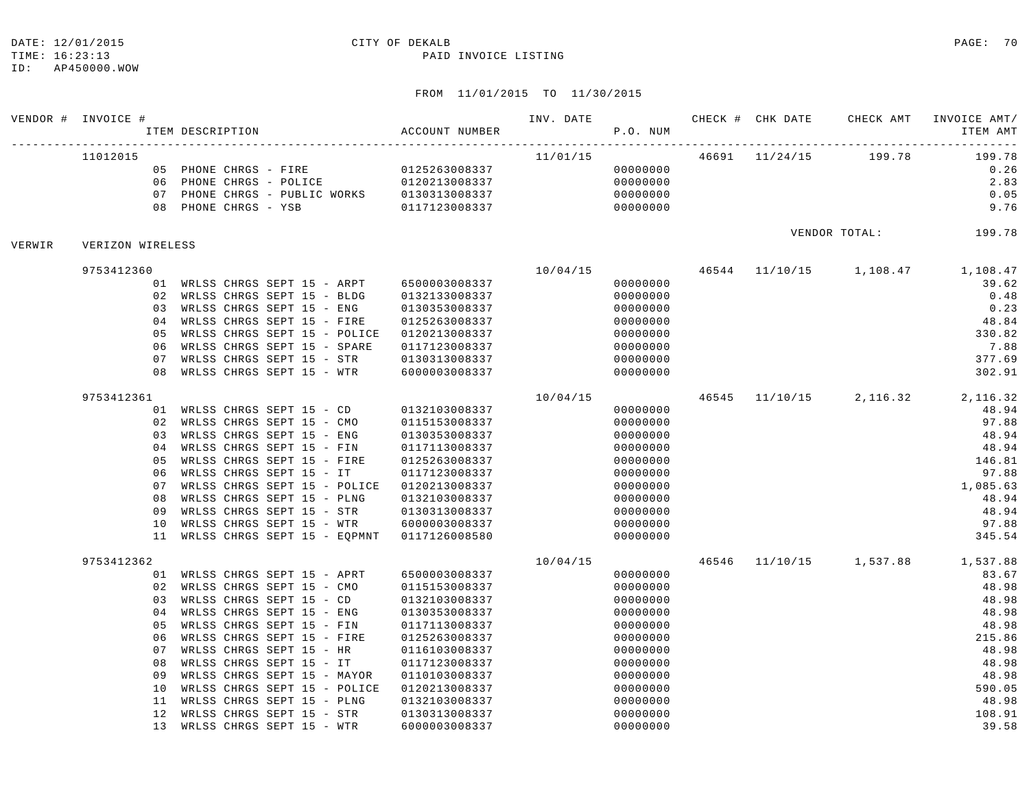#### TIME: 16:23:13 PAID INVOICE LISTING

ID: AP450000.WOW

|        | VENDOR # INVOICE #                                       | ITEM DESCRIPTION<br>--------------------                                                                                                                                                                                                                                                                                                                                                     | ACCOUNT NUMBER                                                                                                      | INV. DATE | P.O. NUM                                                                                                                         | CHECK # CHK DATE | CHECK AMT             | INVOICE AMT/<br>ITEM AMT                                                                                                          |
|--------|----------------------------------------------------------|----------------------------------------------------------------------------------------------------------------------------------------------------------------------------------------------------------------------------------------------------------------------------------------------------------------------------------------------------------------------------------------------|---------------------------------------------------------------------------------------------------------------------|-----------|----------------------------------------------------------------------------------------------------------------------------------|------------------|-----------------------|-----------------------------------------------------------------------------------------------------------------------------------|
|        | 11012015<br>0.7                                          | 05 PHONE CHRGS - FIRE 0125263008337<br>06 PHONE CHRGS - POLICE<br>PHONE CHRGS - PUBLIC WORKS 0130313008337 0000000000<br>08 PHONE CHRGS - YSB                                                                                                                                                                                                                                                | 0120213008337<br>0117123008337                                                                                      | 11/01/15  | 00000000<br>00000000<br>00000000                                                                                                 |                  | 46691 11/24/15 199.78 | 199.78<br>0.26<br>2.83<br>0.05<br>9.76                                                                                            |
| VERWIR | VERIZON WIRELESS                                         |                                                                                                                                                                                                                                                                                                                                                                                              |                                                                                                                     |           | VENDOR TOTAL: 199.78                                                                                                             |                  |                       |                                                                                                                                   |
|        | 9753412360                                               |                                                                                                                                                                                                                                                                                                                                                                                              |                                                                                                                     | 10/04/15  |                                                                                                                                  |                  |                       | 46544 11/10/15 1,108.47 1,108.47                                                                                                  |
|        | 01<br>02<br>03<br>04<br>05<br>06<br>07<br>08             | WRLSS CHRGS SEPT 15 - ARPT 6500003008337<br>WRLSS CHRGS SEPT 15 - BLDG<br>WRLSS CHRGS SEPT 15 - ENG<br>WRLSS CHRGS SEPT 15 - FIRE<br>WRLSS CHRGS SEPT 15 - POLICE 0120213008337<br>WRLSS CHRGS SEPT 15 - SPARE<br>WRLSS CHRGS SEPT 15 - STR<br>WRLSS CHRGS SEPT 15 - WTR 6000003008337                                                                                                       | 0132133008337<br>0130353008337<br>0125263008337<br>0117123008337<br>0130313008337                                   |           | 00000000<br>00000000<br>00000000<br>00000000<br>00000000<br>00000000<br>00000000<br>00000000                                     |                  |                       | 39.62<br>0.48<br>0.23<br>48.84<br>330.82<br>7.88<br>377.69<br>302.91                                                              |
|        | 9753412361                                               |                                                                                                                                                                                                                                                                                                                                                                                              |                                                                                                                     | 10/04/15  |                                                                                                                                  |                  |                       | 46545 11/10/15 2,116.32 2,116.32                                                                                                  |
|        | 02<br>03<br>04<br>05<br>06<br>07<br>08<br>09<br>10<br>11 | 01 WRLSS CHRGS SEPT 15 - CD 0132103008337<br>WRLSS CHRGS SEPT 15 - CMO<br>WRLSS CHRGS SEPT 15 - ENG<br>WRLSS CHRGS SEPT 15 - FIN<br>WRLSS CHRGS SEPT 15 - FIRE<br>WRLSS CHRGS SEPT 15 - IT<br>WRLSS CHRGS SEPT 15 - POLICE 0120213008337<br>WRLSS CHRGS SEPT 15 - PLNG<br>WRLSS CHRGS SEPT 15 - STR 0130313008337<br>WRLSS CHRGS SEPT 15 - WTR<br>WRLSS CHRGS SEPT 15 - EQPMNT 0117126008580 | 0115153008337<br>0130353008337<br>0117113008337<br>0125263008337<br>0117123008337<br>0132103008337<br>6000003008337 |           | 00000000<br>00000000<br>00000000<br>00000000<br>00000000<br>00000000<br>00000000<br>00000000<br>00000000<br>00000000<br>00000000 |                  |                       | 48.94<br>97.88<br>48.94<br>48.94<br>146.81<br>97.88<br>1,085.63<br>48.94<br>48.94<br>97.88<br>345.54                              |
|        | 9753412362<br>02<br>03<br>04                             | 01 WRLSS CHRGS SEPT 15 - APRT<br>WRLSS CHRGS SEPT 15 - CMO<br>WRLSS CHRGS SEPT 15 - CD<br>WRLSS CHRGS SEPT 15 - ENG                                                                                                                                                                                                                                                                          | 6500003008337<br>0115153008337<br>0132103008337<br>0130353008337                                                    | 10/04/15  | 00000000<br>00000000<br>00000000<br>00000000                                                                                     |                  |                       | $46546 \qquad 11/10/15 \qquad \qquad 1\, , 537 \, . \, 88 \qquad \qquad 1\, , 537 \, . \, 88$<br>83.67<br>48.98<br>48.98<br>48.98 |
|        | 05<br>06<br>07<br>08<br>09<br>10                         | WRLSS CHRGS SEPT 15 - FIN<br>WRLSS CHRGS SEPT 15 - FIRE<br>WRLSS CHRGS SEPT 15 - HR<br>WRLSS CHRGS SEPT 15 - IT<br>WRLSS CHRGS SEPT 15 - MAYOR<br>WRLSS CHRGS SEPT 15 - POLICE                                                                                                                                                                                                               | 0117113008337<br>0125263008337<br>0116103008337<br>0117123008337<br>0110103008337<br>0120213008337                  |           | 00000000<br>00000000<br>00000000<br>00000000<br>00000000<br>00000000                                                             |                  |                       | 48.98<br>215.86<br>48.98<br>48.98<br>48.98<br>590.05                                                                              |
|        | 11<br>12<br>13                                           | WRLSS CHRGS SEPT 15 - PLNG<br>WRLSS CHRGS SEPT 15 - STR<br>WRLSS CHRGS SEPT 15 - WTR                                                                                                                                                                                                                                                                                                         | 0132103008337<br>0130313008337<br>6000003008337                                                                     |           | 00000000<br>00000000<br>00000000                                                                                                 |                  |                       | 48.98<br>108.91<br>39.58                                                                                                          |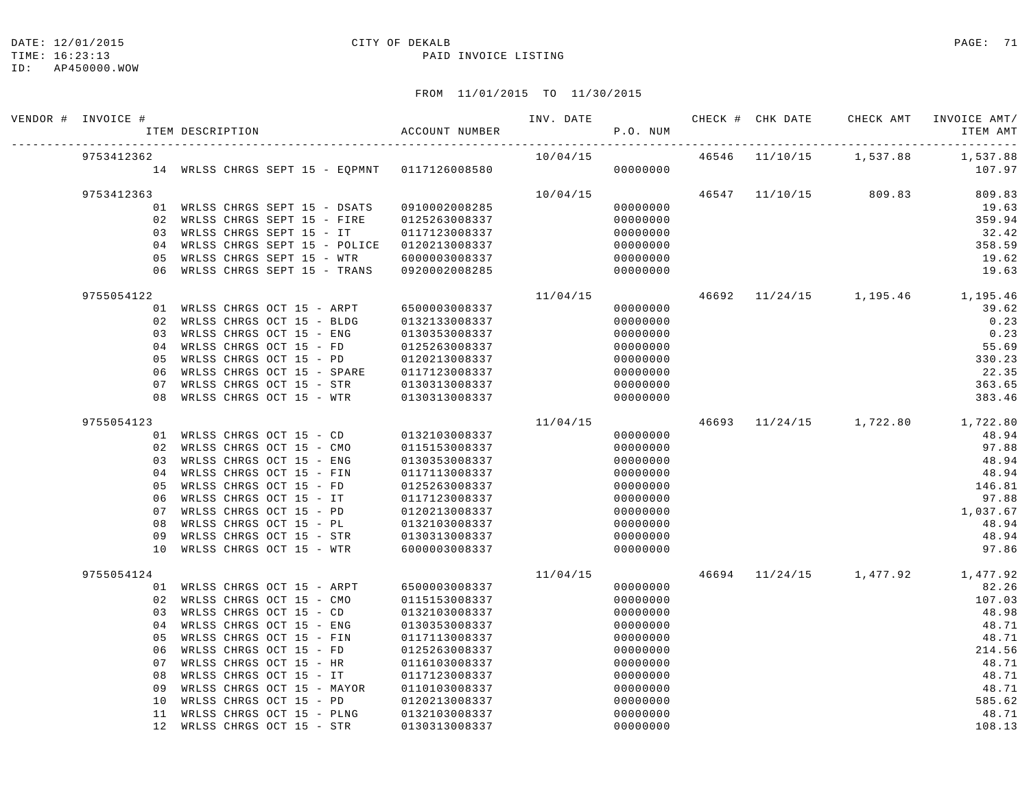#### DATE: 12/01/2015 CITY OF DEKALB PAGE: 71

#### TIME: 16:23:13 PAID INVOICE LISTING

| VENDOR # INVOICE # | ITEM DESCRIPTION |                                                       |  | ACCOUNT NUMBER                                |          | P.O. NUM             |                         |                                  | ITEM AMT        |
|--------------------|------------------|-------------------------------------------------------|--|-----------------------------------------------|----------|----------------------|-------------------------|----------------------------------|-----------------|
| 9753412362         |                  |                                                       |  | 10/04/15                                      |          |                      | 46546 11/10/15 1,537.88 | 1,537.88                         |                 |
|                    |                  |                                                       |  | 14 WRLSS CHRGS SEPT 15 - EQPMNT 0117126008580 |          | 00000000             |                         |                                  | 107.97          |
| 9753412363         |                  |                                                       |  |                                               | 10/04/15 |                      |                         | 46547 11/10/15 809.83            | 809.83          |
|                    |                  | 01 WRLSS CHRGS SEPT 15 - DSATS                        |  | 0910002008285                                 |          | 00000000             |                         |                                  | 19.63           |
| 02                 |                  | WRLSS CHRGS SEPT 15 - FIRE                            |  | 0125263008337                                 |          | 00000000             |                         |                                  | 359.94          |
| 03                 |                  | WRLSS CHRGS SEPT 15 - IT                              |  | 0117123008337                                 |          | 00000000             |                         |                                  | 32.42           |
| 04                 |                  | WRLSS CHRGS SEPT 15 - POLICE                          |  | 0120213008337                                 |          | 00000000             |                         |                                  | 358.59          |
| 05                 |                  | WRLSS CHRGS SEPT 15 - WTR                             |  | 6000003008337                                 |          | 00000000             |                         |                                  | 19.62           |
| 06                 |                  | WRLSS CHRGS SEPT 15 - TRANS                           |  | 0920002008285                                 |          | 00000000             |                         |                                  | 19.63           |
| 9755054122         |                  |                                                       |  |                                               | 11/04/15 |                      |                         | 46692 11/24/15 1,195.46 1,195.46 |                 |
|                    |                  | 01 WRLSS CHRGS OCT 15 - ARPT                          |  | 6500003008337                                 |          | 00000000             |                         |                                  | 39.62           |
| 02                 |                  | WRLSS CHRGS OCT 15 - BLDG                             |  | 0132133008337                                 |          | 00000000             |                         |                                  | 0.23            |
| 03                 |                  | WRLSS CHRGS OCT 15 - ENG                              |  | 0130353008337                                 |          | 00000000             |                         |                                  | 0.23            |
| 04                 |                  | WRLSS CHRGS OCT 15 - FD                               |  | 0125263008337                                 |          | 00000000             |                         |                                  | 55.69           |
| 05                 |                  | WRLSS CHRGS OCT 15 - PD                               |  | 0120213008337                                 |          | 00000000             |                         |                                  | 330.23          |
| 06                 |                  | WRLSS CHRGS OCT 15 - SPARE                            |  | 0117123008337                                 |          | 00000000             |                         |                                  | 22.35           |
| 07                 |                  | WRLSS CHRGS OCT 15 - STR                              |  | 0130313008337                                 |          | 00000000             |                         |                                  | 363.65          |
| 08                 |                  | WRLSS CHRGS OCT 15 - WTR                              |  | 0130313008337                                 |          | 00000000             |                         |                                  | 383.46          |
| 9755054123         |                  |                                                       |  |                                               | 11/04/15 |                      |                         | 46693 11/24/15 1,722.80 1,722.80 |                 |
|                    |                  | 01 WRLSS CHRGS OCT 15 - CD                            |  | 0132103008337                                 |          | 00000000             |                         |                                  | 48.94           |
| 02                 |                  | WRLSS CHRGS OCT 15 - CMO                              |  | 0115153008337                                 |          | 00000000             |                         |                                  | 97.88           |
| 03                 |                  | WRLSS CHRGS OCT 15 - ENG                              |  | 0130353008337                                 |          | 00000000             |                         |                                  | 48.94           |
| 04                 |                  | WRLSS CHRGS OCT 15 - FIN                              |  | 0117113008337                                 |          | 00000000             |                         |                                  | 48.94           |
| 05                 |                  | WRLSS CHRGS OCT 15 - FD                               |  | 0125263008337                                 |          | 00000000             |                         |                                  | 146.81          |
| 06                 |                  | WRLSS CHRGS OCT 15 - IT                               |  | 0117123008337                                 |          | 00000000             |                         |                                  | 97.88           |
| 07                 |                  | WRLSS CHRGS OCT 15 - PD                               |  | 0120213008337                                 |          | 00000000             |                         |                                  | 1,037.67        |
| 08                 |                  | WRLSS CHRGS OCT 15 - PL                               |  | 0132103008337                                 |          | 00000000             |                         |                                  | 48.94           |
| 09                 |                  | WRLSS CHRGS OCT 15 - STR                              |  | 0130313008337                                 |          | 00000000             |                         |                                  | 48.94           |
| 10                 |                  | WRLSS CHRGS OCT 15 - WTR                              |  | 6000003008337                                 |          | 00000000             |                         |                                  | 97.86           |
| 9755054124         |                  |                                                       |  |                                               | 11/04/15 |                      |                         | 46694 11/24/15 1,477.92 1,477.92 |                 |
|                    |                  | 01 WRLSS CHRGS OCT 15 - ARPT                          |  | 6500003008337                                 |          | 00000000             |                         |                                  | 82.26           |
| 02                 |                  | WRLSS CHRGS OCT 15 - CMO                              |  | 0115153008337                                 |          | 00000000             |                         |                                  | 107.03          |
| 03                 |                  | WRLSS CHRGS OCT 15 - CD                               |  | 0132103008337                                 |          | 00000000             |                         |                                  | 48.98           |
| 04                 |                  | WRLSS CHRGS OCT 15 - ENG                              |  | 0130353008337                                 |          | 00000000             |                         |                                  | 48.71           |
| 05                 |                  | WRLSS CHRGS OCT 15 - FIN                              |  | 0117113008337                                 |          | 00000000             |                         |                                  | 48.71           |
| 06                 |                  | WRLSS CHRGS OCT 15 - FD                               |  | 0125263008337                                 |          | 00000000             |                         |                                  | 214.56          |
| 07                 |                  | WRLSS CHRGS OCT 15 - HR                               |  | 0116103008337                                 |          | 00000000             |                         |                                  | 48.71           |
| 08                 |                  | WRLSS CHRGS OCT 15 - IT                               |  | 0117123008337                                 |          | 00000000             |                         |                                  | 48.71           |
| 09                 |                  | WRLSS CHRGS OCT 15 - MAYOR                            |  | 0110103008337                                 |          | 00000000             |                         |                                  | 48.71           |
| 10                 |                  | WRLSS CHRGS OCT 15 - PD                               |  | 0120213008337                                 |          | 00000000             |                         |                                  | 585.62          |
| 11<br>12           |                  | WRLSS CHRGS OCT 15 - PLNG<br>WRLSS CHRGS OCT 15 - STR |  | 0132103008337<br>0130313008337                |          | 00000000<br>00000000 |                         |                                  | 48.71<br>108.13 |
|                    |                  |                                                       |  |                                               |          |                      |                         |                                  |                 |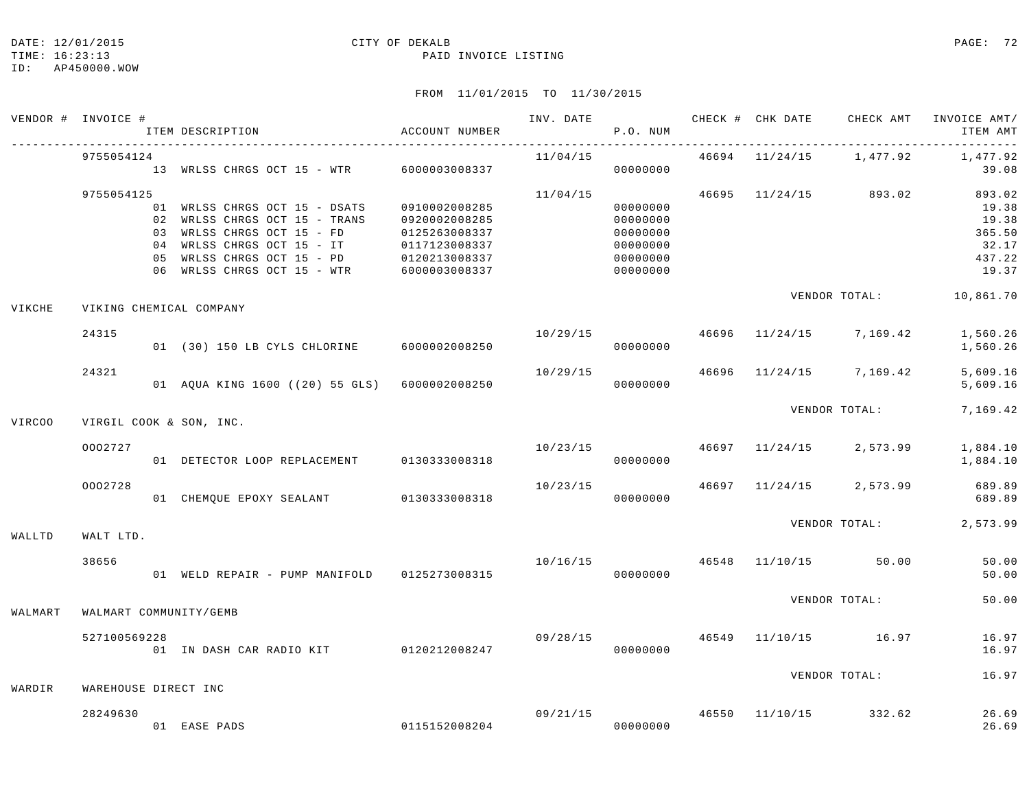### DATE: 12/01/2015 CITY OF DEKALB PAGE: 72

#### TIME: 16:23:13 PAID INVOICE LISTING

|         | VENDOR # INVOICE #   |                         | ITEM DESCRIPTION                                                                                                                                                                     | ACCOUNT NUMBER                                                                                     | INV. DATE | P.O. NUM                                                             |               |                | CHECK # CHK DATE CHECK AMT | INVOICE AMT/<br>ITEM AMT                                       |
|---------|----------------------|-------------------------|--------------------------------------------------------------------------------------------------------------------------------------------------------------------------------------|----------------------------------------------------------------------------------------------------|-----------|----------------------------------------------------------------------|---------------|----------------|----------------------------|----------------------------------------------------------------|
|         | 9755054124           |                         | 13 WRLSS CHRGS OCT 15 - WTR 6000003008337                                                                                                                                            |                                                                                                    | 11/04/15  | 00000000                                                             |               | 46694 11/24/15 | 1,477.92                   | 1,477.92<br>39.08                                              |
|         | 9755054125           | 05                      | 01 WRLSS CHRGS OCT 15 - DSATS<br>02 WRLSS CHRGS OCT 15 - TRANS<br>03 WRLSS CHRGS OCT 15 - FD<br>04 WRLSS CHRGS OCT 15 - IT<br>WRLSS CHRGS OCT 15 - PD<br>06 WRLSS CHRGS OCT 15 - WTR | 0910002008285<br>0920002008285<br>0125263008337<br>0117123008337<br>0120213008337<br>6000003008337 | 11/04/15  | 00000000<br>00000000<br>00000000<br>00000000<br>00000000<br>00000000 |               |                | 46695 11/24/15 893.02      | 893.02<br>19.38<br>19.38<br>365.50<br>32.17<br>437.22<br>19.37 |
| VIKCHE  |                      |                         | VIKING CHEMICAL COMPANY                                                                                                                                                              |                                                                                                    |           |                                                                      | VENDOR TOTAL: | 10,861.70      |                            |                                                                |
|         | 24315                |                         | 01 (30) 150 LB CYLS CHLORINE 6000002008250                                                                                                                                           |                                                                                                    | 10/29/15  | 00000000                                                             | 46696         |                | 11/24/15 7,169.42          | 1,560.26<br>1,560.26                                           |
|         | 24321                |                         | 01 AQUA KING 1600 ((20) 55 GLS) 6000002008250                                                                                                                                        |                                                                                                    | 10/29/15  | 00000000                                                             |               |                | 46696 11/24/15 7,169.42    | 5,609.16<br>5,609.16                                           |
| VIRC00  |                      | VIRGIL COOK & SON, INC. |                                                                                                                                                                                      |                                                                                                    |           |                                                                      |               | VENDOR TOTAL:  | 7,169.42                   |                                                                |
|         | 0002727              |                         | 01 DETECTOR LOOP REPLACEMENT 0130333008318                                                                                                                                           |                                                                                                    | 10/23/15  | 00000000                                                             |               | 46697 11/24/15 | 2,573.99                   | 1,884.10<br>1,884.10                                           |
|         | 0002728              |                         | 01 CHEMQUE EPOXY SEALANT 0130333008318                                                                                                                                               |                                                                                                    | 10/23/15  | 00000000                                                             |               | 46697 11/24/15 | 2,573.99                   | 689.89<br>689.89                                               |
| WALLTD  | WALT LTD.            |                         |                                                                                                                                                                                      |                                                                                                    |           |                                                                      |               | VENDOR TOTAL:  | 2,573.99                   |                                                                |
|         | 38656                |                         | 01 WELD REPAIR - PUMP MANIFOLD 0125273008315                                                                                                                                         |                                                                                                    | 10/16/15  | 00000000                                                             | 46548         |                | 11/10/15 50.00             | 50.00<br>50.00                                                 |
| WALMART |                      |                         | WALMART COMMUNITY/GEMB                                                                                                                                                               |                                                                                                    |           |                                                                      |               | VENDOR TOTAL:  |                            | 50.00                                                          |
|         | 527100569228         |                         | 01 IN DASH CAR RADIO KIT 0120212008247                                                                                                                                               |                                                                                                    | 09/28/15  | 00000000                                                             |               |                | 46549 11/10/15 16.97       | 16.97<br>16.97                                                 |
| WARDIR  | WAREHOUSE DIRECT INC |                         |                                                                                                                                                                                      |                                                                                                    |           |                                                                      |               | VENDOR TOTAL:  | 16.97                      |                                                                |
|         | 28249630             |                         | 01 EASE PADS                                                                                                                                                                         | 0115152008204                                                                                      |           | 09/21/15<br>00000000                                                 | 46550         | 11/10/15       | 332.62                     | 26.69<br>26.69                                                 |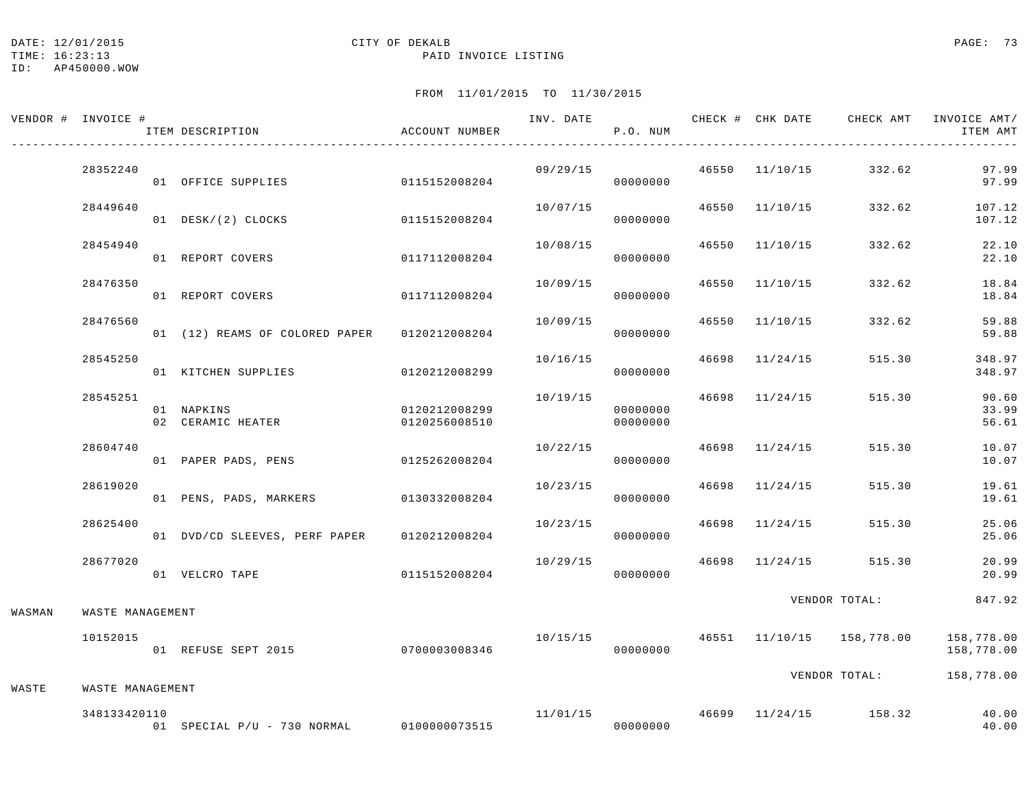DATE: 12/01/2015 CITY OF DEKALB PAGE: 73

TIME: 16:23:13 PAID INVOICE LISTING

ID: AP450000.WOW

## FROM 11/01/2015 TO 11/30/2015

|        | VENDOR # INVOICE # |  | ITEM DESCRIPTION                            | ACCOUNT NUMBER                 | INV. DATE | P.O. NUM             |               | CHECK # CHK DATE | CHECK AMT                 | INVOICE AMT/<br>ITEM AMT |
|--------|--------------------|--|---------------------------------------------|--------------------------------|-----------|----------------------|---------------|------------------|---------------------------|--------------------------|
|        | 28352240           |  | 01 OFFICE SUPPLIES                          | 0115152008204                  | 09/29/15  | 00000000             |               |                  | 46550 11/10/15 332.62     | 97.99<br>97.99           |
|        | 28449640           |  | 01 DESK/(2) CLOCKS                          | 0115152008204                  | 10/07/15  | 00000000             |               | 46550 11/10/15   | 332.62                    | 107.12<br>107.12         |
|        | 28454940           |  | 01 REPORT COVERS                            | 0117112008204                  | 10/08/15  | 00000000             | 46550         | 11/10/15         | 332.62                    | 22.10<br>22.10           |
|        | 28476350           |  | 01 REPORT COVERS                            | 0117112008204                  | 10/09/15  | 00000000             | 46550         | 11/10/15         | 332.62                    | 18.84<br>18.84           |
|        | 28476560           |  | 01 (12) REAMS OF COLORED PAPER              | 0120212008204                  | 10/09/15  | 00000000             | 46550         | 11/10/15         | 332.62                    | 59.88<br>59.88           |
|        | 28545250           |  | 01 KITCHEN SUPPLIES                         | 0120212008299                  | 10/16/15  | 00000000             |               | 46698 11/24/15   | 515.30                    | 348.97<br>348.97         |
|        | 28545251           |  | 01 NAPKINS<br>02 CERAMIC HEATER             | 0120212008299<br>0120256008510 | 10/19/15  | 00000000<br>00000000 | 46698         | 11/24/15         | 515.30                    | 90.60<br>33.99<br>56.61  |
|        | 28604740           |  | 01 PAPER PADS, PENS                         | 0125262008204                  | 10/22/15  | 00000000             |               | 46698 11/24/15   | 515.30                    | 10.07<br>10.07           |
|        | 28619020           |  | 01 PENS, PADS, MARKERS 0130332008204        |                                | 10/23/15  | 00000000             | 46698         | 11/24/15         | 515.30                    | 19.61<br>19.61           |
|        | 28625400           |  | 01 DVD/CD SLEEVES, PERF PAPER 0120212008204 |                                | 10/23/15  | 00000000             |               | 46698 11/24/15   | 515.30                    | 25.06<br>25.06           |
|        | 28677020           |  | 01 VELCRO TAPE                              | 0115152008204                  | 10/29/15  | 00000000             | 46698         | 11/24/15         | 515.30                    | 20.99<br>20.99           |
| WASMAN | WASTE MANAGEMENT   |  |                                             |                                |           |                      | VENDOR TOTAL: |                  | 847.92                    |                          |
|        | 10152015           |  | 01 REFUSE SEPT 2015 0700003008346           |                                | 10/15/15  | 00000000             |               |                  | 46551 11/10/15 158,778.00 | 158,778.00<br>158,778.00 |
| WASTE  | WASTE MANAGEMENT   |  |                                             |                                |           |                      |               |                  | VENDOR TOTAL:             | 158,778.00               |
|        | 348133420110       |  | 01 SPECIAL P/U - 730 NORMAL 0100000073515   |                                | 11/01/15  | 00000000             |               |                  | 46699 11/24/15 158.32     | 40.00<br>40.00           |